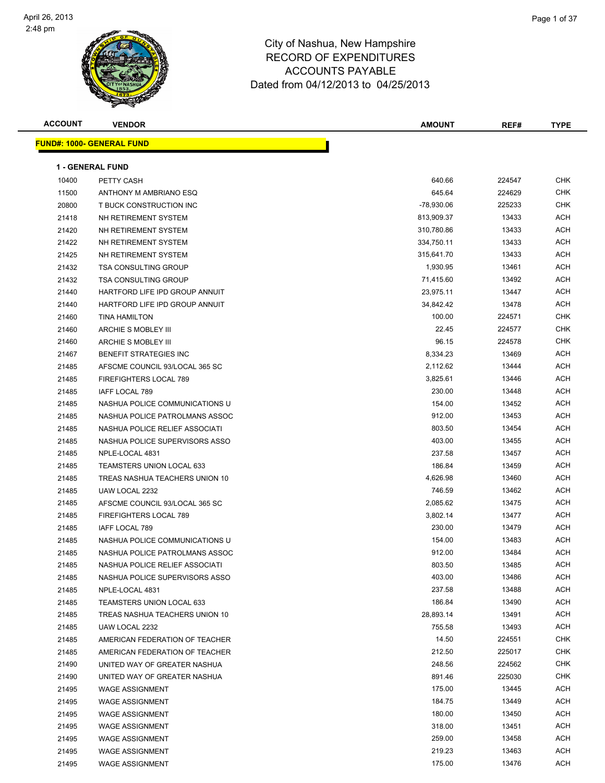

| <b>ACCOUNT</b> | <b>VENDOR</b>                    | <b>AMOUNT</b> | REF#   | <b>TYPE</b> |
|----------------|----------------------------------|---------------|--------|-------------|
|                | <b>FUND#: 1000- GENERAL FUND</b> |               |        |             |
|                |                                  |               |        |             |
|                | <b>1 - GENERAL FUND</b>          |               |        |             |
| 10400          | PETTY CASH                       | 640.66        | 224547 | <b>CHK</b>  |
| 11500          | ANTHONY M AMBRIANO ESQ           | 645.64        | 224629 | CHK         |
| 20800          | T BUCK CONSTRUCTION INC          | -78,930.06    | 225233 | CHK         |
| 21418          | NH RETIREMENT SYSTEM             | 813,909.37    | 13433  | ACH         |
| 21420          | NH RETIREMENT SYSTEM             | 310,780.86    | 13433  | ACH         |
| 21422          | NH RETIREMENT SYSTEM             | 334,750.11    | 13433  | ACH         |
| 21425          | NH RETIREMENT SYSTEM             | 315,641.70    | 13433  | ACH         |
| 21432          | <b>TSA CONSULTING GROUP</b>      | 1,930.95      | 13461  | ACH         |
| 21432          | <b>TSA CONSULTING GROUP</b>      | 71,415.60     | 13492  | ACH         |
| 21440          | HARTFORD LIFE IPD GROUP ANNUIT   | 23,975.11     | 13447  | ACH         |
| 21440          | HARTFORD LIFE IPD GROUP ANNUIT   | 34,842.42     | 13478  | ACH         |
| 21460          | <b>TINA HAMILTON</b>             | 100.00        | 224571 | CHK         |
| 21460          | ARCHIE S MOBLEY III              | 22.45         | 224577 | CHK         |
| 21460          | ARCHIE S MOBLEY III              | 96.15         | 224578 | CHK         |
| 21467          | BENEFIT STRATEGIES INC           | 8,334.23      | 13469  | ACH         |
| 21485          | AFSCME COUNCIL 93/LOCAL 365 SC   | 2,112.62      | 13444  | ACH         |
| 21485          | <b>FIREFIGHTERS LOCAL 789</b>    | 3,825.61      | 13446  | ACH         |
| 21485          | IAFF LOCAL 789                   | 230.00        | 13448  | ACH         |
| 21485          | NASHUA POLICE COMMUNICATIONS U   | 154.00        | 13452  | ACH         |
| 21485          | NASHUA POLICE PATROLMANS ASSOC   | 912.00        | 13453  | ACH         |
| 21485          | NASHUA POLICE RELIEF ASSOCIATI   | 803.50        | 13454  | ACH         |
| 21485          | NASHUA POLICE SUPERVISORS ASSO   | 403.00        | 13455  | ACH         |
| 21485          | NPLE-LOCAL 4831                  | 237.58        | 13457  | ACH         |
| 21485          | <b>TEAMSTERS UNION LOCAL 633</b> | 186.84        | 13459  | ACH         |
| 21485          | TREAS NASHUA TEACHERS UNION 10   | 4,626.98      | 13460  | ACH         |
| 21485          | UAW LOCAL 2232                   | 746.59        | 13462  | ACH         |
| 21485          | AFSCME COUNCIL 93/LOCAL 365 SC   | 2,085.62      | 13475  | ACH         |
| 21485          | <b>FIREFIGHTERS LOCAL 789</b>    | 3,802.14      | 13477  | ACH         |
| 21485          | IAFF LOCAL 789                   | 230.00        | 13479  | ACH         |
| 21485          | NASHUA POLICE COMMUNICATIONS U   | 154.00        | 13483  | ACH         |
| 21485          | NASHUA POLICE PATROLMANS ASSOC   | 912.00        | 13484  | ACH         |
| 21485          | NASHUA POLICE RELIEF ASSOCIATI   | 803.50        | 13485  | <b>ACH</b>  |
| 21485          | NASHUA POLICE SUPERVISORS ASSO   | 403.00        | 13486  | <b>ACH</b>  |
| 21485          | NPLE-LOCAL 4831                  | 237.58        | 13488  | ACH         |
| 21485          | TEAMSTERS UNION LOCAL 633        | 186.84        | 13490  | ACH         |
| 21485          | TREAS NASHUA TEACHERS UNION 10   | 28,893.14     | 13491  | ACH         |
| 21485          | UAW LOCAL 2232                   | 755.58        | 13493  | ACH         |
| 21485          | AMERICAN FEDERATION OF TEACHER   | 14.50         | 224551 | CHK         |
| 21485          | AMERICAN FEDERATION OF TEACHER   | 212.50        | 225017 | CHK         |
| 21490          | UNITED WAY OF GREATER NASHUA     | 248.56        | 224562 | CHK         |
| 21490          | UNITED WAY OF GREATER NASHUA     | 891.46        | 225030 | CHK         |
| 21495          | <b>WAGE ASSIGNMENT</b>           | 175.00        | 13445  | ACH         |
| 21495          | <b>WAGE ASSIGNMENT</b>           | 184.75        | 13449  | ACH         |
| 21495          | <b>WAGE ASSIGNMENT</b>           | 180.00        | 13450  | ACH         |
| 21495          | <b>WAGE ASSIGNMENT</b>           | 318.00        | 13451  | ACH         |
| 21495          | <b>WAGE ASSIGNMENT</b>           | 259.00        | 13458  | ACH         |
| 21495          | <b>WAGE ASSIGNMENT</b>           | 219.23        | 13463  | ACH         |
| 21495          | <b>WAGE ASSIGNMENT</b>           | 175.00        | 13476  | ACH         |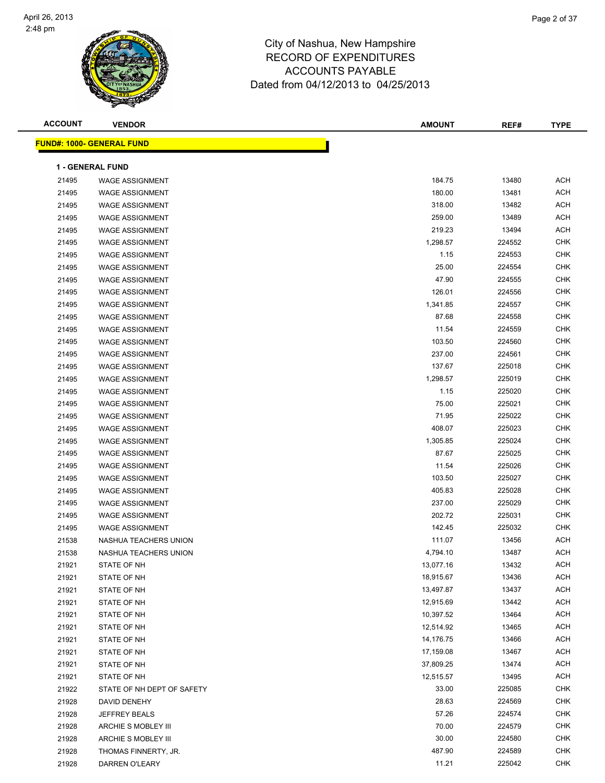

| <b>ACCOUNT</b> | <b>VENDOR</b>                    | <b>AMOUNT</b> | REF#   | <b>TYPE</b> |
|----------------|----------------------------------|---------------|--------|-------------|
|                | <b>FUND#: 1000- GENERAL FUND</b> |               |        |             |
|                |                                  |               |        |             |
|                | 1 - GENERAL FUND                 |               |        |             |
| 21495          | <b>WAGE ASSIGNMENT</b>           | 184.75        | 13480  | <b>ACH</b>  |
| 21495          | <b>WAGE ASSIGNMENT</b>           | 180.00        | 13481  | <b>ACH</b>  |
| 21495          | <b>WAGE ASSIGNMENT</b>           | 318.00        | 13482  | <b>ACH</b>  |
| 21495          | <b>WAGE ASSIGNMENT</b>           | 259.00        | 13489  | <b>ACH</b>  |
| 21495          | <b>WAGE ASSIGNMENT</b>           | 219.23        | 13494  | <b>ACH</b>  |
| 21495          | <b>WAGE ASSIGNMENT</b>           | 1,298.57      | 224552 | <b>CHK</b>  |
| 21495          | <b>WAGE ASSIGNMENT</b>           | 1.15          | 224553 | <b>CHK</b>  |
| 21495          | <b>WAGE ASSIGNMENT</b>           | 25.00         | 224554 | <b>CHK</b>  |
| 21495          | WAGE ASSIGNMENT                  | 47.90         | 224555 | <b>CHK</b>  |
| 21495          | <b>WAGE ASSIGNMENT</b>           | 126.01        | 224556 | <b>CHK</b>  |
| 21495          | <b>WAGE ASSIGNMENT</b>           | 1,341.85      | 224557 | <b>CHK</b>  |
| 21495          | <b>WAGE ASSIGNMENT</b>           | 87.68         | 224558 | <b>CHK</b>  |
| 21495          | <b>WAGE ASSIGNMENT</b>           | 11.54         | 224559 | <b>CHK</b>  |
| 21495          | <b>WAGE ASSIGNMENT</b>           | 103.50        | 224560 | <b>CHK</b>  |
| 21495          | <b>WAGE ASSIGNMENT</b>           | 237.00        | 224561 | <b>CHK</b>  |
| 21495          | WAGE ASSIGNMENT                  | 137.67        | 225018 | <b>CHK</b>  |
| 21495          | <b>WAGE ASSIGNMENT</b>           | 1,298.57      | 225019 | <b>CHK</b>  |
| 21495          | <b>WAGE ASSIGNMENT</b>           | 1.15          | 225020 | <b>CHK</b>  |
| 21495          | <b>WAGE ASSIGNMENT</b>           | 75.00         | 225021 | <b>CHK</b>  |
| 21495          | <b>WAGE ASSIGNMENT</b>           | 71.95         | 225022 | <b>CHK</b>  |
| 21495          | <b>WAGE ASSIGNMENT</b>           | 408.07        | 225023 | <b>CHK</b>  |
| 21495          | <b>WAGE ASSIGNMENT</b>           | 1,305.85      | 225024 | <b>CHK</b>  |
| 21495          | <b>WAGE ASSIGNMENT</b>           | 87.67         | 225025 | <b>CHK</b>  |
| 21495          | <b>WAGE ASSIGNMENT</b>           | 11.54         | 225026 | <b>CHK</b>  |
| 21495          | <b>WAGE ASSIGNMENT</b>           | 103.50        | 225027 | <b>CHK</b>  |
| 21495          | <b>WAGE ASSIGNMENT</b>           | 405.83        | 225028 | <b>CHK</b>  |
| 21495          | <b>WAGE ASSIGNMENT</b>           | 237.00        | 225029 | <b>CHK</b>  |
| 21495          | <b>WAGE ASSIGNMENT</b>           | 202.72        | 225031 | <b>CHK</b>  |
| 21495          | <b>WAGE ASSIGNMENT</b>           | 142.45        | 225032 | <b>CHK</b>  |
| 21538          | NASHUA TEACHERS UNION            | 111.07        | 13456  | <b>ACH</b>  |
| 21538          | NASHUA TEACHERS UNION            | 4,794.10      | 13487  | <b>ACH</b>  |
| 21921          | STATE OF NH                      | 13,077.16     | 13432  | ACH         |
| 21921          | STATE OF NH                      | 18,915.67     | 13436  | ACH         |
| 21921          | STATE OF NH                      | 13,497.87     | 13437  | <b>ACH</b>  |
| 21921          | STATE OF NH                      | 12,915.69     | 13442  | ACH         |
| 21921          | STATE OF NH                      | 10,397.52     | 13464  | ACH         |
| 21921          | STATE OF NH                      | 12,514.92     | 13465  | ACH         |
| 21921          | STATE OF NH                      | 14,176.75     | 13466  | ACH         |
| 21921          | STATE OF NH                      | 17,159.08     | 13467  | ACH         |
| 21921          | STATE OF NH                      | 37,809.25     | 13474  | ACH         |
| 21921          | STATE OF NH                      | 12,515.57     | 13495  | ACH         |
| 21922          | STATE OF NH DEPT OF SAFETY       | 33.00         | 225085 | CHK         |
| 21928          | DAVID DENEHY                     | 28.63         | 224569 | CHK         |
| 21928          | <b>JEFFREY BEALS</b>             | 57.26         | 224574 | <b>CHK</b>  |
| 21928          | ARCHIE S MOBLEY III              | 70.00         | 224579 | <b>CHK</b>  |
| 21928          | ARCHIE S MOBLEY III              | 30.00         | 224580 | <b>CHK</b>  |
| 21928          | THOMAS FINNERTY, JR.             | 487.90        | 224589 | <b>CHK</b>  |
| 21928          | DARREN O'LEARY                   | 11.21         | 225042 | <b>CHK</b>  |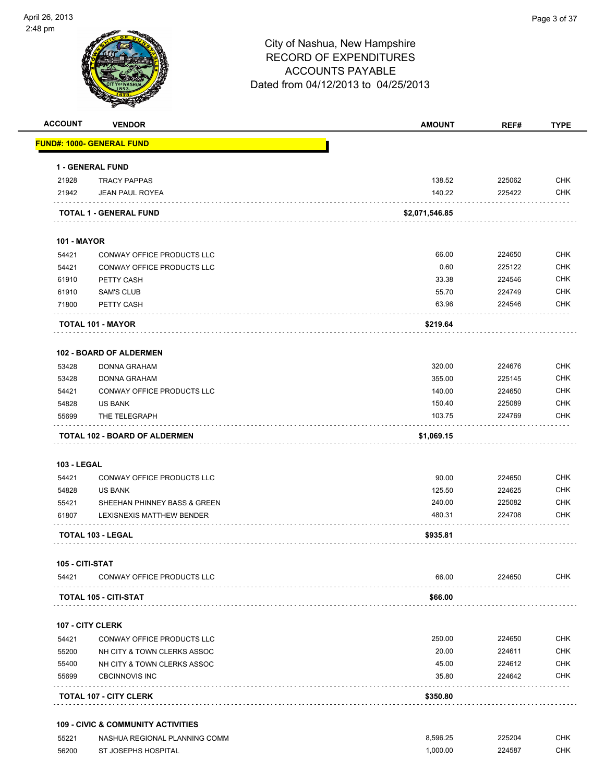

**ACCOUNT VENDOR AMOUNT REF# TYPE**

|                    | 1 - GENERAL FUND                  |                |        |            |
|--------------------|-----------------------------------|----------------|--------|------------|
| 21928              | <b>TRACY PAPPAS</b>               | 138.52         | 225062 | <b>CHK</b> |
| 21942              | <b>JEAN PAUL ROYEA</b>            | 140.22         | 225422 | <b>CHK</b> |
|                    | TOTAL 1 - GENERAL FUND            | \$2,071,546.85 |        |            |
| <b>101 - MAYOR</b> |                                   |                |        |            |
| 54421              | <b>CONWAY OFFICE PRODUCTS LLC</b> | 66.00          | 224650 | <b>CHK</b> |
| 54421              | <b>CONWAY OFFICE PRODUCTS LLC</b> | 0.60           | 225122 | <b>CHK</b> |
| 61910              | PETTY CASH                        | 33.38          | 224546 | <b>CHK</b> |
| 61910              | <b>SAM'S CLUB</b>                 | 55.70          | 224749 | <b>CHK</b> |
| 71800              | PETTY CASH                        | 63.96          | 224546 | <b>CHK</b> |
|                    | <b>TOTAL 101 - MAYOR</b>          | \$219.64       |        |            |
|                    | <b>102 - BOARD OF ALDERMEN</b>    |                |        |            |
| 53428              | <b>DONNA GRAHAM</b>               | 320.00         | 224676 | <b>CHK</b> |
| 53428              | <b>DONNA GRAHAM</b>               | 355.00         | 225145 | <b>CHK</b> |
| 54421              | CONWAY OFFICE PRODUCTS LLC        | 140.00         | 224650 | <b>CHK</b> |
| 54828              | <b>US BANK</b>                    | 150.40         | 225089 | <b>CHK</b> |
| 55699              | THE TELEGRAPH                     | 103.75         | 224769 | <b>CHK</b> |
|                    | TOTAL 102 - BOARD OF ALDERMEN     | \$1,069.15     |        |            |
| <b>103 - LEGAL</b> |                                   |                |        |            |
| 54421              | CONWAY OFFICE PRODUCTS LLC        | 90.00          | 224650 | <b>CHK</b> |
| 54828              | US BANK                           | 125.50         | 224625 | <b>CHK</b> |
| 55421              | SHEEHAN PHINNEY BASS & GREEN      | 240.00         | 225082 | <b>CHK</b> |
| 61807              | LEXISNEXIS MATTHEW BENDER         | 480.31         | 224708 | <b>CHK</b> |
|                    | TOTAL 103 - LEGAL                 | \$935.81       |        |            |
| 105 - CITI-STAT    |                                   |                |        |            |
| 54421              | CONWAY OFFICE PRODUCTS LLC        | 66.00          | 224650 | CHK        |
|                    | TOTAL 105 - CITI-STAT             | \$66.00        |        |            |
|                    | <b>107 - CITY CLERK</b>           |                |        |            |
| 54421              | CONWAY OFFICE PRODUCTS LLC        | 250.00         | 224650 | CHK        |
| 55200              | NH CITY & TOWN CLERKS ASSOC       | 20.00          | 224611 | <b>CHK</b> |
| 55400              | NH CITY & TOWN CLERKS ASSOC       | 45.00          | 224612 | <b>CHK</b> |
| 55699              | <b>CBCINNOVIS INC</b>             | 35.80          | 224642 | <b>CHK</b> |
|                    | <b>TOTAL 107 - CITY CLERK</b>     | \$350.80       |        |            |

 55221 NASHUA REGIONAL PLANNING COMM 8,596.25 225204 CHK 56200 ST JOSEPHS HOSPITAL **1,000.00** 224587 CHK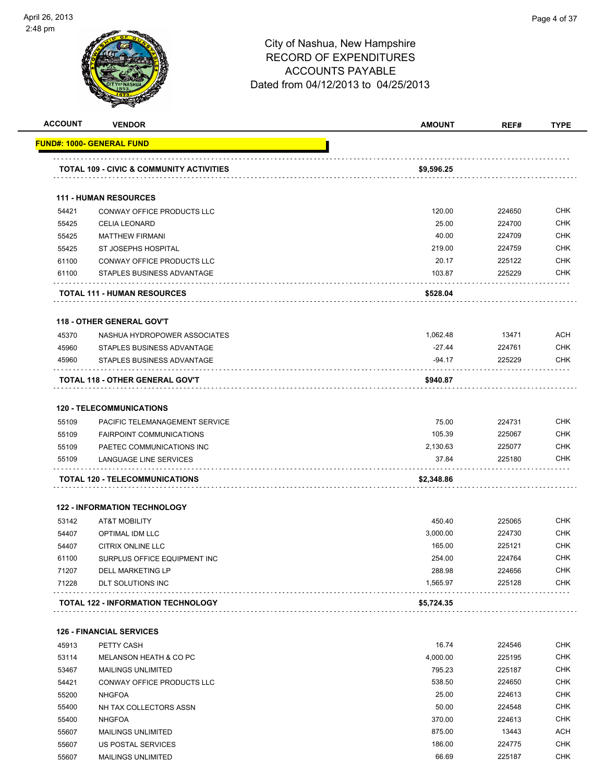

| <b>ACCOUNT</b> | <b>VENDOR</b>                                           | <b>AMOUNT</b>      | REF#             | <b>TYPE</b>                                                                                                                |
|----------------|---------------------------------------------------------|--------------------|------------------|----------------------------------------------------------------------------------------------------------------------------|
|                | FUND#: 1000- GENERAL FUND                               |                    |                  |                                                                                                                            |
|                | <b>TOTAL 109 - CIVIC &amp; COMMUNITY ACTIVITIES</b>     | \$9,596.25         |                  |                                                                                                                            |
|                |                                                         |                    |                  |                                                                                                                            |
|                | <b>111 - HUMAN RESOURCES</b>                            |                    |                  |                                                                                                                            |
| 54421          | CONWAY OFFICE PRODUCTS LLC                              | 120.00             | 224650           | <b>CHK</b>                                                                                                                 |
| 55425          | <b>CELIA LEONARD</b>                                    | 25.00              | 224700           | <b>CHK</b>                                                                                                                 |
| 55425          | <b>MATTHEW FIRMANI</b>                                  | 40.00              | 224709           | <b>CHK</b>                                                                                                                 |
| 55425          | <b>ST JOSEPHS HOSPITAL</b>                              | 219.00             | 224759           | <b>CHK</b>                                                                                                                 |
| 61100          | CONWAY OFFICE PRODUCTS LLC                              | 20.17              | 225122           | <b>CHK</b>                                                                                                                 |
| 61100          | STAPLES BUSINESS ADVANTAGE                              | 103.87             | 225229           | <b>CHK</b>                                                                                                                 |
|                | <b>TOTAL 111 - HUMAN RESOURCES</b>                      | \$528.04           |                  |                                                                                                                            |
|                | <b>118 - OTHER GENERAL GOV'T</b>                        |                    |                  |                                                                                                                            |
| 45370          | NASHUA HYDROPOWER ASSOCIATES                            | 1,062.48           | 13471            | ACH                                                                                                                        |
| 45960          | STAPLES BUSINESS ADVANTAGE                              | $-27.44$           | 224761           | <b>CHK</b>                                                                                                                 |
| 45960          | STAPLES BUSINESS ADVANTAGE                              | $-94.17$           | 225229           | <b>CHK</b>                                                                                                                 |
|                | TOTAL 118 - OTHER GENERAL GOV'T                         | \$940.87           |                  |                                                                                                                            |
|                | <b>120 - TELECOMMUNICATIONS</b>                         |                    |                  |                                                                                                                            |
| 55109          | PACIFIC TELEMANAGEMENT SERVICE                          | 75.00              | 224731           | <b>CHK</b>                                                                                                                 |
| 55109          | <b>FAIRPOINT COMMUNICATIONS</b>                         | 105.39             | 225067           | <b>CHK</b>                                                                                                                 |
| 55109          | PAETEC COMMUNICATIONS INC                               | 2,130.63           | 225077           | <b>CHK</b>                                                                                                                 |
| 55109          | LANGUAGE LINE SERVICES                                  | 37.84              | 225180           | <b>CHK</b>                                                                                                                 |
|                | TOTAL 120 - TELECOMMUNICATIONS                          | \$2,348.86         |                  |                                                                                                                            |
|                | <b>122 - INFORMATION TECHNOLOGY</b>                     |                    |                  |                                                                                                                            |
| 53142          | <b>AT&amp;T MOBILITY</b>                                | 450.40             | 225065           | <b>CHK</b>                                                                                                                 |
| 54407          | <b>OPTIMAL IDM LLC</b>                                  | 3,000.00           | 224730           | <b>CHK</b>                                                                                                                 |
| 54407          | CITRIX ONLINE LLC                                       | 165.00             | 225121           | <b>CHK</b>                                                                                                                 |
| 61100          | SURPLUS OFFICE EQUIPMENT INC                            | 254.00             | 224764           | <b>CHK</b>                                                                                                                 |
| 71207          | DELL MARKETING LP                                       | 288.98             | 224656           | <b>CHK</b>                                                                                                                 |
| 71228          | DLT SOLUTIONS INC                                       | 1,565.97           | 225128           | <b>CHK</b>                                                                                                                 |
|                | <b>TOTAL 122 - INFORMATION TECHNOLOGY</b>               | \$5,724.35         |                  |                                                                                                                            |
|                |                                                         |                    |                  |                                                                                                                            |
|                |                                                         |                    |                  |                                                                                                                            |
|                | <b>126 - FINANCIAL SERVICES</b>                         |                    |                  |                                                                                                                            |
| 45913          | PETTY CASH                                              | 16.74              | 224546           |                                                                                                                            |
| 53114<br>53467 | MELANSON HEATH & CO PC                                  | 4,000.00<br>795.23 | 225195<br>225187 |                                                                                                                            |
|                | <b>MAILINGS UNLIMITED</b><br>CONWAY OFFICE PRODUCTS LLC | 538.50             | 224650           |                                                                                                                            |
| 54421          |                                                         |                    |                  |                                                                                                                            |
| 55200          | <b>NHGFOA</b>                                           | 25.00<br>50.00     | 224613           |                                                                                                                            |
| 55400          | NH TAX COLLECTORS ASSN                                  |                    | 224548           |                                                                                                                            |
| 55400          | <b>NHGFOA</b>                                           | 370.00             | 224613           |                                                                                                                            |
| 55607<br>55607 | <b>MAILINGS UNLIMITED</b><br>US POSTAL SERVICES         | 875.00<br>186.00   | 13443<br>224775  | <b>CHK</b><br><b>CHK</b><br><b>CHK</b><br><b>CHK</b><br><b>CHK</b><br><b>CHK</b><br><b>CHK</b><br><b>ACH</b><br><b>CHK</b> |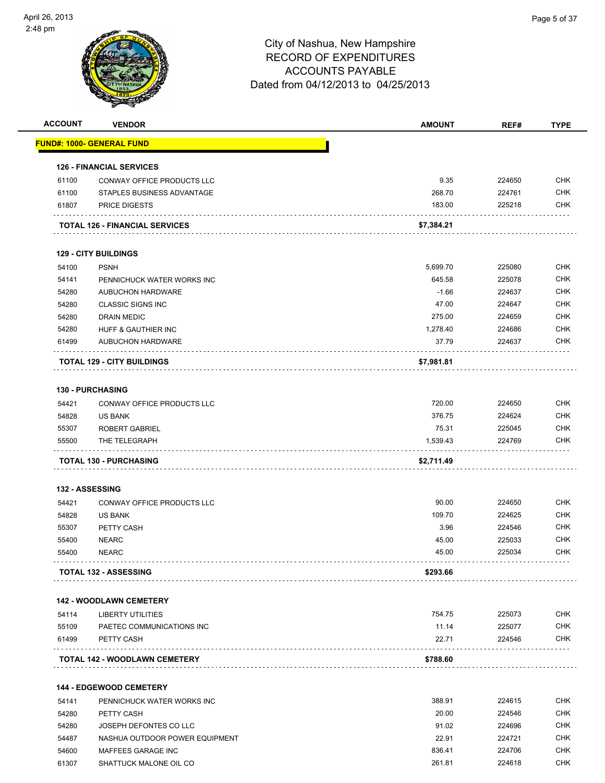| <b>ACCOUNT</b> | <b>VENDOR</b>                         | <b>AMOUNT</b> | REF#   | <b>TYPE</b> |
|----------------|---------------------------------------|---------------|--------|-------------|
|                | <u> FUND#: 1000- GENERAL FUND</u>     |               |        |             |
|                | <b>126 - FINANCIAL SERVICES</b>       |               |        |             |
| 61100          | CONWAY OFFICE PRODUCTS LLC            | 9.35          | 224650 | <b>CHK</b>  |
| 61100          | STAPLES BUSINESS ADVANTAGE            | 268.70        | 224761 | <b>CHK</b>  |
| 61807          | <b>PRICE DIGESTS</b>                  | 183.00        | 225218 | <b>CHK</b>  |
|                | <b>TOTAL 126 - FINANCIAL SERVICES</b> | \$7,384.21    |        |             |
|                | <b>129 - CITY BUILDINGS</b>           |               |        |             |
| 54100          | <b>PSNH</b>                           | 5,699.70      | 225080 | <b>CHK</b>  |
| 54141          | PENNICHUCK WATER WORKS INC            | 645.58        | 225078 | <b>CHK</b>  |
| 54280          | <b>AUBUCHON HARDWARE</b>              | $-1.66$       | 224637 | <b>CHK</b>  |
| 54280          | <b>CLASSIC SIGNS INC</b>              | 47.00         | 224647 | <b>CHK</b>  |
| 54280          | <b>DRAIN MEDIC</b>                    | 275.00        | 224659 | <b>CHK</b>  |
| 54280          | HUFF & GAUTHIER INC                   | 1,278.40      | 224686 | <b>CHK</b>  |
| 61499          | AUBUCHON HARDWARE                     | 37.79         | 224637 | <b>CHK</b>  |
|                | <b>TOTAL 129 - CITY BUILDINGS</b>     | \$7,981.81    |        |             |
|                | <b>130 - PURCHASING</b>               |               |        |             |
| 54421          | CONWAY OFFICE PRODUCTS LLC            | 720.00        | 224650 | <b>CHK</b>  |
| 54828          | <b>US BANK</b>                        | 376.75        | 224624 | <b>CHK</b>  |
| 55307          | <b>ROBERT GABRIEL</b>                 | 75.31         | 225045 | <b>CHK</b>  |
| 55500          | THE TELEGRAPH                         | 1,539.43      | 224769 | <b>CHK</b>  |
|                | <b>TOTAL 130 - PURCHASING</b>         | \$2,711.49    |        |             |
|                | <b>132 - ASSESSING</b>                |               |        |             |
| 54421          | <b>CONWAY OFFICE PRODUCTS LLC</b>     | 90.00         | 224650 | <b>CHK</b>  |
| 54828          | <b>US BANK</b>                        | 109.70        | 224625 | <b>CHK</b>  |
| 55307          | PETTY CASH                            | 3.96          | 224546 | <b>CHK</b>  |
| 55400          | <b>NEARC</b>                          | 45.00         | 225033 | <b>CHK</b>  |
| 55400          | <b>NEARC</b>                          | 45.00         | 225034 | <b>CHK</b>  |
|                | <b>TOTAL 132 - ASSESSING</b>          | \$293.66      |        |             |
|                | <b>142 - WOODLAWN CEMETERY</b>        |               |        |             |
| 54114          | <b>LIBERTY UTILITIES</b>              | 754.75        | 225073 | <b>CHK</b>  |
| 55109          | PAETEC COMMUNICATIONS INC             | 11.14         | 225077 | <b>CHK</b>  |
| 61499          | PETTY CASH                            | 22.71         | 224546 | <b>CHK</b>  |
|                | <b>TOTAL 142 - WOODLAWN CEMETERY</b>  | \$788.60      |        |             |
|                |                                       |               |        |             |
|                | <b>144 - EDGEWOOD CEMETERY</b>        |               |        |             |
| 54141          | PENNICHUCK WATER WORKS INC            | 388.91        | 224615 | <b>CHK</b>  |
| 54280          | PETTY CASH                            | 20.00         | 224546 | <b>CHK</b>  |
| 54280          | JOSEPH DEFONTES CO LLC                | 91.02         | 224696 | <b>CHK</b>  |
| 54487          | NASHUA OUTDOOR POWER EQUIPMENT        | 22.91         | 224721 | <b>CHK</b>  |
| 54600          | MAFFEES GARAGE INC                    | 836.41        | 224706 | <b>CHK</b>  |
| 61307          | SHATTUCK MALONE OIL CO                | 261.81        | 224618 | <b>CHK</b>  |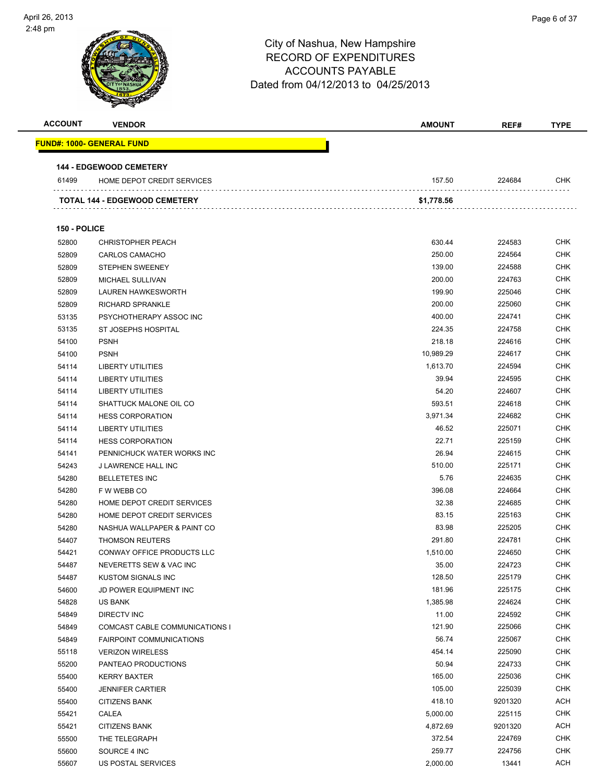| <b>ACCOUNT</b> | <b>VENDOR</b>                                     | <b>AMOUNT</b>  | REF#             | <b>TYPE</b>              |
|----------------|---------------------------------------------------|----------------|------------------|--------------------------|
|                | <u> FUND#: 1000- GENERAL FUND</u>                 |                |                  |                          |
|                | <b>144 - EDGEWOOD CEMETERY</b>                    |                |                  |                          |
| 61499          | HOME DEPOT CREDIT SERVICES                        | 157.50         | 224684           | CHK                      |
|                | <b>TOTAL 144 - EDGEWOOD CEMETERY</b>              | \$1,778.56     |                  |                          |
|                |                                                   |                |                  |                          |
| 150 - POLICE   |                                                   |                |                  |                          |
| 52800          | <b>CHRISTOPHER PEACH</b>                          | 630.44         | 224583           | <b>CHK</b>               |
| 52809          | CARLOS CAMACHO                                    | 250.00         | 224564           | <b>CHK</b>               |
| 52809          | <b>STEPHEN SWEENEY</b>                            | 139.00         | 224588           | <b>CHK</b>               |
| 52809          | MICHAEL SULLIVAN                                  | 200.00         | 224763           | <b>CHK</b>               |
| 52809          | <b>LAUREN HAWKESWORTH</b>                         | 199.90         | 225046           | <b>CHK</b>               |
| 52809          | <b>RICHARD SPRANKLE</b>                           | 200.00         | 225060           | <b>CHK</b>               |
| 53135          | PSYCHOTHERAPY ASSOC INC                           | 400.00         | 224741           | <b>CHK</b>               |
| 53135          | ST JOSEPHS HOSPITAL                               | 224.35         | 224758           | <b>CHK</b>               |
| 54100          | <b>PSNH</b>                                       | 218.18         | 224616           | <b>CHK</b>               |
| 54100          | <b>PSNH</b>                                       | 10,989.29      | 224617           | <b>CHK</b>               |
| 54114          | LIBERTY UTILITIES<br><b>LIBERTY UTILITIES</b>     | 1,613.70       | 224594           | <b>CHK</b>               |
| 54114          |                                                   | 39.94<br>54.20 | 224595<br>224607 | <b>CHK</b><br><b>CHK</b> |
| 54114<br>54114 | <b>LIBERTY UTILITIES</b>                          | 593.51         | 224618           | <b>CHK</b>               |
| 54114          | SHATTUCK MALONE OIL CO<br><b>HESS CORPORATION</b> | 3,971.34       | 224682           | <b>CHK</b>               |
| 54114          | <b>LIBERTY UTILITIES</b>                          | 46.52          | 225071           | <b>CHK</b>               |
| 54114          | <b>HESS CORPORATION</b>                           | 22.71          | 225159           | <b>CHK</b>               |
| 54141          | PENNICHUCK WATER WORKS INC                        | 26.94          | 224615           | <b>CHK</b>               |
| 54243          | J LAWRENCE HALL INC                               | 510.00         | 225171           | <b>CHK</b>               |
| 54280          | <b>BELLETETES INC</b>                             | 5.76           | 224635           | <b>CHK</b>               |
| 54280          | F W WEBB CO                                       | 396.08         | 224664           | <b>CHK</b>               |
| 54280          | HOME DEPOT CREDIT SERVICES                        | 32.38          | 224685           | <b>CHK</b>               |
| 54280          | HOME DEPOT CREDIT SERVICES                        | 83.15          | 225163           | <b>CHK</b>               |
| 54280          | NASHUA WALLPAPER & PAINT CO                       | 83.98          | 225205           | <b>CHK</b>               |
| 54407          | <b>THOMSON REUTERS</b>                            | 291.80         | 224781           | <b>CHK</b>               |
| 54421          | CONWAY OFFICE PRODUCTS LLC                        | 1,510.00       | 224650           | <b>CHK</b>               |
| 54487          | NEVERETTS SEW & VAC INC                           | 35.00          | 224723           | <b>CHK</b>               |
| 54487          | KUSTOM SIGNALS INC                                | 128.50         | 225179           | <b>CHK</b>               |
| 54600          | JD POWER EQUIPMENT INC                            | 181.96         | 225175           | <b>CHK</b>               |
| 54828          | <b>US BANK</b>                                    | 1,385.98       | 224624           | <b>CHK</b>               |
| 54849          | <b>DIRECTV INC</b>                                | 11.00          | 224592           | CHK                      |
| 54849          | COMCAST CABLE COMMUNICATIONS I                    | 121.90         | 225066           | <b>CHK</b>               |
| 54849          | <b>FAIRPOINT COMMUNICATIONS</b>                   | 56.74          | 225067           | <b>CHK</b>               |
| 55118          | <b>VERIZON WIRELESS</b>                           | 454.14         | 225090           | <b>CHK</b>               |
| 55200          | PANTEAO PRODUCTIONS                               | 50.94          | 224733           | <b>CHK</b>               |
| 55400          | <b>KERRY BAXTER</b>                               | 165.00         | 225036           | <b>CHK</b>               |
| 55400          | <b>JENNIFER CARTIER</b>                           | 105.00         | 225039           | <b>CHK</b>               |
| 55400          | <b>CITIZENS BANK</b>                              | 418.10         | 9201320          | ACH                      |
| 55421          | CALEA                                             | 5,000.00       | 225115           | <b>CHK</b>               |
| 55421          | <b>CITIZENS BANK</b>                              | 4,872.69       | 9201320          | <b>ACH</b>               |
| 55500          | THE TELEGRAPH                                     | 372.54         | 224769           | <b>CHK</b>               |
| 55600          | SOURCE 4 INC                                      | 259.77         | 224756           | <b>CHK</b>               |
| 55607          | US POSTAL SERVICES                                | 2,000.00       | 13441            | ACH                      |
|                |                                                   |                |                  |                          |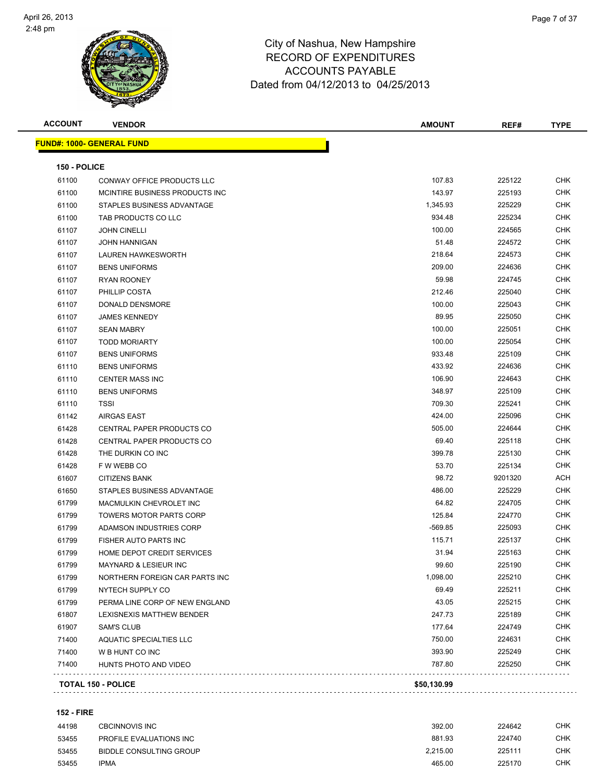

| <b>ACCOUNT</b> | <b>VENDOR</b>                    | <b>AMOUNT</b> | REF#    | <b>TYPE</b> |
|----------------|----------------------------------|---------------|---------|-------------|
|                | <b>FUND#: 1000- GENERAL FUND</b> |               |         |             |
| 150 - POLICE   |                                  |               |         |             |
| 61100          | CONWAY OFFICE PRODUCTS LLC       | 107.83        | 225122  | <b>CHK</b>  |
| 61100          | MCINTIRE BUSINESS PRODUCTS INC   | 143.97        | 225193  | <b>CHK</b>  |
| 61100          | STAPLES BUSINESS ADVANTAGE       | 1,345.93      | 225229  | CHK         |
| 61100          | TAB PRODUCTS CO LLC              | 934.48        | 225234  | <b>CHK</b>  |
| 61107          | <b>JOHN CINELLI</b>              | 100.00        | 224565  | CHK         |
| 61107          | <b>JOHN HANNIGAN</b>             | 51.48         | 224572  | <b>CHK</b>  |
| 61107          | <b>LAUREN HAWKESWORTH</b>        | 218.64        | 224573  | <b>CHK</b>  |
| 61107          | <b>BENS UNIFORMS</b>             | 209.00        | 224636  | CHK         |
| 61107          | <b>RYAN ROONEY</b>               | 59.98         | 224745  | CHK         |
| 61107          | PHILLIP COSTA                    | 212.46        | 225040  | <b>CHK</b>  |
| 61107          | DONALD DENSMORE                  | 100.00        | 225043  | <b>CHK</b>  |
| 61107          | <b>JAMES KENNEDY</b>             | 89.95         | 225050  | <b>CHK</b>  |
| 61107          | <b>SEAN MABRY</b>                | 100.00        | 225051  | <b>CHK</b>  |
| 61107          | <b>TODD MORIARTY</b>             | 100.00        | 225054  | CHK         |
| 61107          | <b>BENS UNIFORMS</b>             | 933.48        | 225109  | CHK         |
| 61110          | <b>BENS UNIFORMS</b>             | 433.92        | 224636  | CHK         |
| 61110          | <b>CENTER MASS INC</b>           | 106.90        | 224643  | CHK         |
| 61110          | <b>BENS UNIFORMS</b>             | 348.97        | 225109  | CHK         |
| 61110          | <b>TSSI</b>                      | 709.30        | 225241  | CHK         |
| 61142          | <b>AIRGAS EAST</b>               | 424.00        | 225096  | CHK         |
| 61428          | CENTRAL PAPER PRODUCTS CO        | 505.00        | 224644  | CHK         |
| 61428          | CENTRAL PAPER PRODUCTS CO        | 69.40         | 225118  | <b>CHK</b>  |
| 61428          | THE DURKIN CO INC                | 399.78        | 225130  | CHK         |
| 61428          | F W WEBB CO                      | 53.70         | 225134  | <b>CHK</b>  |
| 61607          | <b>CITIZENS BANK</b>             | 98.72         | 9201320 | ACH         |
| 61650          | STAPLES BUSINESS ADVANTAGE       | 486.00        | 225229  | CHK         |
| 61799          | MACMULKIN CHEVROLET INC          | 64.82         | 224705  | <b>CHK</b>  |
| 61799          | <b>TOWERS MOTOR PARTS CORP</b>   | 125.84        | 224770  | <b>CHK</b>  |
| 61799          | ADAMSON INDUSTRIES CORP          | -569.85       | 225093  | CHK         |
| 61799          | FISHER AUTO PARTS INC            | 115.71        | 225137  | CHK         |
| 61799          | HOME DEPOT CREDIT SERVICES       | 31.94         | 225163  | CHK         |
| 61799          | <b>MAYNARD &amp; LESIEUR INC</b> | 99.60         | 225190  | CHK         |
| 61799          | NORTHERN FOREIGN CAR PARTS INC   | 1,098.00      | 225210  | <b>CHK</b>  |
| 61799          | NYTECH SUPPLY CO                 | 69.49         | 225211  | <b>CHK</b>  |
| 61799          | PERMA LINE CORP OF NEW ENGLAND   | 43.05         | 225215  | <b>CHK</b>  |
| 61807          | LEXISNEXIS MATTHEW BENDER        | 247.73        | 225189  | <b>CHK</b>  |
| 61907          | <b>SAM'S CLUB</b>                | 177.64        | 224749  | <b>CHK</b>  |
| 71400          | AQUATIC SPECIALTIES LLC          | 750.00        | 224631  | <b>CHK</b>  |
| 71400          | W B HUNT CO INC                  | 393.90        | 225249  | <b>CHK</b>  |
| 71400          | HUNTS PHOTO AND VIDEO            | 787.80        | 225250  | CHK         |
|                | <b>TOTAL 150 - POLICE</b>        | \$50,130.99   |         |             |
|                |                                  |               |         |             |

#### **152 - FIRE**

| 44198 | CBCINNOVIS INC          | 392.00   | 224642 | снк |
|-------|-------------------------|----------|--------|-----|
| 53455 | PROFILE EVALUATIONS INC | 881.93   | 224740 | снк |
| 53455 | BIDDLE CONSULTING GROUP | 2.215.00 | 225111 | СНК |
| 53455 | <b>IPMA</b>             | 465.00   | 225170 | СНК |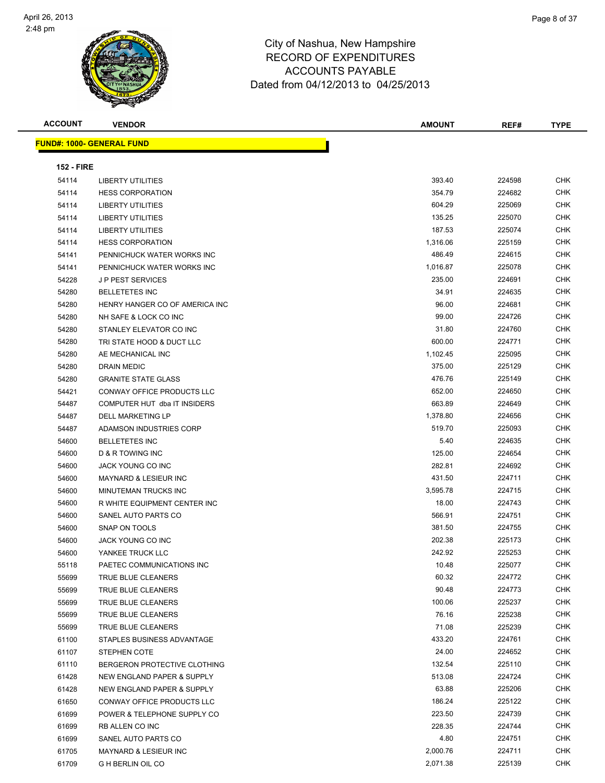

| <b>ACCOUNT</b>    | <b>VENDOR</b>                    | <b>AMOUNT</b> | REF#   | <b>TYPE</b> |
|-------------------|----------------------------------|---------------|--------|-------------|
|                   | <b>FUND#: 1000- GENERAL FUND</b> |               |        |             |
|                   |                                  |               |        |             |
| <b>152 - FIRE</b> |                                  |               |        |             |
| 54114             | <b>LIBERTY UTILITIES</b>         | 393.40        | 224598 | CHK         |
| 54114             | <b>HESS CORPORATION</b>          | 354.79        | 224682 | <b>CHK</b>  |
| 54114             | <b>LIBERTY UTILITIES</b>         | 604.29        | 225069 | <b>CHK</b>  |
| 54114             | LIBERTY UTILITIES                | 135.25        | 225070 | <b>CHK</b>  |
| 54114             | <b>LIBERTY UTILITIES</b>         | 187.53        | 225074 | <b>CHK</b>  |
| 54114             | <b>HESS CORPORATION</b>          | 1,316.06      | 225159 | <b>CHK</b>  |
| 54141             | PENNICHUCK WATER WORKS INC       | 486.49        | 224615 | <b>CHK</b>  |
| 54141             | PENNICHUCK WATER WORKS INC       | 1,016.87      | 225078 | <b>CHK</b>  |
| 54228             | <b>JP PEST SERVICES</b>          | 235.00        | 224691 | <b>CHK</b>  |
| 54280             | <b>BELLETETES INC</b>            | 34.91         | 224635 | <b>CHK</b>  |
| 54280             | HENRY HANGER CO OF AMERICA INC   | 96.00         | 224681 | <b>CHK</b>  |
| 54280             | NH SAFE & LOCK CO INC            | 99.00         | 224726 | <b>CHK</b>  |
| 54280             | STANLEY ELEVATOR CO INC          | 31.80         | 224760 | <b>CHK</b>  |
| 54280             | TRI STATE HOOD & DUCT LLC        | 600.00        | 224771 | <b>CHK</b>  |
| 54280             | AE MECHANICAL INC                | 1,102.45      | 225095 | <b>CHK</b>  |
| 54280             | DRAIN MEDIC                      | 375.00        | 225129 | <b>CHK</b>  |
| 54280             | <b>GRANITE STATE GLASS</b>       | 476.76        | 225149 | <b>CHK</b>  |
| 54421             | CONWAY OFFICE PRODUCTS LLC       | 652.00        | 224650 | <b>CHK</b>  |
| 54487             | COMPUTER HUT dba IT INSIDERS     | 663.89        | 224649 | <b>CHK</b>  |
| 54487             | <b>DELL MARKETING LP</b>         | 1,378.80      | 224656 | <b>CHK</b>  |
| 54487             | ADAMSON INDUSTRIES CORP          | 519.70        | 225093 | <b>CHK</b>  |
| 54600             | <b>BELLETETES INC</b>            | 5.40          | 224635 | <b>CHK</b>  |
| 54600             | D & R TOWING INC                 | 125.00        | 224654 | <b>CHK</b>  |
| 54600             | JACK YOUNG CO INC                | 282.81        | 224692 | <b>CHK</b>  |
| 54600             | <b>MAYNARD &amp; LESIEUR INC</b> | 431.50        | 224711 | <b>CHK</b>  |
| 54600             | MINUTEMAN TRUCKS INC             | 3,595.78      | 224715 | <b>CHK</b>  |
| 54600             | R WHITE EQUIPMENT CENTER INC     | 18.00         | 224743 | <b>CHK</b>  |
| 54600             | SANEL AUTO PARTS CO              | 566.91        | 224751 | <b>CHK</b>  |
| 54600             | SNAP ON TOOLS                    | 381.50        | 224755 | <b>CHK</b>  |
| 54600             | JACK YOUNG CO INC                | 202.38        | 225173 | CHK         |
| 54600             | YANKEE TRUCK LLC                 | 242.92        | 225253 | CHK         |
| 55118             | PAETEC COMMUNICATIONS INC        | 10.48         | 225077 | <b>CHK</b>  |
| 55699             | TRUE BLUE CLEANERS               | 60.32         | 224772 | <b>CHK</b>  |
| 55699             | TRUE BLUE CLEANERS               | 90.48         | 224773 | <b>CHK</b>  |
| 55699             | TRUE BLUE CLEANERS               | 100.06        | 225237 | <b>CHK</b>  |
| 55699             | TRUE BLUE CLEANERS               | 76.16         | 225238 | CHK         |
| 55699             | TRUE BLUE CLEANERS               | 71.08         | 225239 | <b>CHK</b>  |
| 61100             | STAPLES BUSINESS ADVANTAGE       | 433.20        | 224761 | CHK         |
| 61107             | STEPHEN COTE                     | 24.00         | 224652 | CHK         |
| 61110             | BERGERON PROTECTIVE CLOTHING     | 132.54        | 225110 | CHK         |
| 61428             | NEW ENGLAND PAPER & SUPPLY       | 513.08        | 224724 | CHK         |
| 61428             | NEW ENGLAND PAPER & SUPPLY       | 63.88         | 225206 | <b>CHK</b>  |
| 61650             | CONWAY OFFICE PRODUCTS LLC       | 186.24        | 225122 | <b>CHK</b>  |
| 61699             | POWER & TELEPHONE SUPPLY CO      | 223.50        | 224739 | CHK         |
| 61699             | RB ALLEN CO INC                  | 228.35        | 224744 | CHK         |
| 61699             | SANEL AUTO PARTS CO              | 4.80          | 224751 | CHK         |
| 61705             | <b>MAYNARD &amp; LESIEUR INC</b> | 2,000.76      | 224711 | CHK         |
| 61709             | <b>G H BERLIN OIL CO</b>         | 2,071.38      | 225139 | CHK         |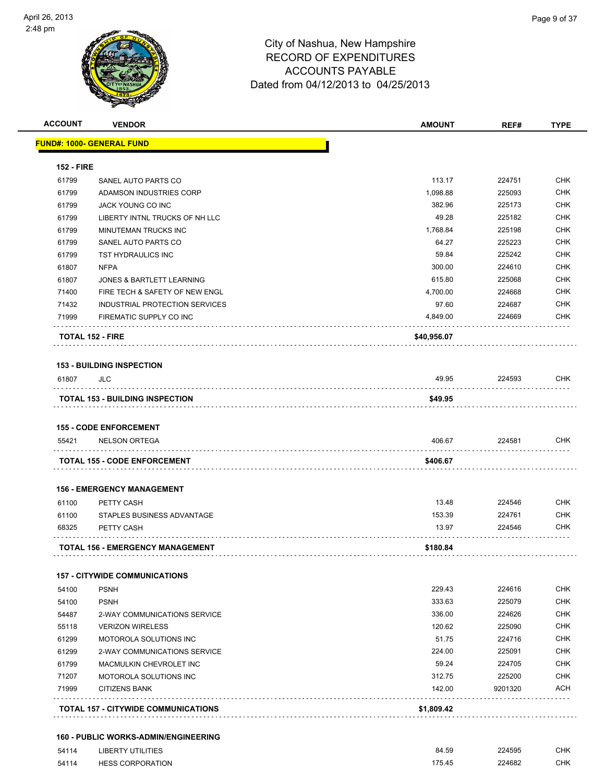

| <u> FUND#: 1000- GENERAL FUND</u><br>SANEL AUTO PARTS CO<br>ADAMSON INDUSTRIES CORP<br>JACK YOUNG CO INC<br>LIBERTY INTNL TRUCKS OF NH LLC<br>MINUTEMAN TRUCKS INC | 113.17<br>1,098.88<br>382.96                                                                                   | 224751<br>225093 | <b>CHK</b>       |
|--------------------------------------------------------------------------------------------------------------------------------------------------------------------|----------------------------------------------------------------------------------------------------------------|------------------|------------------|
|                                                                                                                                                                    |                                                                                                                |                  |                  |
|                                                                                                                                                                    |                                                                                                                |                  |                  |
|                                                                                                                                                                    |                                                                                                                |                  |                  |
|                                                                                                                                                                    |                                                                                                                |                  | <b>CHK</b>       |
|                                                                                                                                                                    |                                                                                                                | 225173           | <b>CHK</b>       |
|                                                                                                                                                                    | 49.28                                                                                                          | 225182           | <b>CHK</b>       |
|                                                                                                                                                                    | 1,768.84                                                                                                       | 225198           | <b>CHK</b>       |
| SANEL AUTO PARTS CO                                                                                                                                                | 64.27                                                                                                          | 225223           | <b>CHK</b>       |
| <b>TST HYDRAULICS INC</b>                                                                                                                                          | 59.84                                                                                                          | 225242           | <b>CHK</b>       |
| <b>NFPA</b>                                                                                                                                                        | 300.00                                                                                                         | 224610           | <b>CHK</b>       |
| JONES & BARTLETT LEARNING                                                                                                                                          | 615.80                                                                                                         | 225068           | <b>CHK</b>       |
| FIRE TECH & SAFETY OF NEW ENGL                                                                                                                                     | 4,700.00                                                                                                       | 224668           | <b>CHK</b>       |
| INDUSTRIAL PROTECTION SERVICES                                                                                                                                     | 97.60                                                                                                          | 224687           | CHK              |
| FIREMATIC SUPPLY CO INC                                                                                                                                            | 4,849.00                                                                                                       | 224669           | <b>CHK</b>       |
| <b>TOTAL 152 - FIRE</b>                                                                                                                                            | \$40,956.07                                                                                                    |                  |                  |
| <b>153 - BUILDING INSPECTION</b>                                                                                                                                   |                                                                                                                |                  |                  |
| JLC                                                                                                                                                                | 49.95                                                                                                          | 224593           | CHK              |
| <b>TOTAL 153 - BUILDING INSPECTION</b>                                                                                                                             | \$49.95                                                                                                        |                  |                  |
| <b>NELSON ORTEGA</b>                                                                                                                                               | 406.67                                                                                                         | 224581           | <b>CHK</b>       |
| <b>TOTAL 155 - CODE ENFORCEMENT</b>                                                                                                                                | \$406.67                                                                                                       |                  |                  |
|                                                                                                                                                                    |                                                                                                                |                  |                  |
|                                                                                                                                                                    |                                                                                                                |                  | <b>CHK</b>       |
|                                                                                                                                                                    |                                                                                                                |                  | CHK              |
| PETTY CASH                                                                                                                                                         | 13.97                                                                                                          | 224546           | CHK              |
| <b>TOTAL 156 - EMERGENCY MANAGEMENT</b>                                                                                                                            | \$180.84                                                                                                       |                  |                  |
|                                                                                                                                                                    |                                                                                                                |                  |                  |
| <b>157 - CITYWIDE COMMUNICATIONS</b>                                                                                                                               |                                                                                                                |                  |                  |
| <b>PSNH</b>                                                                                                                                                        | 229.43                                                                                                         | 224616           | <b>CHK</b>       |
| <b>PSNH</b>                                                                                                                                                        | 333.63                                                                                                         | 225079           | <b>CHK</b>       |
| 2-WAY COMMUNICATIONS SERVICE                                                                                                                                       | 336.00                                                                                                         | 224626           | <b>CHK</b>       |
| <b>VERIZON WIRELESS</b>                                                                                                                                            | 120.62                                                                                                         | 225090           | CHK              |
| MOTOROLA SOLUTIONS INC                                                                                                                                             | 51.75                                                                                                          | 224716           | CHK              |
| 2-WAY COMMUNICATIONS SERVICE                                                                                                                                       | 224.00                                                                                                         | 225091           | <b>CHK</b>       |
| MACMULKIN CHEVROLET INC                                                                                                                                            | 59.24                                                                                                          | 224705           | <b>CHK</b>       |
| MOTOROLA SOLUTIONS INC                                                                                                                                             | 312.75                                                                                                         | 225200           | <b>CHK</b>       |
| <b>CITIZENS BANK</b>                                                                                                                                               | 142.00                                                                                                         | 9201320<br>.     | ACH              |
| <b>TOTAL 157 - CITYWIDE COMMUNICATIONS</b>                                                                                                                         | \$1,809.42                                                                                                     |                  |                  |
|                                                                                                                                                                    | <b>155 - CODE ENFORCEMENT</b><br><b>156 - EMERGENCY MANAGEMENT</b><br>PETTY CASH<br>STAPLES BUSINESS ADVANTAGE | 13.48<br>153.39  | 224546<br>224761 |

| 54114 | LIBERTY UTILITIES       | 84.59  | 224595<br>. | СНК |
|-------|-------------------------|--------|-------------|-----|
| 54114 | <b>HESS CORPORATION</b> | 175.45 | 224682      | СНК |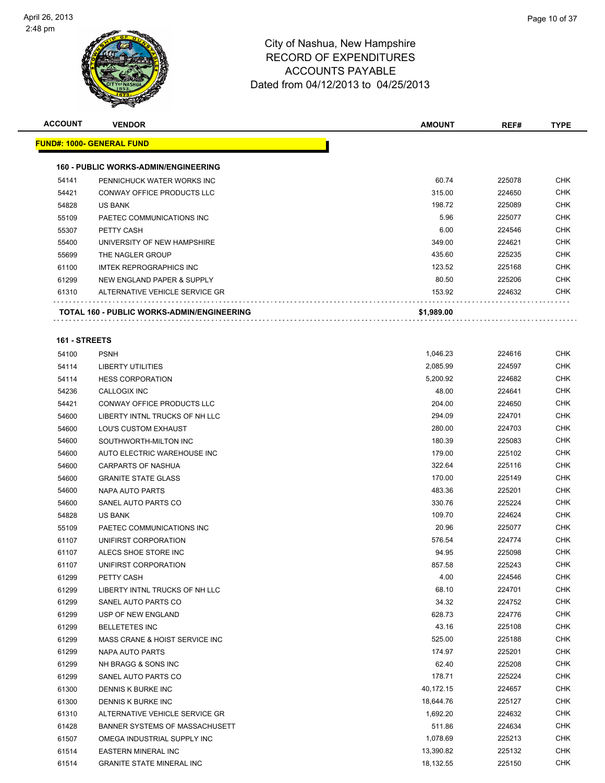

| <b>ACCOUNT</b> | <b>VENDOR</b>                                           | <b>AMOUNT</b>   | REF#             | <b>TYPE</b>              |
|----------------|---------------------------------------------------------|-----------------|------------------|--------------------------|
|                | <u> FUND#: 1000- GENERAL FUND</u>                       |                 |                  |                          |
|                | <b>160 - PUBLIC WORKS-ADMIN/ENGINEERING</b>             |                 |                  |                          |
| 54141          | PENNICHUCK WATER WORKS INC                              | 60.74           | 225078           | <b>CHK</b>               |
| 54421          | CONWAY OFFICE PRODUCTS LLC                              | 315.00          | 224650           | <b>CHK</b>               |
| 54828          | <b>US BANK</b>                                          | 198.72          | 225089           | <b>CHK</b>               |
| 55109          | PAETEC COMMUNICATIONS INC                               | 5.96            | 225077           | <b>CHK</b>               |
| 55307          | PETTY CASH                                              | 6.00            | 224546           | <b>CHK</b>               |
| 55400          | UNIVERSITY OF NEW HAMPSHIRE                             | 349.00          | 224621           | <b>CHK</b>               |
| 55699          | THE NAGLER GROUP                                        | 435.60          | 225235           | <b>CHK</b>               |
| 61100          | <b>IMTEK REPROGRAPHICS INC</b>                          | 123.52          | 225168           | <b>CHK</b>               |
| 61299          | NEW ENGLAND PAPER & SUPPLY                              | 80.50           | 225206           | <b>CHK</b>               |
| 61310          | ALTERNATIVE VEHICLE SERVICE GR                          | 153.92          | 224632           | CHK                      |
|                | <b>TOTAL 160 - PUBLIC WORKS-ADMIN/ENGINEERING</b>       | \$1,989.00      |                  |                          |
|                |                                                         |                 |                  |                          |
| 161 - STREETS  |                                                         |                 |                  |                          |
| 54100          | <b>PSNH</b>                                             | 1,046.23        | 224616           | <b>CHK</b>               |
| 54114          | <b>LIBERTY UTILITIES</b>                                | 2,085.99        | 224597           | <b>CHK</b>               |
| 54114          | <b>HESS CORPORATION</b>                                 | 5,200.92        | 224682           | <b>CHK</b>               |
| 54236          | CALLOGIX INC                                            | 48.00           | 224641           | <b>CHK</b>               |
| 54421          | CONWAY OFFICE PRODUCTS LLC                              | 204.00          | 224650           | <b>CHK</b>               |
| 54600          | LIBERTY INTNL TRUCKS OF NH LLC                          | 294.09          | 224701           | <b>CHK</b>               |
| 54600          | LOU'S CUSTOM EXHAUST                                    | 280.00          | 224703           | <b>CHK</b>               |
| 54600          | SOUTHWORTH-MILTON INC                                   | 180.39          | 225083           | <b>CHK</b>               |
| 54600          | AUTO ELECTRIC WAREHOUSE INC                             | 179.00          | 225102           | <b>CHK</b>               |
| 54600          | <b>CARPARTS OF NASHUA</b>                               | 322.64          | 225116           | <b>CHK</b>               |
| 54600          | <b>GRANITE STATE GLASS</b>                              | 170.00          | 225149           | <b>CHK</b>               |
| 54600          | NAPA AUTO PARTS                                         | 483.36          | 225201           | <b>CHK</b>               |
| 54600          | SANEL AUTO PARTS CO                                     | 330.76          | 225224           | <b>CHK</b>               |
| 54828          | <b>US BANK</b>                                          | 109.70          | 224624           | <b>CHK</b>               |
| 55109          | PAETEC COMMUNICATIONS INC                               | 20.96           | 225077           | <b>CHK</b>               |
| 61107          | UNIFIRST CORPORATION                                    | 576.54          | 224774           | <b>CHK</b>               |
| 61107          | ALECS SHOE STORE INC                                    | 94.95           | 225098           | <b>CHK</b>               |
| 61107          | UNIFIRST CORPORATION                                    | 857.58          | 225243           | <b>CHK</b>               |
| 61299          | PETTY CASH                                              | 4.00            | 224546           | <b>CHK</b>               |
| 61299          | LIBERTY INTNL TRUCKS OF NH LLC                          | 68.10           | 224701           | <b>CHK</b><br><b>CHK</b> |
| 61299          | SANEL AUTO PARTS CO                                     | 34.32           | 224752           |                          |
| 61299          | USP OF NEW ENGLAND                                      | 628.73          | 224776           | <b>CHK</b><br><b>CHK</b> |
| 61299          | <b>BELLETETES INC</b><br>MASS CRANE & HOIST SERVICE INC | 43.16<br>525.00 | 225108<br>225188 | <b>CHK</b>               |
| 61299<br>61299 | NAPA AUTO PARTS                                         | 174.97          | 225201           | <b>CHK</b>               |
| 61299          | NH BRAGG & SONS INC                                     | 62.40           | 225208           | <b>CHK</b>               |
| 61299          | SANEL AUTO PARTS CO                                     | 178.71          | 225224           | <b>CHK</b>               |
| 61300          | DENNIS K BURKE INC                                      | 40,172.15       | 224657           | <b>CHK</b>               |
| 61300          | DENNIS K BURKE INC                                      | 18,644.76       | 225127           | <b>CHK</b>               |
| 61310          | ALTERNATIVE VEHICLE SERVICE GR                          | 1,692.20        | 224632           | CHK                      |
| 61428          | BANNER SYSTEMS OF MASSACHUSETT                          | 511.86          | 224634           | <b>CHK</b>               |
| 61507          | OMEGA INDUSTRIAL SUPPLY INC                             | 1,078.69        | 225213           | CHK                      |
| 61514          | EASTERN MINERAL INC                                     | 13,390.82       | 225132           | CHK                      |
| 61514          | <b>GRANITE STATE MINERAL INC</b>                        | 18,132.55       | 225150           | <b>CHK</b>               |
|                |                                                         |                 |                  |                          |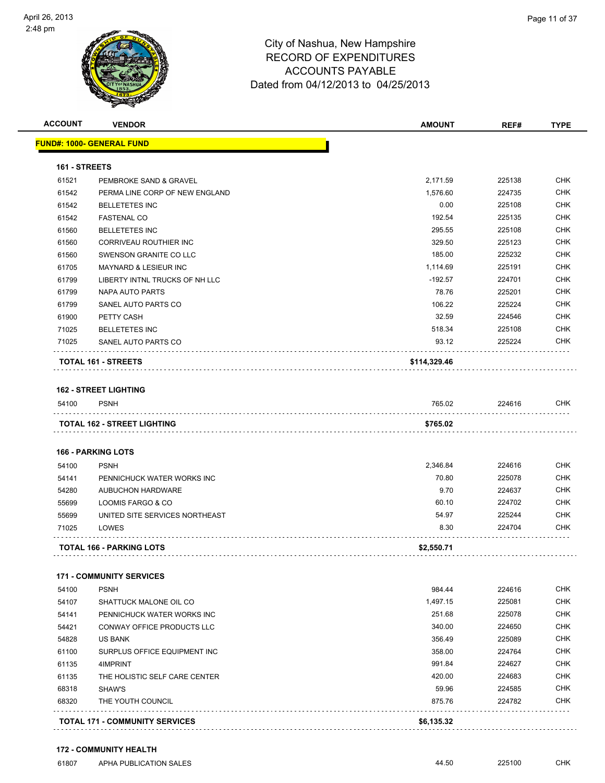

| <b>ACCOUNT</b> | <b>VENDOR</b>                         | <b>AMOUNT</b> | REF#   | <b>TYPE</b> |
|----------------|---------------------------------------|---------------|--------|-------------|
|                | <u> FUND#: 1000- GENERAL FUND</u>     |               |        |             |
| 161 - STREETS  |                                       |               |        |             |
| 61521          | PEMBROKE SAND & GRAVEL                | 2,171.59      | 225138 | <b>CHK</b>  |
| 61542          | PERMA LINE CORP OF NEW ENGLAND        | 1,576.60      | 224735 | <b>CHK</b>  |
| 61542          | <b>BELLETETES INC</b>                 | 0.00          | 225108 | CHK         |
| 61542          | <b>FASTENAL CO</b>                    | 192.54        | 225135 | <b>CHK</b>  |
| 61560          | <b>BELLETETES INC</b>                 | 295.55        | 225108 | <b>CHK</b>  |
| 61560          | CORRIVEAU ROUTHIER INC                | 329.50        | 225123 | CHK         |
| 61560          | SWENSON GRANITE CO LLC                | 185.00        | 225232 | <b>CHK</b>  |
| 61705          | MAYNARD & LESIEUR INC                 | 1,114.69      | 225191 | <b>CHK</b>  |
| 61799          | LIBERTY INTNL TRUCKS OF NH LLC        | $-192.57$     | 224701 | <b>CHK</b>  |
| 61799          | NAPA AUTO PARTS                       | 78.76         | 225201 | <b>CHK</b>  |
| 61799          | SANEL AUTO PARTS CO                   | 106.22        | 225224 | CHK         |
| 61900          | PETTY CASH                            | 32.59         | 224546 | CHK         |
| 71025          | <b>BELLETETES INC</b>                 | 518.34        | 225108 | <b>CHK</b>  |
| 71025          | SANEL AUTO PARTS CO                   | 93.12         | 225224 | CHK         |
|                | <b>TOTAL 161 - STREETS</b>            | \$114,329.46  |        |             |
|                | <b>162 - STREET LIGHTING</b>          |               |        |             |
| 54100          | <b>PSNH</b>                           | 765.02        | 224616 | CHK.        |
|                |                                       |               |        |             |
|                | TOTAL 162 - STREET LIGHTING           | \$765.02      |        |             |
|                | <b>166 - PARKING LOTS</b>             |               |        |             |
| 54100          | <b>PSNH</b>                           | 2,346.84      | 224616 | <b>CHK</b>  |
| 54141          | PENNICHUCK WATER WORKS INC            | 70.80         | 225078 | CHK         |
| 54280          | AUBUCHON HARDWARE                     | 9.70          | 224637 | <b>CHK</b>  |
| 55699          | LOOMIS FARGO & CO                     | 60.10         | 224702 | <b>CHK</b>  |
| 55699          | UNITED SITE SERVICES NORTHEAST        | 54.97         | 225244 | <b>CHK</b>  |
| 71025          | LOWES                                 | 8.30          | 224704 | CHK         |
|                | TOTAL 166 - PARKING LOTS              | \$2,550.71    |        |             |
|                | <b>171 - COMMUNITY SERVICES</b>       |               |        |             |
| 54100          | <b>PSNH</b>                           | 984.44        | 224616 | <b>CHK</b>  |
| 54107          | SHATTUCK MALONE OIL CO                | 1,497.15      | 225081 | <b>CHK</b>  |
| 54141          | PENNICHUCK WATER WORKS INC            | 251.68        | 225078 | <b>CHK</b>  |
| 54421          | CONWAY OFFICE PRODUCTS LLC            | 340.00        | 224650 | <b>CHK</b>  |
| 54828          | US BANK                               | 356.49        | 225089 | <b>CHK</b>  |
| 61100          | SURPLUS OFFICE EQUIPMENT INC          | 358.00        | 224764 | <b>CHK</b>  |
| 61135          | 4IMPRINT                              | 991.84        | 224627 | <b>CHK</b>  |
| 61135          | THE HOLISTIC SELF CARE CENTER         | 420.00        | 224683 | <b>CHK</b>  |
| 68318          | SHAW'S                                | 59.96         | 224585 | <b>CHK</b>  |
| 68320          | THE YOUTH COUNCIL                     | 875.76        | 224782 | CHK         |
|                |                                       |               |        |             |
|                | <b>TOTAL 171 - COMMUNITY SERVICES</b> | \$6,135.32    |        |             |

. . . . . . . . . . . . .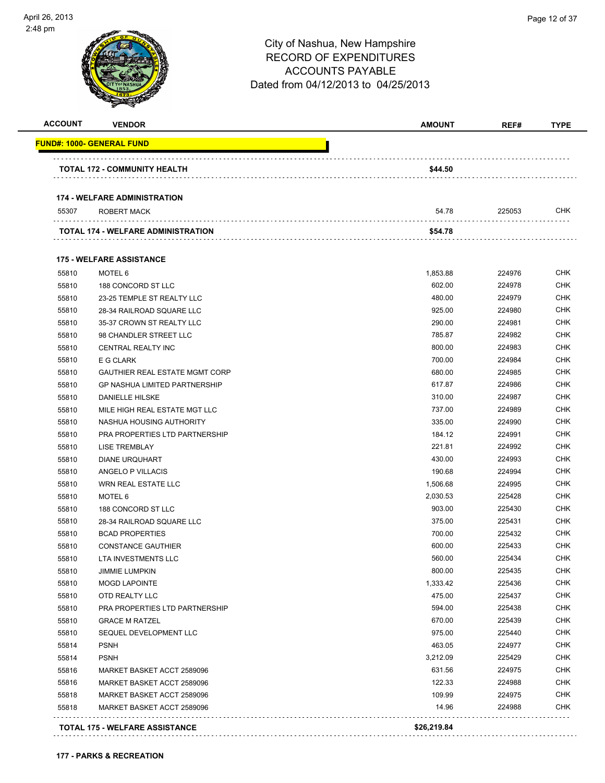

| <b>ACCOUNT</b><br><b>VENDOR</b>                             | <b>AMOUNT</b> | REF#   | <b>TYPE</b> |
|-------------------------------------------------------------|---------------|--------|-------------|
| FUND#: 1000- GENERAL FUND                                   |               |        |             |
| TOTAL 172 - COMMUNITY HEALTH                                | \$44.50       |        |             |
|                                                             |               |        |             |
| <b>174 - WELFARE ADMINISTRATION</b><br>55307<br>ROBERT MACK | 54.78         | 225053 | CHK         |
|                                                             |               |        |             |
| <b>TOTAL 174 - WELFARE ADMINISTRATION</b>                   | \$54.78       |        |             |
| <b>175 - WELFARE ASSISTANCE</b>                             |               |        |             |
| 55810<br>MOTEL 6                                            | 1,853.88      | 224976 | <b>CHK</b>  |
| 55810<br>188 CONCORD ST LLC                                 | 602.00        | 224978 | CHK         |
| 55810<br>23-25 TEMPLE ST REALTY LLC                         | 480.00        | 224979 | CHK         |
| 55810<br>28-34 RAILROAD SQUARE LLC                          | 925.00        | 224980 | CHK         |
| 55810<br>35-37 CROWN ST REALTY LLC                          | 290.00        | 224981 | CHK         |
| 55810<br>98 CHANDLER STREET LLC                             | 785.87        | 224982 | CHK         |
| 55810<br>CENTRAL REALTY INC                                 | 800.00        | 224983 | CHK         |
| 55810<br>E G CLARK                                          | 700.00        | 224984 | CHK         |
| 55810<br><b>GAUTHIER REAL ESTATE MGMT CORP</b>              | 680.00        | 224985 | CHK         |
| 55810<br><b>GP NASHUA LIMITED PARTNERSHIP</b>               | 617.87        | 224986 | CHK         |
| 55810<br><b>DANIELLE HILSKE</b>                             | 310.00        | 224987 | <b>CHK</b>  |
| 55810<br>MILE HIGH REAL ESTATE MGT LLC                      | 737.00        | 224989 | CHK         |
| 55810<br>NASHUA HOUSING AUTHORITY                           | 335.00        | 224990 | CHK         |
| 55810<br><b>PRA PROPERTIES LTD PARTNERSHIP</b>              | 184.12        | 224991 | <b>CHK</b>  |
| 55810<br><b>LISE TREMBLAY</b>                               | 221.81        | 224992 | CHK         |
| 55810<br><b>DIANE URQUHART</b>                              | 430.00        | 224993 | CHK         |
| 55810<br>ANGELO P VILLACIS                                  | 190.68        | 224994 | <b>CHK</b>  |
| 55810<br>WRN REAL ESTATE LLC                                | 1,506.68      | 224995 | CHK         |
| 55810<br>MOTEL 6                                            | 2,030.53      | 225428 | CHK         |
| 55810<br>188 CONCORD ST LLC                                 | 903.00        | 225430 | CHK         |
| 55810<br>28-34 RAILROAD SQUARE LLC                          | 375.00        | 225431 | <b>CHK</b>  |
| 55810<br><b>BCAD PROPERTIES</b>                             | 700.00        | 225432 | CHK         |
| 55810<br><b>CONSTANCE GAUTHIER</b>                          | 600.00        | 225433 | CHK         |
| 55810<br><b>LTA INVESTMENTS LLC</b>                         | 560.00        | 225434 | <b>CHK</b>  |
| 55810<br><b>JIMMIE LUMPKIN</b>                              | 800.00        | 225435 | <b>CHK</b>  |
| 55810<br><b>MOGD LAPOINTE</b>                               | 1,333.42      | 225436 | <b>CHK</b>  |
| 55810<br>OTD REALTY LLC                                     | 475.00        | 225437 | <b>CHK</b>  |
| 55810<br>PRA PROPERTIES LTD PARTNERSHIP                     | 594.00        | 225438 | <b>CHK</b>  |
| 55810<br><b>GRACE M RATZEL</b>                              | 670.00        | 225439 | <b>CHK</b>  |
| 55810<br>SEQUEL DEVELOPMENT LLC                             | 975.00        | 225440 | <b>CHK</b>  |
| 55814<br><b>PSNH</b>                                        | 463.05        | 224977 | <b>CHK</b>  |
| 55814<br><b>PSNH</b>                                        | 3,212.09      | 225429 | CHK         |
| 55816<br>MARKET BASKET ACCT 2589096                         | 631.56        | 224975 | <b>CHK</b>  |
| 55816<br>MARKET BASKET ACCT 2589096                         | 122.33        | 224988 | CHK         |
| 55818<br>MARKET BASKET ACCT 2589096                         | 109.99        | 224975 | CHK         |
| 55818<br>MARKET BASKET ACCT 2589096                         | 14.96         | 224988 | CHK         |
| <b>TOTAL 175 - WELFARE ASSISTANCE</b>                       | \$26,219.84   |        |             |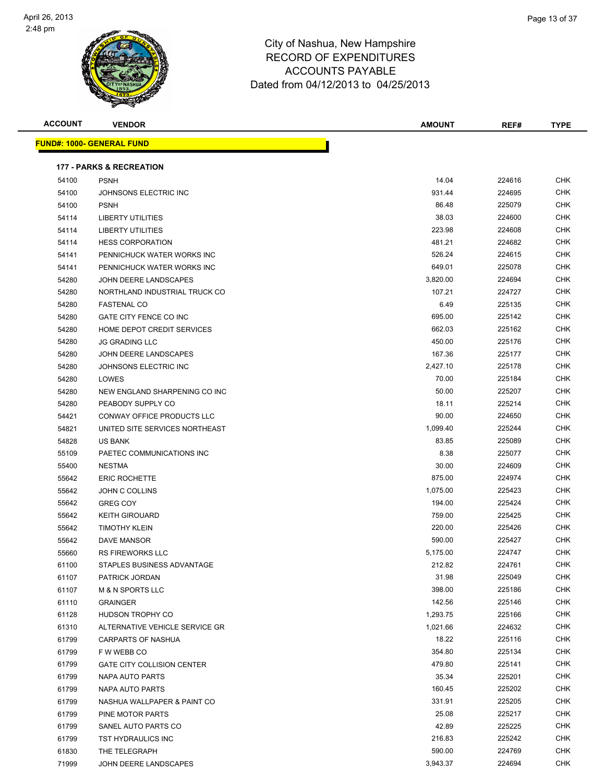

| <b>ACCOUNT</b> | <b>VENDOR</b>                       | <b>AMOUNT</b> | REF#   | <b>TYPE</b> |
|----------------|-------------------------------------|---------------|--------|-------------|
|                | <b>FUND#: 1000- GENERAL FUND</b>    |               |        |             |
|                | <b>177 - PARKS &amp; RECREATION</b> |               |        |             |
| 54100          | <b>PSNH</b>                         | 14.04         | 224616 | <b>CHK</b>  |
| 54100          | JOHNSONS ELECTRIC INC               | 931.44        | 224695 | <b>CHK</b>  |
| 54100          | <b>PSNH</b>                         | 86.48         | 225079 | CHK         |
| 54114          | <b>LIBERTY UTILITIES</b>            | 38.03         | 224600 | <b>CHK</b>  |
| 54114          | <b>LIBERTY UTILITIES</b>            | 223.98        | 224608 | CHK         |
| 54114          | <b>HESS CORPORATION</b>             | 481.21        | 224682 | CHK         |
| 54141          | PENNICHUCK WATER WORKS INC          | 526.24        | 224615 | <b>CHK</b>  |
| 54141          | PENNICHUCK WATER WORKS INC          | 649.01        | 225078 | CHK         |
| 54280          | JOHN DEERE LANDSCAPES               | 3,820.00      | 224694 | <b>CHK</b>  |
| 54280          | NORTHLAND INDUSTRIAL TRUCK CO       | 107.21        | 224727 | <b>CHK</b>  |
| 54280          | <b>FASTENAL CO</b>                  | 6.49          | 225135 | CHK         |
| 54280          | GATE CITY FENCE CO INC              | 695.00        | 225142 | CHK         |
| 54280          | HOME DEPOT CREDIT SERVICES          | 662.03        | 225162 | CHK         |
| 54280          | <b>JG GRADING LLC</b>               | 450.00        | 225176 | CHK         |
| 54280          | JOHN DEERE LANDSCAPES               | 167.36        | 225177 | CHK         |
| 54280          | JOHNSONS ELECTRIC INC               | 2,427.10      | 225178 | CHK         |
| 54280          | LOWES                               | 70.00         | 225184 | CHK         |
| 54280          | NEW ENGLAND SHARPENING CO INC       | 50.00         | 225207 | <b>CHK</b>  |
| 54280          | PEABODY SUPPLY CO                   | 18.11         | 225214 | <b>CHK</b>  |
| 54421          | CONWAY OFFICE PRODUCTS LLC          | 90.00         | 224650 | <b>CHK</b>  |
| 54821          | UNITED SITE SERVICES NORTHEAST      | 1,099.40      | 225244 | <b>CHK</b>  |
| 54828          | <b>US BANK</b>                      | 83.85         | 225089 | CHK         |
| 55109          | PAETEC COMMUNICATIONS INC           | 8.38          | 225077 | <b>CHK</b>  |
| 55400          | <b>NESTMA</b>                       | 30.00         | 224609 | <b>CHK</b>  |
| 55642          | <b>ERIC ROCHETTE</b>                | 875.00        | 224974 | CHK         |
| 55642          | JOHN C COLLINS                      | 1,075.00      | 225423 | <b>CHK</b>  |
| 55642          | <b>GREG COY</b>                     | 194.00        | 225424 | CHK         |
| 55642          | <b>KEITH GIROUARD</b>               | 759.00        | 225425 | CHK         |
| 55642          | <b>TIMOTHY KLEIN</b>                | 220.00        | 225426 | CHK         |
| 55642          | <b>DAVE MANSOR</b>                  | 590.00        | 225427 | <b>CHK</b>  |
| 55660          | <b>RS FIREWORKS LLC</b>             | 5,175.00      | 224747 | CHK         |
| 61100          | STAPLES BUSINESS ADVANTAGE          | 212.82        | 224761 | <b>CHK</b>  |
| 61107          | PATRICK JORDAN                      | 31.98         | 225049 | CHK         |
| 61107          | <b>M &amp; N SPORTS LLC</b>         | 398.00        | 225186 | <b>CHK</b>  |
| 61110          | <b>GRAINGER</b>                     | 142.56        | 225146 | <b>CHK</b>  |
| 61128          | HUDSON TROPHY CO                    | 1,293.75      | 225166 | <b>CHK</b>  |
| 61310          | ALTERNATIVE VEHICLE SERVICE GR      | 1,021.66      | 224632 | <b>CHK</b>  |
| 61799          | CARPARTS OF NASHUA                  | 18.22         | 225116 | CHK         |
| 61799          | F W WEBB CO                         | 354.80        | 225134 | <b>CHK</b>  |
| 61799          | <b>GATE CITY COLLISION CENTER</b>   | 479.80        | 225141 | <b>CHK</b>  |
| 61799          | NAPA AUTO PARTS                     | 35.34         | 225201 | CHK         |
| 61799          | NAPA AUTO PARTS                     | 160.45        | 225202 | <b>CHK</b>  |
| 61799          | NASHUA WALLPAPER & PAINT CO         | 331.91        | 225205 | <b>CHK</b>  |
| 61799          | PINE MOTOR PARTS                    | 25.08         | 225217 | CHK         |
| 61799          | SANEL AUTO PARTS CO                 | 42.89         | 225225 | <b>CHK</b>  |
| 61799          | TST HYDRAULICS INC                  | 216.83        | 225242 | CHK         |
| 61830          | THE TELEGRAPH                       | 590.00        | 224769 | CHK         |
| 71999          | JOHN DEERE LANDSCAPES               | 3,943.37      | 224694 | <b>CHK</b>  |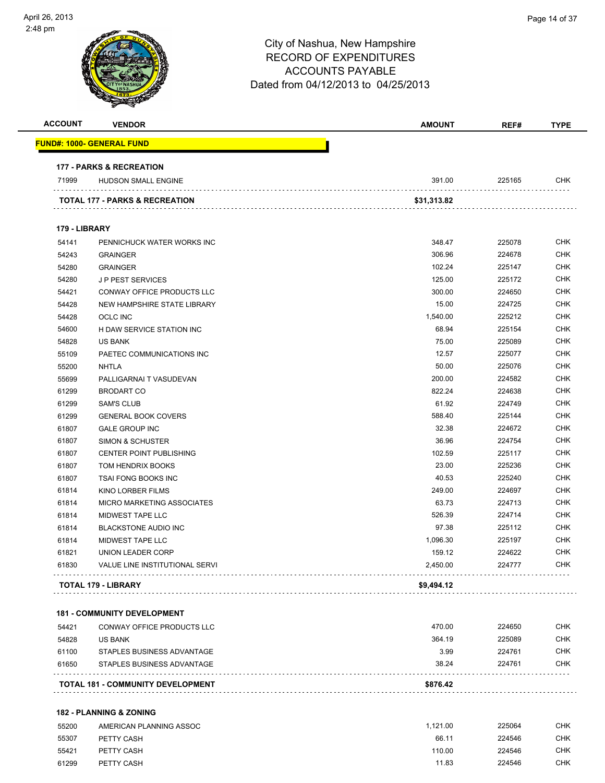| <b>ACCOUNT</b> | <b>VENDOR</b>                            | AMOUNT      | REF#   | <b>TYPE</b> |
|----------------|------------------------------------------|-------------|--------|-------------|
|                | <u> FUND#: 1000- GENERAL FUND</u>        |             |        |             |
|                | <b>177 - PARKS &amp; RECREATION</b>      |             |        |             |
| 71999          | HUDSON SMALL ENGINE                      | 391.00      | 225165 | <b>CHK</b>  |
|                | TOTAL 177 - PARKS & RECREATION           | \$31,313.82 |        |             |
| 179 - LIBRARY  |                                          |             |        |             |
| 54141          | PENNICHUCK WATER WORKS INC               | 348.47      | 225078 | <b>CHK</b>  |
| 54243          | <b>GRAINGER</b>                          | 306.96      | 224678 | <b>CHK</b>  |
| 54280          | <b>GRAINGER</b>                          | 102.24      | 225147 | <b>CHK</b>  |
| 54280          | <b>JP PEST SERVICES</b>                  | 125.00      | 225172 | <b>CHK</b>  |
| 54421          | CONWAY OFFICE PRODUCTS LLC               | 300.00      | 224650 | <b>CHK</b>  |
| 54428          | NEW HAMPSHIRE STATE LIBRARY              | 15.00       | 224725 | <b>CHK</b>  |
| 54428          | <b>OCLC INC</b>                          | 1,540.00    | 225212 | <b>CHK</b>  |
| 54600          | H DAW SERVICE STATION INC                | 68.94       | 225154 | <b>CHK</b>  |
| 54828          | <b>US BANK</b>                           | 75.00       | 225089 | <b>CHK</b>  |
| 55109          | PAETEC COMMUNICATIONS INC                | 12.57       | 225077 | <b>CHK</b>  |
| 55200          | NHTLA                                    | 50.00       | 225076 | <b>CHK</b>  |
| 55699          | PALLIGARNAI T VASUDEVAN                  | 200.00      | 224582 | <b>CHK</b>  |
| 61299          | <b>BRODART CO</b>                        | 822.24      | 224638 | <b>CHK</b>  |
| 61299          | <b>SAM'S CLUB</b>                        | 61.92       | 224749 | <b>CHK</b>  |
| 61299          | <b>GENERAL BOOK COVERS</b>               | 588.40      | 225144 | <b>CHK</b>  |
| 61807          | <b>GALE GROUP INC</b>                    | 32.38       | 224672 | <b>CHK</b>  |
| 61807          | <b>SIMON &amp; SCHUSTER</b>              | 36.96       | 224754 | <b>CHK</b>  |
| 61807          | <b>CENTER POINT PUBLISHING</b>           | 102.59      | 225117 | <b>CHK</b>  |
| 61807          | TOM HENDRIX BOOKS                        | 23.00       | 225236 | <b>CHK</b>  |
| 61807          | TSAI FONG BOOKS INC                      | 40.53       | 225240 | <b>CHK</b>  |
| 61814          | KINO LORBER FILMS                        | 249.00      | 224697 | <b>CHK</b>  |
| 61814          | MICRO MARKETING ASSOCIATES               | 63.73       | 224713 | <b>CHK</b>  |
| 61814          | MIDWEST TAPE LLC                         | 526.39      | 224714 | <b>CHK</b>  |
| 61814          | <b>BLACKSTONE AUDIO INC</b>              | 97.38       | 225112 | <b>CHK</b>  |
| 61814          | <b>MIDWEST TAPE LLC</b>                  | 1,096.30    | 225197 | <b>CHK</b>  |
| 61821          | UNION LEADER CORP                        | 159.12      | 224622 | <b>CHK</b>  |
| 61830          | VALUE LINE INSTITUTIONAL SERVI           | 2,450.00    | 224777 | <b>CHK</b>  |
|                | TOTAL 179 - LIBRARY                      | \$9,494.12  |        |             |
|                |                                          |             |        |             |
|                | <b>181 - COMMUNITY DEVELOPMENT</b>       |             |        |             |
| 54421          | CONWAY OFFICE PRODUCTS LLC               | 470.00      | 224650 | <b>CHK</b>  |
| 54828          | US BANK                                  | 364.19      | 225089 | <b>CHK</b>  |
| 61100          | STAPLES BUSINESS ADVANTAGE               | 3.99        | 224761 | <b>CHK</b>  |
| 61650          | STAPLES BUSINESS ADVANTAGE               | 38.24       | 224761 | <b>CHK</b>  |
|                | <b>TOTAL 181 - COMMUNITY DEVELOPMENT</b> | \$876.42    |        |             |
|                | <b>182 - PLANNING &amp; ZONING</b>       |             |        |             |
|                |                                          |             |        |             |

| 55200 | AMERICAN PLANNING ASSOC | 1.121.00 | 225064 | СНК |
|-------|-------------------------|----------|--------|-----|
| 55307 | PETTY CASH              | 66.11    | 224546 | СНК |
| 55421 | PETTY CASH              | 110.00   | 224546 | СНК |
| 61299 | PETTY CASH              | 11.83    | 224546 | СНК |
|       |                         |          |        |     |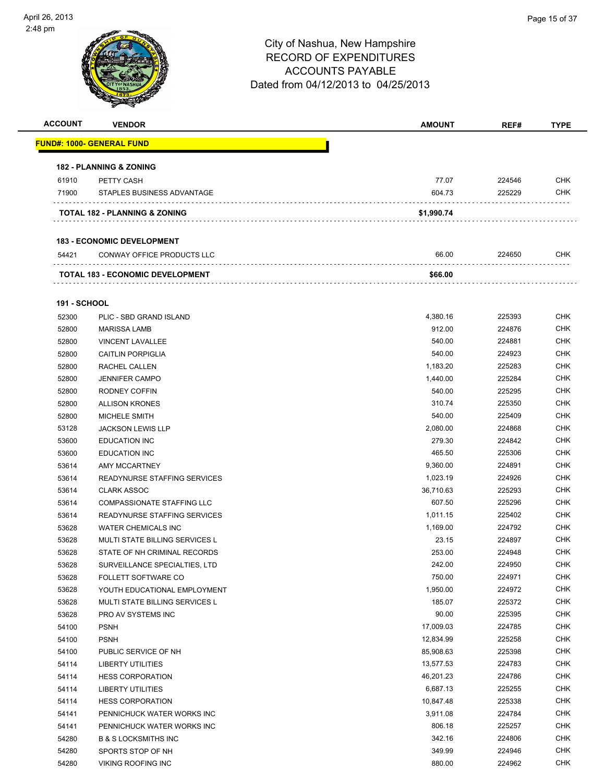

| <b>ACCOUNT</b> | <b>VENDOR</b>                            | <b>AMOUNT</b> | REF#   | <b>TYPE</b> |
|----------------|------------------------------------------|---------------|--------|-------------|
|                | <b>FUND#: 1000- GENERAL FUND</b>         |               |        |             |
|                | <b>182 - PLANNING &amp; ZONING</b>       |               |        |             |
| 61910          | PETTY CASH                               | 77.07         | 224546 | <b>CHK</b>  |
| 71900          | STAPLES BUSINESS ADVANTAGE               | 604.73        | 225229 | <b>CHK</b>  |
|                | <b>TOTAL 182 - PLANNING &amp; ZONING</b> | \$1,990.74    |        |             |
|                | <b>183 - ECONOMIC DEVELOPMENT</b>        |               |        |             |
| 54421          | CONWAY OFFICE PRODUCTS LLC               | 66.00         | 224650 | <b>CHK</b>  |
|                | <b>TOTAL 183 - ECONOMIC DEVELOPMENT</b>  | \$66.00       |        |             |
|                |                                          |               |        |             |

#### **191 - SCHOOL**

| 52300 | PLIC - SBD GRAND ISLAND               | 4,380.16  | 225393 | CHK        |
|-------|---------------------------------------|-----------|--------|------------|
| 52800 | <b>MARISSA LAMB</b>                   | 912.00    | 224876 | <b>CHK</b> |
| 52800 | <b>VINCENT LAVALLEE</b>               | 540.00    | 224881 | <b>CHK</b> |
| 52800 | <b>CAITLIN PORPIGLIA</b>              | 540.00    | 224923 | <b>CHK</b> |
| 52800 | RACHEL CALLEN                         | 1,183.20  | 225283 | <b>CHK</b> |
| 52800 | <b>JENNIFER CAMPO</b>                 | 1,440.00  | 225284 | <b>CHK</b> |
| 52800 | RODNEY COFFIN                         | 540.00    | 225295 | <b>CHK</b> |
| 52800 | <b>ALLISON KRONES</b>                 | 310.74    | 225350 | <b>CHK</b> |
| 52800 | <b>MICHELE SMITH</b>                  | 540.00    | 225409 | <b>CHK</b> |
| 53128 | <b>JACKSON LEWIS LLP</b>              | 2,080.00  | 224868 | <b>CHK</b> |
| 53600 | <b>EDUCATION INC</b>                  | 279.30    | 224842 | <b>CHK</b> |
| 53600 | <b>EDUCATION INC</b>                  | 465.50    | 225306 | <b>CHK</b> |
| 53614 | AMY MCCARTNEY                         | 9,360.00  | 224891 | <b>CHK</b> |
| 53614 | READYNURSE STAFFING SERVICES          | 1,023.19  | 224926 | <b>CHK</b> |
| 53614 | <b>CLARK ASSOC</b>                    | 36,710.63 | 225293 | <b>CHK</b> |
| 53614 | COMPASSIONATE STAFFING LLC            | 607.50    | 225296 | <b>CHK</b> |
| 53614 | <b>READYNURSE STAFFING SERVICES</b>   | 1,011.15  | 225402 | <b>CHK</b> |
| 53628 | <b>WATER CHEMICALS INC</b>            | 1,169.00  | 224792 | <b>CHK</b> |
| 53628 | <b>MULTI STATE BILLING SERVICES L</b> | 23.15     | 224897 | <b>CHK</b> |
| 53628 | STATE OF NH CRIMINAL RECORDS          | 253.00    | 224948 | <b>CHK</b> |
| 53628 | SURVEILLANCE SPECIALTIES, LTD         | 242.00    | 224950 | <b>CHK</b> |
| 53628 | FOLLETT SOFTWARE CO                   | 750.00    | 224971 | <b>CHK</b> |
| 53628 | YOUTH EDUCATIONAL EMPLOYMENT          | 1,950.00  | 224972 | <b>CHK</b> |
| 53628 | MULTI STATE BILLING SERVICES L        | 185.07    | 225372 | <b>CHK</b> |
| 53628 | PRO AV SYSTEMS INC                    | 90.00     | 225395 | <b>CHK</b> |
| 54100 | <b>PSNH</b>                           | 17,009.03 | 224785 | <b>CHK</b> |
| 54100 | <b>PSNH</b>                           | 12,834.99 | 225258 | <b>CHK</b> |
| 54100 | PUBLIC SERVICE OF NH                  | 85,908.63 | 225398 | <b>CHK</b> |
| 54114 | <b>LIBERTY UTILITIES</b>              | 13,577.53 | 224783 | <b>CHK</b> |
| 54114 | <b>HESS CORPORATION</b>               | 46,201.23 | 224786 | <b>CHK</b> |
| 54114 | <b>LIBERTY UTILITIES</b>              | 6,687.13  | 225255 | <b>CHK</b> |
| 54114 | <b>HESS CORPORATION</b>               | 10,847.48 | 225338 | <b>CHK</b> |
| 54141 | PENNICHUCK WATER WORKS INC            | 3,911.08  | 224784 | <b>CHK</b> |
| 54141 | PENNICHUCK WATER WORKS INC            | 806.18    | 225257 | <b>CHK</b> |
| 54280 | <b>B &amp; S LOCKSMITHS INC</b>       | 342.16    | 224806 | <b>CHK</b> |
| 54280 | SPORTS STOP OF NH                     | 349.99    | 224946 | <b>CHK</b> |
| 54280 | <b>VIKING ROOFING INC</b>             | 880.00    | 224962 | <b>CHK</b> |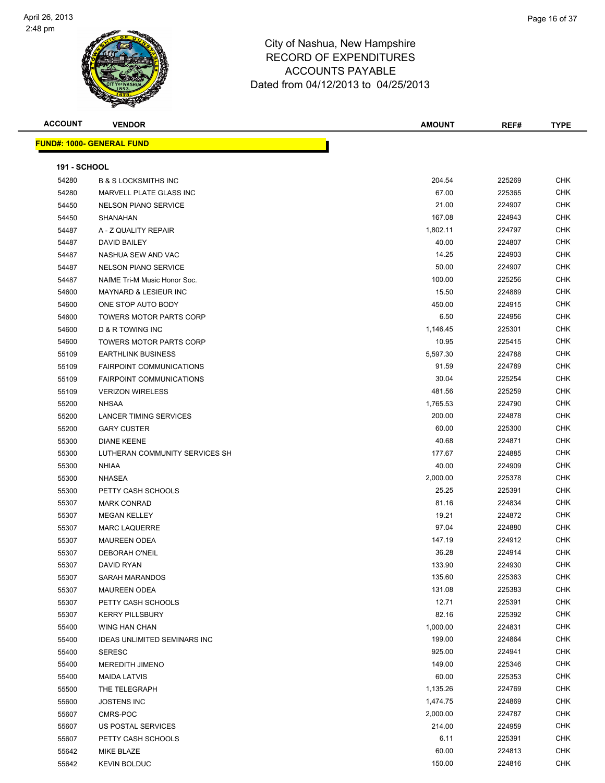

| <b>ACCOUNT</b>      | <b>VENDOR</b>                       | <b>AMOUNT</b> | REF#   | <b>TYPE</b> |
|---------------------|-------------------------------------|---------------|--------|-------------|
|                     | <b>FUND#: 1000- GENERAL FUND</b>    |               |        |             |
|                     |                                     |               |        |             |
| <b>191 - SCHOOL</b> |                                     |               |        |             |
| 54280               | <b>B &amp; S LOCKSMITHS INC</b>     | 204.54        | 225269 | <b>CHK</b>  |
| 54280               | MARVELL PLATE GLASS INC             | 67.00         | 225365 | <b>CHK</b>  |
| 54450               | <b>NELSON PIANO SERVICE</b>         | 21.00         | 224907 | <b>CHK</b>  |
| 54450               | SHANAHAN                            | 167.08        | 224943 | <b>CHK</b>  |
| 54487               | A - Z QUALITY REPAIR                | 1,802.11      | 224797 | <b>CHK</b>  |
| 54487               | DAVID BAILEY                        | 40.00         | 224807 | CHK         |
| 54487               | NASHUA SEW AND VAC                  | 14.25         | 224903 | <b>CHK</b>  |
| 54487               | <b>NELSON PIANO SERVICE</b>         | 50.00         | 224907 | <b>CHK</b>  |
| 54487               | NAfME Tri-M Music Honor Soc.        | 100.00        | 225256 | CHK         |
| 54600               | <b>MAYNARD &amp; LESIEUR INC</b>    | 15.50         | 224889 | <b>CHK</b>  |
| 54600               | ONE STOP AUTO BODY                  | 450.00        | 224915 | <b>CHK</b>  |
| 54600               | <b>TOWERS MOTOR PARTS CORP</b>      | 6.50          | 224956 | CHK         |
| 54600               | D & R TOWING INC                    | 1,146.45      | 225301 | CHK         |
| 54600               | <b>TOWERS MOTOR PARTS CORP</b>      | 10.95         | 225415 | <b>CHK</b>  |
| 55109               | <b>EARTHLINK BUSINESS</b>           | 5,597.30      | 224788 | <b>CHK</b>  |
| 55109               | <b>FAIRPOINT COMMUNICATIONS</b>     | 91.59         | 224789 | <b>CHK</b>  |
| 55109               | <b>FAIRPOINT COMMUNICATIONS</b>     | 30.04         | 225254 | <b>CHK</b>  |
| 55109               | <b>VERIZON WIRELESS</b>             | 481.56        | 225259 | CHK         |
| 55200               | <b>NHSAA</b>                        | 1,765.53      | 224790 | CHK         |
| 55200               | <b>LANCER TIMING SERVICES</b>       | 200.00        | 224878 | <b>CHK</b>  |
| 55200               | <b>GARY CUSTER</b>                  | 60.00         | 225300 | <b>CHK</b>  |
| 55300               | <b>DIANE KEENE</b>                  | 40.68         | 224871 | CHK         |
| 55300               | LUTHERAN COMMUNITY SERVICES SH      | 177.67        | 224885 | CHK         |
| 55300               | NHIAA                               | 40.00         | 224909 | <b>CHK</b>  |
| 55300               | <b>NHASEA</b>                       | 2,000.00      | 225378 | <b>CHK</b>  |
| 55300               | PETTY CASH SCHOOLS                  | 25.25         | 225391 | <b>CHK</b>  |
| 55307               | <b>MARK CONRAD</b>                  | 81.16         | 224834 | <b>CHK</b>  |
| 55307               | <b>MEGAN KELLEY</b>                 | 19.21         | 224872 | <b>CHK</b>  |
| 55307               | <b>MARC LAQUERRE</b>                | 97.04         | 224880 | <b>CHK</b>  |
| 55307               | <b>MAUREEN ODEA</b>                 | 147.19        | 224912 | CHK         |
| 55307               | <b>DEBORAH O'NEIL</b>               | 36.28         | 224914 | CHK         |
| 55307               | DAVID RYAN                          | 133.90        | 224930 | <b>CHK</b>  |
| 55307               | <b>SARAH MARANDOS</b>               | 135.60        | 225363 | <b>CHK</b>  |
| 55307               | <b>MAUREEN ODEA</b>                 | 131.08        | 225383 | <b>CHK</b>  |
| 55307               | PETTY CASH SCHOOLS                  | 12.71         | 225391 | CHK         |
| 55307               | <b>KERRY PILLSBURY</b>              | 82.16         | 225392 | CHK         |
| 55400               | WING HAN CHAN                       | 1,000.00      | 224831 | <b>CHK</b>  |
| 55400               | <b>IDEAS UNLIMITED SEMINARS INC</b> | 199.00        | 224864 | CHK         |
| 55400               | <b>SERESC</b>                       | 925.00        | 224941 | <b>CHK</b>  |
| 55400               | MEREDITH JIMENO                     | 149.00        | 225346 | <b>CHK</b>  |
| 55400               | <b>MAIDA LATVIS</b>                 | 60.00         | 225353 | CHK         |
| 55500               | THE TELEGRAPH                       | 1,135.26      | 224769 | <b>CHK</b>  |
| 55600               | <b>JOSTENS INC</b>                  | 1,474.75      | 224869 | CHK         |
| 55607               | CMRS-POC                            | 2,000.00      | 224787 | CHK         |
| 55607               | US POSTAL SERVICES                  | 214.00        | 224959 | CHK         |
| 55607               | PETTY CASH SCHOOLS                  | 6.11          | 225391 | CHK         |
| 55642               | MIKE BLAZE                          | 60.00         | 224813 | CHK         |
| 55642               | <b>KEVIN BOLDUC</b>                 | 150.00        | 224816 | <b>CHK</b>  |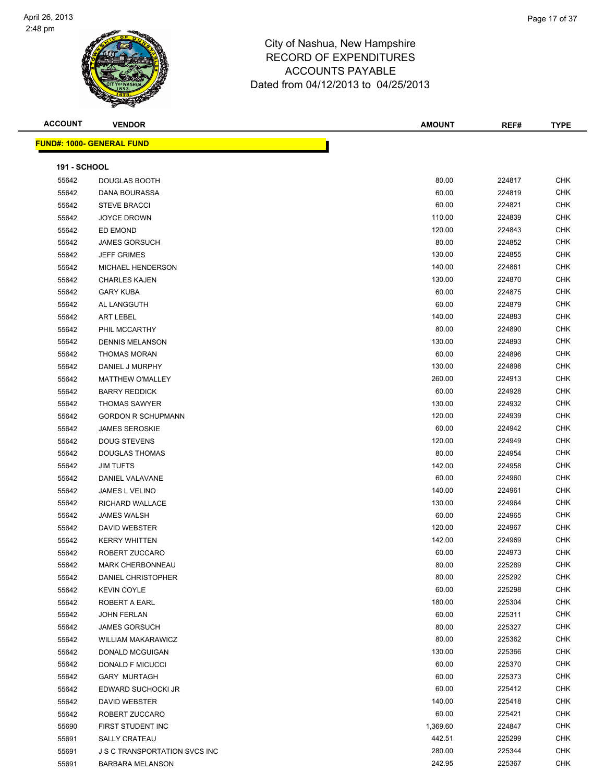

| <b>ACCOUNT</b>      | <b>VENDOR</b>                        | AMOUNT   | REF#   | <b>TYPE</b> |
|---------------------|--------------------------------------|----------|--------|-------------|
|                     | <b>FUND#: 1000- GENERAL FUND</b>     |          |        |             |
|                     |                                      |          |        |             |
| <b>191 - SCHOOL</b> |                                      |          |        |             |
| 55642               | DOUGLAS BOOTH                        | 80.00    | 224817 | <b>CHK</b>  |
| 55642               | DANA BOURASSA                        | 60.00    | 224819 | <b>CHK</b>  |
| 55642               | <b>STEVE BRACCI</b>                  | 60.00    | 224821 | <b>CHK</b>  |
| 55642               | <b>JOYCE DROWN</b>                   | 110.00   | 224839 | <b>CHK</b>  |
| 55642               | ED EMOND                             | 120.00   | 224843 | <b>CHK</b>  |
| 55642               | <b>JAMES GORSUCH</b>                 | 80.00    | 224852 | <b>CHK</b>  |
| 55642               | <b>JEFF GRIMES</b>                   | 130.00   | 224855 | <b>CHK</b>  |
| 55642               | MICHAEL HENDERSON                    | 140.00   | 224861 | <b>CHK</b>  |
| 55642               | <b>CHARLES KAJEN</b>                 | 130.00   | 224870 | <b>CHK</b>  |
| 55642               | <b>GARY KUBA</b>                     | 60.00    | 224875 | <b>CHK</b>  |
| 55642               | AL LANGGUTH                          | 60.00    | 224879 | <b>CHK</b>  |
| 55642               | <b>ART LEBEL</b>                     | 140.00   | 224883 | <b>CHK</b>  |
| 55642               | PHIL MCCARTHY                        | 80.00    | 224890 | <b>CHK</b>  |
| 55642               | <b>DENNIS MELANSON</b>               | 130.00   | 224893 | <b>CHK</b>  |
| 55642               | <b>THOMAS MORAN</b>                  | 60.00    | 224896 | CHK         |
| 55642               | DANIEL J MURPHY                      | 130.00   | 224898 | <b>CHK</b>  |
| 55642               | <b>MATTHEW O'MALLEY</b>              | 260.00   | 224913 | <b>CHK</b>  |
| 55642               | <b>BARRY REDDICK</b>                 | 60.00    | 224928 | CHK         |
| 55642               | <b>THOMAS SAWYER</b>                 | 130.00   | 224932 | CHK         |
| 55642               | <b>GORDON R SCHUPMANN</b>            | 120.00   | 224939 | <b>CHK</b>  |
| 55642               | <b>JAMES SEROSKIE</b>                | 60.00    | 224942 | <b>CHK</b>  |
| 55642               | <b>DOUG STEVENS</b>                  | 120.00   | 224949 | <b>CHK</b>  |
| 55642               | <b>DOUGLAS THOMAS</b>                | 80.00    | 224954 | <b>CHK</b>  |
| 55642               | <b>JIM TUFTS</b>                     | 142.00   | 224958 | <b>CHK</b>  |
| 55642               | DANIEL VALAVANE                      | 60.00    | 224960 | <b>CHK</b>  |
| 55642               | JAMES L VELINO                       | 140.00   | 224961 | <b>CHK</b>  |
| 55642               | RICHARD WALLACE                      | 130.00   | 224964 | <b>CHK</b>  |
| 55642               | <b>JAMES WALSH</b>                   | 60.00    | 224965 | CHK         |
| 55642               | <b>DAVID WEBSTER</b>                 | 120.00   | 224967 | CHK         |
| 55642               | <b>KERRY WHITTEN</b>                 | 142.00   | 224969 | CHK         |
| 55642               | ROBERT ZUCCARO                       | 60.00    | 224973 | <b>CHK</b>  |
| 55642               | <b>MARK CHERBONNEAU</b>              | 80.00    | 225289 | <b>CHK</b>  |
| 55642               | <b>DANIEL CHRISTOPHER</b>            | 80.00    | 225292 | <b>CHK</b>  |
| 55642               | <b>KEVIN COYLE</b>                   | 60.00    | 225298 | <b>CHK</b>  |
| 55642               | ROBERT A EARL                        | 180.00   | 225304 | <b>CHK</b>  |
| 55642               | <b>JOHN FERLAN</b>                   | 60.00    | 225311 | <b>CHK</b>  |
| 55642               | <b>JAMES GORSUCH</b>                 | 80.00    | 225327 | <b>CHK</b>  |
| 55642               | <b>WILLIAM MAKARAWICZ</b>            | 80.00    | 225362 | CHK         |
| 55642               | DONALD MCGUIGAN                      | 130.00   | 225366 | <b>CHK</b>  |
| 55642               | DONALD F MICUCCI                     | 60.00    | 225370 | <b>CHK</b>  |
| 55642               | <b>GARY MURTAGH</b>                  | 60.00    | 225373 | CHK         |
| 55642               | EDWARD SUCHOCKI JR                   | 60.00    | 225412 | <b>CHK</b>  |
| 55642               | DAVID WEBSTER                        | 140.00   | 225418 | <b>CHK</b>  |
| 55642               | ROBERT ZUCCARO                       | 60.00    | 225421 | <b>CHK</b>  |
| 55690               | FIRST STUDENT INC                    | 1,369.60 | 224847 | <b>CHK</b>  |
| 55691               | <b>SALLY CRATEAU</b>                 | 442.51   | 225299 | <b>CHK</b>  |
| 55691               | <b>J S C TRANSPORTATION SVCS INC</b> | 280.00   | 225344 | <b>CHK</b>  |
| 55691               | <b>BARBARA MELANSON</b>              | 242.95   | 225367 | <b>CHK</b>  |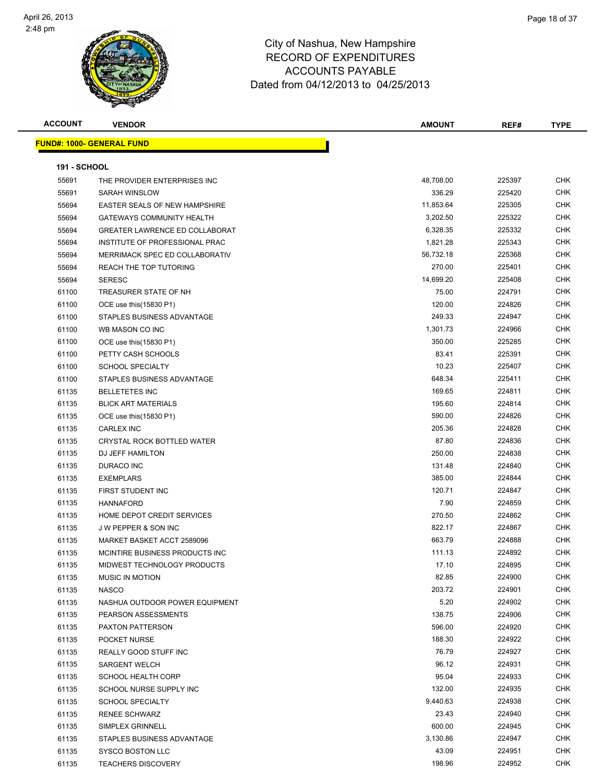

| <b>ACCOUNT</b>      | <b>VENDOR</b>                         | <b>AMOUNT</b> | REF#   | <b>TYPE</b> |
|---------------------|---------------------------------------|---------------|--------|-------------|
|                     | <u> FUND#: 1000- GENERAL FUND</u>     |               |        |             |
|                     |                                       |               |        |             |
| <b>191 - SCHOOL</b> |                                       |               |        |             |
| 55691               | THE PROVIDER ENTERPRISES INC          | 48,708.00     | 225397 | <b>CHK</b>  |
| 55691               | SARAH WINSLOW                         | 336.29        | 225420 | <b>CHK</b>  |
| 55694               | EASTER SEALS OF NEW HAMPSHIRE         | 11,853.64     | 225305 | <b>CHK</b>  |
| 55694               | <b>GATEWAYS COMMUNITY HEALTH</b>      | 3,202.50      | 225322 | <b>CHK</b>  |
| 55694               | <b>GREATER LAWRENCE ED COLLABORAT</b> | 6,328.35      | 225332 | CHK         |
| 55694               | INSTITUTE OF PROFESSIONAL PRAC        | 1,821.28      | 225343 | <b>CHK</b>  |
| 55694               | MERRIMACK SPEC ED COLLABORATIV        | 56,732.18     | 225368 | <b>CHK</b>  |
| 55694               | REACH THE TOP TUTORING                | 270.00        | 225401 | <b>CHK</b>  |
| 55694               | <b>SERESC</b>                         | 14,699.20     | 225408 | <b>CHK</b>  |
| 61100               | TREASURER STATE OF NH                 | 75.00         | 224791 | <b>CHK</b>  |
| 61100               | OCE use this (15830 P1)               | 120.00        | 224826 | CHK         |
| 61100               | STAPLES BUSINESS ADVANTAGE            | 249.33        | 224947 | <b>CHK</b>  |
| 61100               | WB MASON CO INC                       | 1,301.73      | 224966 | <b>CHK</b>  |
| 61100               | OCE use this (15830 P1)               | 350.00        | 225285 | <b>CHK</b>  |
| 61100               | PETTY CASH SCHOOLS                    | 83.41         | 225391 | <b>CHK</b>  |
| 61100               | <b>SCHOOL SPECIALTY</b>               | 10.23         | 225407 | CHK         |
| 61100               | STAPLES BUSINESS ADVANTAGE            | 648.34        | 225411 | CHK         |
| 61135               | <b>BELLETETES INC</b>                 | 169.65        | 224811 | CHK         |
| 61135               | <b>BLICK ART MATERIALS</b>            | 195.60        | 224814 | CHK         |
| 61135               | OCE use this (15830 P1)               | 590.00        | 224826 | <b>CHK</b>  |
| 61135               | <b>CARLEX INC</b>                     | 205.36        | 224828 | <b>CHK</b>  |
| 61135               | CRYSTAL ROCK BOTTLED WATER            | 87.80         | 224836 | <b>CHK</b>  |
| 61135               | DJ JEFF HAMILTON                      | 250.00        | 224838 | <b>CHK</b>  |
| 61135               | DURACO INC                            | 131.48        | 224840 | <b>CHK</b>  |
| 61135               | <b>EXEMPLARS</b>                      | 385.00        | 224844 | <b>CHK</b>  |
| 61135               | FIRST STUDENT INC                     | 120.71        | 224847 | <b>CHK</b>  |
| 61135               | <b>HANNAFORD</b>                      | 7.90          | 224859 | CHK         |
| 61135               | HOME DEPOT CREDIT SERVICES            | 270.50        | 224862 | <b>CHK</b>  |
| 61135               | J W PEPPER & SON INC                  | 822.17        | 224867 | <b>CHK</b>  |
| 61135               | MARKET BASKET ACCT 2589096            | 663.79        | 224888 | CHK         |
| 61135               | MCINTIRE BUSINESS PRODUCTS INC        | 111.13        | 224892 | <b>CHK</b>  |
| 61135               | MIDWEST TECHNOLOGY PRODUCTS           | 17.10         | 224895 | <b>CHK</b>  |
| 61135               | <b>MUSIC IN MOTION</b>                | 82.85         | 224900 | <b>CHK</b>  |
| 61135               | <b>NASCO</b>                          | 203.72        | 224901 | <b>CHK</b>  |
| 61135               | NASHUA OUTDOOR POWER EQUIPMENT        | 5.20          | 224902 | CHK         |
| 61135               | PEARSON ASSESSMENTS                   | 138.75        | 224906 | <b>CHK</b>  |
| 61135               | <b>PAXTON PATTERSON</b>               | 596.00        | 224920 | CHK         |
| 61135               | POCKET NURSE                          | 188.30        | 224922 | CHK         |
| 61135               | REALLY GOOD STUFF INC                 | 76.79         | 224927 | <b>CHK</b>  |
| 61135               | <b>SARGENT WELCH</b>                  | 96.12         | 224931 | CHK         |
| 61135               | <b>SCHOOL HEALTH CORP</b>             | 95.04         | 224933 | CHK         |
| 61135               | SCHOOL NURSE SUPPLY INC               | 132.00        | 224935 | <b>CHK</b>  |
| 61135               | <b>SCHOOL SPECIALTY</b>               | 9,440.63      | 224938 | CHK         |
| 61135               | <b>RENEE SCHWARZ</b>                  | 23.43         | 224940 | CHK         |
| 61135               | SIMPLEX GRINNELL                      | 600.00        | 224945 | CHK         |
| 61135               | STAPLES BUSINESS ADVANTAGE            | 3,130.86      | 224947 | CHK         |
| 61135               | SYSCO BOSTON LLC                      | 43.09         | 224951 | CHK         |
| 61135               | <b>TEACHERS DISCOVERY</b>             | 198.96        | 224952 | CHK         |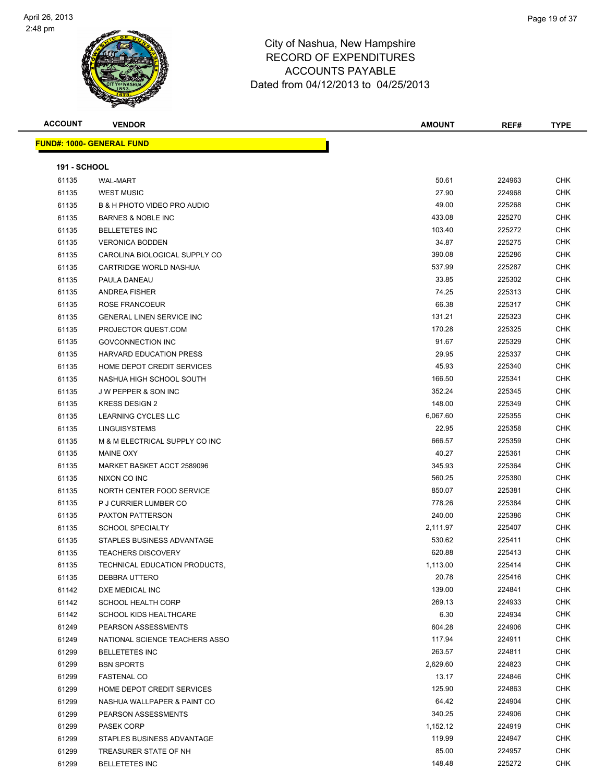

| <b>ACCOUNT</b>      | <b>VENDOR</b>                          | <b>AMOUNT</b> | REF#   | <b>TYPE</b> |
|---------------------|----------------------------------------|---------------|--------|-------------|
|                     | <b>FUND#: 1000- GENERAL FUND</b>       |               |        |             |
|                     |                                        |               |        |             |
| <b>191 - SCHOOL</b> |                                        |               |        |             |
| 61135               | <b>WAL-MART</b>                        | 50.61         | 224963 | <b>CHK</b>  |
| 61135               | <b>WEST MUSIC</b>                      | 27.90         | 224968 | CHK         |
| 61135               | <b>B &amp; H PHOTO VIDEO PRO AUDIO</b> | 49.00         | 225268 | <b>CHK</b>  |
| 61135               | <b>BARNES &amp; NOBLE INC</b>          | 433.08        | 225270 | CHK         |
| 61135               | <b>BELLETETES INC</b>                  | 103.40        | 225272 | CHK         |
| 61135               | <b>VERONICA BODDEN</b>                 | 34.87         | 225275 | <b>CHK</b>  |
| 61135               | CAROLINA BIOLOGICAL SUPPLY CO          | 390.08        | 225286 | CHK         |
| 61135               | CARTRIDGE WORLD NASHUA                 | 537.99        | 225287 | CHK         |
| 61135               | PAULA DANEAU                           | 33.85         | 225302 | CHK         |
| 61135               | <b>ANDREA FISHER</b>                   | 74.25         | 225313 | CHK         |
| 61135               | ROSE FRANCOEUR                         | 66.38         | 225317 | <b>CHK</b>  |
| 61135               | <b>GENERAL LINEN SERVICE INC</b>       | 131.21        | 225323 | CHK         |
| 61135               | PROJECTOR QUEST.COM                    | 170.28        | 225325 | CHK         |
| 61135               | <b>GOVCONNECTION INC</b>               | 91.67         | 225329 | CHK         |
| 61135               | <b>HARVARD EDUCATION PRESS</b>         | 29.95         | 225337 | CHK         |
| 61135               | HOME DEPOT CREDIT SERVICES             | 45.93         | 225340 | CHK         |
| 61135               | NASHUA HIGH SCHOOL SOUTH               | 166.50        | 225341 | <b>CHK</b>  |
| 61135               | <b>JW PEPPER &amp; SON INC</b>         | 352.24        | 225345 | <b>CHK</b>  |
| 61135               | <b>KRESS DESIGN 2</b>                  | 148.00        | 225349 | CHK         |
| 61135               | LEARNING CYCLES LLC                    | 6,067.60      | 225355 | CHK         |
| 61135               | <b>LINGUISYSTEMS</b>                   | 22.95         | 225358 | CHK         |
| 61135               | M & M ELECTRICAL SUPPLY CO INC         | 666.57        | 225359 | <b>CHK</b>  |
| 61135               | <b>MAINE OXY</b>                       | 40.27         | 225361 | CHK         |
| 61135               | MARKET BASKET ACCT 2589096             | 345.93        | 225364 | CHK         |
| 61135               | NIXON CO INC                           | 560.25        | 225380 | <b>CHK</b>  |
| 61135               | NORTH CENTER FOOD SERVICE              | 850.07        | 225381 | CHK         |
| 61135               | P J CURRIER LUMBER CO                  | 778.26        | 225384 | <b>CHK</b>  |
| 61135               | <b>PAXTON PATTERSON</b>                | 240.00        | 225386 | <b>CHK</b>  |
| 61135               | <b>SCHOOL SPECIALTY</b>                | 2,111.97      | 225407 | CHK         |
| 61135               | STAPLES BUSINESS ADVANTAGE             | 530.62        | 225411 | CHK         |
| 61135               | <b>TEACHERS DISCOVERY</b>              | 620.88        | 225413 | CHK         |
| 61135               | TECHNICAL EDUCATION PRODUCTS,          | 1,113.00      | 225414 | CHK         |
| 61135               | DEBBRA UTTERO                          | 20.78         | 225416 | CHK         |
| 61142               | DXE MEDICAL INC                        | 139.00        | 224841 | CHK         |
| 61142               | <b>SCHOOL HEALTH CORP</b>              | 269.13        | 224933 | CHK         |
| 61142               | SCHOOL KIDS HEALTHCARE                 | 6.30          | 224934 | CHK         |
| 61249               | PEARSON ASSESSMENTS                    | 604.28        | 224906 | CHK         |
| 61249               | NATIONAL SCIENCE TEACHERS ASSO         | 117.94        | 224911 | CHK         |
| 61299               | <b>BELLETETES INC</b>                  | 263.57        | 224811 | <b>CHK</b>  |
| 61299               | <b>BSN SPORTS</b>                      | 2,629.60      | 224823 | <b>CHK</b>  |
| 61299               | <b>FASTENAL CO</b>                     | 13.17         | 224846 | CHK         |
| 61299               | HOME DEPOT CREDIT SERVICES             | 125.90        | 224863 | CHK         |
| 61299               | NASHUA WALLPAPER & PAINT CO            | 64.42         | 224904 | CHK         |
| 61299               | PEARSON ASSESSMENTS                    | 340.25        | 224906 | CHK         |
| 61299               | PASEK CORP                             | 1,152.12      | 224919 | CHK         |
| 61299               | STAPLES BUSINESS ADVANTAGE             | 119.99        | 224947 | CHK         |
| 61299               | TREASURER STATE OF NH                  | 85.00         | 224957 | CHK         |
| 61299               | <b>BELLETETES INC</b>                  | 148.48        | 225272 | CHK         |
|                     |                                        |               |        |             |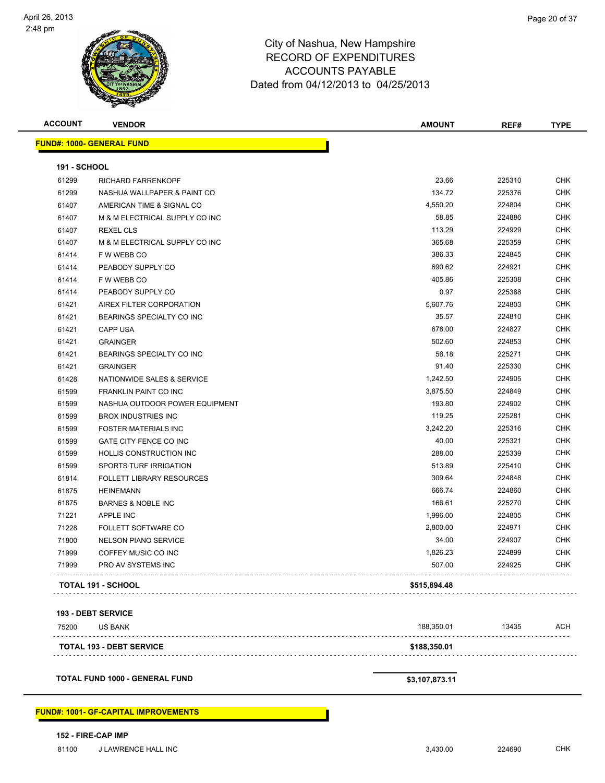

| <b>ACCOUNT</b>      | <b>VENDOR</b>                               | <b>AMOUNT</b>  | REF#   | <b>TYPE</b> |
|---------------------|---------------------------------------------|----------------|--------|-------------|
|                     | <b>FUND#: 1000- GENERAL FUND</b>            |                |        |             |
| <b>191 - SCHOOL</b> |                                             |                |        |             |
| 61299               | <b>RICHARD FARRENKOPF</b>                   | 23.66          | 225310 | <b>CHK</b>  |
| 61299               | NASHUA WALLPAPER & PAINT CO                 | 134.72         | 225376 | <b>CHK</b>  |
| 61407               | AMERICAN TIME & SIGNAL CO                   | 4,550.20       | 224804 | <b>CHK</b>  |
| 61407               | M & M ELECTRICAL SUPPLY CO INC              | 58.85          | 224886 | <b>CHK</b>  |
| 61407               | <b>REXEL CLS</b>                            | 113.29         | 224929 | CHK         |
| 61407               | M & M ELECTRICAL SUPPLY CO INC              | 365.68         | 225359 | CHK         |
| 61414               | F W WEBB CO                                 | 386.33         | 224845 | <b>CHK</b>  |
| 61414               | PEABODY SUPPLY CO                           | 690.62         | 224921 | <b>CHK</b>  |
| 61414               | F W WEBB CO                                 | 405.86         | 225308 | CHK         |
| 61414               | PEABODY SUPPLY CO                           | 0.97           | 225388 | <b>CHK</b>  |
| 61421               | AIREX FILTER CORPORATION                    | 5,607.76       | 224803 | <b>CHK</b>  |
| 61421               | BEARINGS SPECIALTY CO INC                   | 35.57          | 224810 | CHK         |
| 61421               | <b>CAPP USA</b>                             | 678.00         | 224827 | <b>CHK</b>  |
| 61421               | <b>GRAINGER</b>                             | 502.60         | 224853 | <b>CHK</b>  |
| 61421               | BEARINGS SPECIALTY CO INC                   | 58.18          | 225271 | <b>CHK</b>  |
| 61421               | <b>GRAINGER</b>                             | 91.40          | 225330 | <b>CHK</b>  |
| 61428               | NATIONWIDE SALES & SERVICE                  | 1,242.50       | 224905 | CHK         |
| 61599               | <b>FRANKLIN PAINT CO INC</b>                | 3,875.50       | 224849 | <b>CHK</b>  |
| 61599               | NASHUA OUTDOOR POWER EQUIPMENT              | 193.80         | 224902 | <b>CHK</b>  |
| 61599               | <b>BROX INDUSTRIES INC</b>                  | 119.25         | 225281 | <b>CHK</b>  |
| 61599               | <b>FOSTER MATERIALS INC</b>                 | 3,242.20       | 225316 | <b>CHK</b>  |
| 61599               | GATE CITY FENCE CO INC                      | 40.00          | 225321 | CHK         |
| 61599               | HOLLIS CONSTRUCTION INC                     | 288.00         | 225339 | CHK         |
| 61599               | SPORTS TURF IRRIGATION                      | 513.89         | 225410 | <b>CHK</b>  |
| 61814               | <b>FOLLETT LIBRARY RESOURCES</b>            | 309.64         | 224848 | <b>CHK</b>  |
| 61875               | <b>HEINEMANN</b>                            | 666.74         | 224860 | CHK         |
| 61875               | <b>BARNES &amp; NOBLE INC</b>               | 166.61         | 225270 | CHK         |
| 71221               | APPLE INC                                   | 1,996.00       | 224805 | CHK         |
| 71228               | FOLLETT SOFTWARE CO                         | 2,800.00       | 224971 | CHK         |
| 71800               | <b>NELSON PIANO SERVICE</b>                 | 34.00          | 224907 | CHK         |
| 71999               | COFFEY MUSIC CO INC                         | 1,826.23       | 224899 | <b>CHK</b>  |
| 71999               | PRO AV SYSTEMS INC                          | 507.00         | 224925 | CHK         |
|                     | <b>TOTAL 191 - SCHOOL</b>                   | \$515,894.48   |        |             |
|                     |                                             |                |        |             |
|                     | <b>193 - DEBT SERVICE</b>                   |                |        |             |
| 75200               | <b>US BANK</b><br>.                         | 188,350.01     | 13435  | ACH         |
|                     | <b>TOTAL 193 - DEBT SERVICE</b>             | \$188,350.01   |        |             |
|                     | <b>TOTAL FUND 1000 - GENERAL FUND</b>       | \$3,107,873.11 |        |             |
|                     | <b>FUND#: 1001- GF-CAPITAL IMPROVEMENTS</b> |                |        |             |

**152 - FIRE-CAP IMP**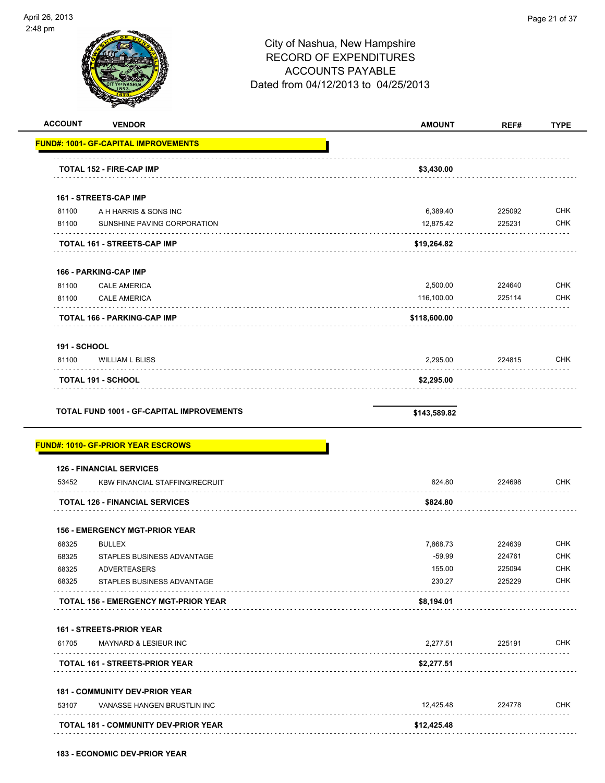

|                                  | <b>VENDOR</b>                                                            | <b>AMOUNT</b> | REF#   |  |
|----------------------------------|--------------------------------------------------------------------------|---------------|--------|--|
|                                  | <b>FUND#: 1001- GF-CAPITAL IMPROVEMENTS</b>                              |               |        |  |
|                                  | <b>TOTAL 152 - FIRE-CAP IMP</b>                                          | \$3,430.00    |        |  |
|                                  | 161 - STREETS-CAP IMP                                                    |               |        |  |
| 81100                            | A H HARRIS & SONS INC                                                    | 6,389.40      | 225092 |  |
| 81100                            | SUNSHINE PAVING CORPORATION                                              | 12,875.42     | 225231 |  |
|                                  | TOTAL 161 - STREETS-CAP IMP                                              | \$19,264.82   |        |  |
|                                  | 166 - PARKING-CAP IMP                                                    |               |        |  |
| 81100                            | <b>CALE AMERICA</b>                                                      | 2,500.00      | 224640 |  |
| 81100                            | <b>CALE AMERICA</b>                                                      | 116,100.00    | 225114 |  |
|                                  | TOTAL 166 - PARKING-CAP IMP                                              | \$118,600.00  |        |  |
| <b>191 - SCHOOL</b>              |                                                                          |               |        |  |
| 81100                            | <b>WILLIAM L BLISS</b>                                                   | 2,295.00      | 224815 |  |
|                                  | TOTAL 191 - SCHOOL                                                       | \$2,295.00    |        |  |
|                                  | <b>TOTAL FUND 1001 - GF-CAPITAL IMPROVEMENTS</b>                         | \$143,589.82  |        |  |
|                                  | <u> FUND#: 1010- GF-PRIOR YEAR ESCROWS</u>                               |               |        |  |
| 53452                            | <b>126 - FINANCIAL SERVICES</b><br><b>KBW FINANCIAL STAFFING/RECRUIT</b> | 824.80        | 224698 |  |
|                                  | <b>TOTAL 126 - FINANCIAL SERVICES</b>                                    | \$824.80      |        |  |
|                                  | <b>156 - EMERGENCY MGT-PRIOR YEAR</b>                                    |               |        |  |
| 68325                            | <b>BULLEX</b>                                                            | 7,868.73      | 224639 |  |
| 68325                            | STAPLES BUSINESS ADVANTAGE                                               | $-59.99$      | 224761 |  |
| 68325                            | <b>ADVERTEASERS</b>                                                      | 155.00        | 225094 |  |
| 68325                            | STAPLES BUSINESS ADVANTAGE                                               | 230.27        | 225229 |  |
|                                  | <b>TOTAL 156 - EMERGENCY MGT-PRIOR YEAR</b>                              | \$8,194.01    |        |  |
|                                  | 161 - STREETS-PRIOR YEAR                                                 |               |        |  |
| 61705<br>المتحالف المتحدث المالي | <b>MAYNARD &amp; LESIEUR INC</b>                                         | 2,277.51      | 225191 |  |
|                                  | <b>TOTAL 161 - STREETS-PRIOR YEAR</b>                                    | \$2,277.51    |        |  |
|                                  | <b>181 - COMMUNITY DEV-PRIOR YEAR</b>                                    |               |        |  |
| 53107                            | VANASSE HANGEN BRUSTLIN INC                                              | 12,425.48     | 224778 |  |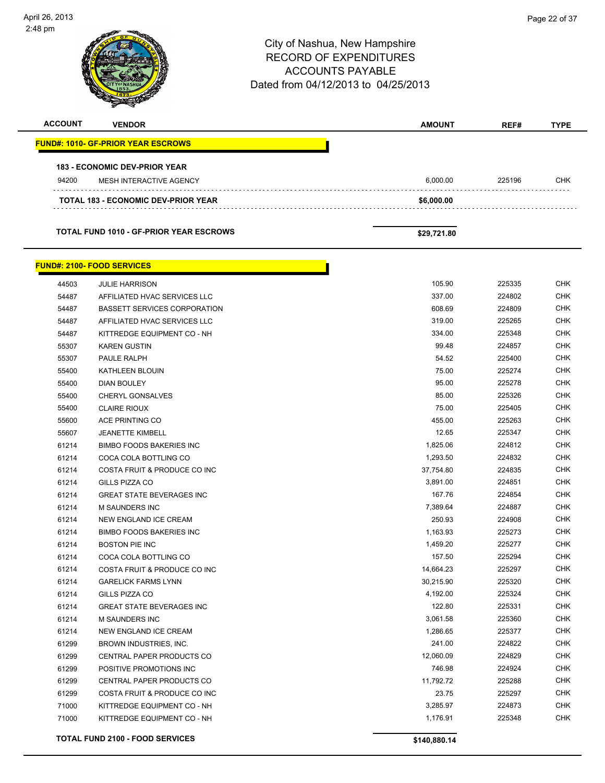

|              | <b>TOTAL FUND 2100 - FOOD SERVICES</b> | \$140,880.14 |        |            |
|--------------|----------------------------------------|--------------|--------|------------|
|              |                                        |              |        |            |
| 71000        | KITTREDGE EQUIPMENT CO - NH            | 1,176.91     | 225348 | <b>CHK</b> |
| 71000        | KITTREDGE EQUIPMENT CO - NH            | 3,285.97     | 224873 | <b>CHK</b> |
| 61299        | COSTA FRUIT & PRODUCE CO INC           | 23.75        | 225297 | <b>CHK</b> |
| 61299        | CENTRAL PAPER PRODUCTS CO              | 11,792.72    | 225288 | <b>CHK</b> |
| 61299        | POSITIVE PROMOTIONS INC                | 746.98       | 224924 | <b>CHK</b> |
| 61299        | <b>CENTRAL PAPER PRODUCTS CO</b>       | 12,060.09    | 224829 | <b>CHK</b> |
| 61299        | BROWN INDUSTRIES, INC.                 | 241.00       | 224822 | <b>CHK</b> |
| 61214        | NEW ENGLAND ICE CREAM                  | 1,286.65     | 225377 | <b>CHK</b> |
| 61214        | <b>M SAUNDERS INC</b>                  | 3,061.58     | 225360 | <b>CHK</b> |
| 61214        | <b>GREAT STATE BEVERAGES INC</b>       | 122.80       | 225331 | <b>CHK</b> |
| 61214        | GILLS PIZZA CO                         | 4,192.00     | 225324 | <b>CHK</b> |
| 61214        | <b>GARELICK FARMS LYNN</b>             | 30,215.90    | 225320 | <b>CHK</b> |
| 61214        | COSTA FRUIT & PRODUCE CO INC           | 14,664.23    | 225297 | <b>CHK</b> |
| 61214        | COCA COLA BOTTLING CO                  | 157.50       | 225294 | <b>CHK</b> |
| 61214        | <b>BOSTON PIE INC</b>                  | 1,459.20     | 225277 | <b>CHK</b> |
| 61214        | <b>BIMBO FOODS BAKERIES INC</b>        | 1,163.93     | 225273 | <b>CHK</b> |
| 61214        | NEW ENGLAND ICE CREAM                  | 250.93       | 224908 | <b>CHK</b> |
| 61214        | <b>M SAUNDERS INC</b>                  | 7,389.64     | 224887 | <b>CHK</b> |
| 61214        | <b>GREAT STATE BEVERAGES INC</b>       | 167.76       | 224854 | <b>CHK</b> |
| 61214        | GILLS PIZZA CO                         | 3,891.00     | 224851 | <b>CHK</b> |
| 61214        | COSTA FRUIT & PRODUCE CO INC           | 37,754.80    | 224835 | <b>CHK</b> |
| 61214        | COCA COLA BOTTLING CO                  | 1,293.50     | 224832 | <b>CHK</b> |
| 61214        | <b>BIMBO FOODS BAKERIES INC</b>        | 1,825.06     | 224812 | <b>CHK</b> |
| 55607        | <b>JEANETTE KIMBELL</b>                | 12.65        | 225347 | <b>CHK</b> |
| 55600        | <b>ACE PRINTING CO</b>                 | 455.00       | 225263 | <b>CHK</b> |
| 55400        | <b>CLAIRE RIOUX</b>                    | 75.00        | 225405 | <b>CHK</b> |
| <b>UUPCC</b> | <b>UMERTL GUINSALVES</b>               | op.uu        | 225320 | ◡⊓⋂        |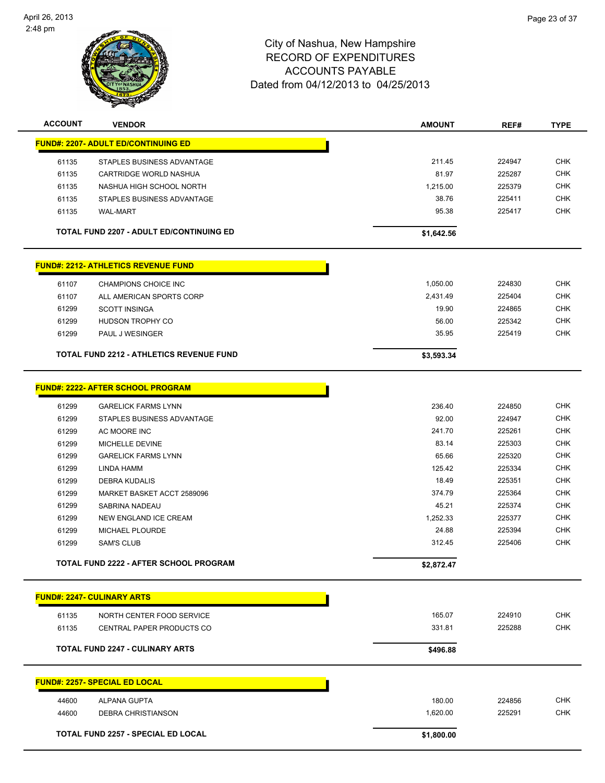

| <b>ACCOUNT</b> | <b>VENDOR</b>                                   | <b>AMOUNT</b> | REF#   | <b>TYPE</b> |
|----------------|-------------------------------------------------|---------------|--------|-------------|
|                | <b>FUND#: 2207- ADULT ED/CONTINUING ED</b>      |               |        |             |
| 61135          | STAPLES BUSINESS ADVANTAGE                      | 211.45        | 224947 | <b>CHK</b>  |
| 61135          | CARTRIDGE WORLD NASHUA                          | 81.97         | 225287 | <b>CHK</b>  |
| 61135          | NASHUA HIGH SCHOOL NORTH                        | 1,215.00      | 225379 | <b>CHK</b>  |
| 61135          | STAPLES BUSINESS ADVANTAGE                      | 38.76         | 225411 | <b>CHK</b>  |
| 61135          | <b>WAL-MART</b>                                 | 95.38         | 225417 | <b>CHK</b>  |
|                | <b>TOTAL FUND 2207 - ADULT ED/CONTINUING ED</b> | \$1,642.56    |        |             |
|                | <b>FUND#: 2212- ATHLETICS REVENUE FUND</b>      |               |        |             |
| 61107          | CHAMPIONS CHOICE INC                            | 1,050.00      | 224830 | <b>CHK</b>  |
| 61107          | ALL AMERICAN SPORTS CORP                        | 2,431.49      | 225404 | <b>CHK</b>  |
| 61299          | <b>SCOTT INSINGA</b>                            | 19.90         | 224865 | <b>CHK</b>  |
| 61299          | HUDSON TROPHY CO                                | 56.00         | 225342 | <b>CHK</b>  |
| 61299          | PAUL J WESINGER                                 | 35.95         | 225419 | <b>CHK</b>  |
|                | <b>TOTAL FUND 2212 - ATHLETICS REVENUE FUND</b> | \$3,593.34    |        |             |
|                |                                                 |               |        |             |
|                | <b>FUND#: 2222- AFTER SCHOOL PROGRAM</b>        |               |        |             |
| 61299          | <b>GARELICK FARMS LYNN</b>                      | 236.40        | 224850 | <b>CHK</b>  |
| 61299          | STAPLES BUSINESS ADVANTAGE                      | 92.00         | 224947 | <b>CHK</b>  |
| 61299          | AC MOORE INC                                    | 241.70        | 225261 | <b>CHK</b>  |
| 61299          | MICHELLE DEVINE                                 | 83.14         | 225303 | <b>CHK</b>  |
| 61299          | <b>GARELICK FARMS LYNN</b>                      | 65.66         | 225320 | <b>CHK</b>  |
| 61299          | LINDA HAMM                                      | 125.42        | 225334 | <b>CHK</b>  |
| 61299          | <b>DEBRA KUDALIS</b>                            | 18.49         | 225351 | <b>CHK</b>  |
| 61299          | MARKET BASKET ACCT 2589096                      | 374.79        | 225364 | <b>CHK</b>  |
| 61299          | SABRINA NADEAU                                  | 45.21         | 225374 | <b>CHK</b>  |
| 61299          | NEW ENGLAND ICE CREAM                           | 1,252.33      | 225377 | <b>CHK</b>  |
| 61299          | MICHAEL PLOURDE                                 | 24.88         | 225394 | <b>CHK</b>  |
| 61299          | <b>SAM'S CLUB</b>                               | 312.45        | 225406 | <b>CHK</b>  |
|                | TOTAL FUND 2222 - AFTER SCHOOL PROGRAM          | \$2,872.47    |        |             |
|                | <b>FUND#: 2247- CULINARY ARTS</b>               |               |        |             |
|                |                                                 |               |        |             |
| 61135          | NORTH CENTER FOOD SERVICE                       | 165.07        | 224910 | <b>CHK</b>  |
| 61135          | CENTRAL PAPER PRODUCTS CO                       | 331.81        | 225288 | <b>CHK</b>  |
|                | <b>TOTAL FUND 2247 - CULINARY ARTS</b>          | \$496.88      |        |             |
|                | <b>FUND#: 2257- SPECIAL ED LOCAL</b>            |               |        |             |
| 44600          | ALPANA GUPTA                                    | 180.00        | 224856 | <b>CHK</b>  |
| 44600          | <b>DEBRA CHRISTIANSON</b>                       | 1,620.00      | 225291 | <b>CHK</b>  |
|                |                                                 |               |        |             |
|                | <b>TOTAL FUND 2257 - SPECIAL ED LOCAL</b>       | \$1,800.00    |        |             |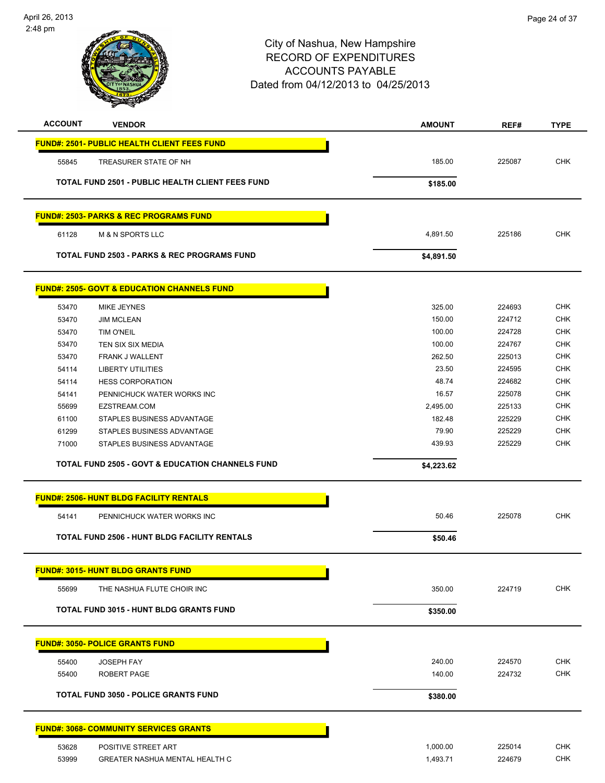

| <b>ACCOUNT</b> | <b>VENDOR</b>                                               | <b>AMOUNT</b> | REF#   | <b>TYPE</b> |
|----------------|-------------------------------------------------------------|---------------|--------|-------------|
|                | <b>FUND#: 2501- PUBLIC HEALTH CLIENT FEES FUND</b>          |               |        |             |
| 55845          | TREASURER STATE OF NH                                       | 185.00        | 225087 | <b>CHK</b>  |
|                | TOTAL FUND 2501 - PUBLIC HEALTH CLIENT FEES FUND            | \$185.00      |        |             |
|                | <b>FUND#: 2503- PARKS &amp; REC PROGRAMS FUND</b>           |               |        |             |
| 61128          | <b>M &amp; N SPORTS LLC</b>                                 | 4,891.50      | 225186 | <b>CHK</b>  |
|                | <b>TOTAL FUND 2503 - PARKS &amp; REC PROGRAMS FUND</b>      | \$4,891.50    |        |             |
|                | <b>FUND#: 2505- GOVT &amp; EDUCATION CHANNELS FUND</b>      |               |        |             |
| 53470          | <b>MIKE JEYNES</b>                                          | 325.00        | 224693 | <b>CHK</b>  |
| 53470          | <b>JIM MCLEAN</b>                                           | 150.00        | 224712 | <b>CHK</b>  |
| 53470          | TIM O'NEIL                                                  | 100.00        | 224728 | <b>CHK</b>  |
| 53470          | TEN SIX SIX MEDIA                                           | 100.00        | 224767 | <b>CHK</b>  |
| 53470          | <b>FRANK J WALLENT</b>                                      | 262.50        | 225013 | <b>CHK</b>  |
| 54114          | <b>LIBERTY UTILITIES</b>                                    | 23.50         | 224595 | <b>CHK</b>  |
| 54114          | <b>HESS CORPORATION</b>                                     | 48.74         | 224682 | <b>CHK</b>  |
| 54141          | PENNICHUCK WATER WORKS INC                                  | 16.57         | 225078 | <b>CHK</b>  |
| 55699          | EZSTREAM.COM                                                | 2,495.00      | 225133 | <b>CHK</b>  |
| 61100          | STAPLES BUSINESS ADVANTAGE                                  | 182.48        | 225229 | <b>CHK</b>  |
| 61299          | STAPLES BUSINESS ADVANTAGE                                  | 79.90         | 225229 | <b>CHK</b>  |
| 71000          | STAPLES BUSINESS ADVANTAGE                                  | 439.93        | 225229 | CHK         |
|                | <b>TOTAL FUND 2505 - GOVT &amp; EDUCATION CHANNELS FUND</b> | \$4,223.62    |        |             |
|                | <b>FUND#: 2506- HUNT BLDG FACILITY RENTALS</b>              |               |        |             |
| 54141          | PENNICHUCK WATER WORKS INC                                  | 50.46         | 225078 | <b>CHK</b>  |
|                | <b>TOTAL FUND 2506 - HUNT BLDG FACILITY RENTALS</b>         | \$50.46       |        |             |
|                | <b>FUND#: 3015- HUNT BLDG GRANTS FUND</b>                   |               |        |             |
| 55699          | THE NASHUA FLUTE CHOIR INC                                  | 350.00        | 224719 | <b>CHK</b>  |
|                | TOTAL FUND 3015 - HUNT BLDG GRANTS FUND                     | \$350.00      |        |             |
|                | <b>FUND#: 3050- POLICE GRANTS FUND</b>                      |               |        |             |
|                |                                                             |               |        |             |
| 55400          | <b>JOSEPH FAY</b>                                           | 240.00        | 224570 | <b>CHK</b>  |
| 55400          | ROBERT PAGE                                                 | 140.00        | 224732 | <b>CHK</b>  |
|                | <b>TOTAL FUND 3050 - POLICE GRANTS FUND</b>                 | \$380.00      |        |             |
|                | <b>FUND#: 3068- COMMUNITY SERVICES GRANTS</b>               |               |        |             |
| 53628          | POSITIVE STREET ART                                         | 1,000.00      | 225014 | <b>CHK</b>  |
| 53999          | GREATER NASHUA MENTAL HEALTH C                              | 1,493.71      | 224679 | <b>CHK</b>  |
|                |                                                             |               |        |             |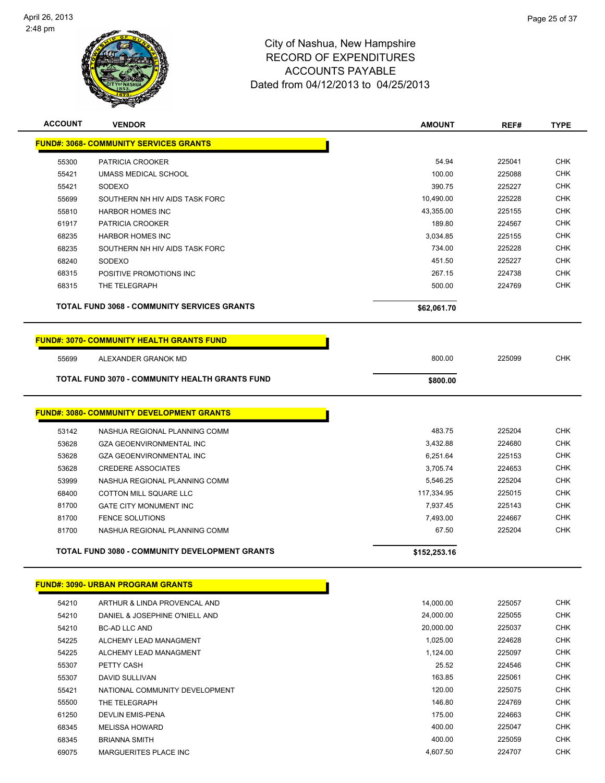

| <b>ACCOUNT</b> | <b>VENDOR</b>                                         | <b>AMOUNT</b> | REF#   | <b>TYPE</b> |
|----------------|-------------------------------------------------------|---------------|--------|-------------|
|                | <b>FUND#: 3068- COMMUNITY SERVICES GRANTS</b>         |               |        |             |
| 55300          | PATRICIA CROOKER                                      | 54.94         | 225041 | <b>CHK</b>  |
| 55421          | UMASS MEDICAL SCHOOL                                  | 100.00        | 225088 | <b>CHK</b>  |
| 55421          | SODEXO                                                | 390.75        | 225227 | <b>CHK</b>  |
| 55699          | SOUTHERN NH HIV AIDS TASK FORC                        | 10,490.00     | 225228 | <b>CHK</b>  |
| 55810          | <b>HARBOR HOMES INC</b>                               | 43,355.00     | 225155 | <b>CHK</b>  |
| 61917          | PATRICIA CROOKER                                      | 189.80        | 224567 | <b>CHK</b>  |
| 68235          | <b>HARBOR HOMES INC</b>                               | 3,034.85      | 225155 | <b>CHK</b>  |
| 68235          | SOUTHERN NH HIV AIDS TASK FORC                        | 734.00        | 225228 | <b>CHK</b>  |
| 68240          | SODEXO                                                | 451.50        | 225227 | <b>CHK</b>  |
| 68315          | POSITIVE PROMOTIONS INC                               | 267.15        | 224738 | <b>CHK</b>  |
| 68315          | THE TELEGRAPH                                         | 500.00        | 224769 | <b>CHK</b>  |
|                |                                                       |               |        |             |
|                | <b>TOTAL FUND 3068 - COMMUNITY SERVICES GRANTS</b>    | \$62,061.70   |        |             |
|                | <b>FUND#: 3070- COMMUNITY HEALTH GRANTS FUND</b>      |               |        |             |
| 55699          | ALEXANDER GRANOK MD                                   | 800.00        | 225099 | <b>CHK</b>  |
|                | <b>TOTAL FUND 3070 - COMMUNITY HEALTH GRANTS FUND</b> | \$800.00      |        |             |
|                | <b>FUND#: 3080- COMMUNITY DEVELOPMENT GRANTS</b>      |               |        |             |
|                |                                                       |               |        |             |
| 53142          | NASHUA REGIONAL PLANNING COMM                         | 483.75        | 225204 | <b>CHK</b>  |
| 53628          | <b>GZA GEOENVIRONMENTAL INC</b>                       | 3,432.88      | 224680 | <b>CHK</b>  |
| 53628          | <b>GZA GEOENVIRONMENTAL INC</b>                       | 6,251.64      | 225153 | <b>CHK</b>  |
| 53628          | <b>CREDERE ASSOCIATES</b>                             | 3,705.74      | 224653 | <b>CHK</b>  |
| 53999          | NASHUA REGIONAL PLANNING COMM                         | 5,546.25      | 225204 | <b>CHK</b>  |
| 68400          | COTTON MILL SQUARE LLC                                | 117,334.95    | 225015 | <b>CHK</b>  |
| 81700          | <b>GATE CITY MONUMENT INC</b>                         | 7,937.45      | 225143 | <b>CHK</b>  |
| 81700          | <b>FENCE SOLUTIONS</b>                                | 7,493.00      | 224667 | <b>CHK</b>  |
| 81700          | NASHUA REGIONAL PLANNING COMM                         | 67.50         | 225204 | <b>CHK</b>  |
|                | <b>TOTAL FUND 3080 - COMMUNITY DEVELOPMENT GRANTS</b> | \$152,253.16  |        |             |
|                | <b>FUND#: 3090- URBAN PROGRAM GRANTS</b>              |               |        |             |
| 54210          | ARTHUR & LINDA PROVENCAL AND                          | 14,000.00     | 225057 | <b>CHK</b>  |
| 54210          | DANIEL & JOSEPHINE O'NIELL AND                        | 24,000.00     | 225055 | <b>CHK</b>  |
| 54210          | <b>BC-AD LLC AND</b>                                  | 20,000.00     | 225037 | <b>CHK</b>  |
| 54225          | ALCHEMY LEAD MANAGMENT                                | 1,025.00      | 224628 | <b>CHK</b>  |
| 54225          | ALCHEMY LEAD MANAGMENT                                | 1,124.00      | 225097 | <b>CHK</b>  |
| 55307          | PETTY CASH                                            | 25.52         | 224546 | <b>CHK</b>  |
| 55307          | DAVID SULLIVAN                                        | 163.85        | 225061 | <b>CHK</b>  |
| 55421          | NATIONAL COMMUNITY DEVELOPMENT                        | 120.00        | 225075 | <b>CHK</b>  |
| 55500          | THE TELEGRAPH                                         | 146.80        | 224769 | <b>CHK</b>  |
| 61250          | DEVLIN EMIS-PENA                                      | 175.00        | 224663 | <b>CHK</b>  |
| 68345          | <b>MELISSA HOWARD</b>                                 | 400.00        | 225047 | <b>CHK</b>  |
| 68345          | <b>BRIANNA SMITH</b>                                  | 400.00        | 225059 | <b>CHK</b>  |
| 69075          | MARGUERITES PLACE INC                                 | 4,607.50      | 224707 | <b>CHK</b>  |
|                |                                                       |               |        |             |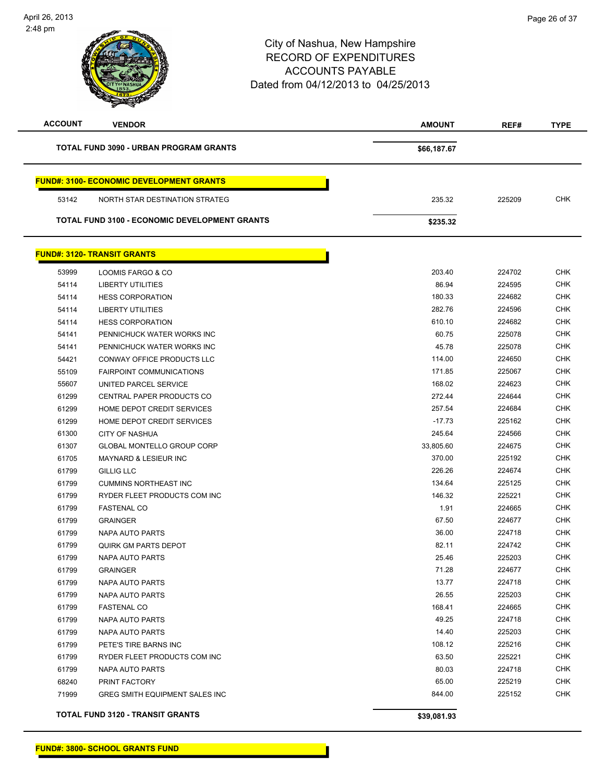| <b>ACCOUNT</b> | <b>VENDOR</b>                                        | <b>AMOUNT</b> | REF#   | <b>TYPE</b> |
|----------------|------------------------------------------------------|---------------|--------|-------------|
|                | TOTAL FUND 3090 - URBAN PROGRAM GRANTS               | \$66,187.67   |        |             |
|                | <b>FUND#: 3100- ECONOMIC DEVELOPMENT GRANTS</b>      |               |        |             |
| 53142          | NORTH STAR DESTINATION STRATEG                       | 235.32        | 225209 | <b>CHK</b>  |
|                | <b>TOTAL FUND 3100 - ECONOMIC DEVELOPMENT GRANTS</b> | \$235.32      |        |             |
|                | <b>FUND#: 3120- TRANSIT GRANTS</b>                   |               |        |             |
| 53999          | LOOMIS FARGO & CO                                    | 203.40        | 224702 | <b>CHK</b>  |
| 54114          | <b>LIBERTY UTILITIES</b>                             | 86.94         | 224595 | <b>CHK</b>  |
| 54114          | <b>HESS CORPORATION</b>                              | 180.33        | 224682 | <b>CHK</b>  |
| 54114          | <b>LIBERTY UTILITIES</b>                             | 282.76        | 224596 | <b>CHK</b>  |
| 54114          | <b>HESS CORPORATION</b>                              | 610.10        | 224682 | <b>CHK</b>  |
| 54141          | PENNICHUCK WATER WORKS INC                           | 60.75         | 225078 | <b>CHK</b>  |
| 54141          | PENNICHUCK WATER WORKS INC                           | 45.78         | 225078 | <b>CHK</b>  |
| 54421          | CONWAY OFFICE PRODUCTS LLC                           | 114.00        | 224650 | <b>CHK</b>  |
| 55109          | <b>FAIRPOINT COMMUNICATIONS</b>                      | 171.85        | 225067 | <b>CHK</b>  |
| 55607          | UNITED PARCEL SERVICE                                | 168.02        | 224623 | <b>CHK</b>  |
| 61299          | CENTRAL PAPER PRODUCTS CO                            | 272.44        | 224644 | <b>CHK</b>  |
| 61299          | HOME DEPOT CREDIT SERVICES                           | 257.54        | 224684 | <b>CHK</b>  |
| 61299          | HOME DEPOT CREDIT SERVICES                           | $-17.73$      | 225162 | <b>CHK</b>  |
| 61300          | <b>CITY OF NASHUA</b>                                | 245.64        | 224566 | <b>CHK</b>  |
| 61307          | GLOBAL MONTELLO GROUP CORP                           | 33,805.60     | 224675 | <b>CHK</b>  |
| 61705          | <b>MAYNARD &amp; LESIEUR INC</b>                     | 370.00        | 225192 | <b>CHK</b>  |
| 61799          | <b>GILLIG LLC</b>                                    | 226.26        | 224674 | <b>CHK</b>  |
| 61799          | <b>CUMMINS NORTHEAST INC</b>                         | 134.64        | 225125 | <b>CHK</b>  |
| 61799          | RYDER FLEET PRODUCTS COM INC                         | 146.32        | 225221 | <b>CHK</b>  |
| 61799          | <b>FASTENAL CO</b>                                   | 1.91          | 224665 | <b>CHK</b>  |
| 61799          | <b>GRAINGER</b>                                      | 67.50         | 224677 | <b>CHK</b>  |
| 61799          | NAPA AUTO PARTS                                      | 36.00         | 224718 | <b>CHK</b>  |
| 61799          | <b>QUIRK GM PARTS DEPOT</b>                          | 82.11         | 224742 | <b>CHK</b>  |
| 61799          | NAPA AUTO PARTS                                      | 25.46         | 225203 | <b>CHK</b>  |
| 61799          | <b>GRAINGER</b>                                      | 71.28         | 224677 | <b>CHK</b>  |
| 61799          | NAPA AUTO PARTS                                      | 13.77         | 224718 | <b>CHK</b>  |
| 61799          | NAPA AUTO PARTS                                      | 26.55         | 225203 | <b>CHK</b>  |
| 61799          | <b>FASTENAL CO</b>                                   | 168.41        | 224665 | <b>CHK</b>  |
| 61799          | <b>NAPA AUTO PARTS</b>                               | 49.25         | 224718 | <b>CHK</b>  |
| 61799          | <b>NAPA AUTO PARTS</b>                               | 14.40         | 225203 | <b>CHK</b>  |
| 61799          | PETE'S TIRE BARNS INC                                | 108.12        | 225216 | <b>CHK</b>  |
| 61799          | RYDER FLEET PRODUCTS COM INC                         | 63.50         | 225221 | <b>CHK</b>  |
| 61799          | NAPA AUTO PARTS                                      | 80.03         | 224718 | <b>CHK</b>  |
| 68240          | PRINT FACTORY                                        | 65.00         | 225219 | <b>CHK</b>  |
| 71999          | GREG SMITH EQUIPMENT SALES INC                       | 844.00        | 225152 | <b>CHK</b>  |
|                | TOTAL FUND 3120 - TRANSIT GRANTS                     | \$39,081.93   |        |             |

**FUND#: 3800- SCHOOL GRANTS FUND**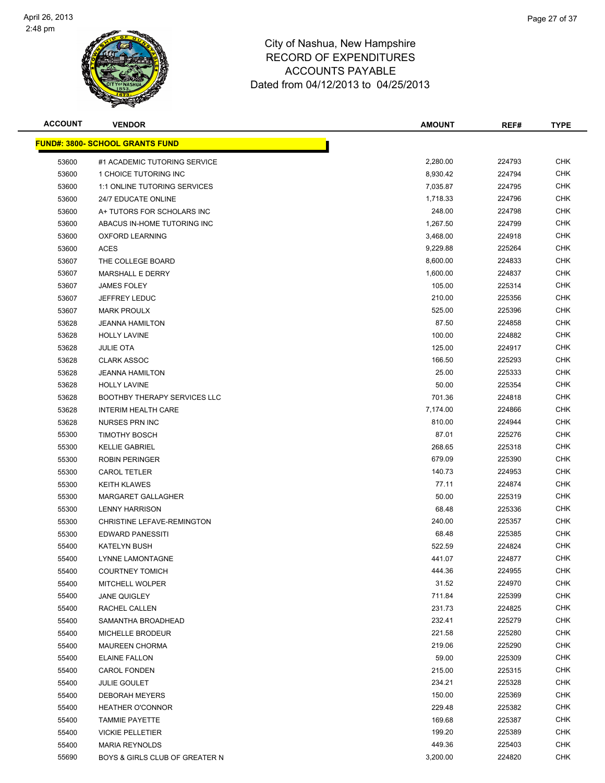

| <b>ACCOUNT</b> | <b>VENDOR</b>                           | <b>AMOUNT</b> | REF#   | <b>TYPE</b> |
|----------------|-----------------------------------------|---------------|--------|-------------|
|                | <u> FUND#: 3800- SCHOOL GRANTS FUND</u> |               |        |             |
| 53600          | #1 ACADEMIC TUTORING SERVICE            | 2,280.00      | 224793 | <b>CHK</b>  |
| 53600          | 1 CHOICE TUTORING INC                   | 8,930.42      | 224794 | <b>CHK</b>  |
| 53600          | 1:1 ONLINE TUTORING SERVICES            | 7,035.87      | 224795 | <b>CHK</b>  |
| 53600          | 24/7 EDUCATE ONLINE                     | 1,718.33      | 224796 | <b>CHK</b>  |
| 53600          | A+ TUTORS FOR SCHOLARS INC              | 248.00        | 224798 | CHK         |
| 53600          | ABACUS IN-HOME TUTORING INC             | 1,267.50      | 224799 | <b>CHK</b>  |
| 53600          | <b>OXFORD LEARNING</b>                  | 3,468.00      | 224918 | <b>CHK</b>  |
| 53600          | <b>ACES</b>                             | 9,229.88      | 225264 | CHK         |
| 53607          | THE COLLEGE BOARD                       | 8,600.00      | 224833 | CHK         |
| 53607          | <b>MARSHALL E DERRY</b>                 | 1,600.00      | 224837 | CHK         |
| 53607          | <b>JAMES FOLEY</b>                      | 105.00        | 225314 | CHK         |
| 53607          | JEFFREY LEDUC                           | 210.00        | 225356 | <b>CHK</b>  |
| 53607          | <b>MARK PROULX</b>                      | 525.00        | 225396 | CHK         |
| 53628          | <b>JEANNA HAMILTON</b>                  | 87.50         | 224858 | <b>CHK</b>  |
| 53628          | <b>HOLLY LAVINE</b>                     | 100.00        | 224882 | <b>CHK</b>  |
| 53628          | <b>JULIE OTA</b>                        | 125.00        | 224917 | <b>CHK</b>  |
| 53628          | <b>CLARK ASSOC</b>                      | 166.50        | 225293 | <b>CHK</b>  |
| 53628          | <b>JEANNA HAMILTON</b>                  | 25.00         | 225333 | <b>CHK</b>  |
| 53628          | <b>HOLLY LAVINE</b>                     | 50.00         | 225354 | <b>CHK</b>  |
| 53628          | <b>BOOTHBY THERAPY SERVICES LLC</b>     | 701.36        | 224818 | <b>CHK</b>  |
| 53628          | <b>INTERIM HEALTH CARE</b>              | 7,174.00      | 224866 | <b>CHK</b>  |
| 53628          | <b>NURSES PRN INC</b>                   | 810.00        | 224944 | <b>CHK</b>  |
| 55300          | <b>TIMOTHY BOSCH</b>                    | 87.01         | 225276 | <b>CHK</b>  |
| 55300          | <b>KELLIE GABRIEL</b>                   | 268.65        | 225318 | <b>CHK</b>  |
| 55300          | <b>ROBIN PERINGER</b>                   | 679.09        | 225390 | CHK         |
| 55300          | <b>CAROL TETLER</b>                     | 140.73        | 224953 | <b>CHK</b>  |
| 55300          | <b>KEITH KLAWES</b>                     | 77.11         | 224874 | CHK         |
| 55300          | <b>MARGARET GALLAGHER</b>               | 50.00         | 225319 | <b>CHK</b>  |
| 55300          | <b>LENNY HARRISON</b>                   | 68.48         | 225336 | <b>CHK</b>  |
| 55300          | CHRISTINE LEFAVE-REMINGTON              | 240.00        | 225357 | CHK         |
| 55300          | <b>EDWARD PANESSITI</b>                 | 68.48         | 225385 | CHK         |
| 55400          | <b>KATELYN BUSH</b>                     | 522.59        | 224824 | CHK         |
| 55400          | LYNNE LAMONTAGNE                        | 441.07        | 224877 | CHK         |
| 55400          | <b>COURTNEY TOMICH</b>                  | 444.36        | 224955 | <b>CHK</b>  |
| 55400          | MITCHELL WOLPER                         | 31.52         | 224970 | <b>CHK</b>  |
| 55400          | <b>JANE QUIGLEY</b>                     | 711.84        | 225399 | <b>CHK</b>  |
| 55400          | RACHEL CALLEN                           | 231.73        | 224825 | <b>CHK</b>  |
| 55400          | SAMANTHA BROADHEAD                      | 232.41        | 225279 | <b>CHK</b>  |
| 55400          | MICHELLE BRODEUR                        | 221.58        | 225280 | <b>CHK</b>  |
| 55400          | <b>MAUREEN CHORMA</b>                   | 219.06        | 225290 | CHK         |
| 55400          | <b>ELAINE FALLON</b>                    | 59.00         | 225309 | CHK         |
| 55400          | <b>CAROL FONDEN</b>                     | 215.00        | 225315 | CHK         |
| 55400          | <b>JULIE GOULET</b>                     | 234.21        | 225328 | CHK         |
| 55400          | <b>DEBORAH MEYERS</b>                   | 150.00        | 225369 | CHK         |
| 55400          | <b>HEATHER O'CONNOR</b>                 | 229.48        | 225382 | CHK         |
| 55400          | <b>TAMMIE PAYETTE</b>                   | 169.68        | 225387 | CHK         |
| 55400          | <b>VICKIE PELLETIER</b>                 | 199.20        | 225389 | <b>CHK</b>  |
| 55400          | <b>MARIA REYNOLDS</b>                   | 449.36        | 225403 | <b>CHK</b>  |
| 55690          | BOYS & GIRLS CLUB OF GREATER N          | 3,200.00      | 224820 | <b>CHK</b>  |
|                |                                         |               |        |             |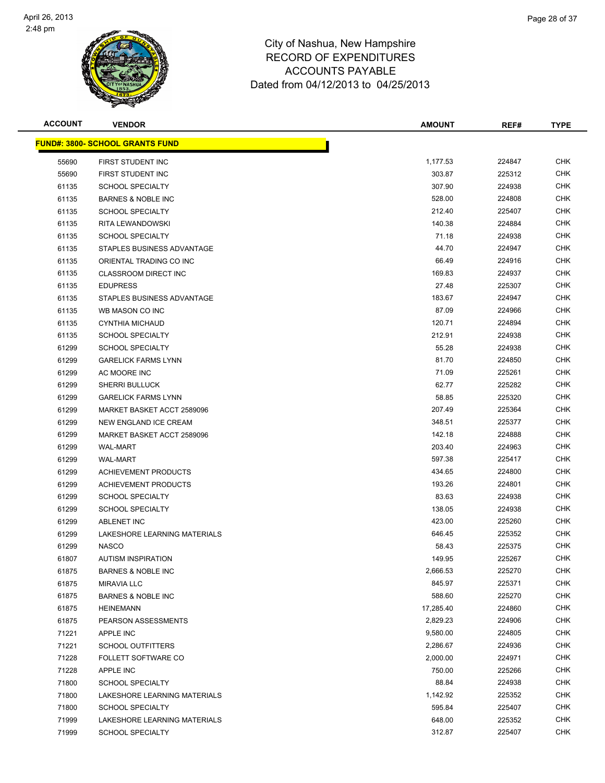

| <b>ACCOUNT</b> | <b>VENDOR</b>                           | <b>AMOUNT</b> | REF#   | <b>TYPE</b> |
|----------------|-----------------------------------------|---------------|--------|-------------|
|                | <u> FUND#: 3800- SCHOOL GRANTS FUND</u> |               |        |             |
| 55690          | FIRST STUDENT INC                       | 1,177.53      | 224847 | <b>CHK</b>  |
| 55690          | FIRST STUDENT INC                       | 303.87        | 225312 | <b>CHK</b>  |
| 61135          | <b>SCHOOL SPECIALTY</b>                 | 307.90        | 224938 | <b>CHK</b>  |
| 61135          | BARNES & NOBLE INC                      | 528.00        | 224808 | <b>CHK</b>  |
| 61135          | <b>SCHOOL SPECIALTY</b>                 | 212.40        | 225407 | <b>CHK</b>  |
| 61135          | RITA LEWANDOWSKI                        | 140.38        | 224884 | <b>CHK</b>  |
| 61135          | <b>SCHOOL SPECIALTY</b>                 | 71.18         | 224938 | <b>CHK</b>  |
| 61135          | STAPLES BUSINESS ADVANTAGE              | 44.70         | 224947 | <b>CHK</b>  |
| 61135          | ORIENTAL TRADING CO INC                 | 66.49         | 224916 | <b>CHK</b>  |
| 61135          | <b>CLASSROOM DIRECT INC</b>             | 169.83        | 224937 | <b>CHK</b>  |
| 61135          | <b>EDUPRESS</b>                         | 27.48         | 225307 | <b>CHK</b>  |
| 61135          | STAPLES BUSINESS ADVANTAGE              | 183.67        | 224947 | <b>CHK</b>  |
| 61135          | WB MASON CO INC                         | 87.09         | 224966 | <b>CHK</b>  |
| 61135          | CYNTHIA MICHAUD                         | 120.71        | 224894 | <b>CHK</b>  |
| 61135          | <b>SCHOOL SPECIALTY</b>                 | 212.91        | 224938 | <b>CHK</b>  |
| 61299          | <b>SCHOOL SPECIALTY</b>                 | 55.28         | 224938 | <b>CHK</b>  |
| 61299          | <b>GARELICK FARMS LYNN</b>              | 81.70         | 224850 | <b>CHK</b>  |
| 61299          | AC MOORE INC                            | 71.09         | 225261 | <b>CHK</b>  |
| 61299          | <b>SHERRI BULLUCK</b>                   | 62.77         | 225282 | <b>CHK</b>  |
| 61299          | <b>GARELICK FARMS LYNN</b>              | 58.85         | 225320 | <b>CHK</b>  |
| 61299          | MARKET BASKET ACCT 2589096              | 207.49        | 225364 | <b>CHK</b>  |
| 61299          | NEW ENGLAND ICE CREAM                   | 348.51        | 225377 | <b>CHK</b>  |
| 61299          | MARKET BASKET ACCT 2589096              | 142.18        | 224888 | <b>CHK</b>  |
| 61299          | <b>WAL-MART</b>                         | 203.40        | 224963 | <b>CHK</b>  |
| 61299          | <b>WAL-MART</b>                         | 597.38        | 225417 | <b>CHK</b>  |
| 61299          | <b>ACHIEVEMENT PRODUCTS</b>             | 434.65        | 224800 | <b>CHK</b>  |
| 61299          | <b>ACHIEVEMENT PRODUCTS</b>             | 193.26        | 224801 | <b>CHK</b>  |
| 61299          | <b>SCHOOL SPECIALTY</b>                 | 83.63         | 224938 | <b>CHK</b>  |
| 61299          | <b>SCHOOL SPECIALTY</b>                 | 138.05        | 224938 | <b>CHK</b>  |
| 61299          | <b>ABLENET INC</b>                      | 423.00        | 225260 | <b>CHK</b>  |
| 61299          | LAKESHORE LEARNING MATERIALS            | 646.45        | 225352 | <b>CHK</b>  |
| 61299          | <b>NASCO</b>                            | 58.43         | 225375 | CHK         |
| 61807          | <b>AUTISM INSPIRATION</b>               | 149.95        | 225267 | <b>CHK</b>  |
| 61875          | <b>BARNES &amp; NOBLE INC</b>           | 2,666.53      | 225270 | <b>CHK</b>  |
| 61875          | <b>MIRAVIA LLC</b>                      | 845.97        | 225371 | <b>CHK</b>  |
| 61875          | <b>BARNES &amp; NOBLE INC</b>           | 588.60        | 225270 | <b>CHK</b>  |
| 61875          | <b>HEINEMANN</b>                        | 17,285.40     | 224860 | <b>CHK</b>  |
| 61875          | PEARSON ASSESSMENTS                     | 2,829.23      | 224906 | <b>CHK</b>  |
| 71221          | APPLE INC                               | 9,580.00      | 224805 | <b>CHK</b>  |
| 71221          | <b>SCHOOL OUTFITTERS</b>                | 2,286.67      | 224936 | <b>CHK</b>  |
| 71228          | FOLLETT SOFTWARE CO                     | 2,000.00      | 224971 | <b>CHK</b>  |
| 71228          | APPLE INC                               | 750.00        | 225266 | <b>CHK</b>  |
| 71800          | <b>SCHOOL SPECIALTY</b>                 | 88.84         | 224938 | CHK         |
| 71800          | LAKESHORE LEARNING MATERIALS            | 1,142.92      | 225352 | CHK         |
| 71800          | <b>SCHOOL SPECIALTY</b>                 | 595.84        | 225407 | CHK         |
| 71999          | LAKESHORE LEARNING MATERIALS            | 648.00        | 225352 | CHK         |
| 71999          | <b>SCHOOL SPECIALTY</b>                 | 312.87        | 225407 | <b>CHK</b>  |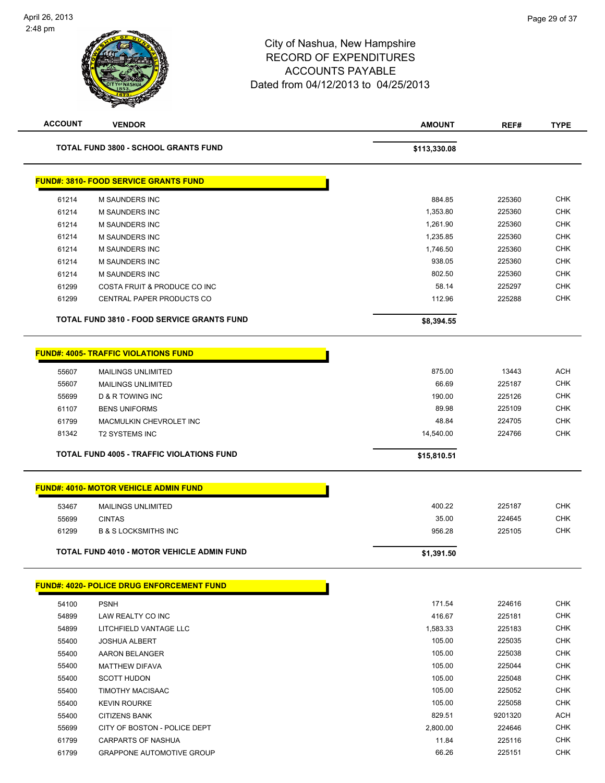| <b>ACCOUNT</b> | <b>VENDOR</b>                                     | <b>AMOUNT</b> | REF#    | <b>TYPE</b> |
|----------------|---------------------------------------------------|---------------|---------|-------------|
|                | <b>TOTAL FUND 3800 - SCHOOL GRANTS FUND</b>       | \$113,330.08  |         |             |
|                | <b>FUND#: 3810- FOOD SERVICE GRANTS FUND</b>      |               |         |             |
| 61214          | <b>M SAUNDERS INC</b>                             | 884.85        | 225360  | <b>CHK</b>  |
| 61214          | <b>M SAUNDERS INC</b>                             | 1,353.80      | 225360  | <b>CHK</b>  |
| 61214          | M SAUNDERS INC                                    | 1,261.90      | 225360  | <b>CHK</b>  |
| 61214          | M SAUNDERS INC                                    | 1,235.85      | 225360  | <b>CHK</b>  |
| 61214          | M SAUNDERS INC                                    | 1,746.50      | 225360  | <b>CHK</b>  |
| 61214          | M SAUNDERS INC                                    | 938.05        | 225360  | <b>CHK</b>  |
| 61214          | <b>M SAUNDERS INC</b>                             | 802.50        | 225360  | CHK         |
| 61299          | COSTA FRUIT & PRODUCE CO INC                      | 58.14         | 225297  | <b>CHK</b>  |
| 61299          | CENTRAL PAPER PRODUCTS CO                         | 112.96        | 225288  | <b>CHK</b>  |
|                | <b>TOTAL FUND 3810 - FOOD SERVICE GRANTS FUND</b> | \$8,394.55    |         |             |
|                | <b>FUND#: 4005- TRAFFIC VIOLATIONS FUND</b>       |               |         |             |
| 55607          | <b>MAILINGS UNLIMITED</b>                         | 875.00        | 13443   | <b>ACH</b>  |
| 55607          | <b>MAILINGS UNLIMITED</b>                         | 66.69         | 225187  | <b>CHK</b>  |
| 55699          | <b>D &amp; R TOWING INC</b>                       | 190.00        | 225126  | <b>CHK</b>  |
| 61107          | <b>BENS UNIFORMS</b>                              | 89.98         | 225109  | <b>CHK</b>  |
| 61799          | MACMULKIN CHEVROLET INC                           | 48.84         | 224705  | <b>CHK</b>  |
| 81342          | <b>T2 SYSTEMS INC</b>                             | 14,540.00     | 224766  | <b>CHK</b>  |
|                |                                                   |               |         |             |
|                | <b>TOTAL FUND 4005 - TRAFFIC VIOLATIONS FUND</b>  | \$15,810.51   |         |             |
|                | <b>FUND#: 4010- MOTOR VEHICLE ADMIN FUND</b>      |               |         |             |
| 53467          | <b>MAILINGS UNLIMITED</b>                         | 400.22        | 225187  | <b>CHK</b>  |
| 55699          | <b>CINTAS</b>                                     | 35.00         | 224645  | <b>CHK</b>  |
| 61299          | <b>B &amp; S LOCKSMITHS INC</b>                   | 956.28        | 225105  | <b>CHK</b>  |
|                | <b>TOTAL FUND 4010 - MOTOR VEHICLE ADMIN FUND</b> | \$1,391.50    |         |             |
|                | <b>FUND#: 4020- POLICE DRUG ENFORCEMENT FUND</b>  |               |         |             |
|                |                                                   |               |         | <b>CHK</b>  |
| 54100          | <b>PSNH</b>                                       | 171.54        | 224616  |             |
| 54899          | LAW REALTY CO INC                                 | 416.67        | 225181  | <b>CHK</b>  |
| 54899          | LITCHFIELD VANTAGE LLC                            | 1,583.33      | 225183  | <b>CHK</b>  |
| 55400          | <b>JOSHUA ALBERT</b>                              | 105.00        | 225035  | <b>CHK</b>  |
| 55400          | <b>AARON BELANGER</b>                             | 105.00        | 225038  | CHK         |
| 55400          | <b>MATTHEW DIFAVA</b>                             | 105.00        | 225044  | CHK         |
| 55400          | <b>SCOTT HUDON</b>                                | 105.00        | 225048  | <b>CHK</b>  |
| 55400          | <b>TIMOTHY MACISAAC</b>                           | 105.00        | 225052  | CHK         |
| 55400          | <b>KEVIN ROURKE</b>                               | 105.00        | 225058  | <b>CHK</b>  |
| 55400          | <b>CITIZENS BANK</b>                              | 829.51        | 9201320 | ACH         |
| 55699          | CITY OF BOSTON - POLICE DEPT                      | 2,800.00      | 224646  | <b>CHK</b>  |
| 61799          | CARPARTS OF NASHUA                                | 11.84         | 225116  | <b>CHK</b>  |
| 61799          | <b>GRAPPONE AUTOMOTIVE GROUP</b>                  | 66.26         | 225151  | CHK         |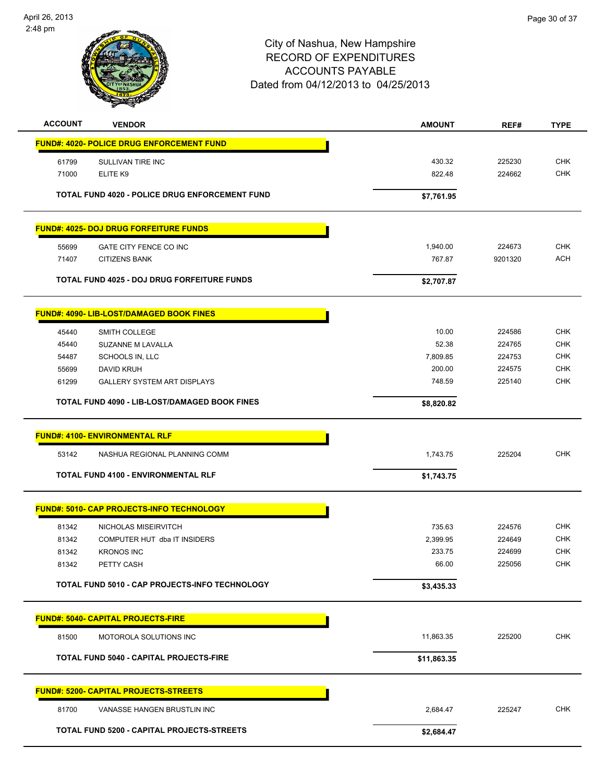

| <b>ACCOUNT</b> | <b>VENDOR</b>                                      | <b>AMOUNT</b> | REF#    | <b>TYPE</b> |
|----------------|----------------------------------------------------|---------------|---------|-------------|
|                | <b>FUND#: 4020- POLICE DRUG ENFORCEMENT FUND</b>   |               |         |             |
| 61799          | SULLIVAN TIRE INC                                  | 430.32        | 225230  | <b>CHK</b>  |
| 71000          | ELITE K9                                           | 822.48        | 224662  | <b>CHK</b>  |
|                |                                                    |               |         |             |
|                | TOTAL FUND 4020 - POLICE DRUG ENFORCEMENT FUND     | \$7,761.95    |         |             |
|                | <b>FUND#: 4025- DOJ DRUG FORFEITURE FUNDS</b>      |               |         |             |
| 55699          | GATE CITY FENCE CO INC                             | 1,940.00      | 224673  | <b>CHK</b>  |
| 71407          | <b>CITIZENS BANK</b>                               | 767.87        | 9201320 | <b>ACH</b>  |
|                | <b>TOTAL FUND 4025 - DOJ DRUG FORFEITURE FUNDS</b> | \$2,707.87    |         |             |
|                | <b>FUND#: 4090- LIB-LOST/DAMAGED BOOK FINES</b>    |               |         |             |
| 45440          | SMITH COLLEGE                                      | 10.00         | 224586  | <b>CHK</b>  |
| 45440          | SUZANNE M LAVALLA                                  | 52.38         | 224765  | <b>CHK</b>  |
| 54487          | SCHOOLS IN, LLC                                    | 7,809.85      | 224753  | <b>CHK</b>  |
| 55699          | DAVID KRUH                                         | 200.00        | 224575  | <b>CHK</b>  |
| 61299          | <b>GALLERY SYSTEM ART DISPLAYS</b>                 | 748.59        | 225140  | <b>CHK</b>  |
|                | TOTAL FUND 4090 - LIB-LOST/DAMAGED BOOK FINES      | \$8,820.82    |         |             |
|                |                                                    |               |         |             |
|                | <b>FUND#: 4100- ENVIRONMENTAL RLF</b>              |               |         |             |
| 53142          | NASHUA REGIONAL PLANNING COMM                      | 1,743.75      | 225204  | <b>CHK</b>  |
|                | <b>TOTAL FUND 4100 - ENVIRONMENTAL RLF</b>         | \$1,743.75    |         |             |
|                | <b>FUND#: 5010- CAP PROJECTS-INFO TECHNOLOGY</b>   |               |         |             |
| 81342          | NICHOLAS MISEIRVITCH                               | 735.63        | 224576  | <b>CHK</b>  |
| 81342          | COMPUTER HUT dba IT INSIDERS                       | 2,399.95      | 224649  | <b>CHK</b>  |
| 81342          | <b>KRONOS INC</b>                                  | 233.75        | 224699  | <b>CHK</b>  |
| 81342          | PETTY CASH                                         | 66.00         | 225056  | <b>CHK</b>  |
|                | TOTAL FUND 5010 - CAP PROJECTS-INFO TECHNOLOGY     | \$3,435.33    |         |             |
|                | <b>FUND#: 5040- CAPITAL PROJECTS-FIRE</b>          |               |         |             |
| 81500          | MOTOROLA SOLUTIONS INC                             | 11,863.35     | 225200  | <b>CHK</b>  |
|                |                                                    |               |         |             |
|                | <b>TOTAL FUND 5040 - CAPITAL PROJECTS-FIRE</b>     | \$11,863.35   |         |             |
|                | <b>FUND#: 5200- CAPITAL PROJECTS-STREETS</b>       |               |         |             |
| 81700          | VANASSE HANGEN BRUSTLIN INC                        | 2,684.47      | 225247  | <b>CHK</b>  |
|                | TOTAL FUND 5200 - CAPITAL PROJECTS-STREETS         | \$2,684.47    |         |             |
|                |                                                    |               |         |             |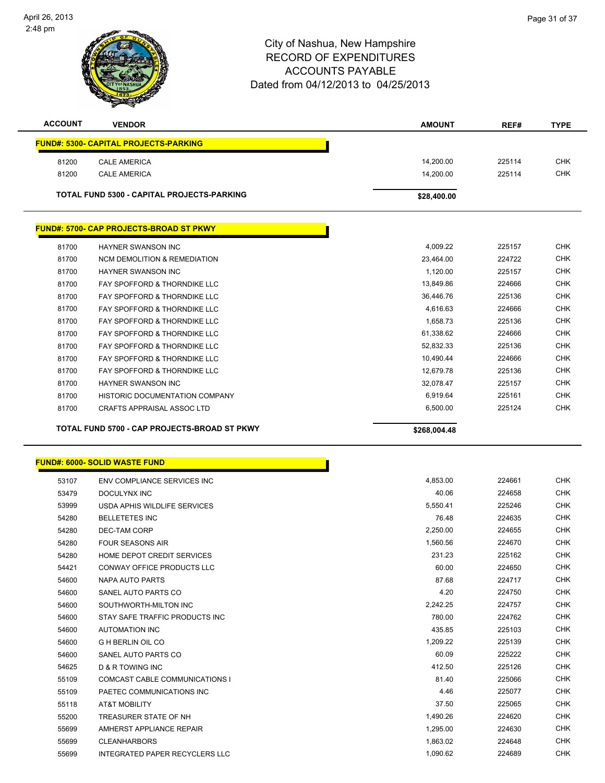

| <b>ACCOUNT</b> | <b>VENDOR</b>                                     | <b>AMOUNT</b> | REF#   | <b>TYPE</b> |
|----------------|---------------------------------------------------|---------------|--------|-------------|
|                | <b>FUND#: 5300- CAPITAL PROJECTS-PARKING</b>      |               |        |             |
| 81200          | <b>CALE AMERICA</b>                               | 14.200.00     | 225114 | <b>CHK</b>  |
| 81200          | <b>CALE AMERICA</b>                               | 14,200.00     | 225114 | <b>CHK</b>  |
|                | <b>TOTAL FUND 5300 - CAPITAL PROJECTS-PARKING</b> | \$28,400.00   |        |             |
|                | <b>FUND#: 5700- CAP PROJECTS-BROAD ST PKWY</b>    |               |        |             |
| 81700          | <b>HAYNER SWANSON INC</b>                         | 4,009.22      | 225157 | <b>CHK</b>  |
| 81700          | <b>NCM DEMOLITION &amp; REMEDIATION</b>           | 23.464.00     | 224722 | <b>CHK</b>  |
| 81700          | <b>HAYNER SWANSON INC</b>                         | 1.120.00      | 225157 | <b>CHK</b>  |
| 81700          | FAY SPOFFORD & THORNDIKE LLC                      | 13,849.86     | 224666 | <b>CHK</b>  |
| 81700          | FAY SPOFFORD & THORNDIKE LLC                      | 36.446.76     | 225136 | <b>CHK</b>  |
| 81700          | FAY SPOFFORD & THORNDIKE LLC                      | 4.616.63      | 224666 | <b>CHK</b>  |
| 81700          | FAY SPOFFORD & THORNDIKE LLC                      | 1,658.73      | 225136 | <b>CHK</b>  |
| 81700          | <b>FAY SPOFFORD &amp; THORNDIKE LLC</b>           | 61.338.62     | 224666 | <b>CHK</b>  |
| 81700          | FAY SPOFFORD & THORNDIKE LLC                      | 52.832.33     | 225136 | <b>CHK</b>  |
| 81700          | FAY SPOFFORD & THORNDIKE LLC                      | 10,490.44     | 224666 | <b>CHK</b>  |
| 81700          | FAY SPOFFORD & THORNDIKE LLC                      | 12,679.78     | 225136 | <b>CHK</b>  |
| 81700          | <b>HAYNER SWANSON INC</b>                         | 32.078.47     | 225157 | <b>CHK</b>  |
| 81700          | <b>HISTORIC DOCUMENTATION COMPANY</b>             | 6.919.64      | 225161 | <b>CHK</b>  |
| 81700          | <b>CRAFTS APPRAISAL ASSOC LTD</b>                 | 6,500.00      | 225124 | <b>CHK</b>  |
|                |                                                   |               |        |             |

| 53107 | ENV COMPLIANCE SERVICES INC           |          |
|-------|---------------------------------------|----------|
| 53479 | DOCULYNX INC                          |          |
| 53999 | USDA APHIS WILDLIFE SERVICES          |          |
| 54280 | <b>BELLETETES INC</b>                 |          |
| 54280 | <b>DEC-TAM CORP</b>                   |          |
| 54280 | <b>FOUR SEASONS AIR</b>               |          |
| 54280 | HOME DEPOT CREDIT SERVICES            |          |
| 54421 | <b>CONWAY OFFICE PRODUCTS LLC</b>     |          |
| 54600 | NAPA AUTO PARTS                       |          |
| 54600 | SANEL AUTO PARTS CO                   |          |
| 54600 | SOUTHWORTH-MILTON INC                 |          |
| 54600 | STAY SAFE TRAFFIC PRODUCTS INC        |          |
| 54600 | <b>AUTOMATION INC</b>                 |          |
| 54600 | <b>G H BERLIN OIL CO</b>              |          |
| 54600 | SANEL AUTO PARTS CO                   |          |
| 54625 | <b>D &amp; R TOWING INC</b>           |          |
| 55109 | COMCAST CABLE COMMUNICATIONS I        |          |
| 55109 | PAETEC COMMUNICATIONS INC             |          |
| 55118 | <b>AT&amp;T MOBILITY</b>              |          |
| 55200 | TREASURER STATE OF NH                 | 1,490.26 |
| 55699 | AMHERST APPLIANCE REPAIR              | 1,295.00 |
| 55699 | <b>CLEANHARBORS</b>                   | 1,863.02 |
| 55699 | <b>INTEGRATED PAPER RECYCLERS LLC</b> | 1,090.62 |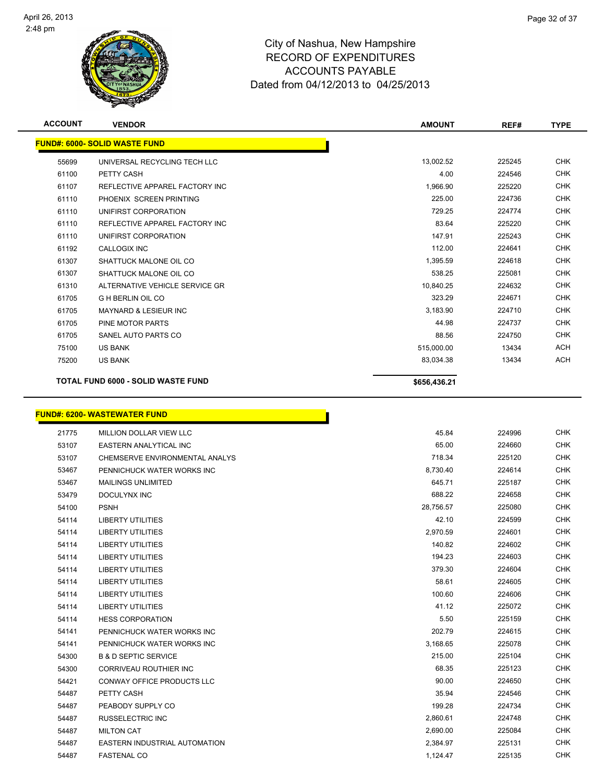

| <b>ACCOUNT</b> | <b>VENDOR</b>                             | <b>AMOUNT</b> | REF#   | <b>TYPE</b> |
|----------------|-------------------------------------------|---------------|--------|-------------|
|                | <b>FUND#: 6000- SOLID WASTE FUND</b>      |               |        |             |
| 55699          | UNIVERSAL RECYCLING TECH LLC              | 13,002.52     | 225245 | <b>CHK</b>  |
| 61100          | PETTY CASH                                | 4.00          | 224546 | <b>CHK</b>  |
| 61107          | REFLECTIVE APPAREL FACTORY INC            | 1,966.90      | 225220 | <b>CHK</b>  |
| 61110          | PHOENIX SCREEN PRINTING                   | 225.00        | 224736 | <b>CHK</b>  |
| 61110          | UNIFIRST CORPORATION                      | 729.25        | 224774 | <b>CHK</b>  |
| 61110          | REFLECTIVE APPAREL FACTORY INC            | 83.64         | 225220 | <b>CHK</b>  |
| 61110          | UNIFIRST CORPORATION                      | 147.91        | 225243 | <b>CHK</b>  |
| 61192          | <b>CALLOGIX INC</b>                       | 112.00        | 224641 | <b>CHK</b>  |
| 61307          | SHATTUCK MALONE OIL CO                    | 1,395.59      | 224618 | <b>CHK</b>  |
| 61307          | SHATTUCK MALONE OIL CO                    | 538.25        | 225081 | <b>CHK</b>  |
| 61310          | ALTERNATIVE VEHICLE SERVICE GR            | 10,840.25     | 224632 | <b>CHK</b>  |
| 61705          | <b>G H BERLIN OIL CO</b>                  | 323.29        | 224671 | <b>CHK</b>  |
| 61705          | <b>MAYNARD &amp; LESIEUR INC</b>          | 3,183.90      | 224710 | <b>CHK</b>  |
| 61705          | PINE MOTOR PARTS                          | 44.98         | 224737 | <b>CHK</b>  |
| 61705          | SANEL AUTO PARTS CO                       | 88.56         | 224750 | <b>CHK</b>  |
| 75100          | <b>US BANK</b>                            | 515,000.00    | 13434  | <b>ACH</b>  |
| 75200          | <b>US BANK</b>                            | 83,034.38     | 13434  | <b>ACH</b>  |
|                | <b>TOTAL FUND 6000 - SOLID WASTE FUND</b> | \$656,436.21  |        |             |

## **FUND#: 6200- WASTEWATER FUND**

| 21775 | <b>MILLION DOLLAR VIEW LLC</b>    | 45.84     | 224996 | <b>CHK</b> |
|-------|-----------------------------------|-----------|--------|------------|
| 53107 | <b>EASTERN ANALYTICAL INC</b>     | 65.00     | 224660 | <b>CHK</b> |
| 53107 | CHEMSERVE ENVIRONMENTAL ANALYS    | 718.34    | 225120 | <b>CHK</b> |
| 53467 | PENNICHUCK WATER WORKS INC        | 8,730.40  | 224614 | <b>CHK</b> |
| 53467 | <b>MAILINGS UNLIMITED</b>         | 645.71    | 225187 | <b>CHK</b> |
| 53479 | DOCULYNX INC                      | 688.22    | 224658 | <b>CHK</b> |
| 54100 | <b>PSNH</b>                       | 28,756.57 | 225080 | <b>CHK</b> |
| 54114 | <b>LIBERTY UTILITIES</b>          | 42.10     | 224599 | <b>CHK</b> |
| 54114 | <b>LIBERTY UTILITIES</b>          | 2,970.59  | 224601 | <b>CHK</b> |
| 54114 | <b>LIBERTY UTILITIES</b>          | 140.82    | 224602 | <b>CHK</b> |
| 54114 | <b>LIBERTY UTILITIES</b>          | 194.23    | 224603 | <b>CHK</b> |
| 54114 | <b>LIBERTY UTILITIES</b>          | 379.30    | 224604 | <b>CHK</b> |
| 54114 | <b>LIBERTY UTILITIES</b>          | 58.61     | 224605 | <b>CHK</b> |
| 54114 | <b>LIBERTY UTILITIES</b>          | 100.60    | 224606 | <b>CHK</b> |
| 54114 | <b>LIBERTY UTILITIES</b>          | 41.12     | 225072 | <b>CHK</b> |
| 54114 | <b>HESS CORPORATION</b>           | 5.50      | 225159 | <b>CHK</b> |
| 54141 | PENNICHUCK WATER WORKS INC        | 202.79    | 224615 | <b>CHK</b> |
| 54141 | PENNICHUCK WATER WORKS INC        | 3,168.65  | 225078 | <b>CHK</b> |
| 54300 | <b>B &amp; D SEPTIC SERVICE</b>   | 215.00    | 225104 | <b>CHK</b> |
| 54300 | CORRIVEAU ROUTHIER INC            | 68.35     | 225123 | <b>CHK</b> |
| 54421 | <b>CONWAY OFFICE PRODUCTS LLC</b> | 90.00     | 224650 | <b>CHK</b> |
| 54487 | PETTY CASH                        | 35.94     | 224546 | <b>CHK</b> |
| 54487 | PEABODY SUPPLY CO                 | 199.28    | 224734 | <b>CHK</b> |
| 54487 | <b>RUSSELECTRIC INC</b>           | 2,860.61  | 224748 | <b>CHK</b> |
| 54487 | <b>MILTON CAT</b>                 | 2,690.00  | 225084 | <b>CHK</b> |
| 54487 | EASTERN INDUSTRIAL AUTOMATION     | 2,384.97  | 225131 | <b>CHK</b> |
| 54487 | <b>FASTENAL CO</b>                | 1,124.47  | 225135 | <b>CHK</b> |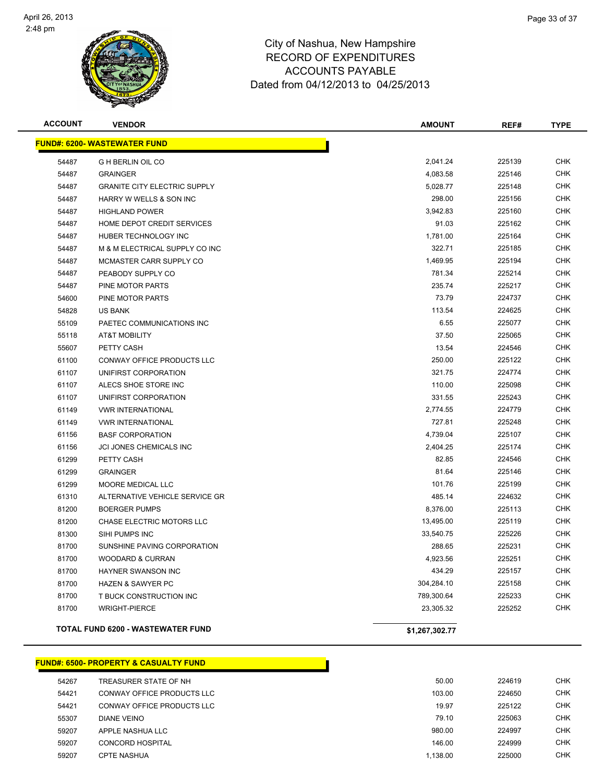

**FUND#: 6500- PROPERTY & CASUALTY FUND**

### City of Nashua, New Hampshire RECORD OF EXPENDITURES ACCOUNTS PAYABLE Dated from 04/12/2013 to 04/25/2013

| <b>ACCOUNT</b> | <b>VENDOR</b>                            | <b>AMOUNT</b>  | REF#   | <b>TYPE</b> |
|----------------|------------------------------------------|----------------|--------|-------------|
|                | <b>FUND#: 6200- WASTEWATER FUND</b>      |                |        |             |
| 54487          | <b>G H BERLIN OIL CO</b>                 | 2,041.24       | 225139 | <b>CHK</b>  |
| 54487          | <b>GRAINGER</b>                          | 4,083.58       | 225146 | <b>CHK</b>  |
| 54487          | <b>GRANITE CITY ELECTRIC SUPPLY</b>      | 5,028.77       | 225148 | <b>CHK</b>  |
| 54487          | HARRY W WELLS & SON INC                  | 298.00         | 225156 | <b>CHK</b>  |
| 54487          | <b>HIGHLAND POWER</b>                    | 3,942.83       | 225160 | <b>CHK</b>  |
| 54487          | HOME DEPOT CREDIT SERVICES               | 91.03          | 225162 | <b>CHK</b>  |
| 54487          | HUBER TECHNOLOGY INC                     | 1,781.00       | 225164 | <b>CHK</b>  |
| 54487          | M & M ELECTRICAL SUPPLY CO INC           | 322.71         | 225185 | <b>CHK</b>  |
| 54487          | MCMASTER CARR SUPPLY CO                  | 1,469.95       | 225194 | <b>CHK</b>  |
| 54487          | PEABODY SUPPLY CO                        | 781.34         | 225214 | <b>CHK</b>  |
| 54487          | PINE MOTOR PARTS                         | 235.74         | 225217 | CHK         |
| 54600          | PINE MOTOR PARTS                         | 73.79          | 224737 | <b>CHK</b>  |
| 54828          | <b>US BANK</b>                           | 113.54         | 224625 | <b>CHK</b>  |
| 55109          | PAETEC COMMUNICATIONS INC                | 6.55           | 225077 | <b>CHK</b>  |
| 55118          | <b>AT&amp;T MOBILITY</b>                 | 37.50          | 225065 | <b>CHK</b>  |
| 55607          | PETTY CASH                               | 13.54          | 224546 | CHK         |
| 61100          | CONWAY OFFICE PRODUCTS LLC               | 250.00         | 225122 | <b>CHK</b>  |
| 61107          | UNIFIRST CORPORATION                     | 321.75         | 224774 | <b>CHK</b>  |
| 61107          | ALECS SHOE STORE INC                     | 110.00         | 225098 | <b>CHK</b>  |
| 61107          | UNIFIRST CORPORATION                     | 331.55         | 225243 | <b>CHK</b>  |
| 61149          | <b>VWR INTERNATIONAL</b>                 | 2,774.55       | 224779 | <b>CHK</b>  |
| 61149          | <b>VWR INTERNATIONAL</b>                 | 727.81         | 225248 | <b>CHK</b>  |
| 61156          | <b>BASF CORPORATION</b>                  | 4,739.04       | 225107 | <b>CHK</b>  |
| 61156          | JCI JONES CHEMICALS INC                  | 2,404.25       | 225174 | <b>CHK</b>  |
| 61299          | PETTY CASH                               | 82.85          | 224546 | <b>CHK</b>  |
| 61299          | <b>GRAINGER</b>                          | 81.64          | 225146 | <b>CHK</b>  |
| 61299          | <b>MOORE MEDICAL LLC</b>                 | 101.76         | 225199 | <b>CHK</b>  |
| 61310          | ALTERNATIVE VEHICLE SERVICE GR           | 485.14         | 224632 | <b>CHK</b>  |
| 81200          | <b>BOERGER PUMPS</b>                     | 8,376.00       | 225113 | <b>CHK</b>  |
| 81200          | CHASE ELECTRIC MOTORS LLC                | 13,495.00      | 225119 | <b>CHK</b>  |
| 81300          | SIHI PUMPS INC                           | 33,540.75      | 225226 | <b>CHK</b>  |
| 81700          | SUNSHINE PAVING CORPORATION              | 288.65         | 225231 | <b>CHK</b>  |
| 81700          | <b>WOODARD &amp; CURRAN</b>              | 4,923.56       | 225251 | <b>CHK</b>  |
| 81700          | HAYNER SWANSON INC                       | 434.29         | 225157 | <b>CHK</b>  |
| 81700          | HAZEN & SAWYER PC                        | 304,284.10     | 225158 | <b>CHK</b>  |
| 81700          | T BUCK CONSTRUCTION INC                  | 789,300.64     | 225233 | <b>CHK</b>  |
| 81700          | <b>WRIGHT-PIERCE</b>                     | 23,305.32      | 225252 | <b>CHK</b>  |
|                | <b>TOTAL FUND 6200 - WASTEWATER FUND</b> | \$1,267,302.77 |        |             |

## TREASURER STATE OF NH 50.00 224619 CHK CONWAY OFFICE PRODUCTS LLC 103.00 224650 CHK 54421 CONWAY OFFICE PRODUCTS LLC 6 CHK CHA CONVERSITY CHANGE AND THE CHANGE OF THE CHANGE OF THE CHANGE OF THE CHA DIANE VEINO 79.10 225063 CHK APPLE NASHUA LLC 980.00 224997 CHK CONCORD HOSPITAL 146.00 224999 CHK 59207 CPTE NASHUA 225000 CHK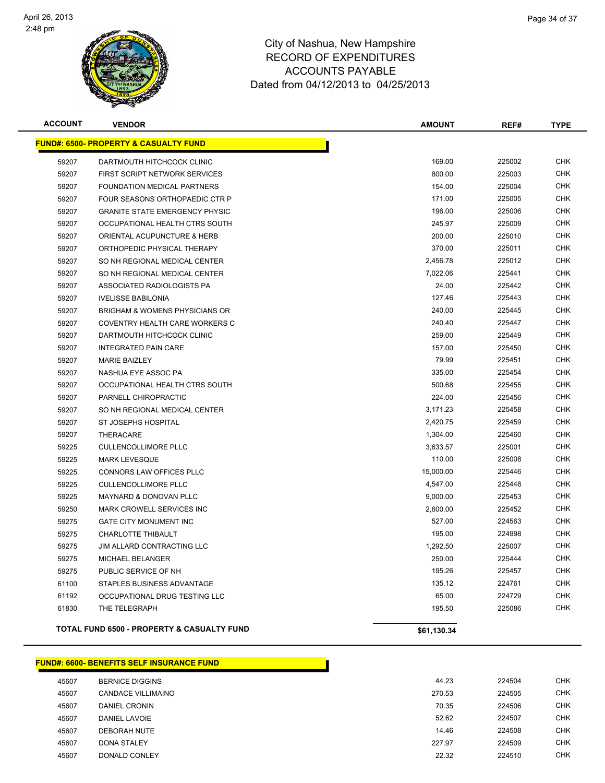

| <b>ACCOUNT</b> | <b>VENDOR</b>                                    | <b>AMOUNT</b> | REF#   | <b>TYPE</b> |
|----------------|--------------------------------------------------|---------------|--------|-------------|
|                | <b>FUND#: 6500- PROPERTY &amp; CASUALTY FUND</b> |               |        |             |
| 59207          | DARTMOUTH HITCHCOCK CLINIC                       | 169.00        | 225002 | <b>CHK</b>  |
| 59207          | FIRST SCRIPT NETWORK SERVICES                    | 800.00        | 225003 | <b>CHK</b>  |
| 59207          | <b>FOUNDATION MEDICAL PARTNERS</b>               | 154.00        | 225004 | <b>CHK</b>  |
| 59207          | FOUR SEASONS ORTHOPAEDIC CTR P                   | 171.00        | 225005 | <b>CHK</b>  |
| 59207          | <b>GRANITE STATE EMERGENCY PHYSIC</b>            | 196.00        | 225006 | <b>CHK</b>  |
| 59207          | OCCUPATIONAL HEALTH CTRS SOUTH                   | 245.97        | 225009 | <b>CHK</b>  |
| 59207          | ORIENTAL ACUPUNCTURE & HERB                      | 200.00        | 225010 | <b>CHK</b>  |
| 59207          | ORTHOPEDIC PHYSICAL THERAPY                      | 370.00        | 225011 | <b>CHK</b>  |
| 59207          | SO NH REGIONAL MEDICAL CENTER                    | 2,456.78      | 225012 | <b>CHK</b>  |
| 59207          | SO NH REGIONAL MEDICAL CENTER                    | 7,022.06      | 225441 | <b>CHK</b>  |
| 59207          | ASSOCIATED RADIOLOGISTS PA                       | 24.00         | 225442 | <b>CHK</b>  |
| 59207          | <b>IVELISSE BABILONIA</b>                        | 127.46        | 225443 | <b>CHK</b>  |
| 59207          | <b>BRIGHAM &amp; WOMENS PHYSICIANS OR</b>        | 240.00        | 225445 | <b>CHK</b>  |
| 59207          | COVENTRY HEALTH CARE WORKERS C                   | 240.40        | 225447 | <b>CHK</b>  |
| 59207          | DARTMOUTH HITCHCOCK CLINIC                       | 259.00        | 225449 | <b>CHK</b>  |
| 59207          | <b>INTEGRATED PAIN CARE</b>                      | 157.00        | 225450 | <b>CHK</b>  |
| 59207          | <b>MARIE BAIZLEY</b>                             | 79.99         | 225451 | <b>CHK</b>  |
| 59207          | NASHUA EYE ASSOC PA                              | 335.00        | 225454 | <b>CHK</b>  |
| 59207          | OCCUPATIONAL HEALTH CTRS SOUTH                   | 500.68        | 225455 | <b>CHK</b>  |
| 59207          | PARNELL CHIROPRACTIC                             | 224.00        | 225456 | <b>CHK</b>  |
| 59207          | SO NH REGIONAL MEDICAL CENTER                    | 3,171.23      | 225458 | <b>CHK</b>  |
| 59207          | ST JOSEPHS HOSPITAL                              | 2,420.75      | 225459 | <b>CHK</b>  |
| 59207          | THERACARE                                        | 1,304.00      | 225460 | <b>CHK</b>  |
| 59225          | <b>CULLENCOLLIMORE PLLC</b>                      | 3,633.57      | 225001 | <b>CHK</b>  |
| 59225          | <b>MARK LEVESQUE</b>                             | 110.00        | 225008 | <b>CHK</b>  |
| 59225          | CONNORS LAW OFFICES PLLC                         | 15,000.00     | 225446 | <b>CHK</b>  |
| 59225          | <b>CULLENCOLLIMORE PLLC</b>                      | 4,547.00      | 225448 | <b>CHK</b>  |
| 59225          | MAYNARD & DONOVAN PLLC                           | 9,000.00      | 225453 | <b>CHK</b>  |
| 59250          | <b>MARK CROWELL SERVICES INC</b>                 | 2,600.00      | 225452 | <b>CHK</b>  |
| 59275          | <b>GATE CITY MONUMENT INC</b>                    | 527.00        | 224563 | <b>CHK</b>  |
| 59275          | CHARLOTTE THIBAULT                               | 195.00        | 224998 | <b>CHK</b>  |
| 59275          | JIM ALLARD CONTRACTING LLC                       | 1,292.50      | 225007 | <b>CHK</b>  |
| 59275          | <b>MICHAEL BELANGER</b>                          | 250.00        | 225444 | <b>CHK</b>  |
| 59275          | PUBLIC SERVICE OF NH                             | 195.26        | 225457 | <b>CHK</b>  |
| 61100          | STAPLES BUSINESS ADVANTAGE                       | 135.12        | 224761 | <b>CHK</b>  |
| 61192          | OCCUPATIONAL DRUG TESTING LLC                    | 65.00         | 224729 | <b>CHK</b>  |
| 61830          | THE TELEGRAPH                                    | 195.50        | 225086 | <b>CHK</b>  |
|                | TOTAL FUND 6500 - PROPERTY & CASUALTY FUND       | \$61,130.34   |        |             |

|       | <b>FUND#: 6600- BENEFITS SELF INSURANCE FUND</b> |        |        |
|-------|--------------------------------------------------|--------|--------|
| 45607 | <b>BERNICE DIGGINS</b>                           | 44.23  | 224504 |
| 45607 | CANDACE VILLIMAINO                               | 270.53 | 224505 |
| 45607 | <b>DANIEL CRONIN</b>                             | 70.35  | 224506 |
| 45607 | DANIEL LAVOIE                                    | 52.62  | 224507 |
| 45607 | DEBORAH NUTE                                     | 14.46  | 224508 |
| 45607 | DONA STALEY                                      | 227.97 | 224509 |
| 45607 | DONALD CONLEY                                    | 22.32  | 224510 |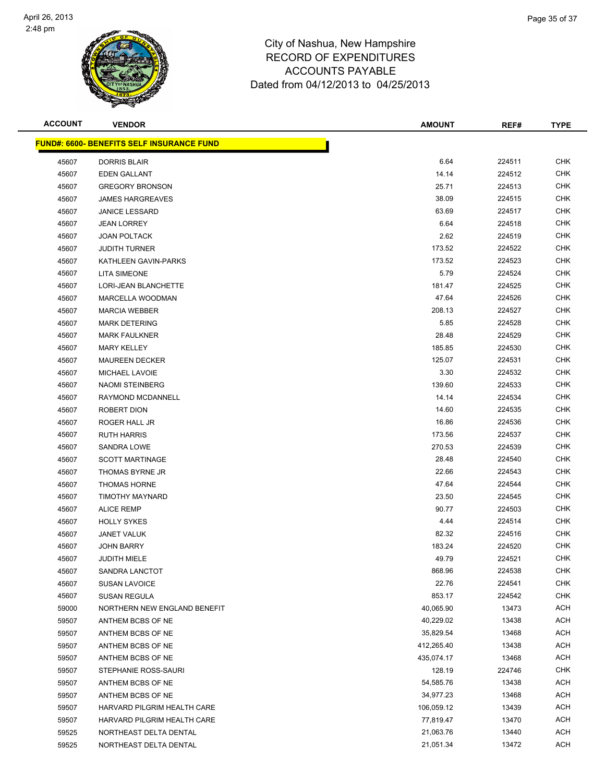

| <b>ACCOUNT</b> | <b>VENDOR</b>                                     | <b>AMOUNT</b> | REF#   | <b>TYPE</b> |
|----------------|---------------------------------------------------|---------------|--------|-------------|
|                | <u> FUND#: 6600- BENEFITS SELF INSURANCE FUND</u> |               |        |             |
| 45607          | <b>DORRIS BLAIR</b>                               | 6.64          | 224511 | <b>CHK</b>  |
| 45607          | <b>EDEN GALLANT</b>                               | 14.14         | 224512 | <b>CHK</b>  |
| 45607          | <b>GREGORY BRONSON</b>                            | 25.71         | 224513 | <b>CHK</b>  |
| 45607          | <b>JAMES HARGREAVES</b>                           | 38.09         | 224515 | <b>CHK</b>  |
| 45607          | <b>JANICE LESSARD</b>                             | 63.69         | 224517 | <b>CHK</b>  |
| 45607          | <b>JEAN LORREY</b>                                | 6.64          | 224518 | <b>CHK</b>  |
| 45607          | <b>JOAN POLTACK</b>                               | 2.62          | 224519 | <b>CHK</b>  |
| 45607          | <b>JUDITH TURNER</b>                              | 173.52        | 224522 | <b>CHK</b>  |
| 45607          | KATHLEEN GAVIN-PARKS                              | 173.52        | 224523 | <b>CHK</b>  |
| 45607          | <b>LITA SIMEONE</b>                               | 5.79          | 224524 | CHK         |
| 45607          | <b>LORI-JEAN BLANCHETTE</b>                       | 181.47        | 224525 | <b>CHK</b>  |
| 45607          | MARCELLA WOODMAN                                  | 47.64         | 224526 | <b>CHK</b>  |
| 45607          | <b>MARCIA WEBBER</b>                              | 208.13        | 224527 | <b>CHK</b>  |
| 45607          | <b>MARK DETERING</b>                              | 5.85          | 224528 | <b>CHK</b>  |
| 45607          | <b>MARK FAULKNER</b>                              | 28.48         | 224529 | <b>CHK</b>  |
| 45607          | <b>MARY KELLEY</b>                                | 185.85        | 224530 | <b>CHK</b>  |
| 45607          | <b>MAUREEN DECKER</b>                             | 125.07        | 224531 | <b>CHK</b>  |
| 45607          | <b>MICHAEL LAVOIE</b>                             | 3.30          | 224532 | <b>CHK</b>  |
| 45607          | <b>NAOMI STEINBERG</b>                            | 139.60        | 224533 | <b>CHK</b>  |
| 45607          | RAYMOND MCDANNELL                                 | 14.14         | 224534 | <b>CHK</b>  |
| 45607          | ROBERT DION                                       | 14.60         | 224535 | <b>CHK</b>  |
| 45607          | ROGER HALL JR                                     | 16.86         | 224536 | <b>CHK</b>  |
| 45607          | <b>RUTH HARRIS</b>                                | 173.56        | 224537 | <b>CHK</b>  |
| 45607          | <b>SANDRA LOWE</b>                                | 270.53        | 224539 | <b>CHK</b>  |
| 45607          | <b>SCOTT MARTINAGE</b>                            | 28.48         | 224540 | <b>CHK</b>  |
| 45607          | THOMAS BYRNE JR                                   | 22.66         | 224543 | <b>CHK</b>  |
| 45607          | <b>THOMAS HORNE</b>                               | 47.64         | 224544 | <b>CHK</b>  |
| 45607          | TIMOTHY MAYNARD                                   | 23.50         | 224545 | <b>CHK</b>  |
| 45607          | <b>ALICE REMP</b>                                 | 90.77         | 224503 | CHK         |
| 45607          | <b>HOLLY SYKES</b>                                | 4.44          | 224514 | <b>CHK</b>  |
| 45607          | <b>JANET VALUK</b>                                | 82.32         | 224516 | <b>CHK</b>  |
| 45607          | <b>JOHN BARRY</b>                                 | 183.24        | 224520 | <b>CHK</b>  |
| 45607          | <b>JUDITH MIELE</b>                               | 49.79         | 224521 | <b>CHK</b>  |
| 45607          | SANDRA LANCTOT                                    | 868.96        | 224538 | <b>CHK</b>  |
| 45607          | <b>SUSAN LAVOICE</b>                              | 22.76         | 224541 | <b>CHK</b>  |
| 45607          | <b>SUSAN REGULA</b>                               | 853.17        | 224542 | <b>CHK</b>  |
| 59000          | NORTHERN NEW ENGLAND BENEFIT                      | 40,065.90     | 13473  | ACH         |
| 59507          | ANTHEM BCBS OF NE                                 | 40,229.02     | 13438  | ACH         |
| 59507          | ANTHEM BCBS OF NE                                 | 35,829.54     | 13468  | <b>ACH</b>  |
| 59507          | ANTHEM BCBS OF NE                                 | 412,265.40    | 13438  | ACH         |
| 59507          | ANTHEM BCBS OF NE                                 | 435,074.17    | 13468  | <b>ACH</b>  |
| 59507          | STEPHANIE ROSS-SAURI                              | 128.19        | 224746 | <b>CHK</b>  |
| 59507          | ANTHEM BCBS OF NE                                 | 54,585.76     | 13438  | ACH         |
| 59507          | ANTHEM BCBS OF NE                                 | 34,977.23     | 13468  | ACH         |
| 59507          | HARVARD PILGRIM HEALTH CARE                       | 106,059.12    | 13439  | ACH         |
| 59507          | HARVARD PILGRIM HEALTH CARE                       | 77,819.47     | 13470  | ACH         |
| 59525          | NORTHEAST DELTA DENTAL                            | 21,063.76     | 13440  | <b>ACH</b>  |
| 59525          | NORTHEAST DELTA DENTAL                            | 21,051.34     | 13472  | <b>ACH</b>  |
|                |                                                   |               |        |             |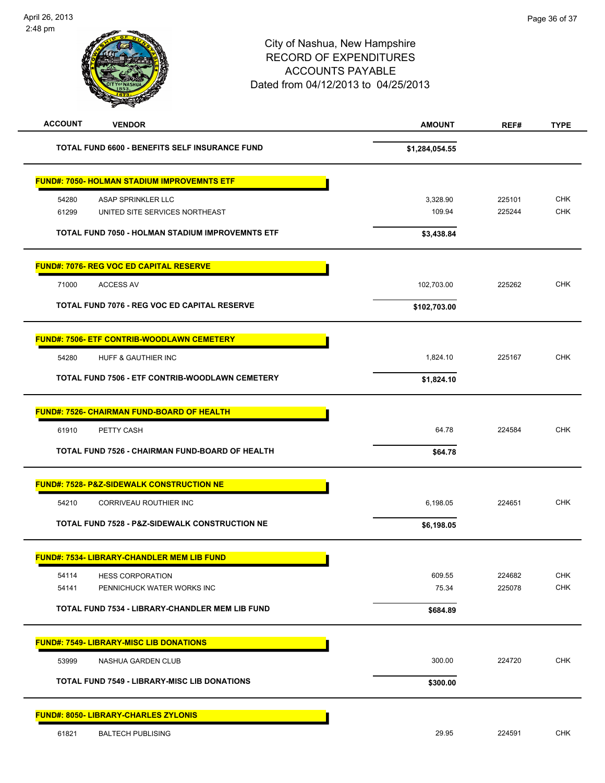| <b>ACCOUNT</b><br><b>VENDOR</b>                                        | <b>AMOUNT</b>      | REF#             | <b>TYPE</b>              |
|------------------------------------------------------------------------|--------------------|------------------|--------------------------|
| <b>TOTAL FUND 6600 - BENEFITS SELF INSURANCE FUND</b>                  | \$1,284,054.55     |                  |                          |
| <b>FUND#: 7050- HOLMAN STADIUM IMPROVEMNTS ETF</b>                     |                    |                  |                          |
| 54280<br>ASAP SPRINKLER LLC<br>UNITED SITE SERVICES NORTHEAST<br>61299 | 3,328.90<br>109.94 | 225101<br>225244 | <b>CHK</b><br><b>CHK</b> |
| TOTAL FUND 7050 - HOLMAN STADIUM IMPROVEMNTS ETF                       | \$3,438.84         |                  |                          |
| <b>FUND#: 7076- REG VOC ED CAPITAL RESERVE</b>                         |                    |                  |                          |
| 71000<br><b>ACCESS AV</b>                                              | 102,703.00         | 225262           | <b>CHK</b>               |
| TOTAL FUND 7076 - REG VOC ED CAPITAL RESERVE                           | \$102,703.00       |                  |                          |
| <b>FUND#: 7506- ETF CONTRIB-WOODLAWN CEMETERY</b>                      |                    |                  |                          |
| 54280<br>HUFF & GAUTHIER INC                                           | 1,824.10           | 225167           | CHK                      |
| <b>TOTAL FUND 7506 - ETF CONTRIB-WOODLAWN CEMETERY</b>                 | \$1,824.10         |                  |                          |
| <b>FUND#: 7526- CHAIRMAN FUND-BOARD OF HEALTH</b>                      |                    |                  |                          |
| 61910<br>PETTY CASH                                                    | 64.78              | 224584           | <b>CHK</b>               |
| TOTAL FUND 7526 - CHAIRMAN FUND-BOARD OF HEALTH                        | \$64.78            |                  |                          |
| <b>FUND#: 7528- P&amp;Z-SIDEWALK CONSTRUCTION NE</b>                   |                    |                  |                          |
| 54210<br>CORRIVEAU ROUTHIER INC                                        | 6,198.05           | 224651           | <b>CHK</b>               |
| <b>TOTAL FUND 7528 - P&amp;Z-SIDEWALK CONSTRUCTION NE</b>              | \$6,198.05         |                  |                          |
| <u> FUND#: 7534- LIBRARY-CHANDLER MEM LIB FUND</u>                     |                    |                  |                          |
| 54114<br><b>HESS CORPORATION</b>                                       | 609.55             | 224682           | <b>CHK</b>               |
| 54141<br>PENNICHUCK WATER WORKS INC                                    | 75.34              | 225078           | <b>CHK</b>               |
| <b>TOTAL FUND 7534 - LIBRARY-CHANDLER MEM LIB FUND</b>                 | \$684.89           |                  |                          |
| <b>FUND#: 7549- LIBRARY-MISC LIB DONATIONS</b>                         |                    |                  |                          |
| 53999<br>NASHUA GARDEN CLUB                                            | 300.00             | 224720           | <b>CHK</b>               |
| <b>TOTAL FUND 7549 - LIBRARY-MISC LIB DONATIONS</b>                    | \$300.00           |                  |                          |
| <b>FUND#: 8050- LIBRARY-CHARLES ZYLONIS</b>                            |                    |                  |                          |
| 61821<br><b>BALTECH PUBLISING</b>                                      | 29.95              | 224591           | <b>CHK</b>               |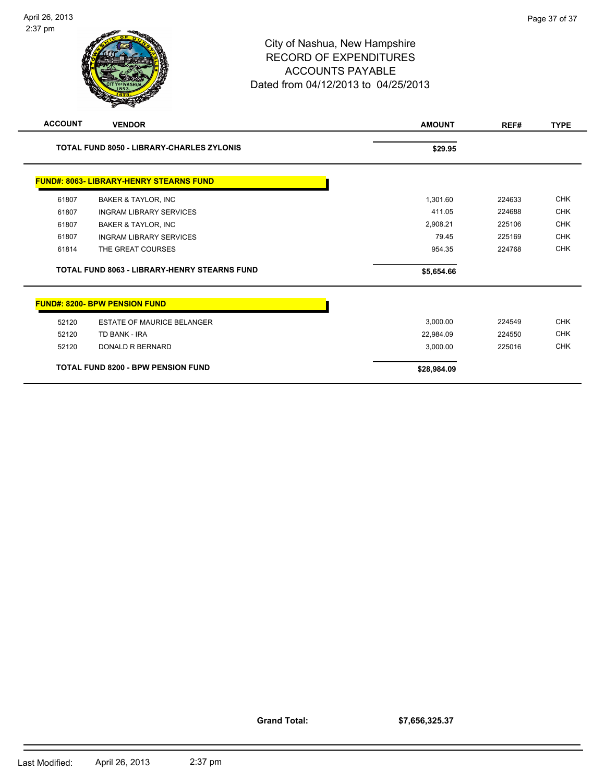#### City of Nashua, New Hampshire RECORD OF EXPENDITURES ACCOUNTS PAYABLE Dated from 04/12/2013 to 04/25/2013

| <b>ACCOUNT</b> | <b>VENDOR</b>                                       | <b>AMOUNT</b> | REF#   | <b>TYPE</b> |
|----------------|-----------------------------------------------------|---------------|--------|-------------|
|                | <b>TOTAL FUND 8050 - LIBRARY-CHARLES ZYLONIS</b>    | \$29.95       |        |             |
|                | <b>FUND#: 8063- LIBRARY-HENRY STEARNS FUND</b>      |               |        |             |
| 61807          | <b>BAKER &amp; TAYLOR, INC</b>                      | 1,301.60      | 224633 | <b>CHK</b>  |
| 61807          | <b>INGRAM LIBRARY SERVICES</b>                      | 411.05        | 224688 | <b>CHK</b>  |
| 61807          | <b>BAKER &amp; TAYLOR, INC</b>                      | 2,908.21      | 225106 | <b>CHK</b>  |
| 61807          | <b>INGRAM LIBRARY SERVICES</b>                      | 79.45         | 225169 | <b>CHK</b>  |
| 61814          | THE GREAT COURSES                                   | 954.35        | 224768 | <b>CHK</b>  |
|                | <b>TOTAL FUND 8063 - LIBRARY-HENRY STEARNS FUND</b> | \$5,654.66    |        |             |
|                | <b>FUND#: 8200- BPW PENSION FUND</b>                |               |        |             |
| 52120          | <b>ESTATE OF MAURICE BELANGER</b>                   | 3,000.00      | 224549 | <b>CHK</b>  |
| 52120          | TD BANK - IRA                                       | 22,984.09     | 224550 | <b>CHK</b>  |
| 52120          | <b>DONALD R BERNARD</b>                             | 3,000.00      | 225016 | <b>CHK</b>  |
|                | <b>TOTAL FUND 8200 - BPW PENSION FUND</b>           | \$28,984.09   |        |             |

**Grand Total:**

**\$7,656,325.37**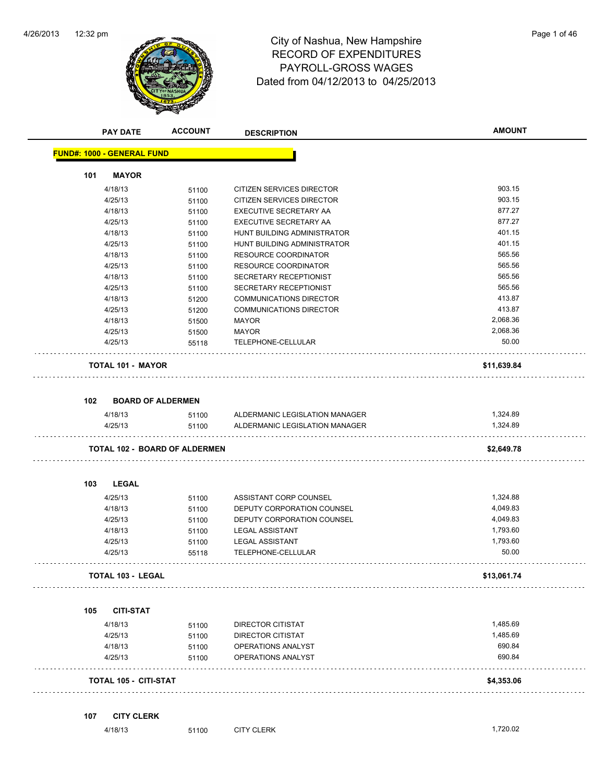

# 12:32 pm Page 1 of 46 RECORD OF EXPENDITURES PAYROLL-GROSS WAGES Dated from 04/12/2013 to 04/25/2013

| Page 1 of 46 |  |  |
|--------------|--|--|
|              |  |  |
|              |  |  |

| <b>PAY DATE</b>                   | <b>ACCOUNT</b> | <b>DESCRIPTION</b>             | <b>AMOUNT</b> |
|-----------------------------------|----------------|--------------------------------|---------------|
| <b>FUND#: 1000 - GENERAL FUND</b> |                |                                |               |
| <b>MAYOR</b><br>101               |                |                                |               |
| 4/18/13                           | 51100          | CITIZEN SERVICES DIRECTOR      | 903.15        |
| 4/25/13                           | 51100          | CITIZEN SERVICES DIRECTOR      | 903.15        |
| 4/18/13                           | 51100          | EXECUTIVE SECRETARY AA         | 877.27        |
| 4/25/13                           | 51100          | EXECUTIVE SECRETARY AA         | 877.27        |
| 4/18/13                           | 51100          | HUNT BUILDING ADMINISTRATOR    | 401.15        |
| 4/25/13                           | 51100          | HUNT BUILDING ADMINISTRATOR    | 401.15        |
| 4/18/13                           | 51100          | <b>RESOURCE COORDINATOR</b>    | 565.56        |
| 4/25/13                           | 51100          | RESOURCE COORDINATOR           | 565.56        |
| 4/18/13                           | 51100          | SECRETARY RECEPTIONIST         | 565.56        |
| 4/25/13                           | 51100          | SECRETARY RECEPTIONIST         | 565.56        |
| 4/18/13                           | 51200          | <b>COMMUNICATIONS DIRECTOR</b> | 413.87        |
| 4/25/13                           | 51200          | <b>COMMUNICATIONS DIRECTOR</b> | 413.87        |
| 4/18/13                           | 51500          | MAYOR                          | 2,068.36      |
| 4/25/13                           | 51500          | <b>MAYOR</b>                   | 2,068.36      |
| 4/25/13                           | 55118          | TELEPHONE-CELLULAR             | 50.00         |
| <b>TOTAL 101 - MAYOR</b>          |                |                                | \$11,639.84   |
| 102<br><b>BOARD OF ALDERMEN</b>   |                |                                |               |
| 4/18/13                           | 51100          | ALDERMANIC LEGISLATION MANAGER | 1,324.89      |
| 4/25/13                           | 51100          | ALDERMANIC LEGISLATION MANAGER | 1,324.89      |
| TOTAL 102 - BOARD OF ALDERMEN     |                |                                | \$2,649.78    |
|                                   |                |                                |               |
| 103<br><b>LEGAL</b>               |                |                                |               |
| 4/25/13                           | 51100          | ASSISTANT CORP COUNSEL         | 1,324.88      |
| 4/18/13                           | 51100          | DEPUTY CORPORATION COUNSEL     | 4,049.83      |
| 4/25/13                           | 51100          | DEPUTY CORPORATION COUNSEL     | 4,049.83      |
| 4/18/13                           | 51100          | <b>LEGAL ASSISTANT</b>         | 1,793.60      |
| 4/25/13                           | 51100          | <b>LEGAL ASSISTANT</b>         | 1,793.60      |
| 4/25/13                           | 55118          | TELEPHONE-CELLULAR             | 50.00         |
| <b>TOTAL 103 - LEGAL</b>          |                |                                | \$13,061.74   |
| 105<br><b>CITI-STAT</b>           |                |                                |               |
| 4/18/13                           | 51100          | <b>DIRECTOR CITISTAT</b>       | 1,485.69      |
| 4/25/13                           | 51100          | DIRECTOR CITISTAT              | 1,485.69      |
| 4/18/13                           | 51100          | OPERATIONS ANALYST             | 690.84        |
| 4/25/13                           | 51100          | OPERATIONS ANALYST             | 690.84        |
| TOTAL 105 - CITI-STAT             |                |                                | \$4,353.06    |
| 107<br><b>CITY CLERK</b>          |                |                                |               |
| 4/18/13                           | 51100          | <b>CITY CLERK</b>              | 1,720.02      |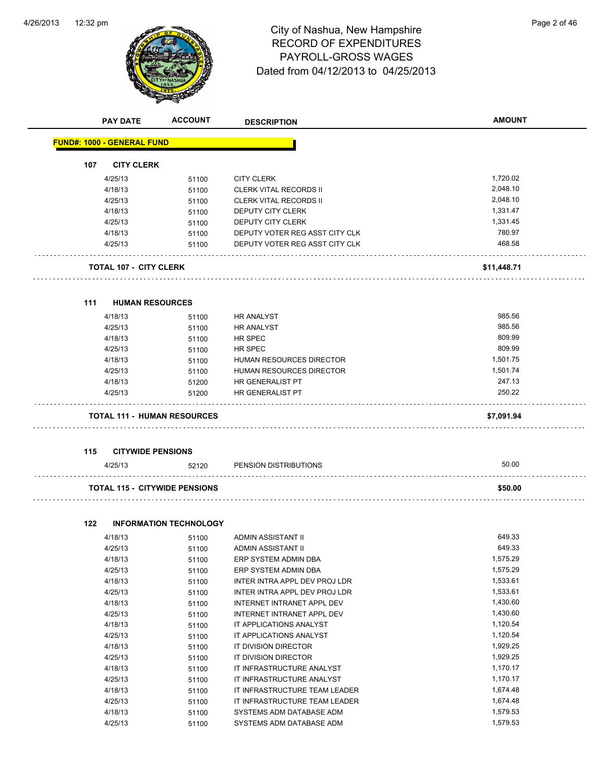

# 12:32 pm Page 2 of 46 RECORD OF EXPENDITURES PAYROLL-GROSS WAGES Dated from 04/12/2013 to 04/25/2013

|     | <b>PAY DATE</b>                      | <b>ACCOUNT</b>                | <b>DESCRIPTION</b>                                  | <b>AMOUNT</b>        |
|-----|--------------------------------------|-------------------------------|-----------------------------------------------------|----------------------|
|     | <b>FUND#: 1000 - GENERAL FUND</b>    |                               |                                                     |                      |
| 107 | <b>CITY CLERK</b>                    |                               |                                                     |                      |
|     |                                      |                               |                                                     | 1,720.02             |
|     | 4/25/13<br>4/18/13                   | 51100                         | <b>CITY CLERK</b><br><b>CLERK VITAL RECORDS II</b>  | 2,048.10             |
|     | 4/25/13                              | 51100                         |                                                     | 2,048.10             |
|     | 4/18/13                              | 51100                         | <b>CLERK VITAL RECORDS II</b><br>DEPUTY CITY CLERK  | 1,331.47             |
|     |                                      | 51100                         |                                                     | 1,331.45             |
|     | 4/25/13<br>4/18/13                   | 51100                         | DEPUTY CITY CLERK<br>DEPUTY VOTER REG ASST CITY CLK | 780.97               |
|     | 4/25/13                              | 51100                         | DEPUTY VOTER REG ASST CITY CLK                      | 468.58               |
|     |                                      | 51100                         |                                                     |                      |
|     | <b>TOTAL 107 - CITY CLERK</b>        |                               |                                                     | \$11,448.71          |
| 111 | <b>HUMAN RESOURCES</b>               |                               |                                                     |                      |
|     |                                      |                               |                                                     |                      |
|     | 4/18/13                              | 51100                         | <b>HR ANALYST</b>                                   | 985.56               |
|     | 4/25/13                              | 51100                         | <b>HR ANALYST</b>                                   | 985.56               |
|     | 4/18/13                              | 51100                         | HR SPEC                                             | 809.99               |
|     | 4/25/13                              | 51100                         | HR SPEC                                             | 809.99               |
|     | 4/18/13                              | 51100                         | <b>HUMAN RESOURCES DIRECTOR</b>                     | 1,501.75             |
|     | 4/25/13                              | 51100                         | HUMAN RESOURCES DIRECTOR                            | 1,501.74             |
|     | 4/18/13                              | 51200                         | HR GENERALIST PT                                    | 247.13<br>250.22     |
|     | 4/25/13                              | 51200                         | <b>HR GENERALIST PT</b>                             |                      |
|     | <b>TOTAL 111 - HUMAN RESOURCES</b>   |                               |                                                     | \$7,091.94           |
|     |                                      |                               |                                                     |                      |
| 115 | <b>CITYWIDE PENSIONS</b>             |                               |                                                     |                      |
|     | 4/25/13                              | 52120                         | PENSION DISTRIBUTIONS                               | 50.00                |
|     | <b>TOTAL 115 - CITYWIDE PENSIONS</b> |                               |                                                     | \$50.00              |
|     |                                      |                               |                                                     |                      |
| 122 |                                      | <b>INFORMATION TECHNOLOGY</b> |                                                     |                      |
|     | 4/18/13                              | 51100                         | <b>ADMIN ASSISTANT II</b>                           | 649.33<br>649.33     |
|     | 4/25/13                              | 51100                         | ADMIN ASSISTANT II                                  |                      |
|     | 4/18/13                              | 51100                         | ERP SYSTEM ADMIN DBA                                | 1,575.29<br>1,575.29 |
|     | 4/25/13                              | 51100                         | ERP SYSTEM ADMIN DBA                                | 1,533.61             |
|     | 4/18/13                              | 51100                         | INTER INTRA APPL DEV PROJ LDR                       | 1,533.61             |
|     | 4/25/13                              | 51100                         | INTER INTRA APPL DEV PROJ LDR                       |                      |
|     | 4/18/13                              | 51100                         | INTERNET INTRANET APPL DEV                          | 1,430.60<br>1,430.60 |
|     | 4/25/13                              | 51100                         | INTERNET INTRANET APPL DEV                          |                      |
|     | 4/18/13                              | 51100                         | IT APPLICATIONS ANALYST                             | 1,120.54             |
|     | 4/25/13                              | 51100                         | IT APPLICATIONS ANALYST                             | 1,120.54             |
|     | 4/18/13                              | 51100                         | IT DIVISION DIRECTOR                                | 1,929.25             |
|     | 4/25/13                              | 51100                         | IT DIVISION DIRECTOR                                | 1,929.25             |
|     | 4/18/13                              | 51100                         | IT INFRASTRUCTURE ANALYST                           | 1,170.17             |
|     | 4/25/13                              | 51100                         | IT INFRASTRUCTURE ANALYST                           | 1,170.17             |
|     | 4/18/13                              | 51100                         | IT INFRASTRUCTURE TEAM LEADER                       | 1,674.48             |
|     | 4/25/13                              | 51100                         | IT INFRASTRUCTURE TEAM LEADER                       | 1,674.48             |
|     | 4/18/13                              | 51100                         | SYSTEMS ADM DATABASE ADM                            | 1,579.53             |
|     | 4/25/13                              | 51100                         | SYSTEMS ADM DATABASE ADM                            | 1,579.53             |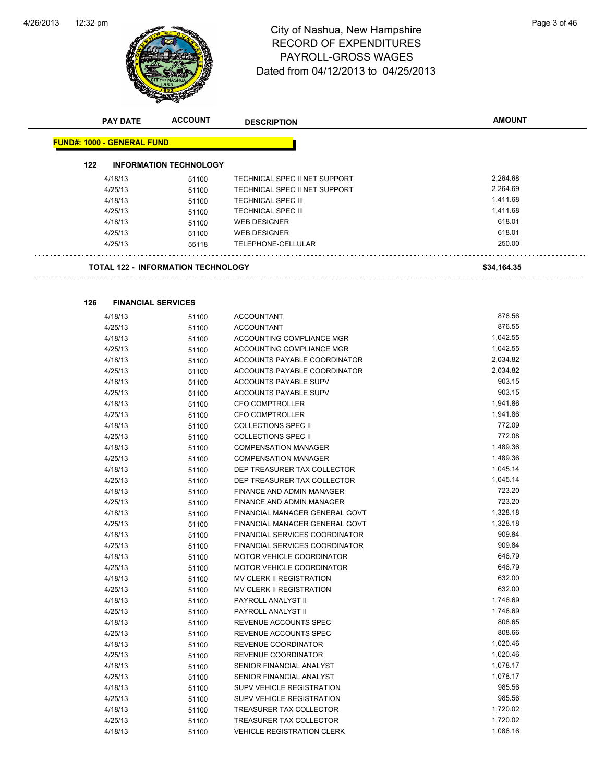

# 12:32 pm Page 3 of 46 RECORD OF EXPENDITURES PAYROLL-GROSS WAGES Dated from 04/12/2013 to 04/25/2013

| <b>PAY DATE</b>                           | <b>ACCOUNT</b>                | <b>DESCRIPTION</b>               | <b>AMOUNT</b> |
|-------------------------------------------|-------------------------------|----------------------------------|---------------|
| <b>FUND#: 1000 - GENERAL FUND</b>         |                               |                                  |               |
| 122                                       | <b>INFORMATION TECHNOLOGY</b> |                                  |               |
|                                           |                               |                                  |               |
| 4/18/13                                   | 51100                         | TECHNICAL SPEC II NET SUPPORT    | 2,264.68      |
| 4/25/13                                   | 51100                         | TECHNICAL SPEC II NET SUPPORT    | 2,264.69      |
| 4/18/13                                   | 51100                         | <b>TECHNICAL SPEC III</b>        | 1,411.68      |
| 4/25/13                                   | 51100                         | <b>TECHNICAL SPEC III</b>        | 1,411.68      |
| 4/18/13                                   | 51100                         | <b>WEB DESIGNER</b>              | 618.01        |
| 4/25/13                                   | 51100                         | <b>WEB DESIGNER</b>              | 618.01        |
| 4/25/13                                   | 55118                         | TELEPHONE-CELLULAR               | 250.00        |
| <b>TOTAL 122 - INFORMATION TECHNOLOGY</b> |                               |                                  | \$34,164.35   |
|                                           |                               |                                  |               |
| 126<br><b>FINANCIAL SERVICES</b>          |                               |                                  |               |
| 4/18/13                                   | 51100                         | <b>ACCOUNTANT</b>                | 876.56        |
| 4/25/13                                   | 51100                         | <b>ACCOUNTANT</b>                | 876.55        |
| 4/18/13                                   | 51100                         | ACCOUNTING COMPLIANCE MGR        | 1,042.55      |
| 4/25/13                                   | 51100                         | ACCOUNTING COMPLIANCE MGR        | 1,042.55      |
| 4/18/13                                   | 51100                         | ACCOUNTS PAYABLE COORDINATOR     | 2,034.82      |
| 4/25/13                                   | 51100                         | ACCOUNTS PAYABLE COORDINATOR     | 2,034.82      |
| 4/18/13                                   | 51100                         | <b>ACCOUNTS PAYABLE SUPV</b>     | 903.15        |
| 4/25/13                                   | 51100                         | <b>ACCOUNTS PAYABLE SUPV</b>     | 903.15        |
| 4/18/13                                   | 51100                         | CFO COMPTROLLER                  | 1,941.86      |
| 4/25/13                                   | 51100                         | CFO COMPTROLLER                  | 1,941.86      |
| 4/18/13                                   | 51100                         | <b>COLLECTIONS SPEC II</b>       | 772.09        |
| 4/25/13                                   | 51100                         | <b>COLLECTIONS SPEC II</b>       | 772.08        |
| 4/18/13                                   | 51100                         | <b>COMPENSATION MANAGER</b>      | 1,489.36      |
| 4/25/13                                   | 51100                         | <b>COMPENSATION MANAGER</b>      | 1,489.36      |
| 4/18/13                                   | 51100                         | DEP TREASURER TAX COLLECTOR      | 1,045.14      |
| 4/25/13                                   | 51100                         | DEP TREASURER TAX COLLECTOR      | 1,045.14      |
| 4/18/13                                   | 51100                         | FINANCE AND ADMIN MANAGER        | 723.20        |
| 4/25/13                                   | 51100                         | <b>FINANCE AND ADMIN MANAGER</b> | 723.20        |
| 4/18/13                                   | 51100                         | FINANCIAL MANAGER GENERAL GOVT   | 1,328.18      |
| 4/25/13                                   | 51100                         | FINANCIAL MANAGER GENERAL GOVT   | 1,328.18      |
| 4/18/13                                   | 51100                         | FINANCIAL SERVICES COORDINATOR   | 909.84        |
| 4/25/13                                   | 51100                         | FINANCIAL SERVICES COORDINATOR   | 909.84        |
| 4/18/13                                   | 51100                         | MOTOR VEHICLE COORDINATOR        | 646.79        |
| 4/25/13                                   | 51100                         | MOTOR VEHICLE COORDINATOR        | 646.79        |
| 4/18/13                                   | 51100                         | MV CLERK II REGISTRATION         | 632.00        |
| 4/25/13                                   | 51100                         | MV CLERK II REGISTRATION         | 632.00        |
| 4/18/13                                   | 51100                         | PAYROLL ANALYST II               | 1,746.69      |
| 4/25/13                                   | 51100                         | PAYROLL ANALYST II               | 1,746.69      |
| 4/18/13                                   | 51100                         | REVENUE ACCOUNTS SPEC            | 808.65        |
| 4/25/13                                   | 51100                         | REVENUE ACCOUNTS SPEC            | 808.66        |
| 4/18/13                                   | 51100                         | REVENUE COORDINATOR              | 1,020.46      |
| 4/25/13                                   | 51100                         | REVENUE COORDINATOR              | 1,020.46      |
| 4/18/13                                   | 51100                         | SENIOR FINANCIAL ANALYST         | 1,078.17      |
| 4/25/13                                   | 51100                         | SENIOR FINANCIAL ANALYST         | 1,078.17      |
| 4/18/13                                   | 51100                         | SUPV VEHICLE REGISTRATION        | 985.56        |
| 4/25/13                                   | 51100                         | SUPV VEHICLE REGISTRATION        | 985.56        |
| 4/18/13                                   | 51100                         | TREASURER TAX COLLECTOR          | 1,720.02      |
| 4/25/13                                   | 51100                         | TREASURER TAX COLLECTOR          | 1,720.02      |
| 4/18/13                                   | 51100                         | VEHICLE REGISTRATION CLERK       | 1,086.16      |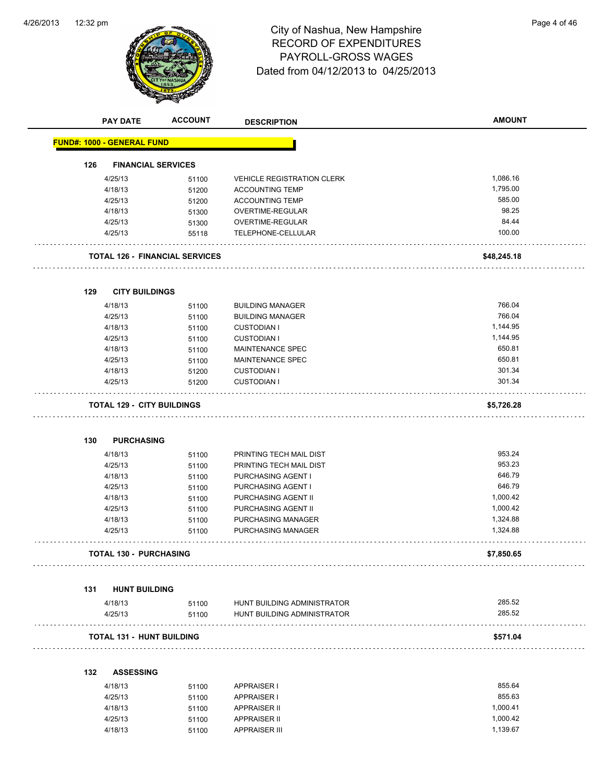

# 12:32 pm Page 4 of 46 RECORD OF EXPENDITURES PAYROLL-GROSS WAGES Dated from 04/12/2013 to 04/25/2013

| <b>PAY DATE</b>                   | <b>ACCOUNT</b>                    | <b>DESCRIPTION</b>                | <b>AMOUNT</b> |
|-----------------------------------|-----------------------------------|-----------------------------------|---------------|
| <b>FUND#: 1000 - GENERAL FUND</b> |                                   |                                   |               |
| 126                               | <b>FINANCIAL SERVICES</b>         |                                   |               |
| 4/25/13                           | 51100                             | <b>VEHICLE REGISTRATION CLERK</b> | 1,086.16      |
| 4/18/13                           | 51200                             | <b>ACCOUNTING TEMP</b>            | 1,795.00      |
| 4/25/13                           | 51200                             | <b>ACCOUNTING TEMP</b>            | 585.00        |
| 4/18/13                           | 51300                             | OVERTIME-REGULAR                  | 98.25         |
| 4/25/13                           | 51300                             | OVERTIME-REGULAR                  | 84.44         |
| 4/25/13                           | 55118                             | TELEPHONE-CELLULAR                | 100.00        |
|                                   | TOTAL 126 - FINANCIAL SERVICES    |                                   | \$48,245.18   |
| 129                               | <b>CITY BUILDINGS</b>             |                                   |               |
| 4/18/13                           | 51100                             | <b>BUILDING MANAGER</b>           | 766.04        |
| 4/25/13                           | 51100                             | <b>BUILDING MANAGER</b>           | 766.04        |
| 4/18/13                           | 51100                             | <b>CUSTODIAN I</b>                | 1,144.95      |
| 4/25/13                           | 51100                             | <b>CUSTODIAN I</b>                | 1,144.95      |
| 4/18/13                           | 51100                             | <b>MAINTENANCE SPEC</b>           | 650.81        |
| 4/25/13                           | 51100                             | <b>MAINTENANCE SPEC</b>           | 650.81        |
| 4/18/13                           | 51200                             | <b>CUSTODIAN I</b>                | 301.34        |
| 4/25/13                           | 51200                             | <b>CUSTODIAN I</b>                | 301.34        |
|                                   | <b>TOTAL 129 - CITY BUILDINGS</b> |                                   | \$5,726.28    |
|                                   |                                   |                                   |               |
| 130<br><b>PURCHASING</b>          |                                   |                                   |               |
| 4/18/13                           | 51100                             | PRINTING TECH MAIL DIST           | 953.24        |
| 4/25/13                           | 51100                             | PRINTING TECH MAIL DIST           | 953.23        |
| 4/18/13                           | 51100                             | PURCHASING AGENT I                | 646.79        |
| 4/25/13                           | 51100                             | PURCHASING AGENT I                | 646.79        |
| 4/18/13                           | 51100                             | PURCHASING AGENT II               | 1,000.42      |
| 4/25/13                           | 51100                             | PURCHASING AGENT II               | 1,000.42      |
| 4/18/13                           | 51100                             | PURCHASING MANAGER                | 1,324.88      |
| 4/25/13                           | 51100                             | PURCHASING MANAGER                | 1,324.88      |
| <b>TOTAL 130 - PURCHASING</b>     |                                   |                                   | \$7,850.65    |
| 131                               | <b>HUNT BUILDING</b>              |                                   |               |
| 4/18/13                           | 51100                             | HUNT BUILDING ADMINISTRATOR       | 285.52        |
| 4/25/13                           | 51100                             | HUNT BUILDING ADMINISTRATOR       | 285.52        |
|                                   | <b>TOTAL 131 - HUNT BUILDING</b>  |                                   | \$571.04      |
| 132<br><b>ASSESSING</b>           |                                   |                                   |               |
| 4/18/13                           | 51100                             | <b>APPRAISER I</b>                | 855.64        |
| 1051122                           |                                   | 0.0001000                         | $OEE$ $CO$    |

| 4/18/13 | 51100 | APPRAISER I         | 855.64   |
|---------|-------|---------------------|----------|
| 4/25/13 | 51100 | <b>APPRAISER I</b>  | 855.63   |
| 4/18/13 | 51100 | <b>APPRAISER II</b> | 1.000.41 |
| 4/25/13 | 51100 | <b>APPRAISER II</b> | 1.000.42 |
| 4/18/13 | 51100 | APPRAISER III       | 1.139.67 |
|         |       |                     |          |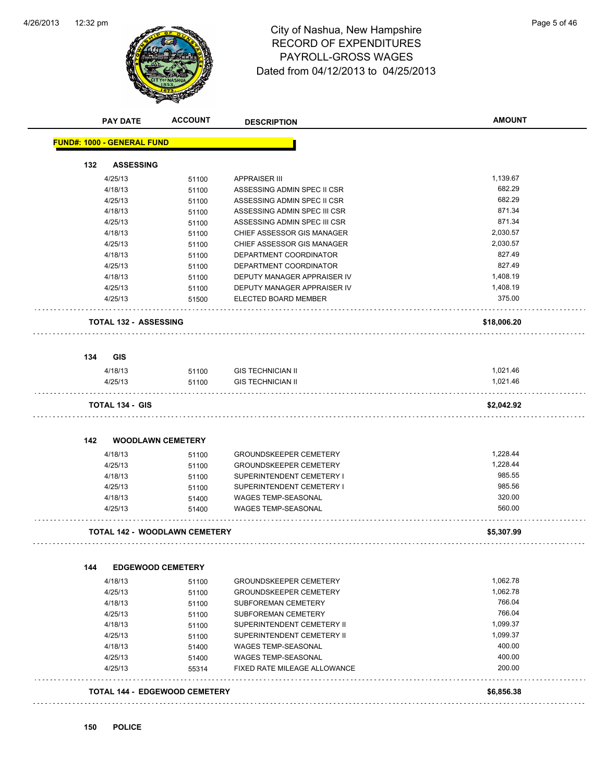

## 12:32 pm Page 5 of 46 RECORD OF EXPENDITURES PAYROLL-GROSS WAGES Dated from 04/12/2013 to 04/25/2013

|     | <b>PAY DATE</b>                      | <b>ACCOUNT</b> | <b>DESCRIPTION</b>            | <b>AMOUNT</b> |
|-----|--------------------------------------|----------------|-------------------------------|---------------|
|     | <b>FUND#: 1000 - GENERAL FUND</b>    |                |                               |               |
| 132 | <b>ASSESSING</b>                     |                |                               |               |
|     | 4/25/13                              | 51100          | <b>APPRAISER III</b>          | 1,139.67      |
|     | 4/18/13                              | 51100          | ASSESSING ADMIN SPEC II CSR   | 682.29        |
|     | 4/25/13                              | 51100          | ASSESSING ADMIN SPEC II CSR   | 682.29        |
|     | 4/18/13                              | 51100          | ASSESSING ADMIN SPEC III CSR  | 871.34        |
|     | 4/25/13                              | 51100          | ASSESSING ADMIN SPEC III CSR  | 871.34        |
|     | 4/18/13                              | 51100          | CHIEF ASSESSOR GIS MANAGER    | 2,030.57      |
|     | 4/25/13                              | 51100          | CHIEF ASSESSOR GIS MANAGER    | 2.030.57      |
|     | 4/18/13                              | 51100          | DEPARTMENT COORDINATOR        | 827.49        |
|     | 4/25/13                              | 51100          | DEPARTMENT COORDINATOR        | 827.49        |
|     | 4/18/13                              | 51100          | DEPUTY MANAGER APPRAISER IV   | 1,408.19      |
|     | 4/25/13                              | 51100          | DEPUTY MANAGER APPRAISER IV   | 1,408.19      |
|     | 4/25/13                              | 51500          | ELECTED BOARD MEMBER          | 375.00        |
|     | <b>TOTAL 132 - ASSESSING</b>         |                |                               | \$18,006.20   |
|     |                                      |                |                               |               |
| 134 | <b>GIS</b>                           |                |                               |               |
|     | 4/18/13                              | 51100          | <b>GIS TECHNICIAN II</b>      | 1,021.46      |
|     | 4/25/13                              | 51100          | <b>GIS TECHNICIAN II</b>      | 1,021.46      |
|     | <b>TOTAL 134 - GIS</b>               |                |                               | \$2,042.92    |
| 142 | <b>WOODLAWN CEMETERY</b>             |                |                               |               |
|     | 4/18/13                              | 51100          | <b>GROUNDSKEEPER CEMETERY</b> | 1,228.44      |
|     | 4/25/13                              | 51100          | GROUNDSKEEPER CEMETERY        | 1,228.44      |
|     | 4/18/13                              | 51100          | SUPERINTENDENT CEMETERY I     | 985.55        |
|     | 4/25/13                              | 51100          | SUPERINTENDENT CEMETERY I     | 985.56        |
|     | 4/18/13                              | 51400          | WAGES TEMP-SEASONAL           | 320.00        |
|     | 4/25/13                              | 51400          | <b>WAGES TEMP-SEASONAL</b>    | 560.00        |
|     | <b>TOTAL 142 - WOODLAWN CEMETERY</b> |                |                               | \$5,307.99    |
|     |                                      |                |                               |               |
| 144 | <b>EDGEWOOD CEMETERY</b>             |                |                               |               |
|     | 4/18/13                              | 51100          | <b>GROUNDSKEEPER CEMETERY</b> | 1,062.78      |
|     | 4/25/13                              | 51100          | <b>GROUNDSKEEPER CEMETERY</b> | 1,062.78      |
|     | 4/18/13                              | 51100          | SUBFOREMAN CEMETERY           | 766.04        |
|     | 4/25/13                              | 51100          | SUBFOREMAN CEMETERY           | 766.04        |
|     | 4/18/13                              | 51100          | SUPERINTENDENT CEMETERY II    | 1,099.37      |
|     | 4/25/13                              | 51100          | SUPERINTENDENT CEMETERY II    | 1,099.37      |
|     | 4/18/13                              | 51400          | WAGES TEMP-SEASONAL           | 400.00        |
|     | 4/25/13                              | 51400          | WAGES TEMP-SEASONAL           | 400.00        |
|     | 4/25/13                              | 55314          | FIXED RATE MILEAGE ALLOWANCE  | 200.00        |
|     | <b>TOTAL 144 - EDGEWOOD CEMETERY</b> |                |                               | \$6,856.38    |
|     |                                      |                |                               |               |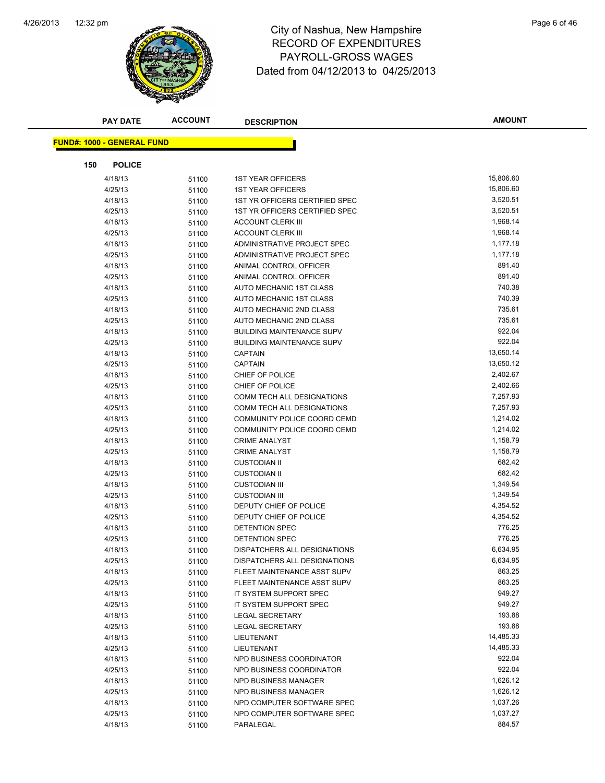

## 12:32 pm Page 6 of 46 RECORD OF EXPENDITURES PAYROLL-GROSS WAGES Dated from 04/12/2013 to 04/25/2013

| <b>PAY DATE</b>                   | <b>ACCOUNT</b> | <b>DESCRIPTION</b>                | <b>AMOUNT</b> |
|-----------------------------------|----------------|-----------------------------------|---------------|
|                                   |                |                                   |               |
| <b>FUND#: 1000 - GENERAL FUND</b> |                |                                   |               |
| 150<br><b>POLICE</b>              |                |                                   |               |
| 4/18/13                           | 51100          | <b>1ST YEAR OFFICERS</b>          | 15,806.60     |
| 4/25/13                           | 51100          | <b>1ST YEAR OFFICERS</b>          | 15,806.60     |
| 4/18/13                           | 51100          | 1ST YR OFFICERS CERTIFIED SPEC    | 3,520.51      |
| 4/25/13                           | 51100          | 1ST YR OFFICERS CERTIFIED SPEC    | 3,520.51      |
| 4/18/13                           | 51100          | <b>ACCOUNT CLERK III</b>          | 1,968.14      |
| 4/25/13                           | 51100          | <b>ACCOUNT CLERK III</b>          | 1,968.14      |
| 4/18/13                           | 51100          | ADMINISTRATIVE PROJECT SPEC       | 1,177.18      |
| 4/25/13                           | 51100          | ADMINISTRATIVE PROJECT SPEC       | 1,177.18      |
| 4/18/13                           | 51100          | ANIMAL CONTROL OFFICER            | 891.40        |
| 4/25/13                           | 51100          | ANIMAL CONTROL OFFICER            | 891.40        |
| 4/18/13                           | 51100          | AUTO MECHANIC 1ST CLASS           | 740.38        |
| 4/25/13                           | 51100          | AUTO MECHANIC 1ST CLASS           | 740.39        |
| 4/18/13                           | 51100          | AUTO MECHANIC 2ND CLASS           | 735.61        |
| 4/25/13                           | 51100          | AUTO MECHANIC 2ND CLASS           | 735.61        |
| 4/18/13                           | 51100          | <b>BUILDING MAINTENANCE SUPV</b>  | 922.04        |
| 4/25/13                           | 51100          | <b>BUILDING MAINTENANCE SUPV</b>  | 922.04        |
| 4/18/13                           | 51100          | <b>CAPTAIN</b>                    | 13,650.14     |
| 4/25/13                           | 51100          | CAPTAIN                           | 13,650.12     |
| 4/18/13                           | 51100          | CHIEF OF POLICE                   | 2,402.67      |
| 4/25/13                           | 51100          | CHIEF OF POLICE                   | 2,402.66      |
| 4/18/13                           | 51100          | <b>COMM TECH ALL DESIGNATIONS</b> | 7,257.93      |
| 4/25/13                           | 51100          | COMM TECH ALL DESIGNATIONS        | 7,257.93      |
| 4/18/13                           | 51100          | COMMUNITY POLICE COORD CEMD       | 1,214.02      |
| 4/25/13                           | 51100          | COMMUNITY POLICE COORD CEMD       | 1,214.02      |
| 4/18/13                           | 51100          | <b>CRIME ANALYST</b>              | 1,158.79      |
| 4/25/13                           | 51100          | <b>CRIME ANALYST</b>              | 1,158.79      |
| 4/18/13                           | 51100          | <b>CUSTODIAN II</b>               | 682.42        |
| 4/25/13                           | 51100          | <b>CUSTODIAN II</b>               | 682.42        |
| 4/18/13                           | 51100          | <b>CUSTODIAN III</b>              | 1,349.54      |
| 4/25/13                           | 51100          | <b>CUSTODIAN III</b>              | 1,349.54      |
| 4/18/13                           | 51100          | DEPUTY CHIEF OF POLICE            | 4,354.52      |
| 4/25/13                           | 51100          | DEPUTY CHIEF OF POLICE            | 4,354.52      |
| 4/18/13                           | 51100          | DETENTION SPEC                    | 776.25        |
| 4/25/13                           | 51100          | DETENTION SPEC                    | 776.25        |
| 4/18/13                           | 51100          | DISPATCHERS ALL DESIGNATIONS      | 6,634.95      |
| 4/25/13                           | 51100          | DISPATCHERS ALL DESIGNATIONS      | 6,634.95      |
| 4/18/13                           | 51100          | FLEET MAINTENANCE ASST SUPV       | 863.25        |
| 4/25/13                           | 51100          | FLEET MAINTENANCE ASST SUPV       | 863.25        |
| 4/18/13                           | 51100          | IT SYSTEM SUPPORT SPEC            | 949.27        |
| 4/25/13                           | 51100          | IT SYSTEM SUPPORT SPEC            | 949.27        |
| 4/18/13                           | 51100          | LEGAL SECRETARY                   | 193.88        |
| 4/25/13                           | 51100          | <b>LEGAL SECRETARY</b>            | 193.88        |
| 4/18/13                           | 51100          | LIEUTENANT                        | 14,485.33     |
| 4/25/13                           | 51100          | LIEUTENANT                        | 14,485.33     |
| 4/18/13                           | 51100          | NPD BUSINESS COORDINATOR          | 922.04        |
| 4/25/13                           | 51100          | NPD BUSINESS COORDINATOR          | 922.04        |
| 4/18/13                           | 51100          | NPD BUSINESS MANAGER              | 1,626.12      |
| 4/25/13                           | 51100          | NPD BUSINESS MANAGER              | 1,626.12      |
| 4/18/13                           | 51100          | NPD COMPUTER SOFTWARE SPEC        | 1,037.26      |
| 4/25/13                           | 51100          | NPD COMPUTER SOFTWARE SPEC        | 1,037.27      |
| 4/18/13                           | 51100          | PARALEGAL                         | 884.57        |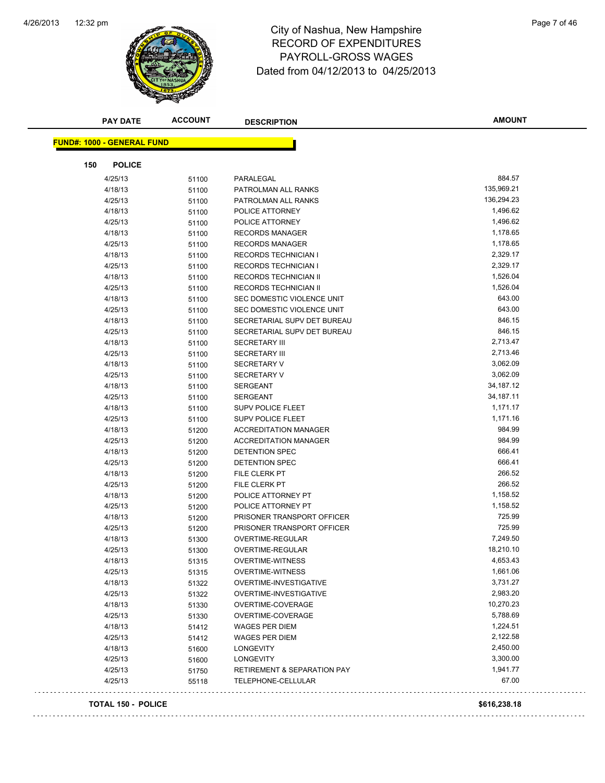

### 12:32 pm Page 7 of 46 RECORD OF EXPENDITURES PAYROLL-GROSS WAGES Dated from 04/12/2013 to 04/25/2013

|     | <b>PAY DATE</b>                   | <b>ACCOUNT</b> | <b>DESCRIPTION</b>           | <b>AMOUNT</b> |
|-----|-----------------------------------|----------------|------------------------------|---------------|
|     |                                   |                |                              |               |
|     | <b>FUND#: 1000 - GENERAL FUND</b> |                |                              |               |
| 150 | <b>POLICE</b>                     |                |                              |               |
|     | 4/25/13                           | 51100          | PARALEGAL                    | 884.57        |
|     | 4/18/13                           | 51100          | PATROLMAN ALL RANKS          | 135,969.21    |
|     | 4/25/13                           | 51100          | PATROLMAN ALL RANKS          | 136,294.23    |
|     | 4/18/13                           | 51100          | POLICE ATTORNEY              | 1,496.62      |
|     | 4/25/13                           | 51100          | POLICE ATTORNEY              | 1,496.62      |
|     | 4/18/13                           | 51100          | <b>RECORDS MANAGER</b>       | 1,178.65      |
|     | 4/25/13                           | 51100          | <b>RECORDS MANAGER</b>       | 1,178.65      |
|     | 4/18/13                           | 51100          | <b>RECORDS TECHNICIAN I</b>  | 2,329.17      |
|     | 4/25/13                           | 51100          | <b>RECORDS TECHNICIAN I</b>  | 2,329.17      |
|     | 4/18/13                           | 51100          | <b>RECORDS TECHNICIAN II</b> | 1,526.04      |
|     | 4/25/13                           | 51100          | RECORDS TECHNICIAN II        | 1,526.04      |
|     | 4/18/13                           | 51100          | SEC DOMESTIC VIOLENCE UNIT   | 643.00        |
|     | 4/25/13                           | 51100          | SEC DOMESTIC VIOLENCE UNIT   | 643.00        |
|     | 4/18/13                           | 51100          | SECRETARIAL SUPV DET BUREAU  | 846.15        |
|     | 4/25/13                           | 51100          | SECRETARIAL SUPV DET BUREAU  | 846.15        |
|     | 4/18/13                           | 51100          | <b>SECRETARY III</b>         | 2,713.47      |
|     | 4/25/13                           | 51100          | <b>SECRETARY III</b>         | 2,713.46      |
|     | 4/18/13                           | 51100          | <b>SECRETARY V</b>           | 3,062.09      |
|     | 4/25/13                           | 51100          | <b>SECRETARY V</b>           | 3,062.09      |
|     | 4/18/13                           | 51100          | <b>SERGEANT</b>              | 34,187.12     |
|     | 4/25/13                           | 51100          | <b>SERGEANT</b>              | 34,187.11     |
|     | 4/18/13                           | 51100          | <b>SUPV POLICE FLEET</b>     | 1,171.17      |
|     | 4/25/13                           | 51100          | <b>SUPV POLICE FLEET</b>     | 1,171.16      |
|     | 4/18/13                           | 51200          | <b>ACCREDITATION MANAGER</b> | 984.99        |
|     | 4/25/13                           | 51200          | <b>ACCREDITATION MANAGER</b> | 984.99        |
|     | 4/18/13                           | 51200          | DETENTION SPEC               | 666.41        |
|     | 4/25/13                           | 51200          | DETENTION SPEC               | 666.41        |
|     | 4/18/13                           | 51200          | FILE CLERK PT                | 266.52        |
|     | 4/25/13                           | 51200          | FILE CLERK PT                | 266.52        |
|     | 4/18/13                           | 51200          | POLICE ATTORNEY PT           | 1,158.52      |
|     | 4/25/13                           | 51200          | POLICE ATTORNEY PT           | 1,158.52      |
|     | 4/18/13                           | 51200          | PRISONER TRANSPORT OFFICER   | 725.99        |
|     | 4/25/13                           | 51200          | PRISONER TRANSPORT OFFICER   | 725.99        |
|     | 4/18/13                           | 51300          | OVERTIME-REGULAR             | 7,249.50      |
|     | 4/25/13                           | 51300          | <b>OVERTIME-REGULAR</b>      | 18,210.10     |
|     | 4/18/13                           | 51315          | OVERTIME-WITNESS             | 4,653.43      |
|     | 4/25/13                           | 51315          | <b>OVERTIME-WITNESS</b>      | 1,661.06      |
|     | 4/18/13                           | 51322          | OVERTIME-INVESTIGATIVE       | 3,731.27      |
|     | 4/25/13                           | 51322          | OVERTIME-INVESTIGATIVE       | 2,983.20      |
|     | 4/18/13                           | 51330          | OVERTIME-COVERAGE            | 10,270.23     |
|     | 4/25/13                           | 51330          | OVERTIME-COVERAGE            | 5,788.69      |
|     | 4/18/13                           | 51412          | <b>WAGES PER DIEM</b>        | 1,224.51      |
|     | 4/25/13                           | 51412          | WAGES PER DIEM               | 2,122.58      |
|     | 4/18/13                           | 51600          | <b>LONGEVITY</b>             | 2,450.00      |
|     | 4/25/13                           | 51600          | <b>LONGEVITY</b>             | 3,300.00      |
|     | 4/25/13                           | 51750          | RETIREMENT & SEPARATION PAY  | 1,941.77      |
|     | 4/25/13                           | 55118          | TELEPHONE-CELLULAR           | 67.00         |
|     |                                   |                |                              |               |

#### **TOTAL 150 - POLICE \$616,238.18**

 $\Box$  .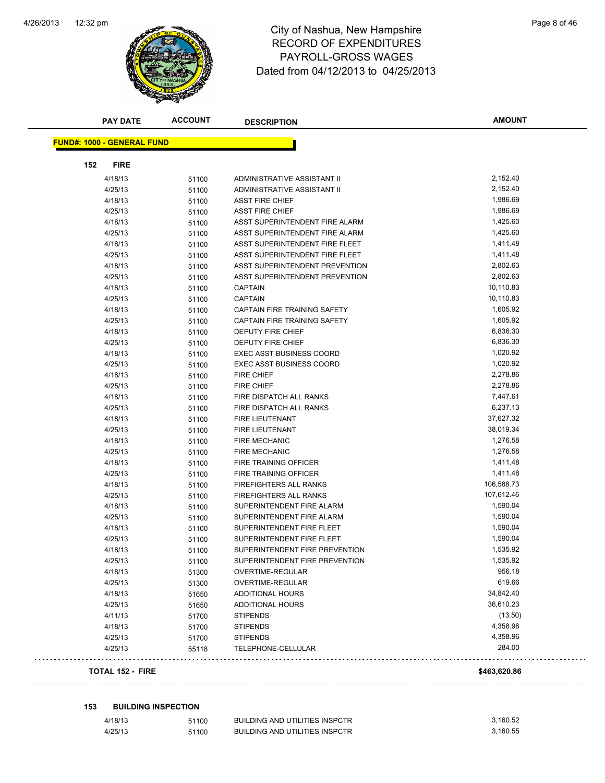

### 12:32 pm Page 8 of 46 RECORD OF EXPENDITURES PAYROLL-GROSS WAGES Dated from 04/12/2013 to 04/25/2013

| <b>PAY DATE</b>                   | <b>ACCOUNT</b> | <b>DESCRIPTION</b>                    | <b>AMOUNT</b>      |
|-----------------------------------|----------------|---------------------------------------|--------------------|
| <b>FUND#: 1000 - GENERAL FUND</b> |                |                                       |                    |
| 152<br><b>FIRE</b>                |                |                                       |                    |
| 4/18/13                           | 51100          | ADMINISTRATIVE ASSISTANT II           | 2,152.40           |
| 4/25/13                           | 51100          | ADMINISTRATIVE ASSISTANT II           | 2,152.40           |
| 4/18/13                           | 51100          | <b>ASST FIRE CHIEF</b>                | 1,986.69           |
| 4/25/13                           | 51100          | <b>ASST FIRE CHIEF</b>                | 1,986.69           |
| 4/18/13                           | 51100          | ASST SUPERINTENDENT FIRE ALARM        | 1,425.60           |
| 4/25/13                           | 51100          | ASST SUPERINTENDENT FIRE ALARM        | 1,425.60           |
| 4/18/13                           | 51100          | ASST SUPERINTENDENT FIRE FLEET        | 1,411.48           |
| 4/25/13                           | 51100          | ASST SUPERINTENDENT FIRE FLEET        | 1,411.48           |
| 4/18/13                           | 51100          | ASST SUPERINTENDENT PREVENTION        | 2,802.63           |
| 4/25/13                           | 51100          | ASST SUPERINTENDENT PREVENTION        | 2,802.63           |
| 4/18/13                           | 51100          | <b>CAPTAIN</b>                        | 10,110.83          |
| 4/25/13                           | 51100          | <b>CAPTAIN</b>                        | 10,110.83          |
| 4/18/13                           | 51100          | CAPTAIN FIRE TRAINING SAFETY          | 1,605.92           |
| 4/25/13                           | 51100          | CAPTAIN FIRE TRAINING SAFETY          | 1,605.92           |
| 4/18/13                           | 51100          | <b>DEPUTY FIRE CHIEF</b>              | 6,836.30           |
| 4/25/13                           | 51100          | DEPUTY FIRE CHIEF                     | 6,836.30           |
| 4/18/13                           | 51100          | <b>EXEC ASST BUSINESS COORD</b>       | 1,020.92           |
| 4/25/13                           | 51100          | <b>EXEC ASST BUSINESS COORD</b>       | 1,020.92           |
| 4/18/13                           | 51100          | <b>FIRE CHIEF</b>                     | 2,278.86           |
| 4/25/13                           | 51100          | <b>FIRE CHIEF</b>                     | 2,278.86           |
| 4/18/13                           | 51100          | FIRE DISPATCH ALL RANKS               | 7,447.61           |
| 4/25/13                           | 51100          | FIRE DISPATCH ALL RANKS               | 6,237.13           |
| 4/18/13                           | 51100          | FIRE LIEUTENANT                       | 37,627.32          |
| 4/25/13                           | 51100          | FIRE LIEUTENANT                       | 38,019.34          |
| 4/18/13                           | 51100          | <b>FIRE MECHANIC</b>                  | 1,276.58           |
| 4/25/13                           | 51100          | <b>FIRE MECHANIC</b>                  | 1,276.58           |
| 4/18/13                           | 51100          | FIRE TRAINING OFFICER                 | 1,411.48           |
| 4/25/13                           | 51100          | FIRE TRAINING OFFICER                 | 1,411.48           |
| 4/18/13                           | 51100          | FIREFIGHTERS ALL RANKS                | 106,588.73         |
| 4/25/13                           | 51100          | <b>FIREFIGHTERS ALL RANKS</b>         | 107,612.46         |
| 4/18/13                           | 51100          | SUPERINTENDENT FIRE ALARM             | 1,590.04           |
| 4/25/13                           |                | SUPERINTENDENT FIRE ALARM             | 1,590.04           |
| 4/18/13                           | 51100          | SUPERINTENDENT FIRE FLEET             | 1,590.04           |
| 4/25/13                           | 51100          | SUPERINTENDENT FIRE FLEET             | 1,590.04           |
| 4/18/13                           | 51100<br>51100 | SUPERINTENDENT FIRE PREVENTION        | 1,535.92           |
|                                   |                |                                       | 1,535.92           |
| 4/25/13                           | 51100          | SUPERINTENDENT FIRE PREVENTION        | 956.18             |
| 4/18/13<br>4/25/13                | 51300          | OVERTIME-REGULAR                      | 619.66             |
|                                   | 51300          | OVERTIME-REGULAR                      | 34,842.40          |
| 4/18/13                           | 51650          | <b>ADDITIONAL HOURS</b>               | 36,610.23          |
| 4/25/13                           | 51650          | <b>ADDITIONAL HOURS</b>               |                    |
| 4/11/13                           | 51700          | <b>STIPENDS</b>                       | (13.50)            |
| 4/18/13                           | 51700          | <b>STIPENDS</b>                       | 4,358.96           |
| 4/25/13<br>4/25/13                | 51700<br>55118 | <b>STIPENDS</b><br>TELEPHONE-CELLULAR | 4,358.96<br>284.00 |
|                                   |                |                                       |                    |
| <b>TOTAL 152 - FIRE</b>           |                |                                       | \$463,620.86       |
|                                   |                |                                       |                    |

**153 BUILDING INSPECTION**

4/18/13 51100 BUILDING AND UTILITIES INSPCTR 3,160.52 4/25/13 51100 BUILDING AND UTILITIES INSPCTR 3,160.55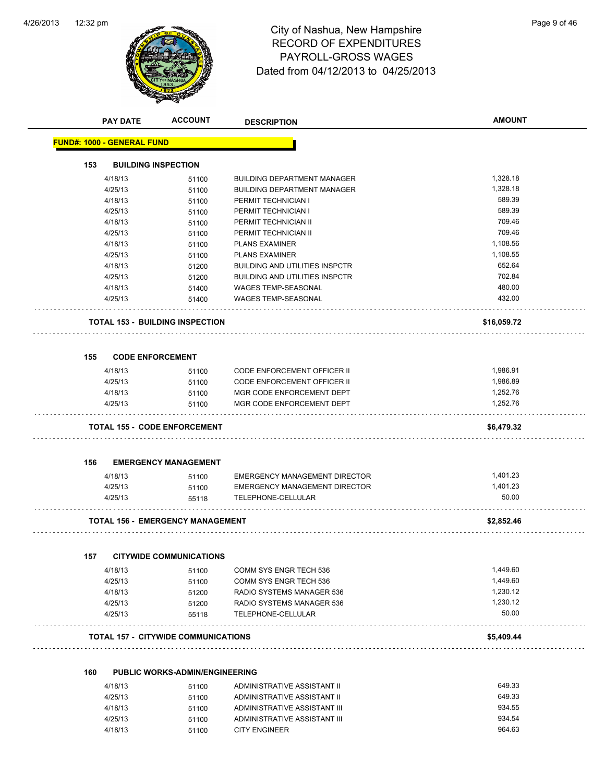

## 12:32 pm Page 9 of 46 RECORD OF EXPENDITURES PAYROLL-GROSS WAGES Dated from 04/12/2013 to 04/25/2013

|     | <b>PAY DATE</b>                   | <b>ACCOUNT</b>                             | <b>DESCRIPTION</b>                                  | <b>AMOUNT</b> |
|-----|-----------------------------------|--------------------------------------------|-----------------------------------------------------|---------------|
|     | <b>FUND#: 1000 - GENERAL FUND</b> |                                            |                                                     |               |
| 153 | <b>BUILDING INSPECTION</b>        |                                            |                                                     |               |
|     | 4/18/13                           | 51100                                      | <b>BUILDING DEPARTMENT MANAGER</b>                  | 1,328.18      |
|     | 4/25/13                           | 51100                                      | <b>BUILDING DEPARTMENT MANAGER</b>                  | 1,328.18      |
|     | 4/18/13                           | 51100                                      | PERMIT TECHNICIAN I                                 | 589.39        |
|     | 4/25/13                           | 51100                                      | PERMIT TECHNICIAN I                                 | 589.39        |
|     | 4/18/13                           | 51100                                      | PERMIT TECHNICIAN II                                | 709.46        |
|     | 4/25/13                           | 51100                                      | PERMIT TECHNICIAN II                                | 709.46        |
|     | 4/18/13                           | 51100                                      | <b>PLANS EXAMINER</b>                               | 1,108.56      |
|     | 4/25/13                           | 51100                                      | <b>PLANS EXAMINER</b>                               | 1,108.55      |
|     | 4/18/13                           | 51200                                      | <b>BUILDING AND UTILITIES INSPCTR</b>               | 652.64        |
|     | 4/25/13                           | 51200                                      | <b>BUILDING AND UTILITIES INSPCTR</b>               | 702.84        |
|     | 4/18/13                           | 51400                                      | WAGES TEMP-SEASONAL                                 | 480.00        |
|     | 4/25/13                           | 51400                                      | <b>WAGES TEMP-SEASONAL</b>                          | 432.00        |
|     |                                   | <b>TOTAL 153 - BUILDING INSPECTION</b>     |                                                     | \$16,059.72   |
|     |                                   |                                            |                                                     |               |
| 155 | <b>CODE ENFORCEMENT</b>           |                                            |                                                     |               |
|     | 4/18/13                           | 51100                                      | CODE ENFORCEMENT OFFICER II                         | 1,986.91      |
|     | 4/25/13                           | 51100                                      | CODE ENFORCEMENT OFFICER II                         | 1,986.89      |
|     | 4/18/13                           | 51100                                      | MGR CODE ENFORCEMENT DEPT                           | 1,252.76      |
|     | 4/25/13                           | 51100                                      | MGR CODE ENFORCEMENT DEPT                           | 1,252.76      |
|     |                                   | <b>TOTAL 155 - CODE ENFORCEMENT</b>        |                                                     | \$6,479.32    |
| 156 |                                   | <b>EMERGENCY MANAGEMENT</b>                |                                                     |               |
|     | 4/18/13                           | 51100                                      | <b>EMERGENCY MANAGEMENT DIRECTOR</b>                | 1,401.23      |
|     | 4/25/13                           | 51100                                      | <b>EMERGENCY MANAGEMENT DIRECTOR</b>                | 1,401.23      |
|     | 4/25/13                           | 55118                                      | <b>TELEPHONE-CELLULAR</b>                           | 50.00         |
|     |                                   | <b>TOTAL 156 - EMERGENCY MANAGEMENT</b>    | .                                                   | \$2,852.46    |
|     |                                   |                                            |                                                     |               |
| 157 | 4/18/13                           | <b>CITYWIDE COMMUNICATIONS</b>             | COMM SYS ENGR TECH 536                              | 1,449.60      |
|     |                                   | 51100                                      |                                                     | 1,449.60      |
|     | 4/25/13                           | 51100                                      | COMM SYS ENGR TECH 536<br>RADIO SYSTEMS MANAGER 536 | 1,230.12      |
|     | 4/18/13<br>4/25/13                | 51200                                      | RADIO SYSTEMS MANAGER 536                           | 1,230.12      |
|     | 4/25/13                           | 51200<br>55118                             | TELEPHONE-CELLULAR                                  | 50.00         |
|     |                                   | <b>TOTAL 157 - CITYWIDE COMMUNICATIONS</b> |                                                     | \$5,409.44    |
|     |                                   |                                            |                                                     |               |
| 160 |                                   | <b>PUBLIC WORKS-ADMIN/ENGINEERING</b>      |                                                     |               |
|     | 4/18/13                           | 51100                                      | ADMINISTRATIVE ASSISTANT II                         | 649.33        |
|     | 4/25/13                           | 51100                                      | ADMINISTRATIVE ASSISTANT II                         | 649.33        |
|     | 4/18/13                           | 51100                                      | ADMINISTRATIVE ASSISTANT III                        | 934.55        |
|     | 4/25/13                           | 51100                                      | ADMINISTRATIVE ASSISTANT III                        | 934.54        |

4/18/13 51100 CITY ENGINEER 964.63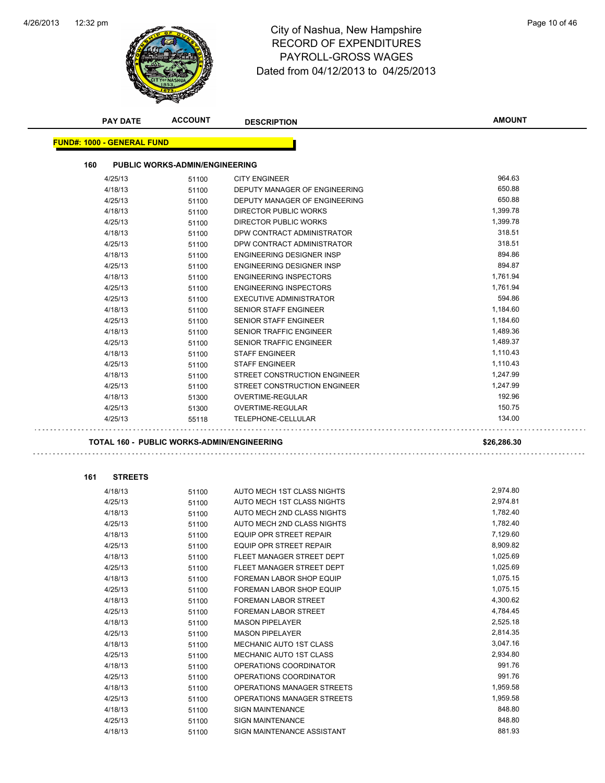

# 12:32 pm Page 10 of 46 RECORD OF EXPENDITURES PAYROLL-GROSS WAGES Dated from 04/12/2013 to 04/25/2013

| <b>PAY DATE</b>                            | <b>ACCOUNT</b>                        | <b>DESCRIPTION</b>               | <b>AMOUNT</b> |
|--------------------------------------------|---------------------------------------|----------------------------------|---------------|
| <u> FUND#: 1000 - GENERAL FUND</u>         |                                       |                                  |               |
| 160                                        | <b>PUBLIC WORKS-ADMIN/ENGINEERING</b> |                                  |               |
| 4/25/13                                    | 51100                                 | <b>CITY ENGINEER</b>             | 964.63        |
| 4/18/13                                    | 51100                                 | DEPUTY MANAGER OF ENGINEERING    | 650.88        |
| 4/25/13                                    | 51100                                 | DEPUTY MANAGER OF ENGINEERING    | 650.88        |
| 4/18/13                                    | 51100                                 | <b>DIRECTOR PUBLIC WORKS</b>     | 1,399.78      |
| 4/25/13                                    | 51100                                 | DIRECTOR PUBLIC WORKS            | 1,399.78      |
| 4/18/13                                    | 51100                                 | DPW CONTRACT ADMINISTRATOR       | 318.51        |
| 4/25/13                                    | 51100                                 | DPW CONTRACT ADMINISTRATOR       | 318.51        |
| 4/18/13                                    | 51100                                 | <b>ENGINEERING DESIGNER INSP</b> | 894.86        |
| 4/25/13                                    | 51100                                 | ENGINEERING DESIGNER INSP        | 894.87        |
| 4/18/13                                    | 51100                                 | <b>ENGINEERING INSPECTORS</b>    | 1,761.94      |
| 4/25/13                                    | 51100                                 | <b>ENGINEERING INSPECTORS</b>    | 1,761.94      |
| 4/25/13                                    | 51100                                 | <b>EXECUTIVE ADMINISTRATOR</b>   | 594.86        |
| 4/18/13                                    | 51100                                 | SENIOR STAFF ENGINEER            | 1,184.60      |
| 4/25/13                                    | 51100                                 | <b>SENIOR STAFF ENGINEER</b>     | 1,184.60      |
| 4/18/13                                    | 51100                                 | <b>SENIOR TRAFFIC ENGINEER</b>   | 1,489.36      |
| 4/25/13                                    | 51100                                 | <b>SENIOR TRAFFIC ENGINEER</b>   | 1,489.37      |
| 4/18/13                                    | 51100                                 | <b>STAFF ENGINEER</b>            | 1,110.43      |
| 4/25/13                                    | 51100                                 | <b>STAFF ENGINEER</b>            | 1,110.43      |
| 4/18/13                                    | 51100                                 | STREET CONSTRUCTION ENGINEER     | 1,247.99      |
| 4/25/13                                    | 51100                                 | STREET CONSTRUCTION ENGINEER     | 1,247.99      |
| 4/18/13                                    | 51300                                 | <b>OVERTIME-REGULAR</b>          | 192.96        |
| 4/25/13                                    | 51300                                 | OVERTIME-REGULAR                 | 150.75        |
| 4/25/13                                    | 55118                                 | TELEPHONE-CELLULAR               | 134.00        |
| TOTAL 160 - PUBLIC WORKS-ADMIN/ENGINEERING |                                       |                                  | \$26,286.30   |
|                                            |                                       |                                  |               |
| <b>STREETS</b><br>161                      |                                       |                                  |               |
| 4/18/13                                    | 51100                                 | AUTO MECH 1ST CLASS NIGHTS       | 2,974.80      |
| 4/25/13                                    | 51100                                 | AUTO MECH 1ST CLASS NIGHTS       | 2,974.81      |
| 4/18/13                                    | 51100                                 | AUTO MECH 2ND CLASS NIGHTS       | 1,782.40      |
| 4/25/13                                    | 51100                                 | AUTO MECH 2ND CLASS NIGHTS       | 1,782.40      |
| 4/18/13                                    | 51100                                 | EQUIP OPR STREET REPAIR          | 7,129.60      |
| 4/25/13                                    | 51100                                 | <b>EQUIP OPR STREET REPAIR</b>   | 8,909.82      |
| 4/18/13                                    | 51100                                 | FLEET MANAGER STREET DEPT        | 1,025.69      |
| 4/25/13                                    | 51100                                 | FLEET MANAGER STREET DEPT        | 1,025.69      |
| 4/18/13                                    | 51100                                 | FOREMAN LABOR SHOP EQUIP         | 1,075.15      |
| 4/25/13                                    | 51100                                 | FOREMAN LABOR SHOP EQUIP         | 1,075.15      |
| 4/18/13                                    | 51100                                 | FOREMAN LABOR STREET             | 4,300.62      |
| 4/25/13                                    | 51100                                 | <b>FOREMAN LABOR STREET</b>      | 4,784.45      |
| 4/18/13                                    | 51100                                 | <b>MASON PIPELAYER</b>           | 2,525.18      |
| 4/25/13                                    | 51100                                 | <b>MASON PIPELAYER</b>           | 2,814.35      |
| 4/18/13                                    | 51100                                 | MECHANIC AUTO 1ST CLASS          | 3,047.16      |
| 4/25/13                                    | 51100                                 | MECHANIC AUTO 1ST CLASS          | 2,934.80      |
| 4/18/13                                    | 51100                                 | OPERATIONS COORDINATOR           | 991.76        |
| 4/25/13                                    | 51100                                 | OPERATIONS COORDINATOR           | 991.76        |
| 4/18/13                                    | 51100                                 | OPERATIONS MANAGER STREETS       | 1,959.58      |
| 4/25/13                                    | 51100                                 | OPERATIONS MANAGER STREETS       | 1,959.58      |
| 4/18/13                                    | 51100                                 | <b>SIGN MAINTENANCE</b>          | 848.80        |
| 4/25/13                                    | 51100                                 | <b>SIGN MAINTENANCE</b>          | 848.80        |
| 4/18/13                                    | 51100                                 | SIGN MAINTENANCE ASSISTANT       | 881.93        |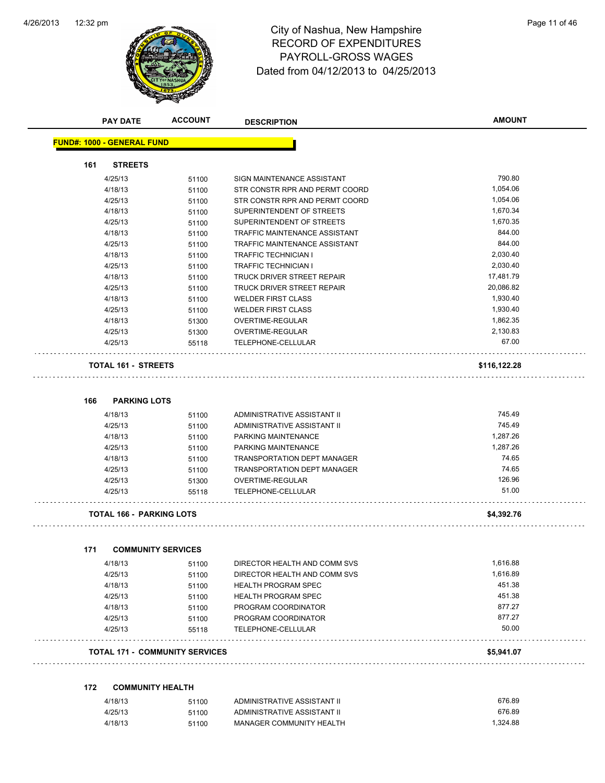$\overline{\phantom{0}}$ 



# 12:32 pm Page 11 of 46 RECORD OF EXPENDITURES PAYROLL-GROSS WAGES Dated from 04/12/2013 to 04/25/2013

| <b>PAY DATE</b>                       | <b>ACCOUNT</b> | <b>DESCRIPTION</b>                   | <b>AMOUNT</b> |
|---------------------------------------|----------------|--------------------------------------|---------------|
| <b>FUND#: 1000 - GENERAL FUND</b>     |                |                                      |               |
| 161<br><b>STREETS</b>                 |                |                                      |               |
| 4/25/13                               | 51100          | SIGN MAINTENANCE ASSISTANT           | 790.80        |
| 4/18/13                               | 51100          | STR CONSTR RPR AND PERMT COORD       | 1,054.06      |
| 4/25/13                               | 51100          | STR CONSTR RPR AND PERMT COORD       | 1,054.06      |
| 4/18/13                               | 51100          | SUPERINTENDENT OF STREETS            | 1,670.34      |
| 4/25/13                               | 51100          | SUPERINTENDENT OF STREETS            | 1,670.35      |
| 4/18/13                               | 51100          | TRAFFIC MAINTENANCE ASSISTANT        | 844.00        |
| 4/25/13                               | 51100          | <b>TRAFFIC MAINTENANCE ASSISTANT</b> | 844.00        |
| 4/18/13                               | 51100          | <b>TRAFFIC TECHNICIAN I</b>          | 2,030.40      |
| 4/25/13                               | 51100          | <b>TRAFFIC TECHNICIAN I</b>          | 2,030.40      |
| 4/18/13                               | 51100          | TRUCK DRIVER STREET REPAIR           | 17,481.79     |
| 4/25/13                               | 51100          | TRUCK DRIVER STREET REPAIR           | 20,086.82     |
| 4/18/13                               | 51100          | <b>WELDER FIRST CLASS</b>            | 1,930.40      |
| 4/25/13                               | 51100          | <b>WELDER FIRST CLASS</b>            | 1,930.40      |
| 4/18/13                               | 51300          | OVERTIME-REGULAR                     | 1,862.35      |
| 4/25/13                               | 51300          | OVERTIME-REGULAR                     | 2,130.83      |
| 4/25/13                               | 55118          | <b>TELEPHONE-CELLULAR</b>            | 67.00         |
| <b>TOTAL 161 - STREETS</b>            |                |                                      | \$116,122.28  |
| <b>PARKING LOTS</b><br>166            |                |                                      |               |
| 4/18/13                               | 51100          | ADMINISTRATIVE ASSISTANT II          | 745.49        |
| 4/25/13                               | 51100          | ADMINISTRATIVE ASSISTANT II          | 745.49        |
| 4/18/13                               | 51100          | PARKING MAINTENANCE                  | 1,287.26      |
| 4/25/13                               | 51100          | PARKING MAINTENANCE                  | 1,287.26      |
| 4/18/13                               | 51100          | TRANSPORTATION DEPT MANAGER          | 74.65         |
| 4/25/13                               | 51100          | <b>TRANSPORTATION DEPT MANAGER</b>   | 74.65         |
| 4/25/13                               | 51300          | OVERTIME-REGULAR                     | 126.96        |
| 4/25/13                               | 55118          | TELEPHONE-CELLULAR                   | 51.00         |
| <b>TOTAL 166 - PARKING LOTS</b>       |                |                                      | \$4,392.76    |
| 171<br><b>COMMUNITY SERVICES</b>      |                |                                      |               |
| 4/18/13                               | 51100          | DIRECTOR HEALTH AND COMM SVS         | 1,616.88      |
| 4/25/13                               | 51100          | DIRECTOR HEALTH AND COMM SVS         | 1,616.89      |
| 4/18/13                               | 51100          | <b>HEALTH PROGRAM SPEC</b>           | 451.38        |
| 4/25/13                               | 51100          | <b>HEALTH PROGRAM SPEC</b>           | 451.38        |
| 4/18/13                               | 51100          | PROGRAM COORDINATOR                  | 877.27        |
| 4/25/13                               | 51100          | PROGRAM COORDINATOR                  | 877.27        |
| 4/25/13                               | 55118          | TELEPHONE-CELLULAR                   | 50.00         |
| <b>TOTAL 171 - COMMUNITY SERVICES</b> |                |                                      | \$5,941.07    |
| 172<br><b>COMMUNITY HEALTH</b>        |                |                                      |               |
| 4/18/13                               | 51100          | ADMINISTRATIVE ASSISTANT II          | 676.89        |

| 4/18/13 | 51100 | ADMINISTRATIVE ASSISTANT II | 070.09   |
|---------|-------|-----------------------------|----------|
| 4/25/13 | 51100 | ADMINISTRATIVE ASSISTANT II | 676.89   |
| 4/18/13 | 51100 | MANAGER COMMUNITY HEALTH    | 1.324.88 |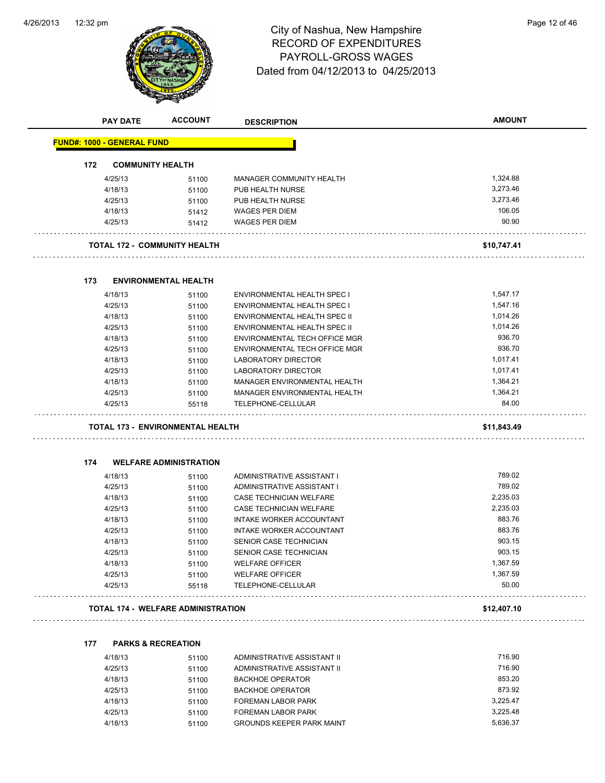

# 12:32 pm Page 12 of 46 RECORD OF EXPENDITURES PAYROLL-GROSS WAGES Dated from 04/12/2013 to 04/25/2013

|     | <b>PAY DATE</b>                   | <b>ACCOUNT</b>                            | <b>DESCRIPTION</b>                   | <b>AMOUNT</b> |
|-----|-----------------------------------|-------------------------------------------|--------------------------------------|---------------|
|     | <b>FUND#: 1000 - GENERAL FUND</b> |                                           |                                      |               |
| 172 |                                   | <b>COMMUNITY HEALTH</b>                   |                                      |               |
|     | 4/25/13                           | 51100                                     | MANAGER COMMUNITY HEALTH             | 1,324.88      |
|     | 4/18/13                           | 51100                                     | PUB HEALTH NURSE                     | 3,273.46      |
|     | 4/25/13                           | 51100                                     | PUB HEALTH NURSE                     | 3,273.46      |
|     | 4/18/13                           | 51412                                     | <b>WAGES PER DIEM</b>                | 106.05        |
|     | 4/25/13                           | 51412                                     | <b>WAGES PER DIEM</b>                | 90.90         |
|     |                                   | <b>TOTAL 172 - COMMUNITY HEALTH</b>       |                                      | \$10,747.41   |
| 173 |                                   | <b>ENVIRONMENTAL HEALTH</b>               |                                      |               |
|     | 4/18/13                           | 51100                                     | ENVIRONMENTAL HEALTH SPEC I          | 1,547.17      |
|     | 4/25/13                           | 51100                                     | ENVIRONMENTAL HEALTH SPEC I          | 1,547.16      |
|     | 4/18/13                           | 51100                                     | ENVIRONMENTAL HEALTH SPEC II         | 1,014.26      |
|     | 4/25/13                           | 51100                                     | ENVIRONMENTAL HEALTH SPEC II         | 1,014.26      |
|     | 4/18/13                           | 51100                                     | <b>ENVIRONMENTAL TECH OFFICE MGR</b> | 936.70        |
|     | 4/25/13                           | 51100                                     | ENVIRONMENTAL TECH OFFICE MGR        | 936.70        |
|     | 4/18/13                           | 51100                                     | LABORATORY DIRECTOR                  | 1,017.41      |
|     | 4/25/13                           | 51100                                     | LABORATORY DIRECTOR                  | 1,017.41      |
|     | 4/18/13                           | 51100                                     | MANAGER ENVIRONMENTAL HEALTH         | 1,364.21      |
|     | 4/25/13                           | 51100                                     | MANAGER ENVIRONMENTAL HEALTH         | 1,364.21      |
|     | 4/25/13                           | 55118                                     | TELEPHONE-CELLULAR                   | 84.00         |
|     |                                   | <b>TOTAL 173 - ENVIRONMENTAL HEALTH</b>   |                                      | \$11,843.49   |
| 174 |                                   | <b>WELFARE ADMINISTRATION</b>             |                                      |               |
|     | 4/18/13                           | 51100                                     | ADMINISTRATIVE ASSISTANT I           | 789.02        |
|     | 4/25/13                           | 51100                                     | ADMINISTRATIVE ASSISTANT I           | 789.02        |
|     | 4/18/13                           | 51100                                     | <b>CASE TECHNICIAN WELFARE</b>       | 2,235.03      |
|     | 4/25/13                           | 51100                                     | CASE TECHNICIAN WELFARE              | 2,235.03      |
|     | 4/18/13                           | 51100                                     | INTAKE WORKER ACCOUNTANT             | 883.76        |
|     | 4/25/13                           | 51100                                     | INTAKE WORKER ACCOUNTANT             | 883.76        |
|     | 4/18/13                           | 51100                                     | SENIOR CASE TECHNICIAN               | 903.15        |
|     | 4/25/13                           | 51100                                     | SENIOR CASE TECHNICIAN               | 903.15        |
|     | 4/18/13                           | 51100                                     | <b>WELFARE OFFICER</b>               | 1,367.59      |
|     | 4/25/13                           | 51100                                     | <b>WELFARE OFFICER</b>               | 1,367.59      |
|     | 4/25/13                           | 55118                                     | TELEPHONE-CELLULAR                   | 50.00         |
|     |                                   | <b>TOTAL 174 - WELFARE ADMINISTRATION</b> |                                      | \$12,407.10   |
| 177 |                                   | <b>PARKS &amp; RECREATION</b>             |                                      |               |
|     | 4/18/13                           | 51100                                     | ADMINISTRATIVE ASSISTANT II          | 716.90        |
|     |                                   |                                           |                                      |               |

|         | <u>JIJU</u> | $\overline{1}$ , i.e., i.e., i.e., i.e., i.e., i.e., i.e., i.e., i.e., i.e., i.e., i.e., i.e., i.e., i.e., i.e., i.e., i.e., i.e., i.e., i.e., i.e., i.e., i.e., i.e., i.e., i.e., i.e., i.e., i.e., i.e., i.e., i.e., i.e., i.e., | .        |
|---------|-------------|------------------------------------------------------------------------------------------------------------------------------------------------------------------------------------------------------------------------------------|----------|
| 4/25/13 | 51100       | ADMINISTRATIVE ASSISTANT II                                                                                                                                                                                                        | 716.90   |
| 4/18/13 | 51100       | <b>BACKHOE OPERATOR</b>                                                                                                                                                                                                            | 853.20   |
| 4/25/13 | 51100       | <b>BACKHOE OPERATOR</b>                                                                                                                                                                                                            | 873.92   |
| 4/18/13 | 51100       | <b>FOREMAN LABOR PARK</b>                                                                                                                                                                                                          | 3.225.47 |
| 4/25/13 | 51100       | FOREMAN LABOR PARK                                                                                                                                                                                                                 | 3.225.48 |
| 4/18/13 | 51100       | <b>GROUNDS KEEPER PARK MAINT</b>                                                                                                                                                                                                   | 5.636.37 |
|         |             |                                                                                                                                                                                                                                    |          |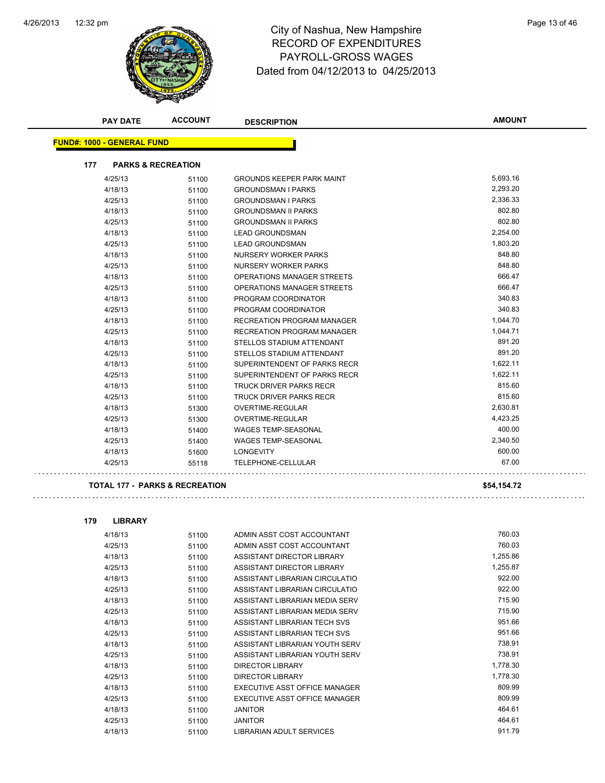

# 12:32 pm Page 13 of 46 RECORD OF EXPENDITURES PAYROLL-GROSS WAGES Dated from 04/12/2013 to 04/25/2013

| <b>PAY DATE</b>                   | <b>ACCOUNT</b>                            | <b>DESCRIPTION</b>                | <b>AMOUNT</b> |
|-----------------------------------|-------------------------------------------|-----------------------------------|---------------|
| <b>FUND#: 1000 - GENERAL FUND</b> |                                           |                                   |               |
| 177                               | <b>PARKS &amp; RECREATION</b>             |                                   |               |
| 4/25/13                           | 51100                                     | <b>GROUNDS KEEPER PARK MAINT</b>  | 5,693.16      |
| 4/18/13                           | 51100                                     | <b>GROUNDSMAN I PARKS</b>         | 2,293.20      |
| 4/25/13                           | 51100                                     | <b>GROUNDSMAN I PARKS</b>         | 2,336.33      |
| 4/18/13                           | 51100                                     | <b>GROUNDSMAN II PARKS</b>        | 802.80        |
| 4/25/13                           | 51100                                     | <b>GROUNDSMAN II PARKS</b>        | 802.80        |
| 4/18/13                           | 51100                                     | <b>LEAD GROUNDSMAN</b>            | 2,254.00      |
| 4/25/13                           | 51100                                     | <b>LEAD GROUNDSMAN</b>            | 1,803.20      |
| 4/18/13                           | 51100                                     | <b>NURSERY WORKER PARKS</b>       | 848.80        |
| 4/25/13                           | 51100                                     | NURSERY WORKER PARKS              | 848.80        |
| 4/18/13                           | 51100                                     | OPERATIONS MANAGER STREETS        | 666.47        |
| 4/25/13                           | 51100                                     | OPERATIONS MANAGER STREETS        | 666.47        |
| 4/18/13                           | 51100                                     | PROGRAM COORDINATOR               | 340.83        |
| 4/25/13                           | 51100                                     | PROGRAM COORDINATOR               | 340.83        |
| 4/18/13                           | 51100                                     | <b>RECREATION PROGRAM MANAGER</b> | 1,044.70      |
| 4/25/13                           | 51100                                     | <b>RECREATION PROGRAM MANAGER</b> | 1,044.71      |
| 4/18/13                           | 51100                                     | STELLOS STADIUM ATTENDANT         | 891.20        |
| 4/25/13                           | 51100                                     | STELLOS STADIUM ATTENDANT         | 891.20        |
| 4/18/13                           | 51100                                     | SUPERINTENDENT OF PARKS RECR      | 1,622.11      |
| 4/25/13                           | 51100                                     | SUPERINTENDENT OF PARKS RECR      | 1,622.11      |
| 4/18/13                           | 51100                                     | <b>TRUCK DRIVER PARKS RECR</b>    | 815.60        |
| 4/25/13                           | 51100                                     | <b>TRUCK DRIVER PARKS RECR</b>    | 815.60        |
| 4/18/13                           | 51300                                     | OVERTIME-REGULAR                  | 2,630.81      |
| 4/25/13                           | 51300                                     | <b>OVERTIME-REGULAR</b>           | 4,423.25      |
| 4/18/13                           | 51400                                     | WAGES TEMP-SEASONAL               | 400.00        |
| 4/25/13                           | 51400                                     | <b>WAGES TEMP-SEASONAL</b>        | 2,340.50      |
| 4/18/13                           | 51600                                     | <b>LONGEVITY</b>                  | 600.00        |
| 4/25/13                           | 55118                                     | TELEPHONE-CELLULAR                | 67.00         |
|                                   | <b>TOTAL 177 - PARKS &amp; RECREATION</b> |                                   | \$54,154.72   |

| <b>LIBRARY</b><br>179 |
|-----------------------|
|-----------------------|

. . . . . . . . . .

| 4/18/13 | 51100 | ADMIN ASST COST ACCOUNTANT     | 760.03   |
|---------|-------|--------------------------------|----------|
| 4/25/13 | 51100 | ADMIN ASST COST ACCOUNTANT     | 760.03   |
| 4/18/13 | 51100 | ASSISTANT DIRECTOR LIBRARY     | 1,255.86 |
| 4/25/13 | 51100 | ASSISTANT DIRECTOR LIBRARY     | 1,255.87 |
| 4/18/13 | 51100 | ASSISTANT LIBRARIAN CIRCULATIO | 922.00   |
| 4/25/13 | 51100 | ASSISTANT LIBRARIAN CIRCULATIO | 922.00   |
| 4/18/13 | 51100 | ASSISTANT LIBRARIAN MEDIA SERV | 715.90   |
| 4/25/13 | 51100 | ASSISTANT LIBRARIAN MEDIA SERV | 715.90   |
| 4/18/13 | 51100 | ASSISTANT LIBRARIAN TECH SVS   | 951.66   |
| 4/25/13 | 51100 | ASSISTANT LIBRARIAN TECH SVS   | 951.66   |
| 4/18/13 | 51100 | ASSISTANT LIBRARIAN YOUTH SERV | 738.91   |
| 4/25/13 | 51100 | ASSISTANT LIBRARIAN YOUTH SERV | 738.91   |
| 4/18/13 | 51100 | DIRECTOR LIBRARY               | 1,778.30 |
| 4/25/13 | 51100 | <b>DIRECTOR LIBRARY</b>        | 1,778.30 |
| 4/18/13 | 51100 | EXECUTIVE ASST OFFICE MANAGER  | 809.99   |
| 4/25/13 | 51100 | EXECUTIVE ASST OFFICE MANAGER  | 809.99   |
| 4/18/13 | 51100 | JANITOR                        | 464.61   |
| 4/25/13 | 51100 | JANITOR                        | 464.61   |
| 4/18/13 | 51100 | LIBRARIAN ADULT SERVICES       | 911.79   |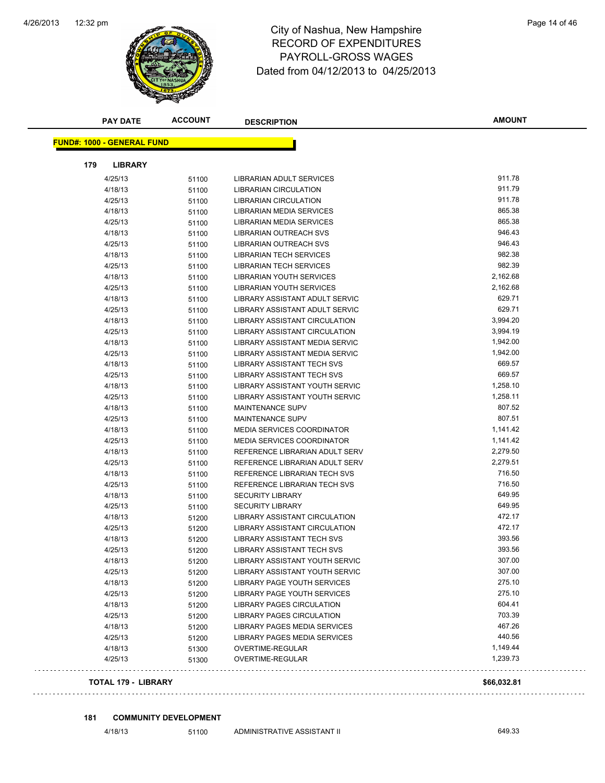

# 12:32 pm Page 14 of 46 RECORD OF EXPENDITURES PAYROLL-GROSS WAGES Dated from 04/12/2013 to 04/25/2013

|                                   | <b>PAY DATE</b>            | <b>ACCOUNT</b> | <b>DESCRIPTION</b>                   | <b>AMOUNT</b> |
|-----------------------------------|----------------------------|----------------|--------------------------------------|---------------|
| <b>FUND#: 1000 - GENERAL FUND</b> |                            |                |                                      |               |
|                                   |                            |                |                                      |               |
| 179                               | <b>LIBRARY</b>             |                |                                      |               |
|                                   | 4/25/13                    | 51100          | <b>LIBRARIAN ADULT SERVICES</b>      | 911.78        |
|                                   | 4/18/13                    | 51100          | <b>LIBRARIAN CIRCULATION</b>         | 911.79        |
|                                   | 4/25/13                    | 51100          | <b>LIBRARIAN CIRCULATION</b>         | 911.78        |
|                                   | 4/18/13                    | 51100          | LIBRARIAN MEDIA SERVICES             | 865.38        |
|                                   | 4/25/13                    | 51100          | LIBRARIAN MEDIA SERVICES             | 865.38        |
|                                   | 4/18/13                    | 51100          | LIBRARIAN OUTREACH SVS               | 946.43        |
|                                   | 4/25/13                    | 51100          | LIBRARIAN OUTREACH SVS               | 946.43        |
|                                   | 4/18/13                    | 51100          | <b>LIBRARIAN TECH SERVICES</b>       | 982.38        |
|                                   | 4/25/13                    | 51100          | <b>LIBRARIAN TECH SERVICES</b>       | 982.39        |
|                                   | 4/18/13                    | 51100          | LIBRARIAN YOUTH SERVICES             | 2,162.68      |
|                                   | 4/25/13                    | 51100          | LIBRARIAN YOUTH SERVICES             | 2,162.68      |
|                                   | 4/18/13                    | 51100          | LIBRARY ASSISTANT ADULT SERVIC       | 629.71        |
|                                   | 4/25/13                    | 51100          | LIBRARY ASSISTANT ADULT SERVIC       | 629.71        |
|                                   | 4/18/13                    | 51100          | LIBRARY ASSISTANT CIRCULATION        | 3,994.20      |
|                                   | 4/25/13                    | 51100          | LIBRARY ASSISTANT CIRCULATION        | 3,994.19      |
|                                   | 4/18/13                    | 51100          | LIBRARY ASSISTANT MEDIA SERVIC       | 1,942.00      |
|                                   | 4/25/13                    | 51100          | LIBRARY ASSISTANT MEDIA SERVIC       | 1,942.00      |
|                                   | 4/18/13                    | 51100          | <b>LIBRARY ASSISTANT TECH SVS</b>    | 669.57        |
|                                   | 4/25/13                    | 51100          | LIBRARY ASSISTANT TECH SVS           | 669.57        |
|                                   | 4/18/13                    | 51100          | LIBRARY ASSISTANT YOUTH SERVIC       | 1,258.10      |
|                                   | 4/25/13                    | 51100          | LIBRARY ASSISTANT YOUTH SERVIC       | 1,258.11      |
|                                   | 4/18/13                    | 51100          | <b>MAINTENANCE SUPV</b>              | 807.52        |
|                                   | 4/25/13                    | 51100          | MAINTENANCE SUPV                     | 807.51        |
|                                   | 4/18/13                    | 51100          | <b>MEDIA SERVICES COORDINATOR</b>    | 1,141.42      |
|                                   | 4/25/13                    | 51100          | <b>MEDIA SERVICES COORDINATOR</b>    | 1,141.42      |
|                                   | 4/18/13                    | 51100          | REFERENCE LIBRARIAN ADULT SERV       | 2,279.50      |
|                                   | 4/25/13                    | 51100          | REFERENCE LIBRARIAN ADULT SERV       | 2,279.51      |
|                                   | 4/18/13                    | 51100          | REFERENCE LIBRARIAN TECH SVS         | 716.50        |
|                                   | 4/25/13                    | 51100          | REFERENCE LIBRARIAN TECH SVS         | 716.50        |
|                                   | 4/18/13                    | 51100          | <b>SECURITY LIBRARY</b>              | 649.95        |
|                                   | 4/25/13                    | 51100          | <b>SECURITY LIBRARY</b>              | 649.95        |
|                                   | 4/18/13                    | 51200          | <b>LIBRARY ASSISTANT CIRCULATION</b> | 472.17        |
|                                   | 4/25/13                    | 51200          | LIBRARY ASSISTANT CIRCULATION        | 472.17        |
|                                   | 4/18/13                    | 51200          | LIBRARY ASSISTANT TECH SVS           | 393.56        |
|                                   | 4/25/13                    | 51200          | <b>LIBRARY ASSISTANT TECH SVS</b>    | 393.56        |
|                                   | 4/18/13                    | 51200          | LIBRARY ASSISTANT YOUTH SERVIC       | 307.00        |
|                                   | 4/25/13                    | 51200          | LIBRARY ASSISTANT YOUTH SERVIC       | 307.00        |
|                                   | 4/18/13                    | 51200          | LIBRARY PAGE YOUTH SERVICES          | 275.10        |
|                                   | 4/25/13                    | 51200          | LIBRARY PAGE YOUTH SERVICES          | 275.10        |
|                                   | 4/18/13                    | 51200          | LIBRARY PAGES CIRCULATION            | 604.41        |
|                                   | 4/25/13                    | 51200          | LIBRARY PAGES CIRCULATION            | 703.39        |
|                                   | 4/18/13                    | 51200          | LIBRARY PAGES MEDIA SERVICES         | 467.26        |
|                                   | 4/25/13                    | 51200          | LIBRARY PAGES MEDIA SERVICES         | 440.56        |
|                                   | 4/18/13                    | 51300          | OVERTIME-REGULAR                     | 1,149.44      |
|                                   | 4/25/13                    | 51300          | OVERTIME-REGULAR                     | 1,239.73      |
|                                   | <b>TOTAL 179 - LIBRARY</b> |                |                                      | \$66,032.81   |

#### **181 COMMUNITY DEVELOPMENT**

4/18/13 51100 ADMINISTRATIVE ASSISTANT II 649.33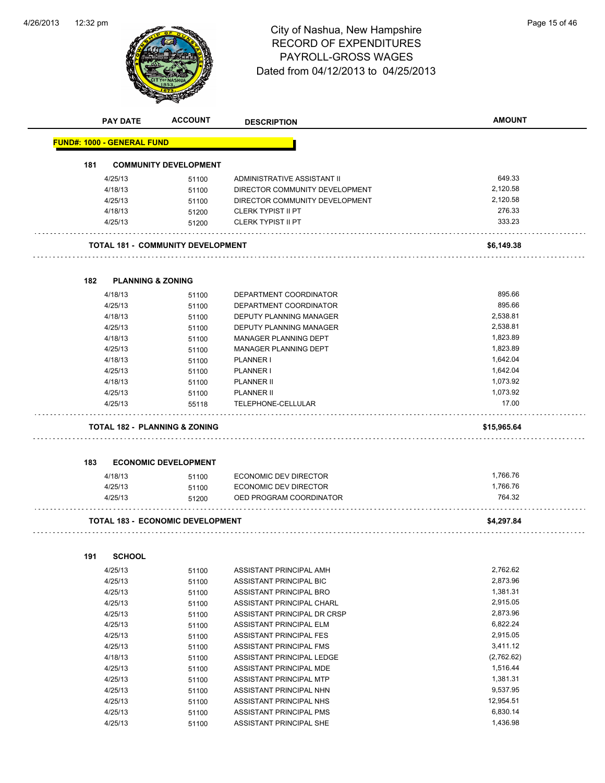

**PAY DATE ACCOUNT DESCRIPTION**

# 12:32 pm Page 15 of 46 RECORD OF EXPENDITURES PAYROLL-GROSS WAGES Dated from 04/12/2013 to 04/25/2013

| 181 |                                          | <b>COMMUNITY DEVELOPMENT</b> |                                |             |
|-----|------------------------------------------|------------------------------|--------------------------------|-------------|
|     |                                          |                              |                                |             |
|     | 4/25/13                                  | 51100                        | ADMINISTRATIVE ASSISTANT II    | 649.33      |
|     | 4/18/13                                  | 51100                        | DIRECTOR COMMUNITY DEVELOPMENT | 2,120.58    |
|     | 4/25/13                                  | 51100                        | DIRECTOR COMMUNITY DEVELOPMENT | 2,120.58    |
|     | 4/18/13                                  | 51200                        | <b>CLERK TYPIST II PT</b>      | 276.33      |
|     | 4/25/13                                  | 51200                        | <b>CLERK TYPIST II PT</b>      | 333.23      |
|     | TOTAL 181 -  COMMUNITY DEVELOPMENT       |                              |                                | \$6,149.38  |
| 182 | <b>PLANNING &amp; ZONING</b>             |                              |                                |             |
|     | 4/18/13                                  | 51100                        | DEPARTMENT COORDINATOR         | 895.66      |
|     | 4/25/13                                  | 51100                        | DEPARTMENT COORDINATOR         | 895.66      |
|     | 4/18/13                                  | 51100                        | DEPUTY PLANNING MANAGER        | 2,538.81    |
|     | 4/25/13                                  | 51100                        | <b>DEPUTY PLANNING MANAGER</b> | 2,538.81    |
|     | 4/18/13                                  | 51100                        | MANAGER PLANNING DEPT          | 1,823.89    |
|     | 4/25/13                                  | 51100                        | MANAGER PLANNING DEPT          | 1,823.89    |
|     | 4/18/13                                  | 51100                        | PLANNER I                      | 1,642.04    |
|     | 4/25/13                                  | 51100                        | PLANNER I                      | 1,642.04    |
|     | 4/18/13                                  | 51100                        | PLANNER II                     | 1,073.92    |
|     | 4/25/13                                  | 51100                        | <b>PLANNER II</b>              | 1,073.92    |
|     | 4/25/13                                  | 55118                        | TELEPHONE-CELLULAR             | 17.00       |
|     |                                          |                              |                                |             |
|     | <b>TOTAL 182 - PLANNING &amp; ZONING</b> |                              |                                | \$15,965.64 |
|     |                                          |                              |                                |             |
|     |                                          | <b>ECONOMIC DEVELOPMENT</b>  |                                |             |
|     | 4/18/13                                  | 51100                        | <b>ECONOMIC DEV DIRECTOR</b>   | 1,766.76    |
|     | 4/25/13                                  | 51100                        | ECONOMIC DEV DIRECTOR          | 1,766.76    |
|     | 4/25/13                                  | 51200                        | OED PROGRAM COORDINATOR        | 764.32      |
| 183 | <b>TOTAL 183 - ECONOMIC DEVELOPMENT</b>  |                              |                                | \$4,297.84  |
|     | <b>SCHOOL</b>                            |                              |                                |             |
|     | 4/25/13                                  | 51100                        | ASSISTANT PRINCIPAL AMH        | 2,762.62    |
|     | 4/25/13                                  | 51100                        | ASSISTANT PRINCIPAL BIC        | 2,873.96    |
|     | 4/25/13                                  | 51100                        | ASSISTANT PRINCIPAL BRO        | 1,381.31    |
|     | 4/25/13                                  | 51100                        | ASSISTANT PRINCIPAL CHARL      | 2,915.05    |
|     | 4/25/13                                  | 51100                        | ASSISTANT PRINCIPAL DR CRSP    | 2,873.96    |
|     | 4/25/13                                  | 51100                        | ASSISTANT PRINCIPAL ELM        | 6,822.24    |
|     | 4/25/13                                  | 51100                        | ASSISTANT PRINCIPAL FES        | 2,915.05    |
|     | 4/25/13                                  | 51100                        | ASSISTANT PRINCIPAL FMS        | 3,411.12    |
|     | 4/18/13                                  | 51100                        | ASSISTANT PRINCIPAL LEDGE      | (2,762.62)  |
|     | 4/25/13                                  | 51100                        | ASSISTANT PRINCIPAL MDE        | 1,516.44    |
| 191 | 4/25/13                                  | 51100                        | ASSISTANT PRINCIPAL MTP        | 1,381.31    |
|     | 4/25/13                                  | 51100                        | ASSISTANT PRINCIPAL NHN        | 9,537.95    |
|     | 4/25/13                                  | 51100                        | ASSISTANT PRINCIPAL NHS        | 12,954.51   |
|     | 4/25/13                                  | 51100                        | ASSISTANT PRINCIPAL PMS        | 6,830.14    |

**AMOUNT**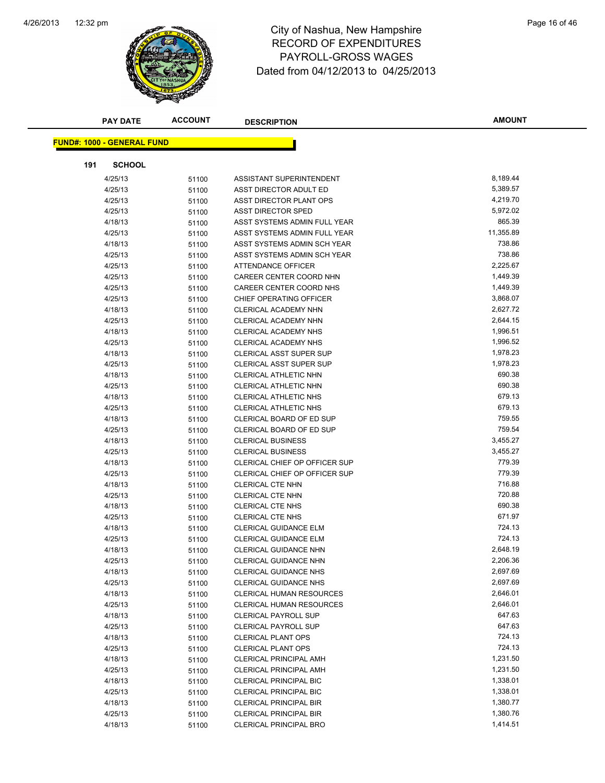

|     | <b>PAY DATE</b>                   | <b>ACCOUNT</b> | <b>DESCRIPTION</b>              | <b>AMOUNT</b> |
|-----|-----------------------------------|----------------|---------------------------------|---------------|
|     |                                   |                |                                 |               |
|     | <b>FUND#: 1000 - GENERAL FUND</b> |                |                                 |               |
| 191 | <b>SCHOOL</b>                     |                |                                 |               |
|     | 4/25/13                           | 51100          | ASSISTANT SUPERINTENDENT        | 8,189.44      |
|     | 4/25/13                           | 51100          | ASST DIRECTOR ADULT ED          | 5,389.57      |
|     | 4/25/13                           | 51100          | ASST DIRECTOR PLANT OPS         | 4,219.70      |
|     | 4/25/13                           | 51100          | <b>ASST DIRECTOR SPED</b>       | 5,972.02      |
|     | 4/18/13                           | 51100          | ASST SYSTEMS ADMIN FULL YEAR    | 865.39        |
|     | 4/25/13                           | 51100          | ASST SYSTEMS ADMIN FULL YEAR    | 11,355.89     |
|     | 4/18/13                           | 51100          | ASST SYSTEMS ADMIN SCH YEAR     | 738.86        |
|     | 4/25/13                           | 51100          | ASST SYSTEMS ADMIN SCH YEAR     | 738.86        |
|     | 4/25/13                           | 51100          | ATTENDANCE OFFICER              | 2,225.67      |
|     | 4/25/13                           | 51100          | CAREER CENTER COORD NHN         | 1,449.39      |
|     | 4/25/13                           | 51100          | CAREER CENTER COORD NHS         | 1,449.39      |
|     | 4/25/13                           | 51100          | CHIEF OPERATING OFFICER         | 3,868.07      |
|     | 4/18/13                           | 51100          | CLERICAL ACADEMY NHN            | 2,627.72      |
|     | 4/25/13                           | 51100          | CLERICAL ACADEMY NHN            | 2,644.15      |
|     | 4/18/13                           | 51100          | CLERICAL ACADEMY NHS            | 1,996.51      |
|     | 4/25/13                           | 51100          | <b>CLERICAL ACADEMY NHS</b>     | 1,996.52      |
|     | 4/18/13                           | 51100          | CLERICAL ASST SUPER SUP         | 1,978.23      |
|     | 4/25/13                           | 51100          | <b>CLERICAL ASST SUPER SUP</b>  | 1,978.23      |
|     | 4/18/13                           | 51100          | CLERICAL ATHLETIC NHN           | 690.38        |
|     | 4/25/13                           | 51100          | CLERICAL ATHLETIC NHN           | 690.38        |
|     | 4/18/13                           | 51100          | CLERICAL ATHLETIC NHS           | 679.13        |
|     | 4/25/13                           | 51100          | CLERICAL ATHLETIC NHS           | 679.13        |
|     | 4/18/13                           | 51100          | CLERICAL BOARD OF ED SUP        | 759.55        |
|     | 4/25/13                           | 51100          | CLERICAL BOARD OF ED SUP        | 759.54        |
|     | 4/18/13                           | 51100          | <b>CLERICAL BUSINESS</b>        | 3,455.27      |
|     | 4/25/13                           | 51100          | <b>CLERICAL BUSINESS</b>        | 3,455.27      |
|     | 4/18/13                           | 51100          | CLERICAL CHIEF OP OFFICER SUP   | 779.39        |
|     | 4/25/13                           | 51100          | CLERICAL CHIEF OP OFFICER SUP   | 779.39        |
|     | 4/18/13                           | 51100          | <b>CLERICAL CTE NHN</b>         | 716.88        |
|     | 4/25/13                           | 51100          | <b>CLERICAL CTE NHN</b>         | 720.88        |
|     | 4/18/13                           | 51100          | <b>CLERICAL CTE NHS</b>         | 690.38        |
|     | 4/25/13                           | 51100          | <b>CLERICAL CTE NHS</b>         | 671.97        |
|     | 4/18/13                           | 51100          | CLERICAL GUIDANCE ELM           | 724.13        |
|     | 4/25/13                           | 51100          | CLERICAL GUIDANCE ELM           | 724.13        |
|     | 4/18/13                           | 51100          | <b>CLERICAL GUIDANCE NHN</b>    | 2,648.19      |
|     | 4/25/13                           | 51100          | CLERICAL GUIDANCE NHN           | 2,206.36      |
|     | 4/18/13                           | 51100          | <b>CLERICAL GUIDANCE NHS</b>    | 2,697.69      |
|     | 4/25/13                           | 51100          | <b>CLERICAL GUIDANCE NHS</b>    | 2,697.69      |
|     | 4/18/13                           | 51100          | <b>CLERICAL HUMAN RESOURCES</b> | 2,646.01      |
|     | 4/25/13                           | 51100          | <b>CLERICAL HUMAN RESOURCES</b> | 2,646.01      |
|     | 4/18/13                           | 51100          | <b>CLERICAL PAYROLL SUP</b>     | 647.63        |
|     | 4/25/13                           | 51100          | <b>CLERICAL PAYROLL SUP</b>     | 647.63        |
|     | 4/18/13                           | 51100          | <b>CLERICAL PLANT OPS</b>       | 724.13        |
|     | 4/25/13                           | 51100          | <b>CLERICAL PLANT OPS</b>       | 724.13        |
|     | 4/18/13                           | 51100          | <b>CLERICAL PRINCIPAL AMH</b>   | 1,231.50      |
|     | 4/25/13                           | 51100          | <b>CLERICAL PRINCIPAL AMH</b>   | 1,231.50      |
|     | 4/18/13                           | 51100          | <b>CLERICAL PRINCIPAL BIC</b>   | 1,338.01      |
|     | 4/25/13                           | 51100          | <b>CLERICAL PRINCIPAL BIC</b>   | 1,338.01      |
|     | 4/18/13                           | 51100          | <b>CLERICAL PRINCIPAL BIR</b>   | 1,380.77      |
|     | 4/25/13                           | 51100          | <b>CLERICAL PRINCIPAL BIR</b>   | 1,380.76      |
|     | 4/18/13                           | 51100          | CLERICAL PRINCIPAL BRO          | 1,414.51      |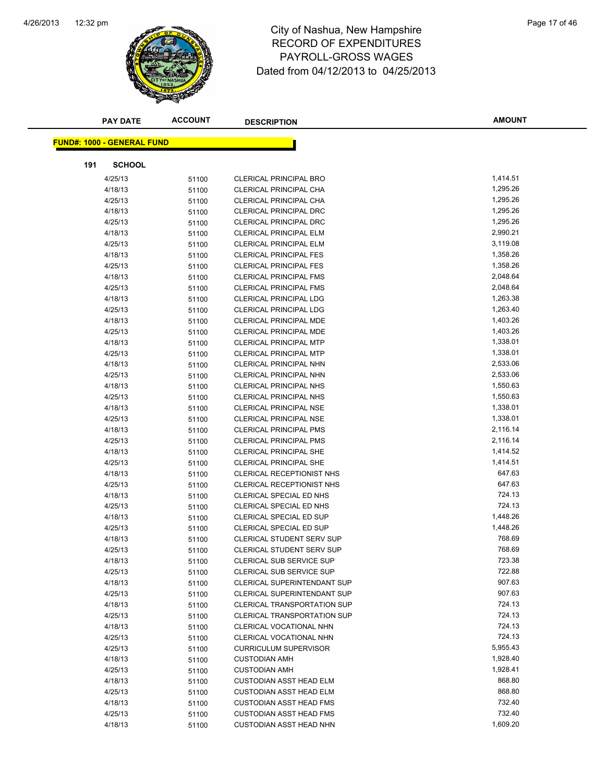

# 12:32 pm Page 17 of 46 RECORD OF EXPENDITURES PAYROLL-GROSS WAGES Dated from 04/12/2013 to 04/25/2013

|     | <b>PAY DATE</b>                   | <b>ACCOUNT</b> | <b>DESCRIPTION</b>                 | <b>AMOUNT</b> |
|-----|-----------------------------------|----------------|------------------------------------|---------------|
|     | <b>FUND#: 1000 - GENERAL FUND</b> |                |                                    |               |
|     |                                   |                |                                    |               |
| 191 | <b>SCHOOL</b>                     |                |                                    |               |
|     | 4/25/13                           | 51100          | <b>CLERICAL PRINCIPAL BRO</b>      | 1,414.51      |
|     | 4/18/13                           | 51100          | CLERICAL PRINCIPAL CHA             | 1,295.26      |
|     | 4/25/13                           | 51100          | CLERICAL PRINCIPAL CHA             | 1,295.26      |
|     | 4/18/13                           | 51100          | <b>CLERICAL PRINCIPAL DRC</b>      | 1,295.26      |
|     | 4/25/13                           | 51100          | <b>CLERICAL PRINCIPAL DRC</b>      | 1,295.26      |
|     | 4/18/13                           | 51100          | <b>CLERICAL PRINCIPAL ELM</b>      | 2,990.21      |
|     | 4/25/13                           | 51100          | <b>CLERICAL PRINCIPAL ELM</b>      | 3,119.08      |
|     | 4/18/13                           | 51100          | <b>CLERICAL PRINCIPAL FES</b>      | 1,358.26      |
|     | 4/25/13                           | 51100          | <b>CLERICAL PRINCIPAL FES</b>      | 1,358.26      |
|     | 4/18/13                           | 51100          | <b>CLERICAL PRINCIPAL FMS</b>      | 2,048.64      |
|     | 4/25/13                           | 51100          | <b>CLERICAL PRINCIPAL FMS</b>      | 2,048.64      |
|     | 4/18/13                           | 51100          | <b>CLERICAL PRINCIPAL LDG</b>      | 1,263.38      |
|     | 4/25/13                           | 51100          | <b>CLERICAL PRINCIPAL LDG</b>      | 1,263.40      |
|     | 4/18/13                           | 51100          | CLERICAL PRINCIPAL MDE             | 1,403.26      |
|     | 4/25/13                           | 51100          | <b>CLERICAL PRINCIPAL MDE</b>      | 1,403.26      |
|     | 4/18/13                           | 51100          | <b>CLERICAL PRINCIPAL MTP</b>      | 1,338.01      |
|     | 4/25/13                           | 51100          | <b>CLERICAL PRINCIPAL MTP</b>      | 1,338.01      |
|     | 4/18/13                           | 51100          | <b>CLERICAL PRINCIPAL NHN</b>      | 2,533.06      |
|     | 4/25/13                           | 51100          | <b>CLERICAL PRINCIPAL NHN</b>      | 2,533.06      |
|     | 4/18/13                           | 51100          | <b>CLERICAL PRINCIPAL NHS</b>      | 1,550.63      |
|     | 4/25/13                           | 51100          | CLERICAL PRINCIPAL NHS             | 1,550.63      |
|     | 4/18/13                           | 51100          | <b>CLERICAL PRINCIPAL NSE</b>      | 1,338.01      |
|     | 4/25/13                           | 51100          | <b>CLERICAL PRINCIPAL NSE</b>      | 1,338.01      |
|     | 4/18/13                           | 51100          | <b>CLERICAL PRINCIPAL PMS</b>      | 2,116.14      |
|     | 4/25/13                           | 51100          | <b>CLERICAL PRINCIPAL PMS</b>      | 2,116.14      |
|     | 4/18/13                           | 51100          | <b>CLERICAL PRINCIPAL SHE</b>      | 1,414.52      |
|     | 4/25/13                           | 51100          | <b>CLERICAL PRINCIPAL SHE</b>      | 1,414.51      |
|     | 4/18/13                           | 51100          | CLERICAL RECEPTIONIST NHS          | 647.63        |
|     | 4/25/13                           | 51100          | CLERICAL RECEPTIONIST NHS          | 647.63        |
|     | 4/18/13                           | 51100          | CLERICAL SPECIAL ED NHS            | 724.13        |
|     | 4/25/13                           | 51100          | CLERICAL SPECIAL ED NHS            | 724.13        |
|     | 4/18/13                           | 51100          | CLERICAL SPECIAL ED SUP            | 1,448.26      |
|     | 4/25/13                           | 51100          | CLERICAL SPECIAL ED SUP            | 1,448.26      |
|     | 4/18/13                           | 51100          | <b>CLERICAL STUDENT SERV SUP</b>   | 768.69        |
|     | 4/25/13                           | 51100          | <b>CLERICAL STUDENT SERV SUP</b>   | 768.69        |
|     | 4/18/13                           | 51100          | CLERICAL SUB SERVICE SUP           | 723.38        |
|     | 4/25/13                           | 51100          | <b>CLERICAL SUB SERVICE SUP</b>    | 722.88        |
|     | 4/18/13                           | 51100          | <b>CLERICAL SUPERINTENDANT SUP</b> | 907.63        |
|     | 4/25/13                           | 51100          | CLERICAL SUPERINTENDANT SUP        | 907.63        |
|     | 4/18/13                           | 51100          | <b>CLERICAL TRANSPORTATION SUP</b> | 724.13        |
|     | 4/25/13                           | 51100          | <b>CLERICAL TRANSPORTATION SUP</b> | 724.13        |
|     | 4/18/13                           | 51100          | CLERICAL VOCATIONAL NHN            | 724.13        |
|     | 4/25/13                           | 51100          | CLERICAL VOCATIONAL NHN            | 724.13        |
|     | 4/25/13                           | 51100          | <b>CURRICULUM SUPERVISOR</b>       | 5,955.43      |
|     | 4/18/13                           | 51100          | <b>CUSTODIAN AMH</b>               | 1,928.40      |
|     | 4/25/13                           | 51100          | <b>CUSTODIAN AMH</b>               | 1,928.41      |
|     | 4/18/13                           | 51100          | <b>CUSTODIAN ASST HEAD ELM</b>     | 868.80        |
|     | 4/25/13                           | 51100          | <b>CUSTODIAN ASST HEAD ELM</b>     | 868.80        |
|     | 4/18/13                           | 51100          | <b>CUSTODIAN ASST HEAD FMS</b>     | 732.40        |
|     | 4/25/13                           | 51100          | <b>CUSTODIAN ASST HEAD FMS</b>     | 732.40        |
|     | 4/18/13                           | 51100          | <b>CUSTODIAN ASST HEAD NHN</b>     | 1,609.20      |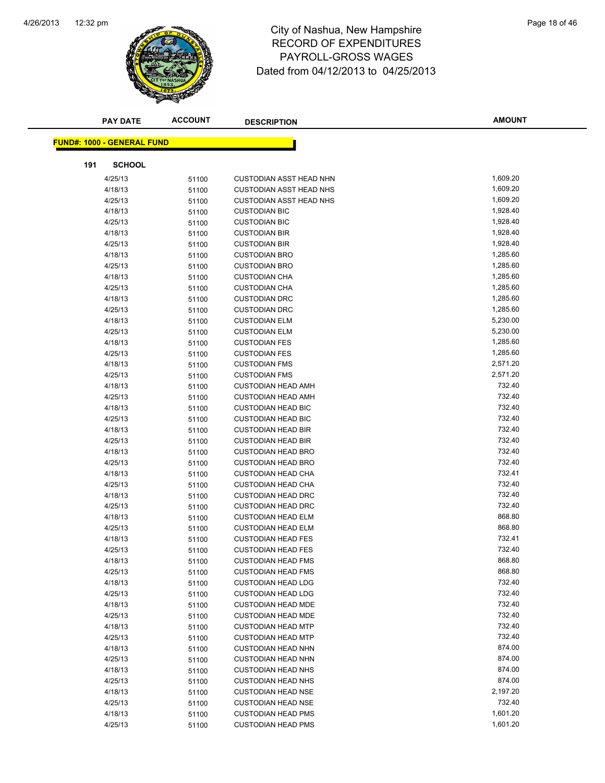

|     | <b>PAY DATE</b>                   | <b>ACCOUNT</b> | <b>DESCRIPTION</b>                                     | <b>AMOUNT</b>    |
|-----|-----------------------------------|----------------|--------------------------------------------------------|------------------|
|     | <b>FUND#: 1000 - GENERAL FUND</b> |                |                                                        |                  |
|     |                                   |                |                                                        |                  |
| 191 | <b>SCHOOL</b>                     |                |                                                        |                  |
|     | 4/25/13                           | 51100          | <b>CUSTODIAN ASST HEAD NHN</b>                         | 1,609.20         |
|     | 4/18/13                           | 51100          | <b>CUSTODIAN ASST HEAD NHS</b>                         | 1,609.20         |
|     | 4/25/13                           | 51100          | <b>CUSTODIAN ASST HEAD NHS</b>                         | 1,609.20         |
|     | 4/18/13                           | 51100          | <b>CUSTODIAN BIC</b>                                   | 1,928.40         |
|     | 4/25/13                           | 51100          | <b>CUSTODIAN BIC</b>                                   | 1,928.40         |
|     | 4/18/13                           | 51100          | <b>CUSTODIAN BIR</b>                                   | 1,928.40         |
|     | 4/25/13                           | 51100          | <b>CUSTODIAN BIR</b>                                   | 1,928.40         |
|     | 4/18/13                           | 51100          | <b>CUSTODIAN BRO</b>                                   | 1,285.60         |
|     | 4/25/13                           | 51100          | <b>CUSTODIAN BRO</b>                                   | 1,285.60         |
|     | 4/18/13                           | 51100          | <b>CUSTODIAN CHA</b>                                   | 1,285.60         |
|     | 4/25/13                           | 51100          | <b>CUSTODIAN CHA</b>                                   | 1,285.60         |
|     | 4/18/13                           | 51100          | <b>CUSTODIAN DRC</b>                                   | 1,285.60         |
|     | 4/25/13                           | 51100          | <b>CUSTODIAN DRC</b>                                   | 1,285.60         |
|     | 4/18/13                           | 51100          | <b>CUSTODIAN ELM</b>                                   | 5,230.00         |
|     | 4/25/13                           | 51100          | <b>CUSTODIAN ELM</b>                                   | 5,230.00         |
|     | 4/18/13                           | 51100          | <b>CUSTODIAN FES</b>                                   | 1,285.60         |
|     | 4/25/13                           | 51100          | <b>CUSTODIAN FES</b>                                   | 1,285.60         |
|     | 4/18/13                           | 51100          | <b>CUSTODIAN FMS</b>                                   | 2,571.20         |
|     | 4/25/13                           | 51100          | <b>CUSTODIAN FMS</b>                                   | 2,571.20         |
|     | 4/18/13                           | 51100          | <b>CUSTODIAN HEAD AMH</b>                              | 732.40           |
|     | 4/25/13                           | 51100          | <b>CUSTODIAN HEAD AMH</b>                              | 732.40           |
|     | 4/18/13                           | 51100          | <b>CUSTODIAN HEAD BIC</b>                              | 732.40           |
|     | 4/25/13                           | 51100          | <b>CUSTODIAN HEAD BIC</b>                              | 732.40           |
|     | 4/18/13                           | 51100          | <b>CUSTODIAN HEAD BIR</b>                              | 732.40           |
|     | 4/25/13                           | 51100          | <b>CUSTODIAN HEAD BIR</b>                              | 732.40           |
|     | 4/18/13                           | 51100          | <b>CUSTODIAN HEAD BRO</b>                              | 732.40           |
|     | 4/25/13                           | 51100          | <b>CUSTODIAN HEAD BRO</b>                              | 732.40           |
|     | 4/18/13                           | 51100          | <b>CUSTODIAN HEAD CHA</b>                              | 732.41<br>732.40 |
|     | 4/25/13                           | 51100          | <b>CUSTODIAN HEAD CHA</b>                              |                  |
|     | 4/18/13                           | 51100          | <b>CUSTODIAN HEAD DRC</b>                              | 732.40<br>732.40 |
|     | 4/25/13                           | 51100          | <b>CUSTODIAN HEAD DRC</b>                              | 868.80           |
|     | 4/18/13                           | 51100          | <b>CUSTODIAN HEAD ELM</b>                              | 868.80           |
|     | 4/25/13<br>4/18/13                | 51100          | <b>CUSTODIAN HEAD ELM</b><br><b>CUSTODIAN HEAD FES</b> | 732.41           |
|     | 4/25/13                           | 51100          | <b>CUSTODIAN HEAD FES</b>                              | 732.40           |
|     | 4/18/13                           | 51100          | <b>CUSTODIAN HEAD FMS</b>                              | 868.80           |
|     | 4/25/13                           | 51100<br>51100 | <b>CUSTODIAN HEAD FMS</b>                              | 868.80           |
|     | 4/18/13                           | 51100          | <b>CUSTODIAN HEAD LDG</b>                              | 732.40           |
|     | 4/25/13                           | 51100          | <b>CUSTODIAN HEAD LDG</b>                              | 732.40           |
|     | 4/18/13                           | 51100          | <b>CUSTODIAN HEAD MDE</b>                              | 732.40           |
|     | 4/25/13                           | 51100          | <b>CUSTODIAN HEAD MDE</b>                              | 732.40           |
|     | 4/18/13                           | 51100          | <b>CUSTODIAN HEAD MTP</b>                              | 732.40           |
|     | 4/25/13                           | 51100          | <b>CUSTODIAN HEAD MTP</b>                              | 732.40           |
|     | 4/18/13                           | 51100          | <b>CUSTODIAN HEAD NHN</b>                              | 874.00           |
|     | 4/25/13                           | 51100          | <b>CUSTODIAN HEAD NHN</b>                              | 874.00           |
|     | 4/18/13                           | 51100          | <b>CUSTODIAN HEAD NHS</b>                              | 874.00           |
|     | 4/25/13                           | 51100          | <b>CUSTODIAN HEAD NHS</b>                              | 874.00           |
|     | 4/18/13                           | 51100          | <b>CUSTODIAN HEAD NSE</b>                              | 2,197.20         |
|     | 4/25/13                           | 51100          | <b>CUSTODIAN HEAD NSE</b>                              | 732.40           |
|     | 4/18/13                           | 51100          | <b>CUSTODIAN HEAD PMS</b>                              | 1,601.20         |
|     | 4/25/13                           | 51100          | <b>CUSTODIAN HEAD PMS</b>                              | 1,601.20         |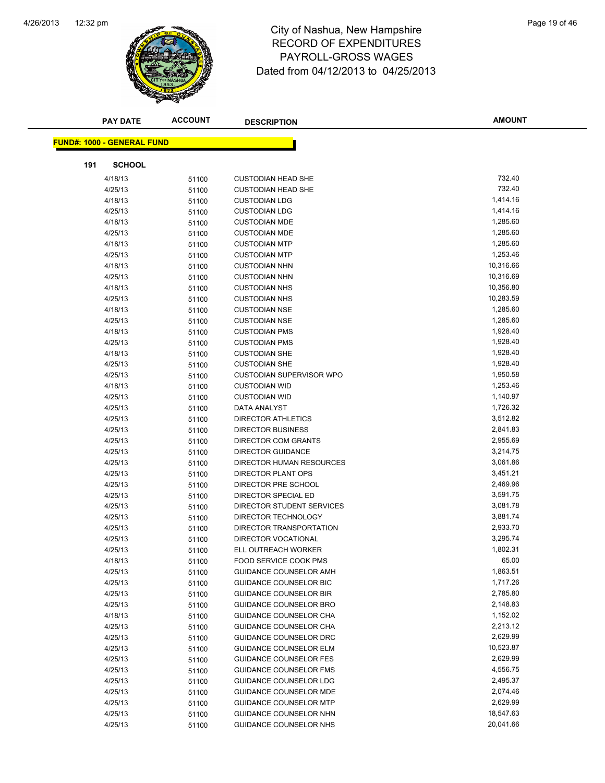

# 12:32 pm Page 19 of 46 RECORD OF EXPENDITURES PAYROLL-GROSS WAGES Dated from 04/12/2013 to 04/25/2013

|     | <b>PAY DATE</b>                   | <b>ACCOUNT</b> | <b>DESCRIPTION</b>              | <b>AMOUNT</b> |
|-----|-----------------------------------|----------------|---------------------------------|---------------|
|     | <b>FUND#: 1000 - GENERAL FUND</b> |                |                                 |               |
|     |                                   |                |                                 |               |
| 191 | <b>SCHOOL</b>                     |                |                                 |               |
|     | 4/18/13                           | 51100          | <b>CUSTODIAN HEAD SHE</b>       | 732.40        |
|     | 4/25/13                           | 51100          | <b>CUSTODIAN HEAD SHE</b>       | 732.40        |
|     | 4/18/13                           | 51100          | <b>CUSTODIAN LDG</b>            | 1,414.16      |
|     | 4/25/13                           | 51100          | <b>CUSTODIAN LDG</b>            | 1,414.16      |
|     | 4/18/13                           | 51100          | <b>CUSTODIAN MDE</b>            | 1,285.60      |
|     | 4/25/13                           | 51100          | <b>CUSTODIAN MDE</b>            | 1,285.60      |
|     | 4/18/13                           | 51100          | <b>CUSTODIAN MTP</b>            | 1,285.60      |
|     | 4/25/13                           | 51100          | <b>CUSTODIAN MTP</b>            | 1,253.46      |
|     | 4/18/13                           | 51100          | <b>CUSTODIAN NHN</b>            | 10,316.66     |
|     | 4/25/13                           | 51100          | <b>CUSTODIAN NHN</b>            | 10,316.69     |
|     | 4/18/13                           | 51100          | <b>CUSTODIAN NHS</b>            | 10,356.80     |
|     | 4/25/13                           | 51100          | <b>CUSTODIAN NHS</b>            | 10,283.59     |
|     | 4/18/13                           | 51100          | <b>CUSTODIAN NSE</b>            | 1,285.60      |
|     | 4/25/13                           | 51100          | <b>CUSTODIAN NSE</b>            | 1,285.60      |
|     | 4/18/13                           | 51100          | <b>CUSTODIAN PMS</b>            | 1,928.40      |
|     | 4/25/13                           | 51100          | <b>CUSTODIAN PMS</b>            | 1,928.40      |
|     | 4/18/13                           | 51100          | <b>CUSTODIAN SHE</b>            | 1,928.40      |
|     | 4/25/13                           | 51100          | <b>CUSTODIAN SHE</b>            | 1,928.40      |
|     | 4/25/13                           | 51100          | <b>CUSTODIAN SUPERVISOR WPO</b> | 1,950.58      |
|     | 4/18/13                           | 51100          | <b>CUSTODIAN WID</b>            | 1,253.46      |
|     | 4/25/13                           | 51100          | <b>CUSTODIAN WID</b>            | 1,140.97      |
|     | 4/25/13                           | 51100          | DATA ANALYST                    | 1,726.32      |
|     | 4/25/13                           | 51100          | <b>DIRECTOR ATHLETICS</b>       | 3,512.82      |
|     | 4/25/13                           | 51100          | <b>DIRECTOR BUSINESS</b>        | 2,841.83      |
|     | 4/25/13                           | 51100          | DIRECTOR COM GRANTS             | 2,955.69      |
|     | 4/25/13                           | 51100          | <b>DIRECTOR GUIDANCE</b>        | 3,214.75      |
|     | 4/25/13                           | 51100          | DIRECTOR HUMAN RESOURCES        | 3,061.86      |
|     | 4/25/13                           | 51100          | DIRECTOR PLANT OPS              | 3,451.21      |
|     | 4/25/13                           | 51100          | DIRECTOR PRE SCHOOL             | 2,469.96      |
|     | 4/25/13                           | 51100          | DIRECTOR SPECIAL ED             | 3,591.75      |
|     | 4/25/13                           | 51100          | DIRECTOR STUDENT SERVICES       | 3,081.78      |
|     | 4/25/13                           | 51100          | DIRECTOR TECHNOLOGY             | 3,881.74      |
|     | 4/25/13                           | 51100          | DIRECTOR TRANSPORTATION         | 2,933.70      |
|     | 4/25/13                           | 51100          | <b>DIRECTOR VOCATIONAL</b>      | 3,295.74      |
|     | 4/25/13                           | 51100          | ELL OUTREACH WORKER             | 1,802.31      |
|     | 4/18/13                           | 51100          | FOOD SERVICE COOK PMS           | 65.00         |
|     | 4/25/13                           | 51100          | GUIDANCE COUNSELOR AMH          | 1,863.51      |
|     | 4/25/13                           | 51100          | <b>GUIDANCE COUNSELOR BIC</b>   | 1,717.26      |
|     | 4/25/13                           | 51100          | <b>GUIDANCE COUNSELOR BIR</b>   | 2,785.80      |
|     | 4/25/13                           | 51100          | GUIDANCE COUNSELOR BRO          | 2,148.83      |
|     | 4/18/13                           | 51100          | GUIDANCE COUNSELOR CHA          | 1,152.02      |
|     | 4/25/13                           | 51100          | <b>GUIDANCE COUNSELOR CHA</b>   | 2,213.12      |
|     | 4/25/13                           | 51100          | GUIDANCE COUNSELOR DRC          | 2,629.99      |
|     | 4/25/13                           | 51100          | <b>GUIDANCE COUNSELOR ELM</b>   | 10,523.87     |
|     | 4/25/13                           | 51100          | <b>GUIDANCE COUNSELOR FES</b>   | 2,629.99      |
|     | 4/25/13                           | 51100          | <b>GUIDANCE COUNSELOR FMS</b>   | 4,556.75      |
|     | 4/25/13                           | 51100          | GUIDANCE COUNSELOR LDG          | 2,495.37      |
|     | 4/25/13                           | 51100          | <b>GUIDANCE COUNSELOR MDE</b>   | 2,074.46      |
|     | 4/25/13                           | 51100          | <b>GUIDANCE COUNSELOR MTP</b>   | 2,629.99      |
|     | 4/25/13                           | 51100          | GUIDANCE COUNSELOR NHN          | 18,547.63     |
|     | 4/25/13                           | 51100          | GUIDANCE COUNSELOR NHS          | 20,041.66     |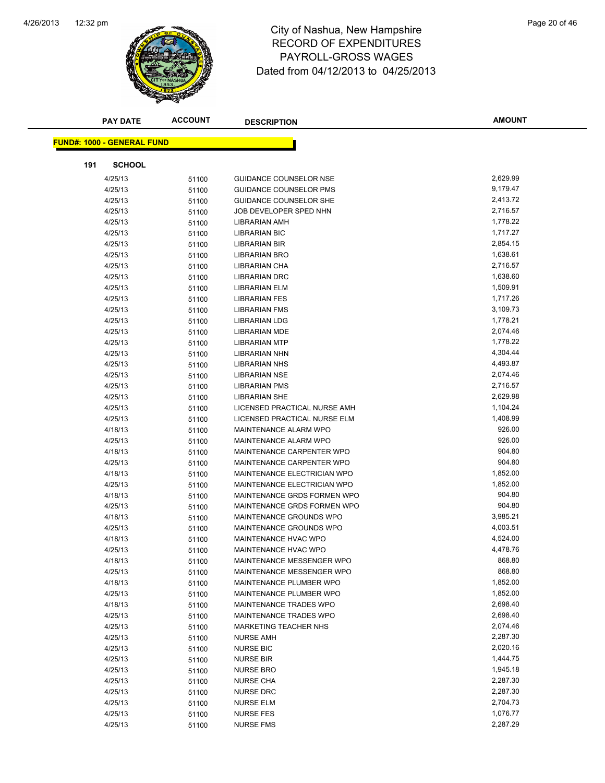

|     | <b>PAY DATE</b>                   | <b>ACCOUNT</b> | <b>DESCRIPTION</b>                   | <b>AMOUNT</b>        |
|-----|-----------------------------------|----------------|--------------------------------------|----------------------|
|     | <b>FUND#: 1000 - GENERAL FUND</b> |                |                                      |                      |
|     |                                   |                |                                      |                      |
| 191 | <b>SCHOOL</b>                     |                |                                      |                      |
|     | 4/25/13                           | 51100          | <b>GUIDANCE COUNSELOR NSE</b>        | 2,629.99             |
|     | 4/25/13                           | 51100          | <b>GUIDANCE COUNSELOR PMS</b>        | 9,179.47             |
|     | 4/25/13                           | 51100          | <b>GUIDANCE COUNSELOR SHE</b>        | 2,413.72             |
|     | 4/25/13                           | 51100          | JOB DEVELOPER SPED NHN               | 2,716.57             |
|     | 4/25/13                           | 51100          | LIBRARIAN AMH                        | 1,778.22             |
|     | 4/25/13                           | 51100          | LIBRARIAN BIC                        | 1,717.27             |
|     | 4/25/13                           | 51100          | LIBRARIAN BIR                        | 2,854.15             |
|     | 4/25/13                           | 51100          | LIBRARIAN BRO                        | 1,638.61             |
|     | 4/25/13                           | 51100          | LIBRARIAN CHA                        | 2,716.57             |
|     | 4/25/13                           | 51100          | <b>LIBRARIAN DRC</b>                 | 1,638.60             |
|     | 4/25/13                           | 51100          | LIBRARIAN ELM                        | 1,509.91             |
|     | 4/25/13                           | 51100          | <b>LIBRARIAN FES</b>                 | 1,717.26             |
|     | 4/25/13                           | 51100          | <b>LIBRARIAN FMS</b>                 | 3,109.73             |
|     | 4/25/13                           | 51100          | <b>LIBRARIAN LDG</b>                 | 1,778.21             |
|     | 4/25/13                           | 51100          | <b>LIBRARIAN MDE</b>                 | 2,074.46             |
|     | 4/25/13                           | 51100          | <b>LIBRARIAN MTP</b>                 | 1,778.22             |
|     | 4/25/13                           | 51100          | <b>LIBRARIAN NHN</b>                 | 4,304.44             |
|     | 4/25/13                           | 51100          | <b>LIBRARIAN NHS</b>                 | 4,493.87             |
|     | 4/25/13                           | 51100          | <b>LIBRARIAN NSE</b>                 | 2,074.46             |
|     | 4/25/13                           | 51100          | <b>LIBRARIAN PMS</b>                 | 2,716.57             |
|     | 4/25/13                           | 51100          | <b>LIBRARIAN SHE</b>                 | 2,629.98             |
|     | 4/25/13                           | 51100          | LICENSED PRACTICAL NURSE AMH         | 1,104.24             |
|     | 4/25/13                           | 51100          | LICENSED PRACTICAL NURSE ELM         | 1,408.99             |
|     | 4/18/13                           | 51100          | MAINTENANCE ALARM WPO                | 926.00               |
|     | 4/25/13                           | 51100          | MAINTENANCE ALARM WPO                | 926.00               |
|     | 4/18/13                           | 51100          | MAINTENANCE CARPENTER WPO            | 904.80               |
|     | 4/25/13                           | 51100          | MAINTENANCE CARPENTER WPO            | 904.80               |
|     | 4/18/13                           | 51100          | MAINTENANCE ELECTRICIAN WPO          | 1,852.00             |
|     | 4/25/13                           | 51100          | MAINTENANCE ELECTRICIAN WPO          | 1,852.00             |
|     | 4/18/13                           | 51100          | MAINTENANCE GRDS FORMEN WPO          | 904.80               |
|     | 4/25/13                           | 51100          | MAINTENANCE GRDS FORMEN WPO          | 904.80               |
|     | 4/18/13                           | 51100          | MAINTENANCE GROUNDS WPO              | 3,985.21             |
|     | 4/25/13                           | 51100          | MAINTENANCE GROUNDS WPO              | 4,003.51             |
|     | 4/18/13                           | 51100          | MAINTENANCE HVAC WPO                 | 4,524.00             |
|     | 4/25/13                           | 51100          | MAINTENANCE HVAC WPO                 | 4,478.76             |
|     | 4/18/13                           | 51100          | MAINTENANCE MESSENGER WPO            | 868.80               |
|     | 4/25/13                           | 51100          | MAINTENANCE MESSENGER WPO            | 868.80               |
|     | 4/18/13                           | 51100          | MAINTENANCE PLUMBER WPO              | 1,852.00             |
|     | 4/25/13                           | 51100          | MAINTENANCE PLUMBER WPO              | 1,852.00             |
|     | 4/18/13                           | 51100          | MAINTENANCE TRADES WPO               | 2,698.40             |
|     | 4/25/13                           | 51100          | MAINTENANCE TRADES WPO               | 2,698.40             |
|     | 4/25/13                           | 51100          | MARKETING TEACHER NHS                | 2,074.46             |
|     | 4/25/13                           | 51100          | <b>NURSE AMH</b>                     | 2,287.30             |
|     | 4/25/13                           | 51100          | <b>NURSE BIC</b>                     | 2,020.16             |
|     | 4/25/13                           | 51100          | <b>NURSE BIR</b>                     | 1,444.75<br>1,945.18 |
|     | 4/25/13<br>4/25/13                | 51100          | <b>NURSE BRO</b><br><b>NURSE CHA</b> | 2,287.30             |
|     | 4/25/13                           | 51100          |                                      | 2,287.30             |
|     | 4/25/13                           | 51100          | <b>NURSE DRC</b><br><b>NURSE ELM</b> | 2,704.73             |
|     | 4/25/13                           | 51100          | <b>NURSE FES</b>                     | 1,076.77             |
|     | 4/25/13                           | 51100<br>51100 | <b>NURSE FMS</b>                     | 2,287.29             |
|     |                                   |                |                                      |                      |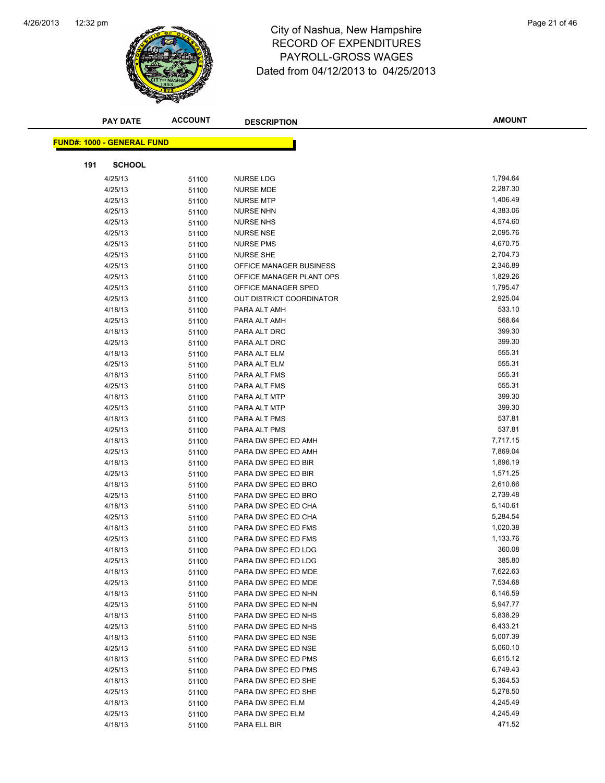

# 12:32 pm Page 21 of 46 RECORD OF EXPENDITURES PAYROLL-GROSS WAGES Dated from 04/12/2013 to 04/25/2013

| <b>FUND#: 1000 - GENERAL FUND</b><br><b>SCHOOL</b><br>191<br>1,794.64<br>4/25/13<br><b>NURSE LDG</b><br>51100<br>2,287.30<br>4/25/13<br><b>NURSE MDE</b><br>51100<br>1,406.49<br>4/25/13<br><b>NURSE MTP</b><br>51100<br>4,383.06<br>4/25/13<br><b>NURSE NHN</b><br>51100<br>4,574.60<br>4/25/13<br><b>NURSE NHS</b><br>51100<br>2,095.76<br>4/25/13<br><b>NURSE NSE</b><br>51100<br>4,670.75<br>4/25/13<br><b>NURSE PMS</b><br>51100<br>2,704.73<br>4/25/13<br><b>NURSE SHE</b><br>51100<br>2,346.89<br>4/25/13<br>OFFICE MANAGER BUSINESS<br>51100<br>1,829.26<br>4/25/13<br>OFFICE MANAGER PLANT OPS<br>51100<br>1,795.47<br>4/25/13<br>OFFICE MANAGER SPED<br>51100<br>2,925.04<br>4/25/13<br>OUT DISTRICT COORDINATOR<br>51100<br>533.10<br>4/18/13<br>PARA ALT AMH<br>51100<br>568.64<br>4/25/13<br>PARA ALT AMH<br>51100<br>399.30<br>4/18/13<br>PARA ALT DRC<br>51100<br>399.30<br>4/25/13<br>PARA ALT DRC<br>51100<br>555.31<br>4/18/13<br>PARA ALT ELM<br>51100<br>555.31<br>4/25/13<br>PARA ALT ELM<br>51100<br>555.31<br>4/18/13<br>PARA ALT FMS<br>51100<br>555.31<br>4/25/13<br>PARA ALT FMS<br>51100<br>399.30<br>4/18/13<br>PARA ALT MTP<br>51100<br>399.30<br>4/25/13<br>PARA ALT MTP<br>51100<br>537.81<br>4/18/13<br>PARA ALT PMS<br>51100<br>537.81<br>4/25/13<br>51100<br>PARA ALT PMS<br>7,717.15<br>4/18/13<br>PARA DW SPEC ED AMH<br>51100<br>7,869.04<br>4/25/13<br>PARA DW SPEC ED AMH<br>51100<br>1,896.19<br>4/18/13<br>PARA DW SPEC ED BIR<br>51100<br>1,571.25<br>4/25/13<br>PARA DW SPEC ED BIR<br>51100<br>2,610.66<br>PARA DW SPEC ED BRO<br>4/18/13<br>51100<br>2,739.48<br>4/25/13<br>PARA DW SPEC ED BRO<br>51100<br>5,140.61<br>PARA DW SPEC ED CHA<br>4/18/13<br>51100<br>5,284.54<br>4/25/13<br>PARA DW SPEC ED CHA<br>51100<br>1,020.38<br>4/18/13<br>PARA DW SPEC ED FMS<br>51100<br>1,133.76<br>4/25/13<br>PARA DW SPEC ED FMS<br>51100<br>360.08<br>PARA DW SPEC ED LDG<br>4/18/13<br>51100<br>4/25/13<br>51100<br>PARA DW SPEC ED LDG<br>385.80<br>7,622.63<br>4/18/13<br>PARA DW SPEC ED MDE<br>51100<br>7,534.68<br>4/25/13<br>PARA DW SPEC ED MDE<br>51100<br>6,146.59<br>4/18/13<br>PARA DW SPEC ED NHN<br>51100<br>5,947.77<br>4/25/13<br>PARA DW SPEC ED NHN<br>51100<br>5,838.29<br>4/18/13<br>PARA DW SPEC ED NHS<br>51100<br>6,433.21<br>PARA DW SPEC ED NHS<br>4/25/13<br>51100<br>5,007.39<br>4/18/13<br>PARA DW SPEC ED NSE<br>51100<br>5,060.10<br>4/25/13<br>PARA DW SPEC ED NSE<br>51100<br>6,615.12<br>4/18/13<br>PARA DW SPEC ED PMS<br>51100<br>6,749.43<br>4/25/13<br>PARA DW SPEC ED PMS<br>51100<br>5,364.53<br>4/18/13<br>PARA DW SPEC ED SHE<br>51100<br>5,278.50<br>PARA DW SPEC ED SHE<br>4/25/13<br>51100<br>4/18/13<br>PARA DW SPEC ELM<br>4,245.49<br>51100<br>4,245.49<br>4/25/13<br>PARA DW SPEC ELM<br>51100<br>471.52<br>4/18/13<br>PARA ELL BIR<br>51100 | <b>PAY DATE</b> | <b>ACCOUNT</b> | <b>DESCRIPTION</b> | <b>AMOUNT</b> |
|---------------------------------------------------------------------------------------------------------------------------------------------------------------------------------------------------------------------------------------------------------------------------------------------------------------------------------------------------------------------------------------------------------------------------------------------------------------------------------------------------------------------------------------------------------------------------------------------------------------------------------------------------------------------------------------------------------------------------------------------------------------------------------------------------------------------------------------------------------------------------------------------------------------------------------------------------------------------------------------------------------------------------------------------------------------------------------------------------------------------------------------------------------------------------------------------------------------------------------------------------------------------------------------------------------------------------------------------------------------------------------------------------------------------------------------------------------------------------------------------------------------------------------------------------------------------------------------------------------------------------------------------------------------------------------------------------------------------------------------------------------------------------------------------------------------------------------------------------------------------------------------------------------------------------------------------------------------------------------------------------------------------------------------------------------------------------------------------------------------------------------------------------------------------------------------------------------------------------------------------------------------------------------------------------------------------------------------------------------------------------------------------------------------------------------------------------------------------------------------------------------------------------------------------------------------------------------------------------------------------------------------------------------------------------------------------------------------------------------------------------------------------------------------------------------------------------------------|-----------------|----------------|--------------------|---------------|
|                                                                                                                                                                                                                                                                                                                                                                                                                                                                                                                                                                                                                                                                                                                                                                                                                                                                                                                                                                                                                                                                                                                                                                                                                                                                                                                                                                                                                                                                                                                                                                                                                                                                                                                                                                                                                                                                                                                                                                                                                                                                                                                                                                                                                                                                                                                                                                                                                                                                                                                                                                                                                                                                                                                                                                                                                                       |                 |                |                    |               |
|                                                                                                                                                                                                                                                                                                                                                                                                                                                                                                                                                                                                                                                                                                                                                                                                                                                                                                                                                                                                                                                                                                                                                                                                                                                                                                                                                                                                                                                                                                                                                                                                                                                                                                                                                                                                                                                                                                                                                                                                                                                                                                                                                                                                                                                                                                                                                                                                                                                                                                                                                                                                                                                                                                                                                                                                                                       |                 |                |                    |               |
|                                                                                                                                                                                                                                                                                                                                                                                                                                                                                                                                                                                                                                                                                                                                                                                                                                                                                                                                                                                                                                                                                                                                                                                                                                                                                                                                                                                                                                                                                                                                                                                                                                                                                                                                                                                                                                                                                                                                                                                                                                                                                                                                                                                                                                                                                                                                                                                                                                                                                                                                                                                                                                                                                                                                                                                                                                       |                 |                |                    |               |
|                                                                                                                                                                                                                                                                                                                                                                                                                                                                                                                                                                                                                                                                                                                                                                                                                                                                                                                                                                                                                                                                                                                                                                                                                                                                                                                                                                                                                                                                                                                                                                                                                                                                                                                                                                                                                                                                                                                                                                                                                                                                                                                                                                                                                                                                                                                                                                                                                                                                                                                                                                                                                                                                                                                                                                                                                                       |                 |                |                    |               |
|                                                                                                                                                                                                                                                                                                                                                                                                                                                                                                                                                                                                                                                                                                                                                                                                                                                                                                                                                                                                                                                                                                                                                                                                                                                                                                                                                                                                                                                                                                                                                                                                                                                                                                                                                                                                                                                                                                                                                                                                                                                                                                                                                                                                                                                                                                                                                                                                                                                                                                                                                                                                                                                                                                                                                                                                                                       |                 |                |                    |               |
|                                                                                                                                                                                                                                                                                                                                                                                                                                                                                                                                                                                                                                                                                                                                                                                                                                                                                                                                                                                                                                                                                                                                                                                                                                                                                                                                                                                                                                                                                                                                                                                                                                                                                                                                                                                                                                                                                                                                                                                                                                                                                                                                                                                                                                                                                                                                                                                                                                                                                                                                                                                                                                                                                                                                                                                                                                       |                 |                |                    |               |
|                                                                                                                                                                                                                                                                                                                                                                                                                                                                                                                                                                                                                                                                                                                                                                                                                                                                                                                                                                                                                                                                                                                                                                                                                                                                                                                                                                                                                                                                                                                                                                                                                                                                                                                                                                                                                                                                                                                                                                                                                                                                                                                                                                                                                                                                                                                                                                                                                                                                                                                                                                                                                                                                                                                                                                                                                                       |                 |                |                    |               |
|                                                                                                                                                                                                                                                                                                                                                                                                                                                                                                                                                                                                                                                                                                                                                                                                                                                                                                                                                                                                                                                                                                                                                                                                                                                                                                                                                                                                                                                                                                                                                                                                                                                                                                                                                                                                                                                                                                                                                                                                                                                                                                                                                                                                                                                                                                                                                                                                                                                                                                                                                                                                                                                                                                                                                                                                                                       |                 |                |                    |               |
|                                                                                                                                                                                                                                                                                                                                                                                                                                                                                                                                                                                                                                                                                                                                                                                                                                                                                                                                                                                                                                                                                                                                                                                                                                                                                                                                                                                                                                                                                                                                                                                                                                                                                                                                                                                                                                                                                                                                                                                                                                                                                                                                                                                                                                                                                                                                                                                                                                                                                                                                                                                                                                                                                                                                                                                                                                       |                 |                |                    |               |
|                                                                                                                                                                                                                                                                                                                                                                                                                                                                                                                                                                                                                                                                                                                                                                                                                                                                                                                                                                                                                                                                                                                                                                                                                                                                                                                                                                                                                                                                                                                                                                                                                                                                                                                                                                                                                                                                                                                                                                                                                                                                                                                                                                                                                                                                                                                                                                                                                                                                                                                                                                                                                                                                                                                                                                                                                                       |                 |                |                    |               |
|                                                                                                                                                                                                                                                                                                                                                                                                                                                                                                                                                                                                                                                                                                                                                                                                                                                                                                                                                                                                                                                                                                                                                                                                                                                                                                                                                                                                                                                                                                                                                                                                                                                                                                                                                                                                                                                                                                                                                                                                                                                                                                                                                                                                                                                                                                                                                                                                                                                                                                                                                                                                                                                                                                                                                                                                                                       |                 |                |                    |               |
|                                                                                                                                                                                                                                                                                                                                                                                                                                                                                                                                                                                                                                                                                                                                                                                                                                                                                                                                                                                                                                                                                                                                                                                                                                                                                                                                                                                                                                                                                                                                                                                                                                                                                                                                                                                                                                                                                                                                                                                                                                                                                                                                                                                                                                                                                                                                                                                                                                                                                                                                                                                                                                                                                                                                                                                                                                       |                 |                |                    |               |
|                                                                                                                                                                                                                                                                                                                                                                                                                                                                                                                                                                                                                                                                                                                                                                                                                                                                                                                                                                                                                                                                                                                                                                                                                                                                                                                                                                                                                                                                                                                                                                                                                                                                                                                                                                                                                                                                                                                                                                                                                                                                                                                                                                                                                                                                                                                                                                                                                                                                                                                                                                                                                                                                                                                                                                                                                                       |                 |                |                    |               |
|                                                                                                                                                                                                                                                                                                                                                                                                                                                                                                                                                                                                                                                                                                                                                                                                                                                                                                                                                                                                                                                                                                                                                                                                                                                                                                                                                                                                                                                                                                                                                                                                                                                                                                                                                                                                                                                                                                                                                                                                                                                                                                                                                                                                                                                                                                                                                                                                                                                                                                                                                                                                                                                                                                                                                                                                                                       |                 |                |                    |               |
|                                                                                                                                                                                                                                                                                                                                                                                                                                                                                                                                                                                                                                                                                                                                                                                                                                                                                                                                                                                                                                                                                                                                                                                                                                                                                                                                                                                                                                                                                                                                                                                                                                                                                                                                                                                                                                                                                                                                                                                                                                                                                                                                                                                                                                                                                                                                                                                                                                                                                                                                                                                                                                                                                                                                                                                                                                       |                 |                |                    |               |
|                                                                                                                                                                                                                                                                                                                                                                                                                                                                                                                                                                                                                                                                                                                                                                                                                                                                                                                                                                                                                                                                                                                                                                                                                                                                                                                                                                                                                                                                                                                                                                                                                                                                                                                                                                                                                                                                                                                                                                                                                                                                                                                                                                                                                                                                                                                                                                                                                                                                                                                                                                                                                                                                                                                                                                                                                                       |                 |                |                    |               |
|                                                                                                                                                                                                                                                                                                                                                                                                                                                                                                                                                                                                                                                                                                                                                                                                                                                                                                                                                                                                                                                                                                                                                                                                                                                                                                                                                                                                                                                                                                                                                                                                                                                                                                                                                                                                                                                                                                                                                                                                                                                                                                                                                                                                                                                                                                                                                                                                                                                                                                                                                                                                                                                                                                                                                                                                                                       |                 |                |                    |               |
|                                                                                                                                                                                                                                                                                                                                                                                                                                                                                                                                                                                                                                                                                                                                                                                                                                                                                                                                                                                                                                                                                                                                                                                                                                                                                                                                                                                                                                                                                                                                                                                                                                                                                                                                                                                                                                                                                                                                                                                                                                                                                                                                                                                                                                                                                                                                                                                                                                                                                                                                                                                                                                                                                                                                                                                                                                       |                 |                |                    |               |
|                                                                                                                                                                                                                                                                                                                                                                                                                                                                                                                                                                                                                                                                                                                                                                                                                                                                                                                                                                                                                                                                                                                                                                                                                                                                                                                                                                                                                                                                                                                                                                                                                                                                                                                                                                                                                                                                                                                                                                                                                                                                                                                                                                                                                                                                                                                                                                                                                                                                                                                                                                                                                                                                                                                                                                                                                                       |                 |                |                    |               |
|                                                                                                                                                                                                                                                                                                                                                                                                                                                                                                                                                                                                                                                                                                                                                                                                                                                                                                                                                                                                                                                                                                                                                                                                                                                                                                                                                                                                                                                                                                                                                                                                                                                                                                                                                                                                                                                                                                                                                                                                                                                                                                                                                                                                                                                                                                                                                                                                                                                                                                                                                                                                                                                                                                                                                                                                                                       |                 |                |                    |               |
|                                                                                                                                                                                                                                                                                                                                                                                                                                                                                                                                                                                                                                                                                                                                                                                                                                                                                                                                                                                                                                                                                                                                                                                                                                                                                                                                                                                                                                                                                                                                                                                                                                                                                                                                                                                                                                                                                                                                                                                                                                                                                                                                                                                                                                                                                                                                                                                                                                                                                                                                                                                                                                                                                                                                                                                                                                       |                 |                |                    |               |
|                                                                                                                                                                                                                                                                                                                                                                                                                                                                                                                                                                                                                                                                                                                                                                                                                                                                                                                                                                                                                                                                                                                                                                                                                                                                                                                                                                                                                                                                                                                                                                                                                                                                                                                                                                                                                                                                                                                                                                                                                                                                                                                                                                                                                                                                                                                                                                                                                                                                                                                                                                                                                                                                                                                                                                                                                                       |                 |                |                    |               |
|                                                                                                                                                                                                                                                                                                                                                                                                                                                                                                                                                                                                                                                                                                                                                                                                                                                                                                                                                                                                                                                                                                                                                                                                                                                                                                                                                                                                                                                                                                                                                                                                                                                                                                                                                                                                                                                                                                                                                                                                                                                                                                                                                                                                                                                                                                                                                                                                                                                                                                                                                                                                                                                                                                                                                                                                                                       |                 |                |                    |               |
|                                                                                                                                                                                                                                                                                                                                                                                                                                                                                                                                                                                                                                                                                                                                                                                                                                                                                                                                                                                                                                                                                                                                                                                                                                                                                                                                                                                                                                                                                                                                                                                                                                                                                                                                                                                                                                                                                                                                                                                                                                                                                                                                                                                                                                                                                                                                                                                                                                                                                                                                                                                                                                                                                                                                                                                                                                       |                 |                |                    |               |
|                                                                                                                                                                                                                                                                                                                                                                                                                                                                                                                                                                                                                                                                                                                                                                                                                                                                                                                                                                                                                                                                                                                                                                                                                                                                                                                                                                                                                                                                                                                                                                                                                                                                                                                                                                                                                                                                                                                                                                                                                                                                                                                                                                                                                                                                                                                                                                                                                                                                                                                                                                                                                                                                                                                                                                                                                                       |                 |                |                    |               |
|                                                                                                                                                                                                                                                                                                                                                                                                                                                                                                                                                                                                                                                                                                                                                                                                                                                                                                                                                                                                                                                                                                                                                                                                                                                                                                                                                                                                                                                                                                                                                                                                                                                                                                                                                                                                                                                                                                                                                                                                                                                                                                                                                                                                                                                                                                                                                                                                                                                                                                                                                                                                                                                                                                                                                                                                                                       |                 |                |                    |               |
|                                                                                                                                                                                                                                                                                                                                                                                                                                                                                                                                                                                                                                                                                                                                                                                                                                                                                                                                                                                                                                                                                                                                                                                                                                                                                                                                                                                                                                                                                                                                                                                                                                                                                                                                                                                                                                                                                                                                                                                                                                                                                                                                                                                                                                                                                                                                                                                                                                                                                                                                                                                                                                                                                                                                                                                                                                       |                 |                |                    |               |
|                                                                                                                                                                                                                                                                                                                                                                                                                                                                                                                                                                                                                                                                                                                                                                                                                                                                                                                                                                                                                                                                                                                                                                                                                                                                                                                                                                                                                                                                                                                                                                                                                                                                                                                                                                                                                                                                                                                                                                                                                                                                                                                                                                                                                                                                                                                                                                                                                                                                                                                                                                                                                                                                                                                                                                                                                                       |                 |                |                    |               |
|                                                                                                                                                                                                                                                                                                                                                                                                                                                                                                                                                                                                                                                                                                                                                                                                                                                                                                                                                                                                                                                                                                                                                                                                                                                                                                                                                                                                                                                                                                                                                                                                                                                                                                                                                                                                                                                                                                                                                                                                                                                                                                                                                                                                                                                                                                                                                                                                                                                                                                                                                                                                                                                                                                                                                                                                                                       |                 |                |                    |               |
|                                                                                                                                                                                                                                                                                                                                                                                                                                                                                                                                                                                                                                                                                                                                                                                                                                                                                                                                                                                                                                                                                                                                                                                                                                                                                                                                                                                                                                                                                                                                                                                                                                                                                                                                                                                                                                                                                                                                                                                                                                                                                                                                                                                                                                                                                                                                                                                                                                                                                                                                                                                                                                                                                                                                                                                                                                       |                 |                |                    |               |
|                                                                                                                                                                                                                                                                                                                                                                                                                                                                                                                                                                                                                                                                                                                                                                                                                                                                                                                                                                                                                                                                                                                                                                                                                                                                                                                                                                                                                                                                                                                                                                                                                                                                                                                                                                                                                                                                                                                                                                                                                                                                                                                                                                                                                                                                                                                                                                                                                                                                                                                                                                                                                                                                                                                                                                                                                                       |                 |                |                    |               |
|                                                                                                                                                                                                                                                                                                                                                                                                                                                                                                                                                                                                                                                                                                                                                                                                                                                                                                                                                                                                                                                                                                                                                                                                                                                                                                                                                                                                                                                                                                                                                                                                                                                                                                                                                                                                                                                                                                                                                                                                                                                                                                                                                                                                                                                                                                                                                                                                                                                                                                                                                                                                                                                                                                                                                                                                                                       |                 |                |                    |               |
|                                                                                                                                                                                                                                                                                                                                                                                                                                                                                                                                                                                                                                                                                                                                                                                                                                                                                                                                                                                                                                                                                                                                                                                                                                                                                                                                                                                                                                                                                                                                                                                                                                                                                                                                                                                                                                                                                                                                                                                                                                                                                                                                                                                                                                                                                                                                                                                                                                                                                                                                                                                                                                                                                                                                                                                                                                       |                 |                |                    |               |
|                                                                                                                                                                                                                                                                                                                                                                                                                                                                                                                                                                                                                                                                                                                                                                                                                                                                                                                                                                                                                                                                                                                                                                                                                                                                                                                                                                                                                                                                                                                                                                                                                                                                                                                                                                                                                                                                                                                                                                                                                                                                                                                                                                                                                                                                                                                                                                                                                                                                                                                                                                                                                                                                                                                                                                                                                                       |                 |                |                    |               |
|                                                                                                                                                                                                                                                                                                                                                                                                                                                                                                                                                                                                                                                                                                                                                                                                                                                                                                                                                                                                                                                                                                                                                                                                                                                                                                                                                                                                                                                                                                                                                                                                                                                                                                                                                                                                                                                                                                                                                                                                                                                                                                                                                                                                                                                                                                                                                                                                                                                                                                                                                                                                                                                                                                                                                                                                                                       |                 |                |                    |               |
|                                                                                                                                                                                                                                                                                                                                                                                                                                                                                                                                                                                                                                                                                                                                                                                                                                                                                                                                                                                                                                                                                                                                                                                                                                                                                                                                                                                                                                                                                                                                                                                                                                                                                                                                                                                                                                                                                                                                                                                                                                                                                                                                                                                                                                                                                                                                                                                                                                                                                                                                                                                                                                                                                                                                                                                                                                       |                 |                |                    |               |
|                                                                                                                                                                                                                                                                                                                                                                                                                                                                                                                                                                                                                                                                                                                                                                                                                                                                                                                                                                                                                                                                                                                                                                                                                                                                                                                                                                                                                                                                                                                                                                                                                                                                                                                                                                                                                                                                                                                                                                                                                                                                                                                                                                                                                                                                                                                                                                                                                                                                                                                                                                                                                                                                                                                                                                                                                                       |                 |                |                    |               |
|                                                                                                                                                                                                                                                                                                                                                                                                                                                                                                                                                                                                                                                                                                                                                                                                                                                                                                                                                                                                                                                                                                                                                                                                                                                                                                                                                                                                                                                                                                                                                                                                                                                                                                                                                                                                                                                                                                                                                                                                                                                                                                                                                                                                                                                                                                                                                                                                                                                                                                                                                                                                                                                                                                                                                                                                                                       |                 |                |                    |               |
|                                                                                                                                                                                                                                                                                                                                                                                                                                                                                                                                                                                                                                                                                                                                                                                                                                                                                                                                                                                                                                                                                                                                                                                                                                                                                                                                                                                                                                                                                                                                                                                                                                                                                                                                                                                                                                                                                                                                                                                                                                                                                                                                                                                                                                                                                                                                                                                                                                                                                                                                                                                                                                                                                                                                                                                                                                       |                 |                |                    |               |
|                                                                                                                                                                                                                                                                                                                                                                                                                                                                                                                                                                                                                                                                                                                                                                                                                                                                                                                                                                                                                                                                                                                                                                                                                                                                                                                                                                                                                                                                                                                                                                                                                                                                                                                                                                                                                                                                                                                                                                                                                                                                                                                                                                                                                                                                                                                                                                                                                                                                                                                                                                                                                                                                                                                                                                                                                                       |                 |                |                    |               |
|                                                                                                                                                                                                                                                                                                                                                                                                                                                                                                                                                                                                                                                                                                                                                                                                                                                                                                                                                                                                                                                                                                                                                                                                                                                                                                                                                                                                                                                                                                                                                                                                                                                                                                                                                                                                                                                                                                                                                                                                                                                                                                                                                                                                                                                                                                                                                                                                                                                                                                                                                                                                                                                                                                                                                                                                                                       |                 |                |                    |               |
|                                                                                                                                                                                                                                                                                                                                                                                                                                                                                                                                                                                                                                                                                                                                                                                                                                                                                                                                                                                                                                                                                                                                                                                                                                                                                                                                                                                                                                                                                                                                                                                                                                                                                                                                                                                                                                                                                                                                                                                                                                                                                                                                                                                                                                                                                                                                                                                                                                                                                                                                                                                                                                                                                                                                                                                                                                       |                 |                |                    |               |
|                                                                                                                                                                                                                                                                                                                                                                                                                                                                                                                                                                                                                                                                                                                                                                                                                                                                                                                                                                                                                                                                                                                                                                                                                                                                                                                                                                                                                                                                                                                                                                                                                                                                                                                                                                                                                                                                                                                                                                                                                                                                                                                                                                                                                                                                                                                                                                                                                                                                                                                                                                                                                                                                                                                                                                                                                                       |                 |                |                    |               |
|                                                                                                                                                                                                                                                                                                                                                                                                                                                                                                                                                                                                                                                                                                                                                                                                                                                                                                                                                                                                                                                                                                                                                                                                                                                                                                                                                                                                                                                                                                                                                                                                                                                                                                                                                                                                                                                                                                                                                                                                                                                                                                                                                                                                                                                                                                                                                                                                                                                                                                                                                                                                                                                                                                                                                                                                                                       |                 |                |                    |               |
|                                                                                                                                                                                                                                                                                                                                                                                                                                                                                                                                                                                                                                                                                                                                                                                                                                                                                                                                                                                                                                                                                                                                                                                                                                                                                                                                                                                                                                                                                                                                                                                                                                                                                                                                                                                                                                                                                                                                                                                                                                                                                                                                                                                                                                                                                                                                                                                                                                                                                                                                                                                                                                                                                                                                                                                                                                       |                 |                |                    |               |
|                                                                                                                                                                                                                                                                                                                                                                                                                                                                                                                                                                                                                                                                                                                                                                                                                                                                                                                                                                                                                                                                                                                                                                                                                                                                                                                                                                                                                                                                                                                                                                                                                                                                                                                                                                                                                                                                                                                                                                                                                                                                                                                                                                                                                                                                                                                                                                                                                                                                                                                                                                                                                                                                                                                                                                                                                                       |                 |                |                    |               |
|                                                                                                                                                                                                                                                                                                                                                                                                                                                                                                                                                                                                                                                                                                                                                                                                                                                                                                                                                                                                                                                                                                                                                                                                                                                                                                                                                                                                                                                                                                                                                                                                                                                                                                                                                                                                                                                                                                                                                                                                                                                                                                                                                                                                                                                                                                                                                                                                                                                                                                                                                                                                                                                                                                                                                                                                                                       |                 |                |                    |               |
|                                                                                                                                                                                                                                                                                                                                                                                                                                                                                                                                                                                                                                                                                                                                                                                                                                                                                                                                                                                                                                                                                                                                                                                                                                                                                                                                                                                                                                                                                                                                                                                                                                                                                                                                                                                                                                                                                                                                                                                                                                                                                                                                                                                                                                                                                                                                                                                                                                                                                                                                                                                                                                                                                                                                                                                                                                       |                 |                |                    |               |
|                                                                                                                                                                                                                                                                                                                                                                                                                                                                                                                                                                                                                                                                                                                                                                                                                                                                                                                                                                                                                                                                                                                                                                                                                                                                                                                                                                                                                                                                                                                                                                                                                                                                                                                                                                                                                                                                                                                                                                                                                                                                                                                                                                                                                                                                                                                                                                                                                                                                                                                                                                                                                                                                                                                                                                                                                                       |                 |                |                    |               |
|                                                                                                                                                                                                                                                                                                                                                                                                                                                                                                                                                                                                                                                                                                                                                                                                                                                                                                                                                                                                                                                                                                                                                                                                                                                                                                                                                                                                                                                                                                                                                                                                                                                                                                                                                                                                                                                                                                                                                                                                                                                                                                                                                                                                                                                                                                                                                                                                                                                                                                                                                                                                                                                                                                                                                                                                                                       |                 |                |                    |               |
|                                                                                                                                                                                                                                                                                                                                                                                                                                                                                                                                                                                                                                                                                                                                                                                                                                                                                                                                                                                                                                                                                                                                                                                                                                                                                                                                                                                                                                                                                                                                                                                                                                                                                                                                                                                                                                                                                                                                                                                                                                                                                                                                                                                                                                                                                                                                                                                                                                                                                                                                                                                                                                                                                                                                                                                                                                       |                 |                |                    |               |
|                                                                                                                                                                                                                                                                                                                                                                                                                                                                                                                                                                                                                                                                                                                                                                                                                                                                                                                                                                                                                                                                                                                                                                                                                                                                                                                                                                                                                                                                                                                                                                                                                                                                                                                                                                                                                                                                                                                                                                                                                                                                                                                                                                                                                                                                                                                                                                                                                                                                                                                                                                                                                                                                                                                                                                                                                                       |                 |                |                    |               |
|                                                                                                                                                                                                                                                                                                                                                                                                                                                                                                                                                                                                                                                                                                                                                                                                                                                                                                                                                                                                                                                                                                                                                                                                                                                                                                                                                                                                                                                                                                                                                                                                                                                                                                                                                                                                                                                                                                                                                                                                                                                                                                                                                                                                                                                                                                                                                                                                                                                                                                                                                                                                                                                                                                                                                                                                                                       |                 |                |                    |               |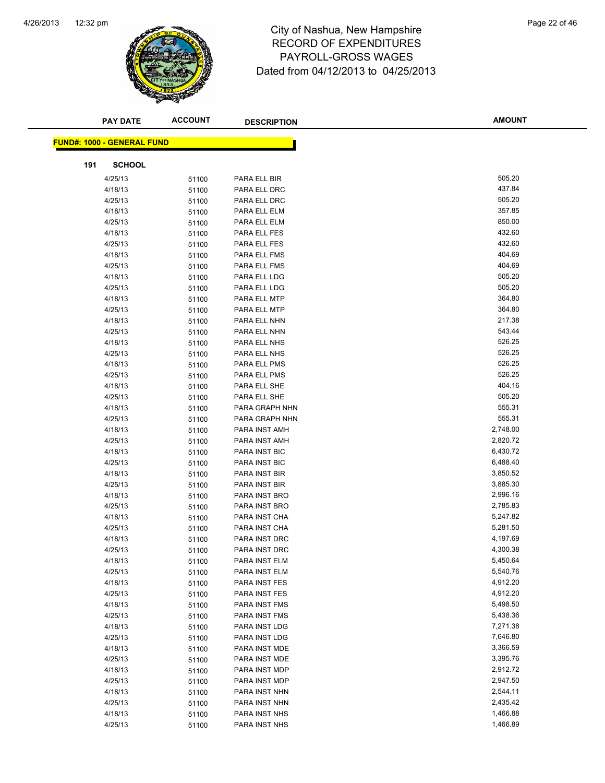

| <b>PAY DATE</b>                   | <b>ACCOUNT</b> | <b>DESCRIPTION</b>             | <b>AMOUNT</b>        |
|-----------------------------------|----------------|--------------------------------|----------------------|
|                                   |                |                                |                      |
| <b>FUND#: 1000 - GENERAL FUND</b> |                |                                |                      |
| <b>SCHOOL</b><br>191              |                |                                |                      |
| 4/25/13                           | 51100          | PARA ELL BIR                   | 505.20               |
| 4/18/13                           | 51100          | PARA ELL DRC                   | 437.84               |
| 4/25/13                           | 51100          | PARA ELL DRC                   | 505.20               |
| 4/18/13                           | 51100          | PARA ELL ELM                   | 357.85               |
| 4/25/13                           | 51100          | PARA ELL ELM                   | 850.00               |
| 4/18/13                           | 51100          | PARA ELL FES                   | 432.60               |
| 4/25/13                           | 51100          | PARA ELL FES                   | 432.60               |
| 4/18/13                           | 51100          | PARA ELL FMS                   | 404.69               |
| 4/25/13                           | 51100          | PARA ELL FMS                   | 404.69               |
| 4/18/13                           | 51100          | PARA ELL LDG                   | 505.20               |
| 4/25/13                           | 51100          | PARA ELL LDG                   | 505.20               |
| 4/18/13                           | 51100          | PARA ELL MTP                   | 364.80               |
| 4/25/13                           | 51100          | PARA ELL MTP                   | 364.80               |
| 4/18/13                           | 51100          | PARA ELL NHN                   | 217.38               |
| 4/25/13                           | 51100          | PARA ELL NHN                   | 543.44               |
| 4/18/13                           | 51100          | PARA ELL NHS                   | 526.25               |
| 4/25/13                           | 51100          | PARA ELL NHS                   | 526.25               |
| 4/18/13                           | 51100          | PARA ELL PMS                   | 526.25               |
| 4/25/13                           | 51100          | PARA ELL PMS                   | 526.25               |
| 4/18/13                           | 51100          | PARA ELL SHE                   | 404.16               |
| 4/25/13                           | 51100          | PARA ELL SHE                   | 505.20               |
| 4/18/13                           | 51100          | PARA GRAPH NHN                 | 555.31               |
| 4/25/13                           | 51100          | PARA GRAPH NHN                 | 555.31               |
| 4/18/13                           | 51100          | PARA INST AMH                  | 2,748.00             |
| 4/25/13                           | 51100          | PARA INST AMH                  | 2,820.72             |
| 4/18/13                           | 51100          | PARA INST BIC                  | 6,430.72             |
| 4/25/13                           | 51100          | PARA INST BIC                  | 6,488.40             |
| 4/18/13                           | 51100          | PARA INST BIR                  | 3,850.52             |
| 4/25/13                           | 51100          | PARA INST BIR                  | 3,885.30             |
| 4/18/13                           | 51100          | PARA INST BRO                  | 2,996.16             |
| 4/25/13                           | 51100          | PARA INST BRO                  | 2,785.83             |
| 4/18/13                           | 51100          | PARA INST CHA                  | 5,247.82             |
| 4/25/13                           | 51100          | PARA INST CHA                  | 5,281.50             |
| 4/18/13                           | 51100          | PARA INST DRC                  | 4,197.69             |
| 4/25/13                           | 51100          | PARA INST DRC                  | 4,300.38             |
| 4/18/13                           | 51100          | <b>PARA INST ELM</b>           | 5,450.64             |
| 4/25/13                           | 51100          | PARA INST ELM                  | 5,540.76<br>4,912.20 |
| 4/18/13                           | 51100          | PARA INST FES                  | 4,912.20             |
| 4/25/13<br>4/18/13                | 51100          | PARA INST FES                  | 5,498.50             |
| 4/25/13                           | 51100          | PARA INST FMS<br>PARA INST FMS | 5,438.36             |
| 4/18/13                           | 51100          | PARA INST LDG                  | 7,271.38             |
| 4/25/13                           | 51100<br>51100 | PARA INST LDG                  | 7,646.80             |
| 4/18/13                           | 51100          | PARA INST MDE                  | 3,366.59             |
| 4/25/13                           | 51100          | PARA INST MDE                  | 3,395.76             |
| 4/18/13                           | 51100          | PARA INST MDP                  | 2,912.72             |
| 4/25/13                           | 51100          | PARA INST MDP                  | 2,947.50             |
| 4/18/13                           | 51100          | PARA INST NHN                  | 2,544.11             |
| 4/25/13                           | 51100          | PARA INST NHN                  | 2,435.42             |
| 4/18/13                           | 51100          | PARA INST NHS                  | 1,466.88             |
| 4/25/13                           | 51100          | PARA INST NHS                  | 1,466.89             |
|                                   |                |                                |                      |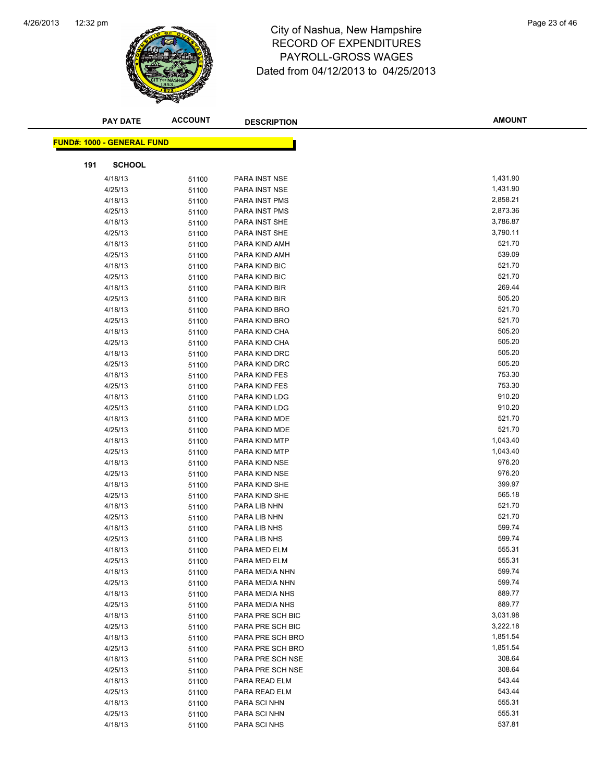

|     | <b>PAY DATE</b>                   | <b>ACCOUNT</b> | <b>DESCRIPTION</b>             | <b>AMOUNT</b>    |
|-----|-----------------------------------|----------------|--------------------------------|------------------|
|     |                                   |                |                                |                  |
|     | <b>FUND#: 1000 - GENERAL FUND</b> |                |                                |                  |
| 191 | <b>SCHOOL</b>                     |                |                                |                  |
|     | 4/18/13                           | 51100          | PARA INST NSE                  | 1,431.90         |
|     | 4/25/13                           | 51100          | PARA INST NSE                  | 1,431.90         |
|     | 4/18/13                           | 51100          | PARA INST PMS                  | 2,858.21         |
|     | 4/25/13                           | 51100          | PARA INST PMS                  | 2,873.36         |
|     | 4/18/13                           | 51100          | PARA INST SHE                  | 3,786.87         |
|     | 4/25/13                           | 51100          | PARA INST SHE                  | 3,790.11         |
|     | 4/18/13                           | 51100          | PARA KIND AMH                  | 521.70           |
|     | 4/25/13                           | 51100          | PARA KIND AMH                  | 539.09           |
|     | 4/18/13                           | 51100          | PARA KIND BIC                  | 521.70           |
|     | 4/25/13                           | 51100          | PARA KIND BIC                  | 521.70           |
|     | 4/18/13                           | 51100          | PARA KIND BIR                  | 269.44           |
|     | 4/25/13                           | 51100          | PARA KIND BIR                  | 505.20           |
|     | 4/18/13                           | 51100          | PARA KIND BRO                  | 521.70           |
|     | 4/25/13                           | 51100          | PARA KIND BRO                  | 521.70           |
|     | 4/18/13                           | 51100          | PARA KIND CHA                  | 505.20           |
|     | 4/25/13                           | 51100          | PARA KIND CHA                  | 505.20           |
|     | 4/18/13                           | 51100          | PARA KIND DRC                  | 505.20           |
|     | 4/25/13                           | 51100          | PARA KIND DRC                  | 505.20           |
|     | 4/18/13                           | 51100          | PARA KIND FES                  | 753.30           |
|     | 4/25/13                           | 51100          | PARA KIND FES                  | 753.30           |
|     | 4/18/13                           | 51100          | PARA KIND LDG                  | 910.20           |
|     | 4/25/13                           | 51100          | PARA KIND LDG                  | 910.20           |
|     | 4/18/13                           | 51100          | PARA KIND MDE                  | 521.70           |
|     | 4/25/13                           | 51100          | PARA KIND MDE                  | 521.70           |
|     | 4/18/13                           | 51100          | PARA KIND MTP                  | 1,043.40         |
|     | 4/25/13                           | 51100          | PARA KIND MTP                  | 1,043.40         |
|     | 4/18/13                           | 51100          | PARA KIND NSE                  | 976.20           |
|     | 4/25/13                           | 51100          | PARA KIND NSE                  | 976.20<br>399.97 |
|     | 4/18/13<br>4/25/13                | 51100          | PARA KIND SHE<br>PARA KIND SHE | 565.18           |
|     | 4/18/13                           | 51100          | PARA LIB NHN                   | 521.70           |
|     | 4/25/13                           | 51100<br>51100 | PARA LIB NHN                   | 521.70           |
|     | 4/18/13                           | 51100          | PARA LIB NHS                   | 599.74           |
|     | 4/25/13                           | 51100          | PARA LIB NHS                   | 599.74           |
|     | 4/18/13                           | 51100          | PARA MED ELM                   | 555.31           |
|     | 4/25/13                           | 51100          | PARA MED ELM                   | 555.31           |
|     | 4/18/13                           | 51100          | PARA MEDIA NHN                 | 599.74           |
|     | 4/25/13                           | 51100          | PARA MEDIA NHN                 | 599.74           |
|     | 4/18/13                           | 51100          | PARA MEDIA NHS                 | 889.77           |
|     | 4/25/13                           | 51100          | PARA MEDIA NHS                 | 889.77           |
|     | 4/18/13                           | 51100          | PARA PRE SCH BIC               | 3,031.98         |
|     | 4/25/13                           | 51100          | PARA PRE SCH BIC               | 3,222.18         |
|     | 4/18/13                           | 51100          | PARA PRE SCH BRO               | 1,851.54         |
|     | 4/25/13                           | 51100          | PARA PRE SCH BRO               | 1,851.54         |
|     | 4/18/13                           | 51100          | PARA PRE SCH NSE               | 308.64           |
|     | 4/25/13                           | 51100          | PARA PRE SCH NSE               | 308.64           |
|     | 4/18/13                           | 51100          | PARA READ ELM                  | 543.44           |
|     | 4/25/13                           | 51100          | PARA READ ELM                  | 543.44           |
|     | 4/18/13                           | 51100          | PARA SCI NHN                   | 555.31           |
|     | 4/25/13                           | 51100          | PARA SCI NHN                   | 555.31           |
|     | 4/18/13                           | 51100          | PARA SCI NHS                   | 537.81           |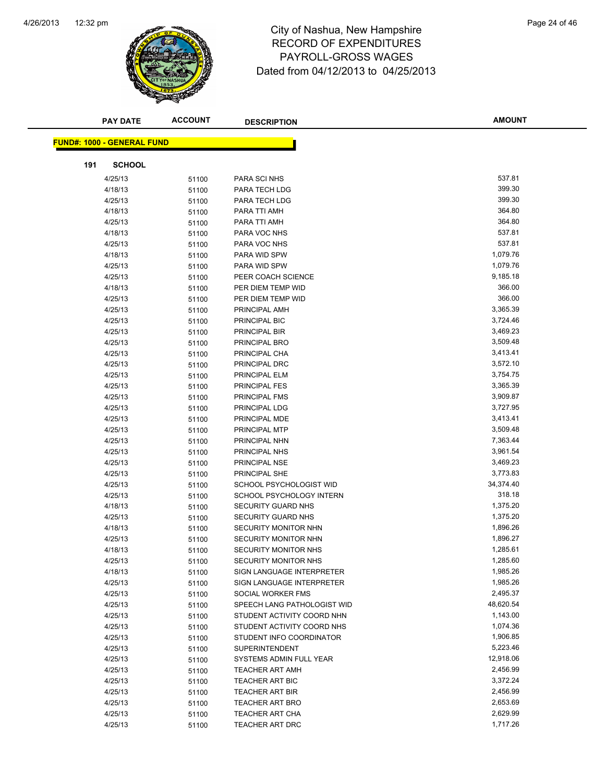

# 12:32 pm Page 24 of 46 RECORD OF EXPENDITURES PAYROLL-GROSS WAGES Dated from 04/12/2013 to 04/25/2013

| <b>PAY DATE</b>                   | <b>ACCOUNT</b> | <b>DESCRIPTION</b>                                       | <b>AMOUNT</b>        |
|-----------------------------------|----------------|----------------------------------------------------------|----------------------|
|                                   |                |                                                          |                      |
| <b>FUND#: 1000 - GENERAL FUND</b> |                |                                                          |                      |
| <b>SCHOOL</b><br>191              |                |                                                          |                      |
| 4/25/13                           | 51100          | PARA SCI NHS                                             | 537.81               |
| 4/18/13                           | 51100          | PARA TECH LDG                                            | 399.30               |
| 4/25/13                           | 51100          | PARA TECH LDG                                            | 399.30               |
| 4/18/13                           | 51100          | PARA TTI AMH                                             | 364.80               |
| 4/25/13                           | 51100          | PARA TTI AMH                                             | 364.80               |
| 4/18/13                           | 51100          | PARA VOC NHS                                             | 537.81               |
| 4/25/13                           | 51100          | PARA VOC NHS                                             | 537.81               |
| 4/18/13                           | 51100          | PARA WID SPW                                             | 1,079.76             |
| 4/25/13                           | 51100          | PARA WID SPW                                             | 1,079.76             |
| 4/25/13                           | 51100          | PEER COACH SCIENCE                                       | 9,185.18             |
| 4/18/13                           | 51100          | PER DIEM TEMP WID                                        | 366.00               |
| 4/25/13                           | 51100          | PER DIEM TEMP WID                                        | 366.00               |
| 4/25/13                           | 51100          | PRINCIPAL AMH                                            | 3,365.39             |
| 4/25/13                           | 51100          | PRINCIPAL BIC                                            | 3,724.46             |
| 4/25/13                           | 51100          | PRINCIPAL BIR                                            | 3,469.23             |
| 4/25/13                           | 51100          | PRINCIPAL BRO                                            | 3,509.48             |
| 4/25/13                           | 51100          | PRINCIPAL CHA                                            | 3,413.41             |
| 4/25/13                           | 51100          | PRINCIPAL DRC                                            | 3,572.10             |
| 4/25/13                           | 51100          | PRINCIPAL ELM                                            | 3,754.75             |
| 4/25/13                           | 51100          | PRINCIPAL FES                                            | 3,365.39             |
| 4/25/13                           | 51100          | PRINCIPAL FMS                                            | 3,909.87             |
| 4/25/13                           | 51100          | PRINCIPAL LDG                                            | 3,727.95             |
| 4/25/13                           | 51100          | PRINCIPAL MDE                                            | 3,413.41             |
| 4/25/13                           | 51100          | PRINCIPAL MTP                                            | 3,509.48             |
| 4/25/13                           | 51100          | PRINCIPAL NHN                                            | 7,363.44             |
| 4/25/13                           | 51100          | PRINCIPAL NHS                                            | 3,961.54             |
| 4/25/13                           | 51100          | PRINCIPAL NSE                                            | 3,469.23             |
| 4/25/13                           | 51100          | PRINCIPAL SHE                                            | 3,773.83             |
| 4/25/13                           | 51100          | SCHOOL PSYCHOLOGIST WID                                  | 34,374.40            |
| 4/25/13                           | 51100          | SCHOOL PSYCHOLOGY INTERN                                 | 318.18               |
| 4/18/13                           | 51100          | <b>SECURITY GUARD NHS</b>                                | 1,375.20             |
| 4/25/13                           | 51100          | SECURITY GUARD NHS                                       | 1,375.20             |
| 4/18/13                           | 51100          | SECURITY MONITOR NHN                                     | 1,896.26             |
| 4/25/13                           | 51100          | SECURITY MONITOR NHN                                     | 1,896.27             |
| 4/18/13                           | 51100          | <b>SECURITY MONITOR NHS</b>                              | 1,285.61             |
| 4/25/13                           | 51100          | SECURITY MONITOR NHS                                     | 1,285.60             |
| 4/18/13                           | 51100          | SIGN LANGUAGE INTERPRETER                                | 1,985.26             |
| 4/25/13                           | 51100          | SIGN LANGUAGE INTERPRETER                                | 1,985.26<br>2,495.37 |
| 4/25/13                           | 51100          | SOCIAL WORKER FMS                                        | 48,620.54            |
| 4/25/13                           | 51100          | SPEECH LANG PATHOLOGIST WID                              | 1,143.00             |
| 4/25/13                           | 51100          | STUDENT ACTIVITY COORD NHN<br>STUDENT ACTIVITY COORD NHS | 1,074.36             |
| 4/25/13                           | 51100          |                                                          | 1,906.85             |
| 4/25/13<br>4/25/13                | 51100          | STUDENT INFO COORDINATOR<br><b>SUPERINTENDENT</b>        | 5,223.46             |
| 4/25/13                           | 51100<br>51100 | SYSTEMS ADMIN FULL YEAR                                  | 12,918.06            |
| 4/25/13                           | 51100          | <b>TEACHER ART AMH</b>                                   | 2,456.99             |
| 4/25/13                           | 51100          | <b>TEACHER ART BIC</b>                                   | 3,372.24             |
| 4/25/13                           | 51100          | <b>TEACHER ART BIR</b>                                   | 2,456.99             |
| 4/25/13                           | 51100          | <b>TEACHER ART BRO</b>                                   | 2,653.69             |
| 4/25/13                           | 51100          | <b>TEACHER ART CHA</b>                                   | 2,629.99             |
| 4/25/13                           | 51100          | TEACHER ART DRC                                          | 1,717.26             |
|                                   |                |                                                          |                      |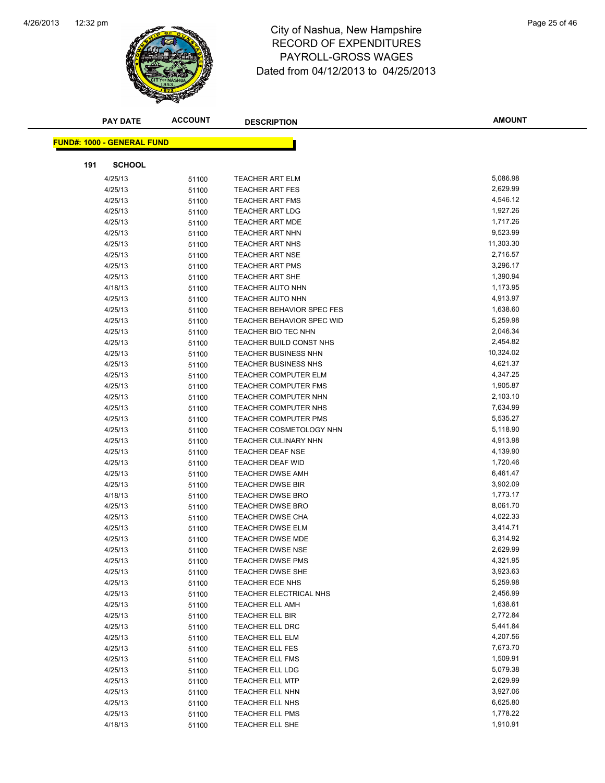

|     | <b>PAY DATE</b>                   | <b>ACCOUNT</b> | <b>DESCRIPTION</b>               | <b>AMOUNT</b> |
|-----|-----------------------------------|----------------|----------------------------------|---------------|
|     |                                   |                |                                  |               |
|     | <b>FUND#: 1000 - GENERAL FUND</b> |                |                                  |               |
| 191 | <b>SCHOOL</b>                     |                |                                  |               |
|     | 4/25/13                           | 51100          | <b>TEACHER ART ELM</b>           | 5,086.98      |
|     | 4/25/13                           | 51100          | <b>TEACHER ART FES</b>           | 2,629.99      |
|     | 4/25/13                           | 51100          | <b>TEACHER ART FMS</b>           | 4,546.12      |
|     | 4/25/13                           | 51100          | <b>TEACHER ART LDG</b>           | 1,927.26      |
|     | 4/25/13                           | 51100          | <b>TEACHER ART MDE</b>           | 1,717.26      |
|     | 4/25/13                           | 51100          | <b>TEACHER ART NHN</b>           | 9,523.99      |
|     | 4/25/13                           | 51100          | <b>TEACHER ART NHS</b>           | 11,303.30     |
|     | 4/25/13                           | 51100          | <b>TEACHER ART NSE</b>           | 2,716.57      |
|     | 4/25/13                           | 51100          | <b>TEACHER ART PMS</b>           | 3,296.17      |
|     | 4/25/13                           | 51100          | <b>TEACHER ART SHE</b>           | 1,390.94      |
|     | 4/18/13                           | 51100          | <b>TEACHER AUTO NHN</b>          | 1,173.95      |
|     | 4/25/13                           | 51100          | <b>TEACHER AUTO NHN</b>          | 4,913.97      |
|     | 4/25/13                           | 51100          | <b>TEACHER BEHAVIOR SPEC FES</b> | 1,638.60      |
|     | 4/25/13                           | 51100          | <b>TEACHER BEHAVIOR SPEC WID</b> | 5,259.98      |
|     | 4/25/13                           | 51100          | TEACHER BIO TEC NHN              | 2,046.34      |
|     | 4/25/13                           | 51100          | TEACHER BUILD CONST NHS          | 2,454.82      |
|     | 4/25/13                           | 51100          | <b>TEACHER BUSINESS NHN</b>      | 10,324.02     |
|     | 4/25/13                           | 51100          | <b>TEACHER BUSINESS NHS</b>      | 4,621.37      |
|     | 4/25/13                           | 51100          | <b>TEACHER COMPUTER ELM</b>      | 4,347.25      |
|     | 4/25/13                           | 51100          | <b>TEACHER COMPUTER FMS</b>      | 1,905.87      |
|     | 4/25/13                           | 51100          | <b>TEACHER COMPUTER NHN</b>      | 2,103.10      |
|     | 4/25/13                           | 51100          | <b>TEACHER COMPUTER NHS</b>      | 7,634.99      |
|     | 4/25/13                           | 51100          | <b>TEACHER COMPUTER PMS</b>      | 5,535.27      |
|     | 4/25/13                           | 51100          | <b>TEACHER COSMETOLOGY NHN</b>   | 5,118.90      |
|     | 4/25/13                           | 51100          | TEACHER CULINARY NHN             | 4,913.98      |
|     | 4/25/13                           | 51100          | <b>TEACHER DEAF NSE</b>          | 4,139.90      |
|     | 4/25/13                           | 51100          | <b>TEACHER DEAF WID</b>          | 1,720.46      |
|     | 4/25/13                           | 51100          | <b>TEACHER DWSE AMH</b>          | 6,461.47      |
|     | 4/25/13                           | 51100          | <b>TEACHER DWSE BIR</b>          | 3,902.09      |
|     | 4/18/13                           | 51100          | <b>TEACHER DWSE BRO</b>          | 1,773.17      |
|     | 4/25/13                           | 51100          | <b>TEACHER DWSE BRO</b>          | 8,061.70      |
|     | 4/25/13                           | 51100          | <b>TEACHER DWSE CHA</b>          | 4,022.33      |
|     | 4/25/13                           | 51100          | <b>TEACHER DWSE ELM</b>          | 3,414.71      |
|     | 4/25/13                           | 51100          | <b>TEACHER DWSE MDE</b>          | 6,314.92      |
|     | 4/25/13                           | 51100          | <b>TEACHER DWSE NSE</b>          | 2,629.99      |
|     | 4/25/13                           | 51100          | TEACHER DWSE PMS                 | 4,321.95      |
|     | 4/25/13                           | 51100          | <b>TEACHER DWSE SHE</b>          | 3,923.63      |
|     | 4/25/13                           | 51100          | TEACHER ECE NHS                  | 5,259.98      |
|     | 4/25/13                           | 51100          | TEACHER ELECTRICAL NHS           | 2,456.99      |
|     | 4/25/13                           | 51100          | <b>TEACHER ELL AMH</b>           | 1,638.61      |
|     | 4/25/13                           | 51100          | TEACHER ELL BIR                  | 2,772.84      |
|     | 4/25/13                           | 51100          | TEACHER ELL DRC                  | 5,441.84      |
|     | 4/25/13                           | 51100          | TEACHER ELL ELM                  | 4,207.56      |
|     | 4/25/13                           | 51100          | <b>TEACHER ELL FES</b>           | 7,673.70      |
|     | 4/25/13                           | 51100          | <b>TEACHER ELL FMS</b>           | 1,509.91      |
|     | 4/25/13                           | 51100          | <b>TEACHER ELL LDG</b>           | 5,079.38      |
|     | 4/25/13                           | 51100          | <b>TEACHER ELL MTP</b>           | 2,629.99      |
|     | 4/25/13                           | 51100          | <b>TEACHER ELL NHN</b>           | 3,927.06      |
|     | 4/25/13                           | 51100          | TEACHER ELL NHS                  | 6,625.80      |
|     | 4/25/13                           | 51100          | <b>TEACHER ELL PMS</b>           | 1,778.22      |
|     | 4/18/13                           | 51100          | TEACHER ELL SHE                  | 1,910.91      |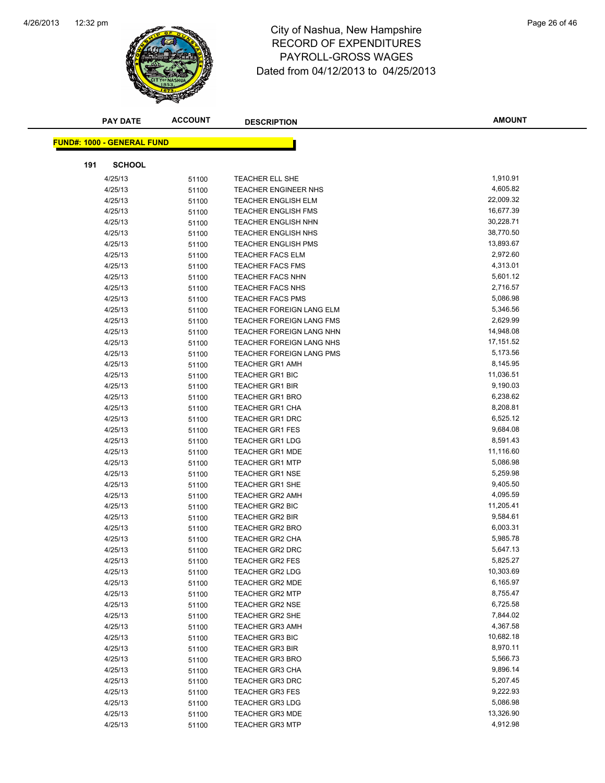

|     | <b>PAY DATE</b>                   | <b>ACCOUNT</b> | <b>DESCRIPTION</b>              | <b>AMOUNT</b> |
|-----|-----------------------------------|----------------|---------------------------------|---------------|
|     |                                   |                |                                 |               |
|     | <b>FUND#: 1000 - GENERAL FUND</b> |                |                                 |               |
| 191 | <b>SCHOOL</b>                     |                |                                 |               |
|     | 4/25/13                           | 51100          | TEACHER ELL SHE                 | 1,910.91      |
|     | 4/25/13                           | 51100          | <b>TEACHER ENGINEER NHS</b>     | 4,605.82      |
|     | 4/25/13                           | 51100          | <b>TEACHER ENGLISH ELM</b>      | 22,009.32     |
|     | 4/25/13                           | 51100          | <b>TEACHER ENGLISH FMS</b>      | 16,677.39     |
|     | 4/25/13                           | 51100          | <b>TEACHER ENGLISH NHN</b>      | 30,228.71     |
|     | 4/25/13                           | 51100          | TEACHER ENGLISH NHS             | 38,770.50     |
|     | 4/25/13                           | 51100          | <b>TEACHER ENGLISH PMS</b>      | 13,893.67     |
|     | 4/25/13                           | 51100          | <b>TEACHER FACS ELM</b>         | 2,972.60      |
|     | 4/25/13                           | 51100          | <b>TEACHER FACS FMS</b>         | 4,313.01      |
|     | 4/25/13                           | 51100          | <b>TEACHER FACS NHN</b>         | 5,601.12      |
|     | 4/25/13                           | 51100          | <b>TEACHER FACS NHS</b>         | 2,716.57      |
|     | 4/25/13                           | 51100          | <b>TEACHER FACS PMS</b>         | 5,086.98      |
|     | 4/25/13                           | 51100          | <b>TEACHER FOREIGN LANG ELM</b> | 5,346.56      |
|     | 4/25/13                           | 51100          | TEACHER FOREIGN LANG FMS        | 2,629.99      |
|     | 4/25/13                           | 51100          | TEACHER FOREIGN LANG NHN        | 14,948.08     |
|     | 4/25/13                           | 51100          | TEACHER FOREIGN LANG NHS        | 17,151.52     |
|     | 4/25/13                           | 51100          | TEACHER FOREIGN LANG PMS        | 5,173.56      |
|     | 4/25/13                           | 51100          | <b>TEACHER GR1 AMH</b>          | 8,145.95      |
|     | 4/25/13                           | 51100          | <b>TEACHER GR1 BIC</b>          | 11,036.51     |
|     | 4/25/13                           | 51100          | <b>TEACHER GR1 BIR</b>          | 9,190.03      |
|     | 4/25/13                           | 51100          | <b>TEACHER GR1 BRO</b>          | 6,238.62      |
|     | 4/25/13                           | 51100          | <b>TEACHER GR1 CHA</b>          | 8,208.81      |
|     | 4/25/13                           | 51100          | <b>TEACHER GR1 DRC</b>          | 6,525.12      |
|     | 4/25/13                           | 51100          | <b>TEACHER GR1 FES</b>          | 9,684.08      |
|     | 4/25/13                           | 51100          | <b>TEACHER GR1 LDG</b>          | 8,591.43      |
|     | 4/25/13                           | 51100          | <b>TEACHER GR1 MDE</b>          | 11,116.60     |
|     | 4/25/13                           | 51100          | <b>TEACHER GR1 MTP</b>          | 5,086.98      |
|     | 4/25/13                           | 51100          | <b>TEACHER GR1 NSE</b>          | 5,259.98      |
|     | 4/25/13                           | 51100          | <b>TEACHER GR1 SHE</b>          | 9,405.50      |
|     | 4/25/13                           | 51100          | <b>TEACHER GR2 AMH</b>          | 4,095.59      |
|     | 4/25/13                           | 51100          | <b>TEACHER GR2 BIC</b>          | 11,205.41     |
|     | 4/25/13                           | 51100          | <b>TEACHER GR2 BIR</b>          | 9,584.61      |
|     | 4/25/13                           | 51100          | <b>TEACHER GR2 BRO</b>          | 6,003.31      |
|     | 4/25/13                           | 51100          | <b>TEACHER GR2 CHA</b>          | 5,985.78      |
|     | 4/25/13                           | 51100          | <b>TEACHER GR2 DRC</b>          | 5,647.13      |
|     | 4/25/13                           | 51100          | TEACHER GR2 FES                 | 5,825.27      |
|     | 4/25/13                           | 51100          | <b>TEACHER GR2 LDG</b>          | 10,303.69     |
|     | 4/25/13                           | 51100          | <b>TEACHER GR2 MDE</b>          | 6,165.97      |
|     | 4/25/13                           | 51100          | <b>TEACHER GR2 MTP</b>          | 8,755.47      |
|     | 4/25/13                           | 51100          | <b>TEACHER GR2 NSE</b>          | 6,725.58      |
|     | 4/25/13                           | 51100          | <b>TEACHER GR2 SHE</b>          | 7,844.02      |
|     | 4/25/13                           | 51100          | <b>TEACHER GR3 AMH</b>          | 4,367.58      |
|     | 4/25/13                           | 51100          | <b>TEACHER GR3 BIC</b>          | 10,682.18     |
|     | 4/25/13                           | 51100          | <b>TEACHER GR3 BIR</b>          | 8,970.11      |
|     | 4/25/13                           | 51100          | <b>TEACHER GR3 BRO</b>          | 5,566.73      |
|     | 4/25/13                           | 51100          | <b>TEACHER GR3 CHA</b>          | 9,896.14      |
|     | 4/25/13                           | 51100          | <b>TEACHER GR3 DRC</b>          | 5,207.45      |
|     | 4/25/13                           | 51100          | <b>TEACHER GR3 FES</b>          | 9,222.93      |
|     | 4/25/13                           | 51100          | <b>TEACHER GR3 LDG</b>          | 5,086.98      |
|     | 4/25/13                           | 51100          | <b>TEACHER GR3 MDE</b>          | 13,326.90     |
|     | 4/25/13                           | 51100          | <b>TEACHER GR3 MTP</b>          | 4,912.98      |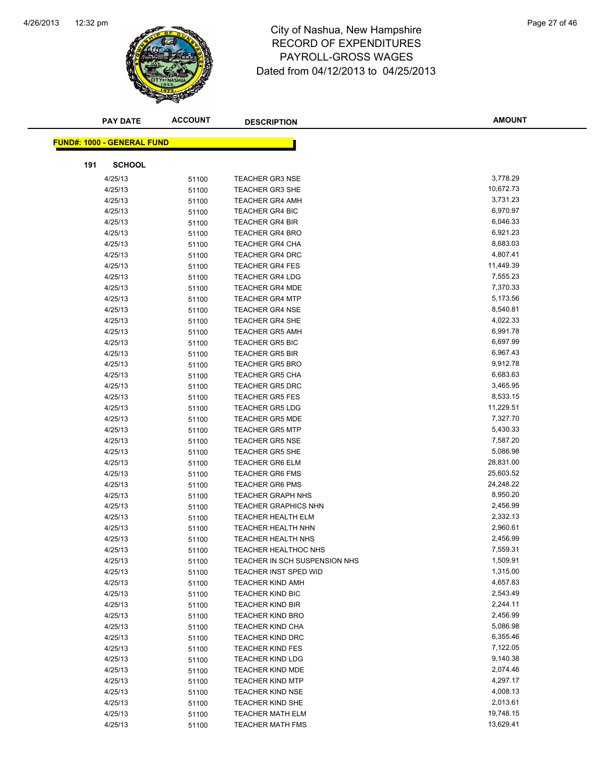

### 12:32 pm Page 27 of 46 RECORD OF EXPENDITURES PAYROLL-GROSS WAGES Dated from 04/12/2013 to 04/25/2013

|     | <b>PAY DATE</b>                   | <b>ACCOUNT</b> | <b>DESCRIPTION</b>                               | <b>AMOUNT</b>         |
|-----|-----------------------------------|----------------|--------------------------------------------------|-----------------------|
|     | <b>FUND#: 1000 - GENERAL FUND</b> |                |                                                  |                       |
|     |                                   |                |                                                  |                       |
| 191 | <b>SCHOOL</b>                     |                |                                                  |                       |
|     | 4/25/13                           | 51100          | <b>TEACHER GR3 NSE</b>                           | 3,778.29              |
|     | 4/25/13                           | 51100          | <b>TEACHER GR3 SHE</b>                           | 10,672.73             |
|     | 4/25/13                           | 51100          | <b>TEACHER GR4 AMH</b>                           | 3,731.23              |
|     | 4/25/13                           | 51100          | <b>TEACHER GR4 BIC</b>                           | 6,970.97              |
|     | 4/25/13                           | 51100          | <b>TEACHER GR4 BIR</b>                           | 6,046.33              |
|     | 4/25/13                           | 51100          | <b>TEACHER GR4 BRO</b>                           | 6,921.23              |
|     | 4/25/13                           | 51100          | <b>TEACHER GR4 CHA</b>                           | 8,683.03              |
|     | 4/25/13                           | 51100          | <b>TEACHER GR4 DRC</b>                           | 4,807.41              |
|     | 4/25/13                           | 51100          | <b>TEACHER GR4 FES</b>                           | 11,449.39             |
|     | 4/25/13                           | 51100          | <b>TEACHER GR4 LDG</b>                           | 7,555.23              |
|     | 4/25/13                           | 51100          | <b>TEACHER GR4 MDE</b>                           | 7,370.33              |
|     | 4/25/13                           | 51100          | <b>TEACHER GR4 MTP</b>                           | 5,173.56              |
|     | 4/25/13                           | 51100          | <b>TEACHER GR4 NSE</b>                           | 8,540.81              |
|     | 4/25/13                           | 51100          | <b>TEACHER GR4 SHE</b>                           | 4,022.33              |
|     | 4/25/13                           | 51100          | <b>TEACHER GR5 AMH</b>                           | 6,991.78              |
|     | 4/25/13                           | 51100          | <b>TEACHER GR5 BIC</b>                           | 6,697.99              |
|     | 4/25/13                           | 51100          | <b>TEACHER GR5 BIR</b>                           | 6,967.43              |
|     | 4/25/13                           | 51100          | <b>TEACHER GR5 BRO</b>                           | 9,912.78              |
|     | 4/25/13                           | 51100          | <b>TEACHER GR5 CHA</b>                           | 6,683.63              |
|     | 4/25/13                           | 51100          | <b>TEACHER GR5 DRC</b>                           | 3,465.95              |
|     | 4/25/13                           | 51100          | <b>TEACHER GR5 FES</b>                           | 8,533.15              |
|     | 4/25/13                           | 51100          | <b>TEACHER GR5 LDG</b>                           | 11,229.51             |
|     | 4/25/13                           | 51100          | <b>TEACHER GR5 MDE</b>                           | 7,327.70              |
|     | 4/25/13                           | 51100          | <b>TEACHER GR5 MTP</b>                           | 5,430.33              |
|     | 4/25/13                           | 51100          | <b>TEACHER GR5 NSE</b>                           | 7,587.20              |
|     | 4/25/13                           | 51100          | <b>TEACHER GR5 SHE</b>                           | 5,086.98<br>28,831.00 |
|     | 4/25/13<br>4/25/13                | 51100          | <b>TEACHER GR6 ELM</b><br><b>TEACHER GR6 FMS</b> | 25,603.52             |
|     | 4/25/13                           | 51100          | <b>TEACHER GR6 PMS</b>                           | 24,248.22             |
|     | 4/25/13                           | 51100<br>51100 | <b>TEACHER GRAPH NHS</b>                         | 8,950.20              |
|     | 4/25/13                           | 51100          | <b>TEACHER GRAPHICS NHN</b>                      | 2,456.99              |
|     | 4/25/13                           | 51100          | <b>TEACHER HEALTH ELM</b>                        | 2,332.13              |
|     | 4/25/13                           | 51100          | <b>TEACHER HEALTH NHN</b>                        | 2,960.61              |
|     | 4/25/13                           | 51100          | <b>TEACHER HEALTH NHS</b>                        | 2,456.99              |
|     | 4/25/13                           | 51100          | <b>TEACHER HEALTHOC NHS</b>                      | 7,559.31              |
|     | 4/25/13                           | 51100          | TEACHER IN SCH SUSPENSION NHS                    | 1,509.91              |
|     | 4/25/13                           | 51100          | TEACHER INST SPED WID                            | 1,315.00              |
|     | 4/25/13                           | 51100          | <b>TEACHER KIND AMH</b>                          | 4,657.83              |
|     | 4/25/13                           | 51100          | <b>TEACHER KIND BIC</b>                          | 2,543.49              |
|     | 4/25/13                           | 51100          | <b>TEACHER KIND BIR</b>                          | 2,244.11              |
|     | 4/25/13                           | 51100          | <b>TEACHER KIND BRO</b>                          | 2,456.99              |
|     | 4/25/13                           | 51100          | <b>TEACHER KIND CHA</b>                          | 5,086.98              |
|     | 4/25/13                           | 51100          | <b>TEACHER KIND DRC</b>                          | 6,355.46              |
|     | 4/25/13                           | 51100          | <b>TEACHER KIND FES</b>                          | 7,122.05              |
|     | 4/25/13                           | 51100          | <b>TEACHER KIND LDG</b>                          | 9,140.38              |
|     | 4/25/13                           | 51100          | TEACHER KIND MDE                                 | 2,074.46              |
|     | 4/25/13                           | 51100          | <b>TEACHER KIND MTP</b>                          | 4,297.17              |
|     | 4/25/13                           | 51100          | <b>TEACHER KIND NSE</b>                          | 4,008.13              |
|     | 4/25/13                           | 51100          | <b>TEACHER KIND SHE</b>                          | 2,013.61              |
|     | 4/25/13                           | 51100          | <b>TEACHER MATH ELM</b>                          | 19,748.15             |
|     | 4/25/13                           | 51100          | <b>TEACHER MATH FMS</b>                          | 13,629.41             |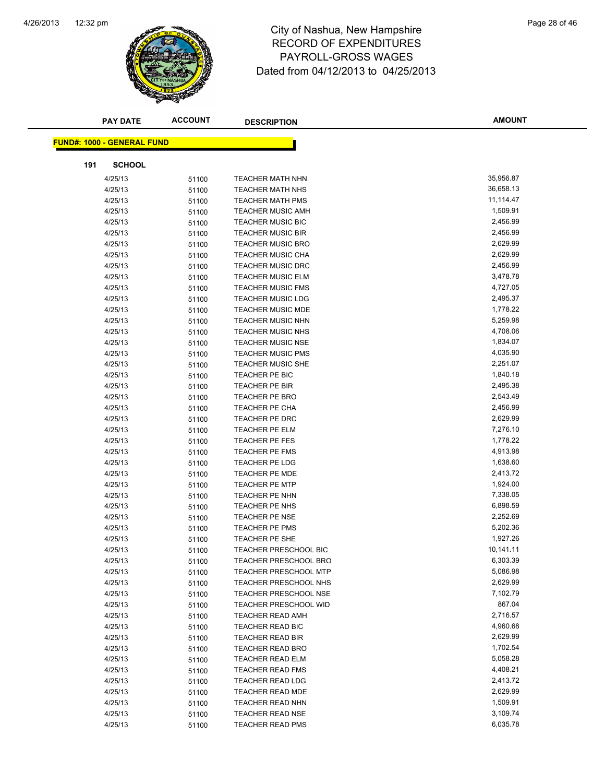

|     | <b>PAY DATE</b>                   | <b>ACCOUNT</b> | <b>DESCRIPTION</b>                                 | <b>AMOUNT</b>        |
|-----|-----------------------------------|----------------|----------------------------------------------------|----------------------|
|     |                                   |                |                                                    |                      |
|     | <b>FUND#: 1000 - GENERAL FUND</b> |                |                                                    |                      |
| 191 | <b>SCHOOL</b>                     |                |                                                    |                      |
|     | 4/25/13                           | 51100          | <b>TEACHER MATH NHN</b>                            | 35,956.87            |
|     | 4/25/13                           | 51100          | <b>TEACHER MATH NHS</b>                            | 36,658.13            |
|     | 4/25/13                           | 51100          | <b>TEACHER MATH PMS</b>                            | 11,114.47            |
|     | 4/25/13                           | 51100          | <b>TEACHER MUSIC AMH</b>                           | 1,509.91             |
|     | 4/25/13                           | 51100          | <b>TEACHER MUSIC BIC</b>                           | 2,456.99             |
|     | 4/25/13                           | 51100          | <b>TEACHER MUSIC BIR</b>                           | 2,456.99             |
|     | 4/25/13                           | 51100          | <b>TEACHER MUSIC BRO</b>                           | 2,629.99             |
|     | 4/25/13                           | 51100          | <b>TEACHER MUSIC CHA</b>                           | 2,629.99             |
|     | 4/25/13                           | 51100          | <b>TEACHER MUSIC DRC</b>                           | 2,456.99             |
|     | 4/25/13                           | 51100          | <b>TEACHER MUSIC ELM</b>                           | 3,478.78             |
|     | 4/25/13                           | 51100          | <b>TEACHER MUSIC FMS</b>                           | 4,727.05             |
|     | 4/25/13                           | 51100          | <b>TEACHER MUSIC LDG</b>                           | 2,495.37             |
|     | 4/25/13                           | 51100          | <b>TEACHER MUSIC MDE</b>                           | 1,778.22             |
|     | 4/25/13                           | 51100          | <b>TEACHER MUSIC NHN</b>                           | 5,259.98             |
|     | 4/25/13                           | 51100          | <b>TEACHER MUSIC NHS</b>                           | 4,708.06             |
|     | 4/25/13                           | 51100          | <b>TEACHER MUSIC NSE</b>                           | 1,834.07             |
|     | 4/25/13                           | 51100          | <b>TEACHER MUSIC PMS</b>                           | 4,035.90             |
|     | 4/25/13                           | 51100          | <b>TEACHER MUSIC SHE</b>                           | 2,251.07             |
|     | 4/25/13                           | 51100          | TEACHER PE BIC                                     | 1,840.18             |
|     | 4/25/13                           | 51100          | <b>TEACHER PE BIR</b>                              | 2,495.38             |
|     | 4/25/13                           | 51100          | <b>TEACHER PE BRO</b>                              | 2,543.49             |
|     | 4/25/13                           | 51100          | TEACHER PE CHA                                     | 2,456.99             |
|     | 4/25/13                           | 51100          | TEACHER PE DRC                                     | 2,629.99             |
|     | 4/25/13                           | 51100          | <b>TEACHER PE ELM</b>                              | 7,276.10             |
|     | 4/25/13                           | 51100          | TEACHER PE FES                                     | 1,778.22             |
|     | 4/25/13                           | 51100          | TEACHER PE FMS                                     | 4,913.98             |
|     | 4/25/13                           | 51100          | <b>TEACHER PE LDG</b>                              | 1,638.60             |
|     | 4/25/13                           | 51100          | <b>TEACHER PE MDE</b>                              | 2,413.72             |
|     | 4/25/13                           | 51100          | <b>TEACHER PE MTP</b>                              | 1,924.00             |
|     | 4/25/13                           | 51100          | TEACHER PE NHN                                     | 7,338.05             |
|     | 4/25/13                           | 51100          | TEACHER PE NHS                                     | 6,898.59             |
|     | 4/25/13                           | 51100          | <b>TEACHER PE NSE</b>                              | 2,252.69             |
|     | 4/25/13                           | 51100          | TEACHER PE PMS                                     | 5,202.36             |
|     | 4/25/13                           | 51100          | TEACHER PE SHE                                     | 1,927.26             |
|     | 4/25/13                           | 51100          | <b>TEACHER PRESCHOOL BIC</b>                       | 10,141.11            |
|     | 4/25/13                           | 51100          | <b>TEACHER PRESCHOOL BRO</b>                       | 6,303.39             |
|     | 4/25/13                           | 51100          | <b>TEACHER PRESCHOOL MTP</b>                       | 5,086.98             |
|     | 4/25/13                           | 51100          | TEACHER PRESCHOOL NHS                              | 2,629.99             |
|     | 4/25/13                           | 51100          | <b>TEACHER PRESCHOOL NSE</b>                       | 7,102.79             |
|     | 4/25/13                           | 51100          | <b>TEACHER PRESCHOOL WID</b>                       | 867.04               |
|     | 4/25/13                           | 51100          | <b>TEACHER READ AMH</b>                            | 2,716.57             |
|     | 4/25/13                           | 51100          | <b>TEACHER READ BIC</b><br><b>TEACHER READ BIR</b> | 4,960.68             |
|     | 4/25/13                           | 51100          |                                                    | 2,629.99<br>1,702.54 |
|     | 4/25/13<br>4/25/13                | 51100          | TEACHER READ BRO<br><b>TEACHER READ ELM</b>        | 5,058.28             |
|     | 4/25/13                           | 51100          | <b>TEACHER READ FMS</b>                            | 4,408.21             |
|     | 4/25/13                           | 51100          | <b>TEACHER READ LDG</b>                            | 2,413.72             |
|     | 4/25/13                           | 51100<br>51100 | <b>TEACHER READ MDE</b>                            | 2,629.99             |
|     | 4/25/13                           | 51100          | <b>TEACHER READ NHN</b>                            | 1,509.91             |
|     | 4/25/13                           | 51100          | <b>TEACHER READ NSE</b>                            | 3,109.74             |
|     | 4/25/13                           | 51100          | <b>TEACHER READ PMS</b>                            | 6,035.78             |
|     |                                   |                |                                                    |                      |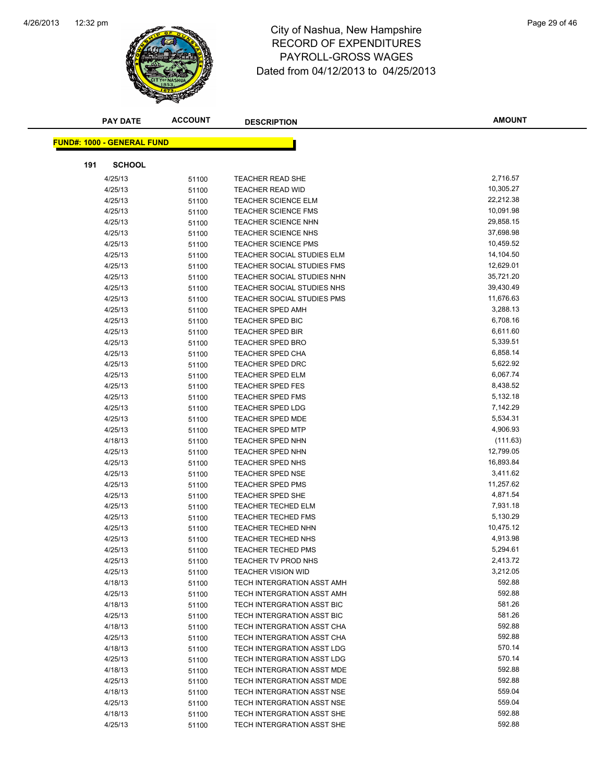

|     | <b>PAY DATE</b>                   | <b>ACCOUNT</b> | <b>DESCRIPTION</b>                                       | <b>AMOUNT</b>    |
|-----|-----------------------------------|----------------|----------------------------------------------------------|------------------|
|     |                                   |                |                                                          |                  |
|     | <b>FUND#: 1000 - GENERAL FUND</b> |                |                                                          |                  |
| 191 | <b>SCHOOL</b>                     |                |                                                          |                  |
|     | 4/25/13                           | 51100          | <b>TEACHER READ SHE</b>                                  | 2,716.57         |
|     | 4/25/13                           | 51100          | <b>TEACHER READ WID</b>                                  | 10,305.27        |
|     | 4/25/13                           | 51100          | <b>TEACHER SCIENCE ELM</b>                               | 22,212.38        |
|     | 4/25/13                           | 51100          | <b>TEACHER SCIENCE FMS</b>                               | 10,091.98        |
|     | 4/25/13                           | 51100          | <b>TEACHER SCIENCE NHN</b>                               | 29,858.15        |
|     | 4/25/13                           | 51100          | <b>TEACHER SCIENCE NHS</b>                               | 37,698.98        |
|     | 4/25/13                           | 51100          | <b>TEACHER SCIENCE PMS</b>                               | 10,459.52        |
|     | 4/25/13                           | 51100          | TEACHER SOCIAL STUDIES ELM                               | 14,104.50        |
|     | 4/25/13                           | 51100          | TEACHER SOCIAL STUDIES FMS                               | 12,629.01        |
|     | 4/25/13                           | 51100          | TEACHER SOCIAL STUDIES NHN                               | 35,721.20        |
|     | 4/25/13                           | 51100          | TEACHER SOCIAL STUDIES NHS                               | 39,430.49        |
|     | 4/25/13                           | 51100          | TEACHER SOCIAL STUDIES PMS                               | 11,676.63        |
|     | 4/25/13                           | 51100          | <b>TEACHER SPED AMH</b>                                  | 3,288.13         |
|     | 4/25/13                           | 51100          | <b>TEACHER SPED BIC</b>                                  | 6,708.16         |
|     | 4/25/13                           | 51100          | <b>TEACHER SPED BIR</b>                                  | 6,611.60         |
|     | 4/25/13                           | 51100          | <b>TEACHER SPED BRO</b>                                  | 5,339.51         |
|     | 4/25/13                           | 51100          | <b>TEACHER SPED CHA</b>                                  | 6,858.14         |
|     | 4/25/13                           | 51100          | <b>TEACHER SPED DRC</b>                                  | 5,622.92         |
|     | 4/25/13                           | 51100          | <b>TEACHER SPED ELM</b>                                  | 6,067.74         |
|     | 4/25/13                           | 51100          | <b>TEACHER SPED FES</b>                                  | 8,438.52         |
|     | 4/25/13                           | 51100          | <b>TEACHER SPED FMS</b>                                  | 5,132.18         |
|     | 4/25/13                           | 51100          | <b>TEACHER SPED LDG</b>                                  | 7,142.29         |
|     | 4/25/13                           | 51100          | <b>TEACHER SPED MDE</b>                                  | 5,534.31         |
|     | 4/25/13                           | 51100          | <b>TEACHER SPED MTP</b>                                  | 4,906.93         |
|     | 4/18/13                           | 51100          | <b>TEACHER SPED NHN</b>                                  | (111.63)         |
|     | 4/25/13                           | 51100          | <b>TEACHER SPED NHN</b>                                  | 12,799.05        |
|     | 4/25/13                           | 51100          | TEACHER SPED NHS                                         | 16,893.84        |
|     | 4/25/13                           | 51100          | <b>TEACHER SPED NSE</b>                                  | 3,411.62         |
|     | 4/25/13                           | 51100          | <b>TEACHER SPED PMS</b>                                  | 11,257.62        |
|     | 4/25/13                           | 51100          | <b>TEACHER SPED SHE</b>                                  | 4,871.54         |
|     | 4/25/13                           | 51100          | <b>TEACHER TECHED ELM</b>                                | 7,931.18         |
|     | 4/25/13                           | 51100          | <b>TEACHER TECHED FMS</b>                                | 5,130.29         |
|     | 4/25/13                           | 51100          | <b>TEACHER TECHED NHN</b>                                | 10,475.12        |
|     | 4/25/13                           | 51100          | <b>TEACHER TECHED NHS</b>                                | 4,913.98         |
|     | 4/25/13                           | 51100          | <b>TEACHER TECHED PMS</b>                                | 5,294.61         |
|     | 4/25/13                           | 51100          | TEACHER TV PROD NHS                                      | 2,413.72         |
|     | 4/25/13                           | 51100          | <b>TEACHER VISION WID</b>                                | 3,212.05         |
|     | 4/18/13                           | 51100          | TECH INTERGRATION ASST AMH                               | 592.88           |
|     | 4/25/13                           | 51100          | TECH INTERGRATION ASST AMH                               | 592.88           |
|     | 4/18/13                           | 51100          | TECH INTERGRATION ASST BIC                               | 581.26           |
|     | 4/25/13                           | 51100          | TECH INTERGRATION ASST BIC                               | 581.26           |
|     | 4/18/13                           | 51100          | TECH INTERGRATION ASST CHA                               | 592.88           |
|     | 4/25/13                           | 51100          | TECH INTERGRATION ASST CHA<br>TECH INTERGRATION ASST LDG | 592.88<br>570.14 |
|     | 4/18/13                           | 51100          | TECH INTERGRATION ASST LDG                               | 570.14           |
|     | 4/25/13                           | 51100          |                                                          | 592.88           |
|     | 4/18/13<br>4/25/13                | 51100          | TECH INTERGRATION ASST MDE<br>TECH INTERGRATION ASST MDE | 592.88           |
|     | 4/18/13                           | 51100          | TECH INTERGRATION ASST NSE                               | 559.04           |
|     | 4/25/13                           | 51100          | TECH INTERGRATION ASST NSE                               | 559.04           |
|     | 4/18/13                           | 51100<br>51100 | TECH INTERGRATION ASST SHE                               | 592.88           |
|     | 4/25/13                           | 51100          | TECH INTERGRATION ASST SHE                               | 592.88           |
|     |                                   |                |                                                          |                  |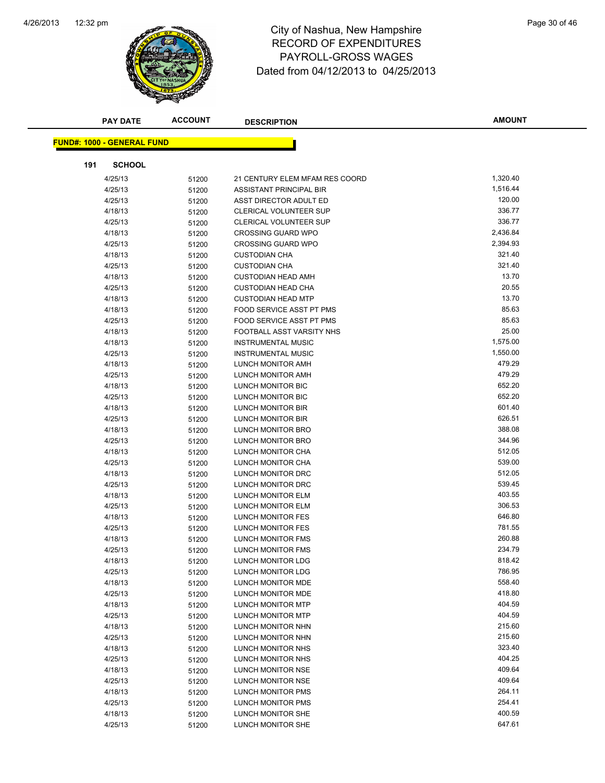

|     | <b>PAY DATE</b>                   | <b>ACCOUNT</b> | <b>DESCRIPTION</b>                     | <b>AMOUNT</b>    |
|-----|-----------------------------------|----------------|----------------------------------------|------------------|
|     | <b>FUND#: 1000 - GENERAL FUND</b> |                |                                        |                  |
|     |                                   |                |                                        |                  |
| 191 | <b>SCHOOL</b>                     |                |                                        |                  |
|     | 4/25/13                           | 51200          | 21 CENTURY ELEM MFAM RES COORD         | 1,320.40         |
|     | 4/25/13                           | 51200          | ASSISTANT PRINCIPAL BIR                | 1,516.44         |
|     | 4/25/13                           | 51200          | ASST DIRECTOR ADULT ED                 | 120.00           |
|     | 4/18/13                           | 51200          | <b>CLERICAL VOLUNTEER SUP</b>          | 336.77           |
|     | 4/25/13                           | 51200          | <b>CLERICAL VOLUNTEER SUP</b>          | 336.77           |
|     | 4/18/13                           | 51200          | <b>CROSSING GUARD WPO</b>              | 2,436.84         |
|     | 4/25/13                           | 51200          | <b>CROSSING GUARD WPO</b>              | 2,394.93         |
|     | 4/18/13                           | 51200          | <b>CUSTODIAN CHA</b>                   | 321.40           |
|     | 4/25/13                           | 51200          | <b>CUSTODIAN CHA</b>                   | 321.40           |
|     | 4/18/13                           | 51200          | <b>CUSTODIAN HEAD AMH</b>              | 13.70            |
|     | 4/25/13                           | 51200          | <b>CUSTODIAN HEAD CHA</b>              | 20.55            |
|     | 4/18/13                           | 51200          | <b>CUSTODIAN HEAD MTP</b>              | 13.70            |
|     | 4/18/13                           | 51200          | FOOD SERVICE ASST PT PMS               | 85.63            |
|     | 4/25/13                           | 51200          | FOOD SERVICE ASST PT PMS               | 85.63            |
|     | 4/18/13                           | 51200          | FOOTBALL ASST VARSITY NHS              | 25.00            |
|     | 4/18/13                           | 51200          | <b>INSTRUMENTAL MUSIC</b>              | 1,575.00         |
|     | 4/25/13                           | 51200          | <b>INSTRUMENTAL MUSIC</b>              | 1,550.00         |
|     | 4/18/13                           | 51200          | LUNCH MONITOR AMH                      | 479.29           |
|     | 4/25/13                           | 51200          | LUNCH MONITOR AMH                      | 479.29           |
|     | 4/18/13                           | 51200          | <b>LUNCH MONITOR BIC</b>               | 652.20           |
|     | 4/25/13                           | 51200          | <b>LUNCH MONITOR BIC</b>               | 652.20           |
|     | 4/18/13                           | 51200          | LUNCH MONITOR BIR                      | 601.40           |
|     | 4/25/13                           | 51200          | LUNCH MONITOR BIR                      | 626.51           |
|     | 4/18/13                           | 51200          | LUNCH MONITOR BRO                      | 388.08           |
|     | 4/25/13                           | 51200          | LUNCH MONITOR BRO                      | 344.96           |
|     | 4/18/13                           | 51200          | LUNCH MONITOR CHA                      | 512.05           |
|     | 4/25/13                           | 51200          | LUNCH MONITOR CHA                      | 539.00           |
|     | 4/18/13                           | 51200          | LUNCH MONITOR DRC                      | 512.05           |
|     | 4/25/13                           | 51200          | LUNCH MONITOR DRC                      | 539.45           |
|     | 4/18/13                           | 51200          | LUNCH MONITOR ELM                      | 403.55           |
|     | 4/25/13                           | 51200          | LUNCH MONITOR ELM                      | 306.53           |
|     | 4/18/13                           | 51200          | LUNCH MONITOR FES                      | 646.80           |
|     | 4/25/13                           | 51200          | LUNCH MONITOR FES                      | 781.55           |
|     | 4/18/13                           | 51200          | <b>LUNCH MONITOR FMS</b>               | 260.88           |
|     | 4/25/13                           | 51200          | LUNCH MONITOR FMS                      | 234.79           |
|     | 4/18/13                           | 51200          | LUNCH MONITOR LDG                      | 818.42           |
|     | 4/25/13                           | 51200          | LUNCH MONITOR LDG                      | 786.95           |
|     | 4/18/13                           | 51200          | LUNCH MONITOR MDE                      | 558.40           |
|     | 4/25/13                           | 51200          | LUNCH MONITOR MDE                      | 418.80           |
|     | 4/18/13                           | 51200          | <b>LUNCH MONITOR MTP</b>               | 404.59           |
|     | 4/25/13                           | 51200          | LUNCH MONITOR MTP                      | 404.59           |
|     | 4/18/13                           | 51200          | LUNCH MONITOR NHN                      | 215.60           |
|     | 4/25/13                           | 51200          | LUNCH MONITOR NHN                      | 215.60<br>323.40 |
|     | 4/18/13                           | 51200          | LUNCH MONITOR NHS                      | 404.25           |
|     | 4/25/13                           | 51200          | LUNCH MONITOR NHS                      | 409.64           |
|     | 4/18/13                           | 51200          | LUNCH MONITOR NSE                      | 409.64           |
|     | 4/25/13                           | 51200          | LUNCH MONITOR NSE<br>LUNCH MONITOR PMS | 264.11           |
|     | 4/18/13<br>4/25/13                | 51200          | LUNCH MONITOR PMS                      | 254.41           |
|     | 4/18/13                           | 51200<br>51200 | LUNCH MONITOR SHE                      | 400.59           |
|     | 4/25/13                           | 51200          | LUNCH MONITOR SHE                      | 647.61           |
|     |                                   |                |                                        |                  |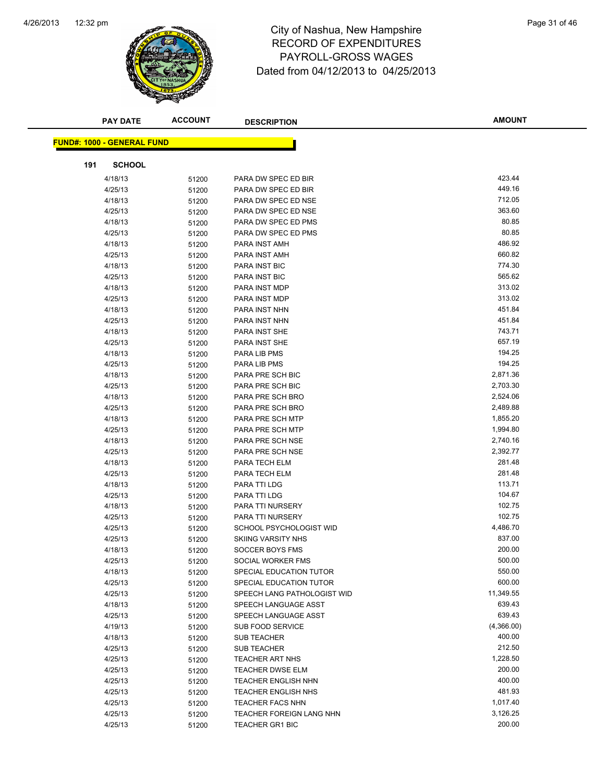

# 12:32 pm Page 31 of 46 RECORD OF EXPENDITURES PAYROLL-GROSS WAGES Dated from 04/12/2013 to 04/25/2013

| <b>PAY DATE</b>                   | <b>ACCOUNT</b> | <b>DESCRIPTION</b>                            | <b>AMOUNT</b>        |
|-----------------------------------|----------------|-----------------------------------------------|----------------------|
|                                   |                |                                               |                      |
| <b>FUND#: 1000 - GENERAL FUND</b> |                |                                               |                      |
| <b>SCHOOL</b><br>191              |                |                                               |                      |
| 4/18/13                           | 51200          | PARA DW SPEC ED BIR                           | 423.44               |
| 4/25/13                           | 51200          | PARA DW SPEC ED BIR                           | 449.16               |
| 4/18/13                           | 51200          | PARA DW SPEC ED NSE                           | 712.05               |
| 4/25/13                           | 51200          | PARA DW SPEC ED NSE                           | 363.60               |
| 4/18/13                           | 51200          | PARA DW SPEC ED PMS                           | 80.85                |
| 4/25/13                           | 51200          | PARA DW SPEC ED PMS                           | 80.85                |
| 4/18/13                           | 51200          | PARA INST AMH                                 | 486.92               |
| 4/25/13                           | 51200          | PARA INST AMH                                 | 660.82               |
| 4/18/13                           | 51200          | PARA INST BIC                                 | 774.30               |
| 4/25/13                           | 51200          | PARA INST BIC                                 | 565.62               |
| 4/18/13                           | 51200          | PARA INST MDP                                 | 313.02               |
| 4/25/13                           | 51200          | PARA INST MDP                                 | 313.02               |
| 4/18/13                           | 51200          | PARA INST NHN                                 | 451.84               |
| 4/25/13                           | 51200          | PARA INST NHN                                 | 451.84               |
| 4/18/13                           | 51200          | PARA INST SHE                                 | 743.71               |
| 4/25/13                           | 51200          | PARA INST SHE                                 | 657.19               |
| 4/18/13                           | 51200          | PARA LIB PMS                                  | 194.25               |
| 4/25/13                           | 51200          | PARA LIB PMS                                  | 194.25               |
| 4/18/13                           | 51200          | PARA PRE SCH BIC                              | 2,871.36             |
| 4/25/13                           | 51200          | PARA PRE SCH BIC                              | 2,703.30             |
| 4/18/13                           | 51200          | PARA PRE SCH BRO                              | 2,524.06             |
| 4/25/13                           | 51200          | PARA PRE SCH BRO                              | 2,489.88             |
| 4/18/13                           | 51200          | PARA PRE SCH MTP                              | 1,855.20             |
| 4/25/13                           | 51200          | PARA PRE SCH MTP                              | 1,994.80             |
| 4/18/13                           | 51200          | PARA PRE SCH NSE                              | 2,740.16             |
| 4/25/13                           | 51200          | PARA PRE SCH NSE                              | 2,392.77             |
| 4/18/13                           | 51200          | PARA TECH ELM                                 | 281.48               |
| 4/25/13                           | 51200          | PARA TECH ELM                                 | 281.48               |
| 4/18/13                           | 51200          | PARA TTI LDG                                  | 113.71               |
| 4/25/13                           | 51200          | PARA TTI LDG                                  | 104.67               |
| 4/18/13                           | 51200          | PARA TTI NURSERY                              | 102.75               |
| 4/25/13                           | 51200          | PARA TTI NURSERY                              | 102.75               |
| 4/25/13                           | 51200          | SCHOOL PSYCHOLOGIST WID                       | 4,486.70             |
| 4/25/13                           | 51200          | <b>SKIING VARSITY NHS</b>                     | 837.00               |
| 4/18/13                           | 51200          | <b>SOCCER BOYS FMS</b>                        | 200.00               |
| 4/25/13                           | 51200          | SOCIAL WORKER FMS                             | 500.00               |
| 4/18/13                           | 51200          | SPECIAL EDUCATION TUTOR                       | 550.00               |
| 4/25/13                           | 51200          | SPECIAL EDUCATION TUTOR                       | 600.00               |
| 4/25/13                           | 51200          | SPEECH LANG PATHOLOGIST WID                   | 11,349.55            |
| 4/18/13                           | 51200          | SPEECH LANGUAGE ASST                          | 639.43               |
| 4/25/13                           | 51200          | SPEECH LANGUAGE ASST                          | 639.43               |
| 4/19/13                           | 51200          | <b>SUB FOOD SERVICE</b><br><b>SUB TEACHER</b> | (4,366.00)<br>400.00 |
| 4/18/13                           | 51200          |                                               | 212.50               |
| 4/25/13                           | 51200          | <b>SUB TEACHER</b><br><b>TEACHER ART NHS</b>  | 1,228.50             |
| 4/25/13                           | 51200          | TEACHER DWSE ELM                              | 200.00               |
| 4/25/13<br>4/25/13                | 51200          | <b>TEACHER ENGLISH NHN</b>                    | 400.00               |
| 4/25/13                           | 51200          | <b>TEACHER ENGLISH NHS</b>                    | 481.93               |
| 4/25/13                           | 51200          | <b>TEACHER FACS NHN</b>                       | 1,017.40             |
| 4/25/13                           | 51200<br>51200 | TEACHER FOREIGN LANG NHN                      | 3,126.25             |
| 4/25/13                           | 51200          | TEACHER GR1 BIC                               | 200.00               |
|                                   |                |                                               |                      |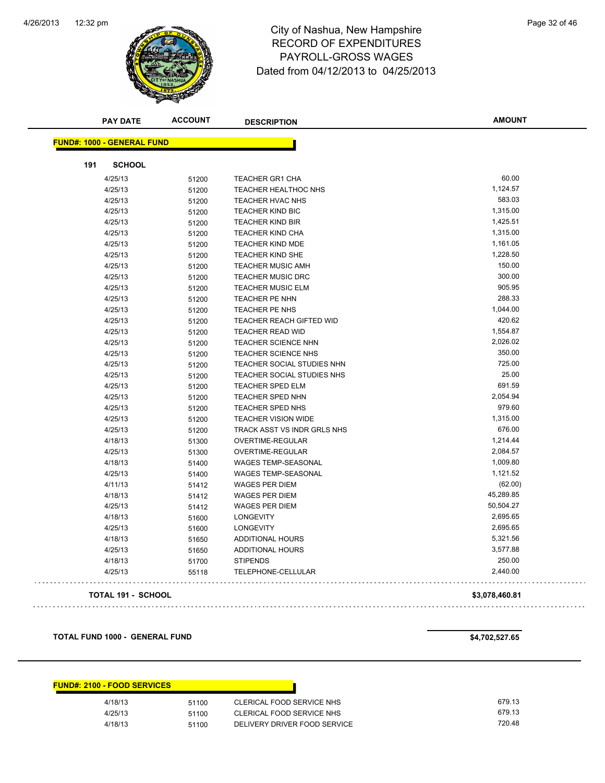

|                                   | <b>PAY DATE</b>           | <b>ACCOUNT</b> | <b>DESCRIPTION</b>          | <b>AMOUNT</b>  |
|-----------------------------------|---------------------------|----------------|-----------------------------|----------------|
| <b>FUND#: 1000 - GENERAL FUND</b> |                           |                |                             |                |
| 191                               | <b>SCHOOL</b>             |                |                             |                |
|                                   | 4/25/13                   | 51200          | <b>TEACHER GR1 CHA</b>      | 60.00          |
|                                   | 4/25/13                   | 51200          | <b>TEACHER HEALTHOC NHS</b> | 1,124.57       |
|                                   | 4/25/13                   | 51200          | <b>TEACHER HVAC NHS</b>     | 583.03         |
|                                   | 4/25/13                   | 51200          | <b>TEACHER KIND BIC</b>     | 1,315.00       |
|                                   | 4/25/13                   | 51200          | <b>TEACHER KIND BIR</b>     | 1,425.51       |
|                                   | 4/25/13                   | 51200          | <b>TEACHER KIND CHA</b>     | 1,315.00       |
|                                   | 4/25/13                   | 51200          | <b>TEACHER KIND MDE</b>     | 1,161.05       |
|                                   | 4/25/13                   | 51200          | <b>TEACHER KIND SHE</b>     | 1,228.50       |
|                                   | 4/25/13                   | 51200          | TEACHER MUSIC AMH           | 150.00         |
|                                   | 4/25/13                   | 51200          | <b>TEACHER MUSIC DRC</b>    | 300.00         |
|                                   | 4/25/13                   | 51200          | <b>TEACHER MUSIC ELM</b>    | 905.95         |
|                                   | 4/25/13                   | 51200          | TEACHER PE NHN              | 288.33         |
|                                   | 4/25/13                   | 51200          | TEACHER PE NHS              | 1,044.00       |
|                                   | 4/25/13                   | 51200          | TEACHER REACH GIFTED WID    | 420.62         |
|                                   | 4/25/13                   | 51200          | <b>TEACHER READ WID</b>     | 1,554.87       |
|                                   | 4/25/13                   | 51200          | <b>TEACHER SCIENCE NHN</b>  | 2,026.02       |
|                                   | 4/25/13                   | 51200          | TEACHER SCIENCE NHS         | 350.00         |
|                                   | 4/25/13                   | 51200          | TEACHER SOCIAL STUDIES NHN  | 725.00         |
|                                   | 4/25/13                   | 51200          | TEACHER SOCIAL STUDIES NHS  | 25.00          |
|                                   | 4/25/13                   | 51200          | <b>TEACHER SPED ELM</b>     | 691.59         |
|                                   | 4/25/13                   | 51200          | TEACHER SPED NHN            | 2,054.94       |
|                                   | 4/25/13                   | 51200          | TEACHER SPED NHS            | 979.60         |
|                                   | 4/25/13                   | 51200          | <b>TEACHER VISION WIDE</b>  | 1,315.00       |
|                                   | 4/25/13                   | 51200          | TRACK ASST VS INDR GRLS NHS | 676.00         |
|                                   | 4/18/13                   | 51300          | OVERTIME-REGULAR            | 1,214.44       |
|                                   | 4/25/13                   | 51300          | OVERTIME-REGULAR            | 2,084.57       |
|                                   | 4/18/13                   | 51400          | <b>WAGES TEMP-SEASONAL</b>  | 1,009.80       |
|                                   | 4/25/13                   | 51400          | <b>WAGES TEMP-SEASONAL</b>  | 1,121.52       |
|                                   | 4/11/13                   | 51412          | <b>WAGES PER DIEM</b>       | (62.00)        |
|                                   | 4/18/13                   | 51412          | <b>WAGES PER DIEM</b>       | 45,289.85      |
|                                   | 4/25/13                   | 51412          | <b>WAGES PER DIEM</b>       | 50,504.27      |
|                                   | 4/18/13                   | 51600          | <b>LONGEVITY</b>            | 2,695.65       |
|                                   | 4/25/13                   | 51600          | <b>LONGEVITY</b>            | 2,695.65       |
|                                   | 4/18/13                   | 51650          | <b>ADDITIONAL HOURS</b>     | 5,321.56       |
|                                   | 4/25/13                   | 51650          | <b>ADDITIONAL HOURS</b>     | 3,577.88       |
|                                   | 4/18/13                   | 51700          | <b>STIPENDS</b>             | 250.00         |
|                                   | 4/25/13                   | 55118          | TELEPHONE-CELLULAR          | 2,440.00       |
|                                   | <b>TOTAL 191 - SCHOOL</b> |                |                             | \$3,078,460.81 |

**TOTAL FUND 1000 - GENERAL FUND \$4,702,527.65** 

| <b>FUND#: 2100 - FOOD SERVICES</b> |       |                              |        |
|------------------------------------|-------|------------------------------|--------|
| 4/18/13                            | 51100 | CLERICAL FOOD SERVICE NHS    | 679.13 |
| 4/25/13                            | 51100 | CLERICAL FOOD SERVICE NHS    | 679.13 |
| 4/18/13                            | 51100 | DELIVERY DRIVER FOOD SERVICE | 720.48 |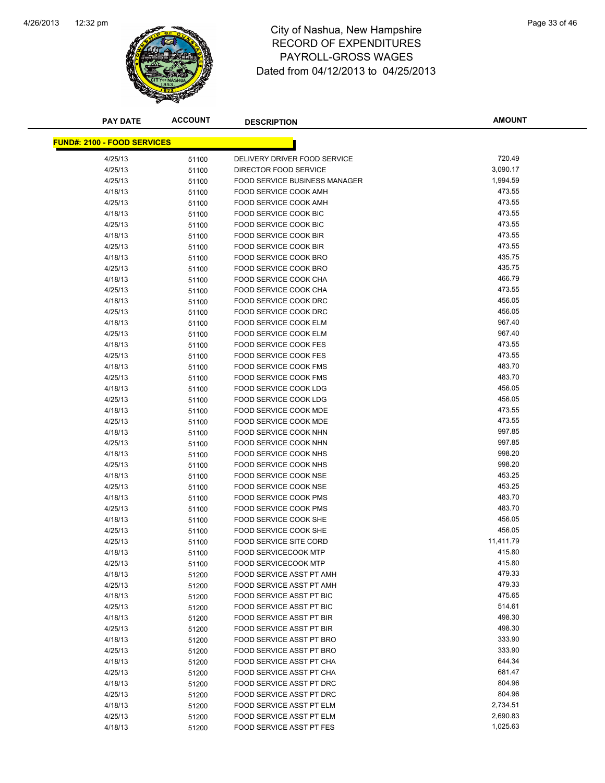

| <b>PAY DATE</b>                    | <b>ACCOUNT</b> | <b>DESCRIPTION</b>                                   | <b>AMOUNT</b>    |
|------------------------------------|----------------|------------------------------------------------------|------------------|
|                                    |                |                                                      |                  |
| <b>FUND#: 2100 - FOOD SERVICES</b> |                |                                                      |                  |
| 4/25/13                            | 51100          | DELIVERY DRIVER FOOD SERVICE                         | 720.49           |
| 4/25/13                            | 51100          | DIRECTOR FOOD SERVICE                                | 3,090.17         |
| 4/25/13                            | 51100          | <b>FOOD SERVICE BUSINESS MANAGER</b>                 | 1,994.59         |
| 4/18/13                            | 51100          | FOOD SERVICE COOK AMH                                | 473.55           |
| 4/25/13                            | 51100          | FOOD SERVICE COOK AMH                                | 473.55           |
| 4/18/13                            | 51100          | <b>FOOD SERVICE COOK BIC</b>                         | 473.55           |
| 4/25/13                            | 51100          | <b>FOOD SERVICE COOK BIC</b>                         | 473.55           |
| 4/18/13                            | 51100          | FOOD SERVICE COOK BIR                                | 473.55           |
| 4/25/13                            | 51100          | <b>FOOD SERVICE COOK BIR</b>                         | 473.55           |
| 4/18/13                            | 51100          | FOOD SERVICE COOK BRO                                | 435.75           |
| 4/25/13                            | 51100          | FOOD SERVICE COOK BRO                                | 435.75           |
| 4/18/13                            | 51100          | FOOD SERVICE COOK CHA                                | 466.79           |
| 4/25/13                            | 51100          | FOOD SERVICE COOK CHA                                | 473.55           |
| 4/18/13                            | 51100          | FOOD SERVICE COOK DRC                                | 456.05           |
| 4/25/13                            | 51100          | FOOD SERVICE COOK DRC                                | 456.05           |
| 4/18/13                            | 51100          | FOOD SERVICE COOK ELM                                | 967.40           |
| 4/25/13                            | 51100          | <b>FOOD SERVICE COOK ELM</b>                         | 967.40           |
| 4/18/13                            | 51100          | <b>FOOD SERVICE COOK FES</b>                         | 473.55           |
| 4/25/13                            | 51100          | <b>FOOD SERVICE COOK FES</b>                         | 473.55           |
| 4/18/13                            | 51100          | FOOD SERVICE COOK FMS                                | 483.70           |
| 4/25/13                            | 51100          | <b>FOOD SERVICE COOK FMS</b>                         | 483.70           |
| 4/18/13                            | 51100          | FOOD SERVICE COOK LDG                                | 456.05           |
| 4/25/13                            | 51100          | FOOD SERVICE COOK LDG                                | 456.05           |
| 4/18/13                            | 51100          | FOOD SERVICE COOK MDE                                | 473.55           |
| 4/25/13                            | 51100          | FOOD SERVICE COOK MDE                                | 473.55           |
| 4/18/13                            | 51100          | FOOD SERVICE COOK NHN                                | 997.85           |
| 4/25/13                            | 51100          | FOOD SERVICE COOK NHN                                | 997.85           |
| 4/18/13                            | 51100          | FOOD SERVICE COOK NHS                                | 998.20           |
| 4/25/13                            | 51100          | FOOD SERVICE COOK NHS                                | 998.20           |
| 4/18/13                            | 51100          | <b>FOOD SERVICE COOK NSE</b>                         | 453.25           |
| 4/25/13                            | 51100          | <b>FOOD SERVICE COOK NSE</b>                         | 453.25           |
| 4/18/13                            | 51100          | FOOD SERVICE COOK PMS                                | 483.70           |
| 4/25/13                            | 51100          | FOOD SERVICE COOK PMS                                | 483.70           |
| 4/18/13                            | 51100          | <b>FOOD SERVICE COOK SHE</b>                         | 456.05           |
| 4/25/13                            | 51100          | <b>FOOD SERVICE COOK SHE</b>                         | 456.05           |
| 4/25/13                            | 51100          | FOOD SERVICE SITE CORD                               | 11,411.79        |
| 4/18/13                            | 51100          | <b>FOOD SERVICECOOK MTP</b>                          | 415.80           |
| 4/25/13                            | 51100          | FOOD SERVICECOOK MTP                                 | 415.80           |
| 4/18/13                            | 51200          | <b>FOOD SERVICE ASST PT AMH</b>                      | 479.33           |
| 4/25/13                            | 51200          | FOOD SERVICE ASST PT AMH                             | 479.33           |
| 4/18/13                            | 51200          | FOOD SERVICE ASST PT BIC                             | 475.65           |
| 4/25/13                            | 51200          | FOOD SERVICE ASST PT BIC                             | 514.61           |
| 4/18/13                            | 51200          | <b>FOOD SERVICE ASST PT BIR</b>                      | 498.30           |
| 4/25/13                            | 51200          | FOOD SERVICE ASST PT BIR                             | 498.30           |
| 4/18/13                            | 51200          | FOOD SERVICE ASST PT BRO<br>FOOD SERVICE ASST PT BRO | 333.90<br>333.90 |
| 4/25/13                            | 51200          |                                                      | 644.34           |
| 4/18/13                            | 51200          | FOOD SERVICE ASST PT CHA                             | 681.47           |
| 4/25/13                            | 51200          | FOOD SERVICE ASST PT CHA<br>FOOD SERVICE ASST PT DRC | 804.96           |
| 4/18/13                            | 51200          | FOOD SERVICE ASST PT DRC                             | 804.96           |
| 4/25/13<br>4/18/13                 | 51200          | FOOD SERVICE ASST PT ELM                             | 2,734.51         |
| 4/25/13                            | 51200          | FOOD SERVICE ASST PT ELM                             | 2,690.83         |
| 4/18/13                            | 51200          | FOOD SERVICE ASST PT FES                             | 1,025.63         |
|                                    | 51200          |                                                      |                  |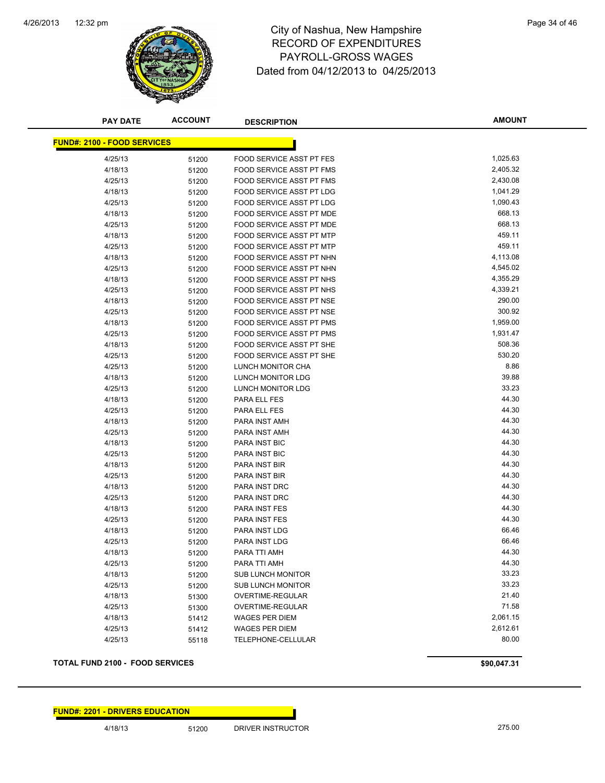

| <b>PAY DATE</b>                    | <b>ACCOUNT</b> | <b>DESCRIPTION</b>       | <b>AMOUNT</b> |
|------------------------------------|----------------|--------------------------|---------------|
| <b>FUND#: 2100 - FOOD SERVICES</b> |                |                          |               |
| 4/25/13                            | 51200          | FOOD SERVICE ASST PT FES | 1,025.63      |
| 4/18/13                            | 51200          | FOOD SERVICE ASST PT FMS | 2,405.32      |
| 4/25/13                            | 51200          | FOOD SERVICE ASST PT FMS | 2,430.08      |
| 4/18/13                            | 51200          | FOOD SERVICE ASST PT LDG | 1,041.29      |
| 4/25/13                            | 51200          | FOOD SERVICE ASST PT LDG | 1,090.43      |
| 4/18/13                            | 51200          | FOOD SERVICE ASST PT MDE | 668.13        |
| 4/25/13                            | 51200          | FOOD SERVICE ASST PT MDE | 668.13        |
| 4/18/13                            | 51200          | FOOD SERVICE ASST PT MTP | 459.11        |
| 4/25/13                            | 51200          | FOOD SERVICE ASST PT MTP | 459.11        |
| 4/18/13                            | 51200          | FOOD SERVICE ASST PT NHN | 4,113.08      |
| 4/25/13                            | 51200          | FOOD SERVICE ASST PT NHN | 4,545.02      |
| 4/18/13                            | 51200          | FOOD SERVICE ASST PT NHS | 4,355.29      |
| 4/25/13                            | 51200          | FOOD SERVICE ASST PT NHS | 4,339.21      |
| 4/18/13                            | 51200          | FOOD SERVICE ASST PT NSE | 290.00        |
| 4/25/13                            | 51200          | FOOD SERVICE ASST PT NSE | 300.92        |
| 4/18/13                            | 51200          | FOOD SERVICE ASST PT PMS | 1,959.00      |
| 4/25/13                            | 51200          | FOOD SERVICE ASST PT PMS | 1,931.47      |
| 4/18/13                            | 51200          | FOOD SERVICE ASST PT SHE | 508.36        |
| 4/25/13                            | 51200          | FOOD SERVICE ASST PT SHE | 530.20        |
| 4/25/13                            | 51200          | LUNCH MONITOR CHA        | 8.86          |
| 4/18/13                            | 51200          | LUNCH MONITOR LDG        | 39.88         |
| 4/25/13                            | 51200          | <b>LUNCH MONITOR LDG</b> | 33.23         |
| 4/18/13                            | 51200          | PARA ELL FES             | 44.30         |
| 4/25/13                            | 51200          | PARA ELL FES             | 44.30         |
| 4/18/13                            | 51200          | PARA INST AMH            | 44.30         |
| 4/25/13                            | 51200          | PARA INST AMH            | 44.30         |
| 4/18/13                            | 51200          | PARA INST BIC            | 44.30         |
| 4/25/13                            | 51200          | PARA INST BIC            | 44.30         |
| 4/18/13                            | 51200          | PARA INST BIR            | 44.30         |
| 4/25/13                            | 51200          | PARA INST BIR            | 44.30         |
| 4/18/13                            | 51200          | PARA INST DRC            | 44.30         |
| 4/25/13                            | 51200          | PARA INST DRC            | 44.30         |
| 4/18/13                            | 51200          | PARA INST FES            | 44.30         |
| 4/25/13                            | 51200          | <b>PARA INST FES</b>     | 44.30         |
| 4/18/13                            | 51200          | PARA INST LDG            | 66.46         |
| 4/25/13                            | 51200          | <b>PARA INST LDG</b>     | 66.46         |
| 4/18/13                            | 51200          | PARA TTI AMH             | 44.30         |
| 4/25/13                            | 51200          | PARA TTI AMH             | 44.30         |
| 4/18/13                            | 51200          | <b>SUB LUNCH MONITOR</b> | 33.23         |
| 4/25/13                            | 51200          | <b>SUB LUNCH MONITOR</b> | 33.23         |
| 4/18/13                            | 51300          | OVERTIME-REGULAR         | 21.40         |
| 4/25/13                            | 51300          | OVERTIME-REGULAR         | 71.58         |
| 4/18/13                            | 51412          | <b>WAGES PER DIEM</b>    | 2,061.15      |
| 4/25/13                            | 51412          | <b>WAGES PER DIEM</b>    | 2,612.61      |
| 4/25/13                            | 55118          | TELEPHONE-CELLULAR       | 80.00         |

#### **TOTAL FUND 2100 - FOOD SERVICES \$90,047.31**

4/18/13 51200 DRIVER INSTRUCTOR 275.00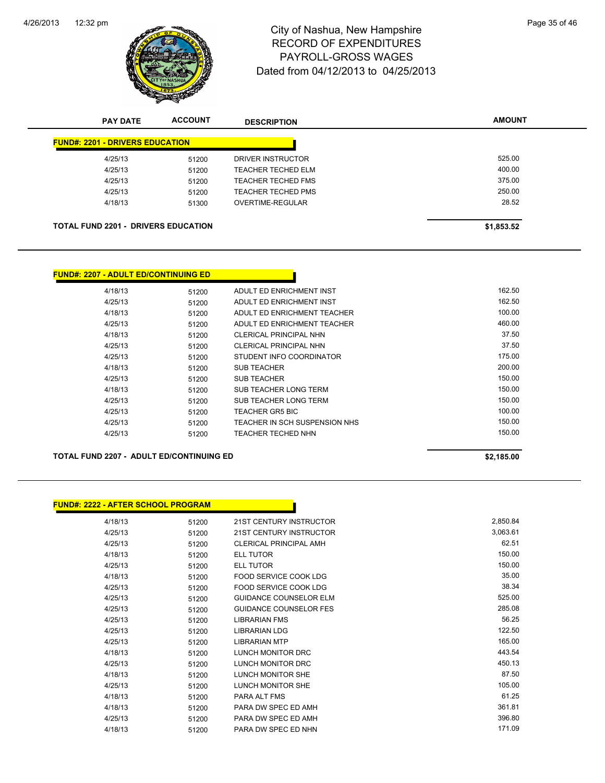

# 12:32 pm Page 35 of 46 RECORD OF EXPENDITURES PAYROLL-GROSS WAGES Dated from 04/12/2013 to 04/25/2013

| <b>PAY DATE</b>                        | <b>ACCOUNT</b>                             | <b>DESCRIPTION</b>        | <b>AMOUNT</b> |
|----------------------------------------|--------------------------------------------|---------------------------|---------------|
| <b>FUND#: 2201 - DRIVERS EDUCATION</b> |                                            |                           |               |
| 4/25/13                                | 51200                                      | DRIVER INSTRUCTOR         | 525.00        |
| 4/25/13                                | 51200                                      | TEACHER TECHED ELM        | 400.00        |
| 4/25/13                                | 51200                                      | TEACHER TECHED FMS        | 375.00        |
| 4/25/13                                | 51200                                      | <b>TEACHER TECHED PMS</b> | 250.00        |
| 4/18/13                                | 51300                                      | OVERTIME-REGULAR          | 28.52         |
|                                        | <b>TOTAL FUND 2201 - DRIVERS EDUCATION</b> |                           | \$1,853.52    |

| <b>FUND#: 2207 - ADULT ED/CONTINUING ED</b> |       |                               |        |
|---------------------------------------------|-------|-------------------------------|--------|
| 4/18/13                                     | 51200 | ADULT ED ENRICHMENT INST      | 162.50 |
| 4/25/13                                     | 51200 | ADULT ED ENRICHMENT INST      | 162.50 |
| 4/18/13                                     | 51200 | ADULT ED ENRICHMENT TEACHER   | 100.00 |
| 4/25/13                                     | 51200 | ADULT ED ENRICHMENT TEACHER   | 460.00 |
| 4/18/13                                     | 51200 | CLERICAL PRINCIPAL NHN        | 37.50  |
| 4/25/13                                     | 51200 | CLERICAL PRINCIPAL NHN        | 37.50  |
| 4/25/13                                     | 51200 | STUDENT INFO COORDINATOR      | 175.00 |
| 4/18/13                                     | 51200 | <b>SUB TEACHER</b>            | 200.00 |
| 4/25/13                                     | 51200 | <b>SUB TEACHER</b>            | 150.00 |
| 4/18/13                                     | 51200 | SUB TEACHER LONG TERM         | 150.00 |
| 4/25/13                                     | 51200 | SUB TEACHER LONG TERM         | 150.00 |
| 4/25/13                                     | 51200 | <b>TEACHER GR5 BIC</b>        | 100.00 |
| 4/25/13                                     | 51200 | TEACHER IN SCH SUSPENSION NHS | 150.00 |
| 4/25/13                                     | 51200 | <b>TEACHER TECHED NHN</b>     | 150.00 |

#### **TOTAL FUND 2207 - ADULT ED/CONTINUING ED \$2,185.00**

| <b>FUND#: 2222 - AFTER SCHOOL PROGRAM</b> |       |                                |          |
|-------------------------------------------|-------|--------------------------------|----------|
| 4/18/13                                   | 51200 | <b>21ST CENTURY INSTRUCTOR</b> | 2,850.84 |
| 4/25/13                                   | 51200 | 21ST CENTURY INSTRUCTOR        | 3,063.61 |
| 4/25/13                                   | 51200 | <b>CLERICAL PRINCIPAL AMH</b>  | 62.51    |
| 4/18/13                                   | 51200 | <b>ELL TUTOR</b>               | 150.00   |
| 4/25/13                                   | 51200 | <b>ELL TUTOR</b>               | 150.00   |
| 4/18/13                                   | 51200 | FOOD SERVICE COOK LDG          | 35.00    |
| 4/25/13                                   | 51200 | <b>FOOD SERVICE COOK LDG</b>   | 38.34    |
| 4/25/13                                   | 51200 | <b>GUIDANCE COUNSELOR ELM</b>  | 525.00   |
| 4/25/13                                   | 51200 | <b>GUIDANCE COUNSELOR FES</b>  | 285.08   |
| 4/25/13                                   | 51200 | <b>LIBRARIAN FMS</b>           | 56.25    |
| 4/25/13                                   | 51200 | <b>LIBRARIAN LDG</b>           | 122.50   |
| 4/25/13                                   | 51200 | <b>LIBRARIAN MTP</b>           | 165.00   |
| 4/18/13                                   | 51200 | <b>LUNCH MONITOR DRC</b>       | 443.54   |
| 4/25/13                                   | 51200 | <b>LUNCH MONITOR DRC</b>       | 450.13   |
| 4/18/13                                   | 51200 | LUNCH MONITOR SHE              | 87.50    |
| 4/25/13                                   | 51200 | <b>LUNCH MONITOR SHE</b>       | 105.00   |
| 4/18/13                                   | 51200 | PARA ALT FMS                   | 61.25    |
| 4/18/13                                   | 51200 | PARA DW SPEC ED AMH            | 361.81   |
| 4/25/13                                   | 51200 | PARA DW SPEC ED AMH            | 396.80   |
| 4/18/13                                   | 51200 | PARA DW SPEC ED NHN            | 171.09   |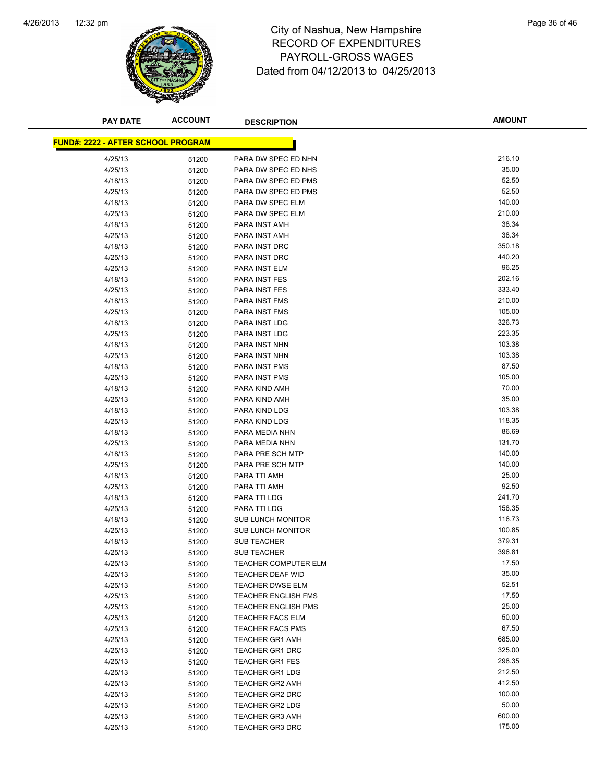

| <b>PAY DATE</b>                           | <b>ACCOUNT</b> | <b>DESCRIPTION</b>                 | <b>AMOUNT</b>   |
|-------------------------------------------|----------------|------------------------------------|-----------------|
|                                           |                |                                    |                 |
| <b>FUND#: 2222 - AFTER SCHOOL PROGRAM</b> |                |                                    |                 |
| 4/25/13                                   | 51200          | PARA DW SPEC ED NHN                | 216.10          |
| 4/25/13                                   | 51200          | PARA DW SPEC ED NHS                | 35.00           |
| 4/18/13                                   | 51200          | PARA DW SPEC ED PMS                | 52.50           |
| 4/25/13                                   | 51200          | PARA DW SPEC ED PMS                | 52.50           |
| 4/18/13                                   | 51200          | PARA DW SPEC ELM                   | 140.00          |
| 4/25/13                                   | 51200          | PARA DW SPEC ELM                   | 210.00          |
| 4/18/13                                   | 51200          | PARA INST AMH                      | 38.34           |
| 4/25/13                                   | 51200          | PARA INST AMH                      | 38.34           |
| 4/18/13                                   | 51200          | PARA INST DRC                      | 350.18          |
| 4/25/13                                   | 51200          | PARA INST DRC                      | 440.20          |
| 4/25/13                                   | 51200          | PARA INST ELM                      | 96.25           |
| 4/18/13                                   | 51200          | PARA INST FES                      | 202.16          |
| 4/25/13                                   | 51200          | PARA INST FES                      | 333.40          |
| 4/18/13                                   | 51200          | PARA INST FMS                      | 210.00          |
| 4/25/13                                   | 51200          | PARA INST FMS                      | 105.00          |
| 4/18/13                                   | 51200          | PARA INST LDG                      | 326.73          |
| 4/25/13                                   | 51200          | PARA INST LDG                      | 223.35          |
| 4/18/13                                   | 51200          | PARA INST NHN                      | 103.38          |
| 4/25/13                                   | 51200          | PARA INST NHN                      | 103.38          |
| 4/18/13                                   | 51200          | PARA INST PMS                      | 87.50           |
| 4/25/13                                   | 51200          | PARA INST PMS                      | 105.00          |
| 4/18/13                                   | 51200          | PARA KIND AMH                      | 70.00           |
| 4/25/13                                   | 51200          | PARA KIND AMH                      | 35.00           |
| 4/18/13                                   | 51200          | PARA KIND LDG                      | 103.38          |
| 4/25/13                                   | 51200          | PARA KIND LDG                      | 118.35<br>86.69 |
| 4/18/13                                   | 51200          | PARA MEDIA NHN                     | 131.70          |
| 4/25/13<br>4/18/13                        | 51200          | PARA MEDIA NHN<br>PARA PRE SCH MTP | 140.00          |
| 4/25/13                                   | 51200          | PARA PRE SCH MTP                   | 140.00          |
| 4/18/13                                   | 51200<br>51200 | PARA TTI AMH                       | 25.00           |
| 4/25/13                                   | 51200          | PARA TTI AMH                       | 92.50           |
| 4/18/13                                   | 51200          | PARA TTI LDG                       | 241.70          |
| 4/25/13                                   | 51200          | PARA TTI LDG                       | 158.35          |
| 4/18/13                                   | 51200          | <b>SUB LUNCH MONITOR</b>           | 116.73          |
| 4/25/13                                   | 51200          | <b>SUB LUNCH MONITOR</b>           | 100.85          |
| 4/18/13                                   | 51200          | <b>SUB TEACHER</b>                 | 379.31          |
| 4/25/13                                   | 51200          | <b>SUB TEACHER</b>                 | 396.81          |
| 4/25/13                                   | 51200          | <b>TEACHER COMPUTER ELM</b>        | 17.50           |
| 4/25/13                                   | 51200          | <b>TEACHER DEAF WID</b>            | 35.00           |
| 4/25/13                                   | 51200          | <b>TEACHER DWSE ELM</b>            | 52.51           |
| 4/25/13                                   | 51200          | <b>TEACHER ENGLISH FMS</b>         | 17.50           |
| 4/25/13                                   | 51200          | <b>TEACHER ENGLISH PMS</b>         | 25.00           |
| 4/25/13                                   | 51200          | <b>TEACHER FACS ELM</b>            | 50.00           |
| 4/25/13                                   | 51200          | <b>TEACHER FACS PMS</b>            | 67.50           |
| 4/25/13                                   | 51200          | <b>TEACHER GR1 AMH</b>             | 685.00          |
| 4/25/13                                   | 51200          | <b>TEACHER GR1 DRC</b>             | 325.00          |
| 4/25/13                                   | 51200          | TEACHER GR1 FES                    | 298.35          |
| 4/25/13                                   | 51200          | <b>TEACHER GR1 LDG</b>             | 212.50          |
| 4/25/13                                   | 51200          | <b>TEACHER GR2 AMH</b>             | 412.50          |
| 4/25/13                                   | 51200          | <b>TEACHER GR2 DRC</b>             | 100.00          |
| 4/25/13                                   | 51200          | <b>TEACHER GR2 LDG</b>             | 50.00           |
| 4/25/13                                   | 51200          | <b>TEACHER GR3 AMH</b>             | 600.00          |
| 4/25/13                                   | 51200          | <b>TEACHER GR3 DRC</b>             | 175.00          |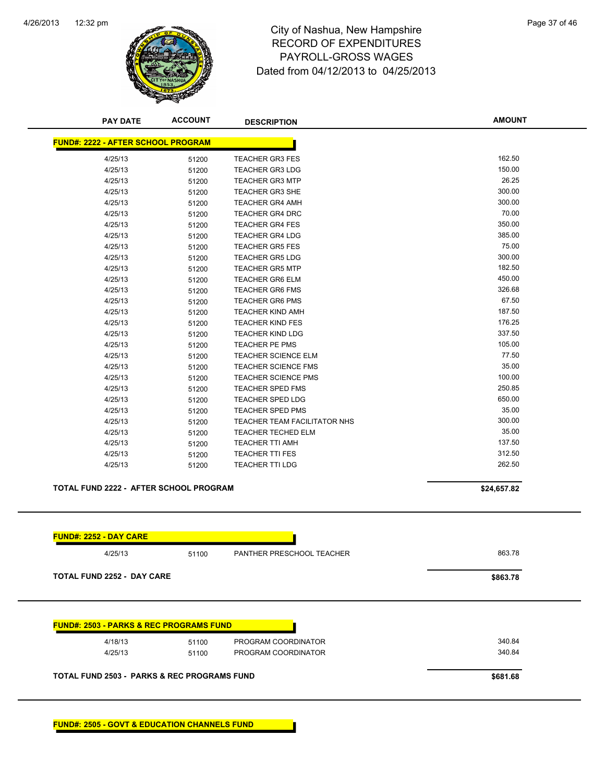

# 12:32 pm Page 37 of 46 RECORD OF EXPENDITURES PAYROLL-GROSS WAGES Dated from 04/12/2013 to 04/25/2013

| <b>PAY DATE</b>                                    | <b>ACCOUNT</b> | <b>DESCRIPTION</b>                  | <b>AMOUNT</b> |
|----------------------------------------------------|----------------|-------------------------------------|---------------|
| <b>FUND#: 2222 - AFTER SCHOOL PROGRAM</b>          |                |                                     |               |
| 4/25/13                                            | 51200          | <b>TEACHER GR3 FES</b>              | 162.50        |
| 4/25/13                                            | 51200          | <b>TEACHER GR3 LDG</b>              | 150.00        |
| 4/25/13                                            | 51200          | <b>TEACHER GR3 MTP</b>              | 26.25         |
| 4/25/13                                            | 51200          | <b>TEACHER GR3 SHE</b>              | 300.00        |
| 4/25/13                                            | 51200          | <b>TEACHER GR4 AMH</b>              | 300.00        |
| 4/25/13                                            | 51200          | <b>TEACHER GR4 DRC</b>              | 70.00         |
| 4/25/13                                            | 51200          | <b>TEACHER GR4 FES</b>              | 350.00        |
| 4/25/13                                            | 51200          | <b>TEACHER GR4 LDG</b>              | 385.00        |
| 4/25/13                                            | 51200          | <b>TEACHER GR5 FES</b>              | 75.00         |
| 4/25/13                                            | 51200          | <b>TEACHER GR5 LDG</b>              | 300.00        |
| 4/25/13                                            | 51200          | <b>TEACHER GR5 MTP</b>              | 182.50        |
| 4/25/13                                            | 51200          | <b>TEACHER GR6 ELM</b>              | 450.00        |
| 4/25/13                                            | 51200          | <b>TEACHER GR6 FMS</b>              | 326.68        |
| 4/25/13                                            | 51200          | <b>TEACHER GR6 PMS</b>              | 67.50         |
| 4/25/13                                            | 51200          | <b>TEACHER KIND AMH</b>             | 187.50        |
| 4/25/13                                            | 51200          | <b>TEACHER KIND FES</b>             | 176.25        |
| 4/25/13                                            | 51200          | <b>TEACHER KIND LDG</b>             | 337.50        |
| 4/25/13                                            | 51200          | TEACHER PE PMS                      | 105.00        |
| 4/25/13                                            | 51200          | <b>TEACHER SCIENCE ELM</b>          | 77.50         |
| 4/25/13                                            | 51200          | <b>TEACHER SCIENCE FMS</b>          | 35.00         |
| 4/25/13                                            | 51200          | <b>TEACHER SCIENCE PMS</b>          | 100.00        |
| 4/25/13                                            | 51200          | <b>TEACHER SPED FMS</b>             | 250.85        |
| 4/25/13                                            | 51200          | <b>TEACHER SPED LDG</b>             | 650.00        |
| 4/25/13                                            | 51200          | <b>TEACHER SPED PMS</b>             | 35.00         |
| 4/25/13                                            | 51200          | <b>TEACHER TEAM FACILITATOR NHS</b> | 300.00        |
| 4/25/13                                            | 51200          | <b>TEACHER TECHED ELM</b>           | 35.00         |
| 4/25/13                                            | 51200          | TEACHER TTI AMH                     | 137.50        |
| 4/25/13                                            | 51200          | <b>TEACHER TTI FES</b>              | 312.50        |
| 4/25/13                                            | 51200          | <b>TEACHER TTI LDG</b>              | 262.50        |
| <b>TOTAL FUND 2222 - AFTER SCHOOL PROGRAM</b>      |                |                                     | \$24,657.82   |
|                                                    |                |                                     |               |
| <b>FUND#: 2252 - DAY CARE</b><br>4/25/13           |                | PANTHER PRESCHOOL TEACHER           | 863.78        |
|                                                    | 51100          |                                     |               |
| <b>TOTAL FUND 2252 - DAY CARE</b>                  |                |                                     | \$863.78      |
| <b>FUND#: 2503 - PARKS &amp; REC PROGRAMS FUND</b> |                |                                     |               |
|                                                    |                |                                     |               |
| 4/18/13                                            | 51100          | PROGRAM COORDINATOR                 | 340.84        |
| 4/25/13                                            | 51100          | PROGRAM COORDINATOR                 | 340.84        |
| TOTAL FUND 2503 - PARKS & REC PROGRAMS FUND        |                |                                     | \$681.68      |

**FUND#: 2505 - GOVT & EDUCATION CHANNELS FUND**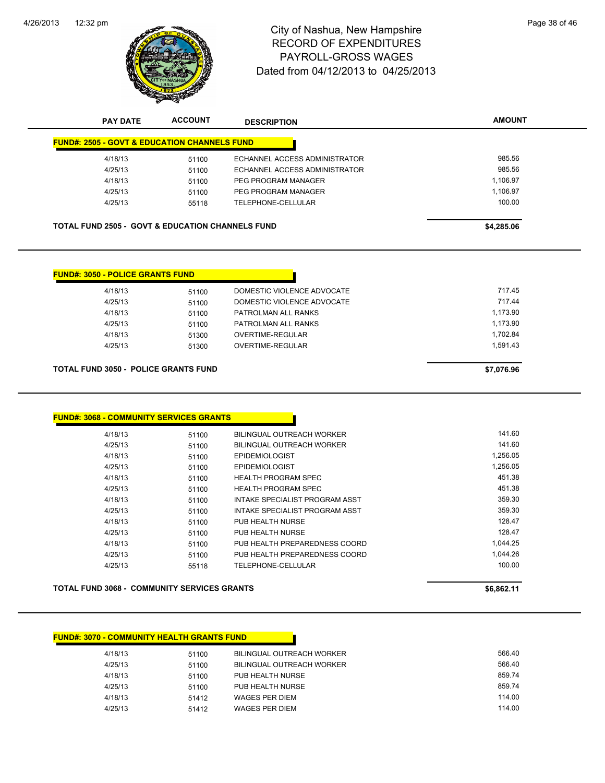

| <b>PAY DATE</b>                                             | <b>ACCOUNT</b> | <b>DESCRIPTION</b>                    | <b>AMOUNT</b> |
|-------------------------------------------------------------|----------------|---------------------------------------|---------------|
| <b>FUND#: 2505 - GOVT &amp; EDUCATION CHANNELS FUND</b>     |                |                                       |               |
| 4/18/13                                                     | 51100          | ECHANNEL ACCESS ADMINISTRATOR         | 985.56        |
| 4/25/13                                                     | 51100          | ECHANNEL ACCESS ADMINISTRATOR         | 985.56        |
| 4/18/13                                                     | 51100          | PEG PROGRAM MANAGER                   | 1,106.97      |
| 4/25/13                                                     | 51100          | PEG PROGRAM MANAGER                   | 1,106.97      |
| 4/25/13                                                     | 55118          | TELEPHONE-CELLULAR                    | 100.00        |
| <b>TOTAL FUND 2505 - GOVT &amp; EDUCATION CHANNELS FUND</b> |                |                                       | \$4,285.06    |
|                                                             |                |                                       |               |
| <b>FUND#: 3050 - POLICE GRANTS FUND</b>                     |                |                                       |               |
| 4/18/13                                                     | 51100          | DOMESTIC VIOLENCE ADVOCATE            | 717.45        |
| 4/25/13                                                     | 51100          | DOMESTIC VIOLENCE ADVOCATE            | 717.44        |
| 4/18/13                                                     | 51100          | PATROLMAN ALL RANKS                   | 1,173.90      |
| 4/25/13                                                     | 51100          | PATROLMAN ALL RANKS                   | 1,173.90      |
| 4/18/13                                                     | 51300          | <b>OVERTIME-REGULAR</b>               | 1,702.84      |
| 4/25/13                                                     | 51300          | OVERTIME-REGULAR                      | 1,591.43      |
| <b>TOTAL FUND 3050 - POLICE GRANTS FUND</b>                 |                |                                       | \$7,076.96    |
|                                                             |                |                                       |               |
| <b>FUND#: 3068 - COMMUNITY SERVICES GRANTS</b>              |                |                                       |               |
| 4/18/13                                                     | 51100          | <b>BILINGUAL OUTREACH WORKER</b>      | 141.60        |
| 4/25/13                                                     | 51100          | <b>BILINGUAL OUTREACH WORKER</b>      | 141.60        |
| 4/18/13                                                     | 51100          | <b>EPIDEMIOLOGIST</b>                 | 1,256.05      |
| 4/25/13                                                     | 51100          | <b>EPIDEMIOLOGIST</b>                 | 1,256.05      |
| 4/18/13                                                     | 51100          | <b>HEALTH PROGRAM SPEC</b>            | 451.38        |
| 4/25/13                                                     | 51100          | <b>HEALTH PROGRAM SPEC</b>            | 451.38        |
| 4/18/13                                                     | 51100          | <b>INTAKE SPECIALIST PROGRAM ASST</b> | 359.30        |
| 4/25/13                                                     | 51100          | INTAKE SPECIALIST PROGRAM ASST        | 359.30        |
| 4/18/13                                                     | 51100          | PUB HEALTH NURSE                      | 128.47        |
| 4/25/13                                                     | 51100          | PUB HEALTH NURSE                      | 128.47        |

4/18/13 51100 PUB HEALTH PREPAREDNESS COORD 1,044.25

4/25/13 55118 TELEPHONE-CELLULAR 100.00

51100 PUB HEALTH PREPAREDNESS COORD 1,044.26

## **TOTAL FUND 3068 - COMMUNITY SERVICES GRANTS \$6,862.11**

| <b>FUND#: 3070 - COMMUNITY HEALTH GRANTS FUND</b> |       |                           |
|---------------------------------------------------|-------|---------------------------|
| 4/18/13                                           | 51100 | BILINGUAL OUTREACH WORKER |
| 4/25/13                                           | 51100 | BILINGUAL OUTREACH WORKER |
| 4/18/13                                           | 51100 | PUB HEALTH NURSE          |
| 4/25/13                                           | 51100 | PUB HEALTH NURSE          |
| 4/18/13                                           | 51412 | WAGES PER DIEM            |
| 4/25/13                                           | 51412 | <b>WAGES PER DIEM</b>     |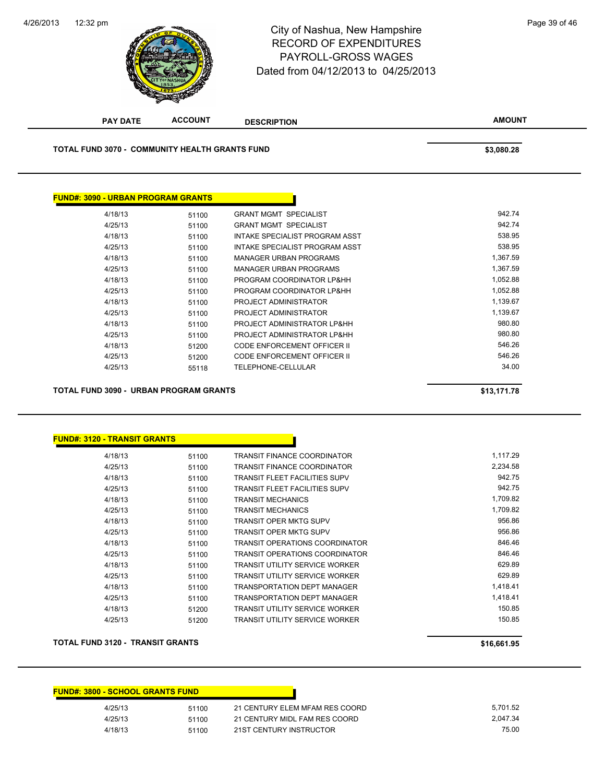

# 12:32 pm Page 39 of 46 RECORD OF EXPENDITURES PAYROLL-GROSS WAGES Dated from 04/12/2013 to 04/25/2013

| <b>PAY DATE</b>                                       | <b>ACCOUNT</b> | <b>DESCRIPTION</b>             | <b>AMOUNT</b> |
|-------------------------------------------------------|----------------|--------------------------------|---------------|
| <b>TOTAL FUND 3070 - COMMUNITY HEALTH GRANTS FUND</b> |                |                                | \$3,080.28    |
|                                                       |                |                                |               |
| <b>FUND#: 3090 - URBAN PROGRAM GRANTS</b>             |                |                                |               |
| 4/18/13                                               | 51100          | <b>GRANT MGMT SPECIALIST</b>   | 942.74        |
| 4/25/13                                               | 51100          | <b>GRANT MGMT SPECIALIST</b>   | 942.74        |
| 4/18/13                                               | 51100          | INTAKE SPECIALIST PROGRAM ASST | 538.95        |
| 4/25/13                                               | 51100          | INTAKE SPECIALIST PROGRAM ASST | 538.95        |
| 4/18/13                                               | 51100          | <b>MANAGER URBAN PROGRAMS</b>  | 1,367.59      |
| 4/25/13                                               | 51100          | <b>MANAGER URBAN PROGRAMS</b>  | 1,367.59      |
| 4/18/13                                               | 51100          | PROGRAM COORDINATOR LP&HH      | 1,052.88      |
| 4/25/13                                               | 51100          | PROGRAM COORDINATOR LP&HH      | 1,052.88      |
| 4/18/13                                               | 51100          | <b>PROJECT ADMINISTRATOR</b>   | 1,139.67      |
| 4/25/13                                               | 51100          | <b>PROJECT ADMINISTRATOR</b>   | 1,139.67      |
| 4/18/13                                               | 51100          | PROJECT ADMINISTRATOR LP&HH    | 980.80        |
| 4/25/13                                               | 51100          | PROJECT ADMINISTRATOR LP&HH    | 980.80        |

4/18/13 51200 CODE ENFORCEMENT OFFICER II 546.26 4/25/13 51200 CODE ENFORCEMENT OFFICER II 546.26 4/25/13 55118 TELEPHONE-CELLULAR 34.00

**TOTAL FUND 3090 - URBAN PROGRAM GRANTS \$13,171.78** 

### **FUND#: 3120 - TRANSIT GRANTS**

| 4/18/13 | 51100 | TRANSIT FINANCE COORDINATOR           | 1,117.29 |
|---------|-------|---------------------------------------|----------|
| 4/25/13 | 51100 | TRANSIT FINANCE COORDINATOR           | 2,234.58 |
| 4/18/13 | 51100 | <b>TRANSIT FLEET FACILITIES SUPV</b>  | 942.75   |
| 4/25/13 | 51100 | <b>TRANSIT FLEET FACILITIES SUPV</b>  | 942.75   |
| 4/18/13 | 51100 | <b>TRANSIT MECHANICS</b>              | 1,709.82 |
| 4/25/13 | 51100 | <b>TRANSIT MECHANICS</b>              | 1,709.82 |
| 4/18/13 | 51100 | <b>TRANSIT OPER MKTG SUPV</b>         | 956.86   |
| 4/25/13 | 51100 | <b>TRANSIT OPER MKTG SUPV</b>         | 956.86   |
| 4/18/13 | 51100 | <b>TRANSIT OPERATIONS COORDINATOR</b> | 846.46   |
| 4/25/13 | 51100 | TRANSIT OPERATIONS COORDINATOR        | 846.46   |
| 4/18/13 | 51100 | <b>TRANSIT UTILITY SERVICE WORKER</b> | 629.89   |
| 4/25/13 | 51100 | <b>TRANSIT UTILITY SERVICE WORKER</b> | 629.89   |
| 4/18/13 | 51100 | <b>TRANSPORTATION DEPT MANAGER</b>    | 1,418.41 |
| 4/25/13 | 51100 | TRANSPORTATION DEPT MANAGER           | 1,418.41 |
| 4/18/13 | 51200 | TRANSIT UTILITY SERVICE WORKER        | 150.85   |
| 4/25/13 | 51200 | <b>TRANSIT UTILITY SERVICE WORKER</b> | 150.85   |
|         |       |                                       |          |

Г

## **TOTAL FUND 3120 - TRANSIT GRANTS \$16,661.95**

| <b>FUND#: 3800 - SCHOOL GRANTS FUND</b> |       |                                |          |
|-----------------------------------------|-------|--------------------------------|----------|
| 4/25/13                                 | 51100 | 21 CENTURY ELEM MFAM RES COORD | 5.701.52 |
| 4/25/13                                 | 51100 | 21 CENTURY MIDL FAM RES COORD  | 2.047.34 |
| 4/18/13                                 | 51100 | 21ST CENTURY INSTRUCTOR        | 75.00    |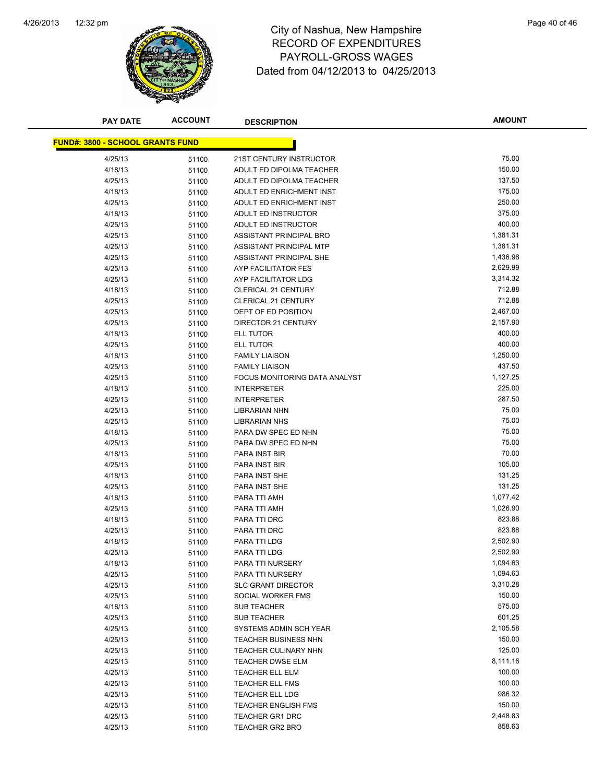

# 12:32 pm Page 40 of 46 RECORD OF EXPENDITURES PAYROLL-GROSS WAGES Dated from 04/12/2013 to 04/25/2013

| <b>PAY DATE</b>                         | <b>ACCOUNT</b> | <b>DESCRIPTION</b>                 | <b>AMOUNT</b>      |
|-----------------------------------------|----------------|------------------------------------|--------------------|
|                                         |                |                                    |                    |
| <b>FUND#: 3800 - SCHOOL GRANTS FUND</b> |                |                                    |                    |
| 4/25/13                                 | 51100          | 21ST CENTURY INSTRUCTOR            | 75.00              |
| 4/18/13                                 | 51100          | ADULT ED DIPOLMA TEACHER           | 150.00             |
| 4/25/13                                 | 51100          | ADULT ED DIPOLMA TEACHER           | 137.50             |
| 4/18/13                                 | 51100          | ADULT ED ENRICHMENT INST           | 175.00             |
| 4/25/13                                 | 51100          | ADULT ED ENRICHMENT INST           | 250.00             |
| 4/18/13                                 | 51100          | ADULT ED INSTRUCTOR                | 375.00             |
| 4/25/13                                 | 51100          | ADULT ED INSTRUCTOR                | 400.00             |
| 4/25/13                                 | 51100          | ASSISTANT PRINCIPAL BRO            | 1,381.31           |
| 4/25/13                                 | 51100          | ASSISTANT PRINCIPAL MTP            | 1,381.31           |
| 4/25/13                                 | 51100          | ASSISTANT PRINCIPAL SHE            | 1,436.98           |
| 4/25/13                                 | 51100          | AYP FACILITATOR FES                | 2,629.99           |
| 4/25/13                                 | 51100          | AYP FACILITATOR LDG                | 3,314.32           |
| 4/18/13                                 | 51100          | <b>CLERICAL 21 CENTURY</b>         | 712.88             |
| 4/25/13                                 | 51100          | <b>CLERICAL 21 CENTURY</b>         | 712.88             |
| 4/25/13                                 | 51100          | DEPT OF ED POSITION                | 2,467.00           |
| 4/25/13                                 | 51100          | DIRECTOR 21 CENTURY                | 2,157.90           |
| 4/18/13                                 | 51100          | <b>ELL TUTOR</b>                   | 400.00             |
| 4/25/13                                 | 51100          | ELL TUTOR                          | 400.00             |
| 4/18/13                                 | 51100          | <b>FAMILY LIAISON</b>              | 1,250.00           |
| 4/25/13                                 | 51100          | <b>FAMILY LIAISON</b>              | 437.50             |
| 4/25/13                                 | 51100          | FOCUS MONITORING DATA ANALYST      | 1,127.25           |
| 4/18/13                                 | 51100          | <b>INTERPRETER</b>                 | 225.00             |
| 4/25/13                                 | 51100          | <b>INTERPRETER</b>                 | 287.50             |
| 4/25/13                                 | 51100          | <b>LIBRARIAN NHN</b>               | 75.00              |
| 4/25/13                                 | 51100          | <b>LIBRARIAN NHS</b>               | 75.00              |
| 4/18/13                                 | 51100          | PARA DW SPEC ED NHN                | 75.00              |
| 4/25/13                                 | 51100          | PARA DW SPEC ED NHN                | 75.00              |
| 4/18/13                                 | 51100          | PARA INST BIR                      | 70.00              |
| 4/25/13                                 | 51100          | PARA INST BIR                      | 105.00             |
| 4/18/13                                 | 51100          | PARA INST SHE                      | 131.25             |
| 4/25/13                                 | 51100          | PARA INST SHE                      | 131.25             |
| 4/18/13                                 | 51100          | PARA TTI AMH                       | 1,077.42           |
| 4/25/13                                 | 51100          | PARA TTI AMH                       | 1,026.90           |
| 4/18/13                                 | 51100          | PARA TTI DRC                       | 823.88             |
| 4/25/13                                 | 51100          | PARA TTI DRC                       | 823.88             |
| 4/18/13                                 | 51100          | PARA TTI LDG                       | 2,502.90           |
| 4/25/13                                 | 51100          | PARA TTI LDG                       | 2,502.90           |
| 4/18/13                                 | 51100          | PARA TTI NURSERY                   | 1,094.63           |
| 4/25/13                                 | 51100          | PARA TTI NURSERY                   | 1,094.63           |
| 4/25/13                                 | 51100          | <b>SLC GRANT DIRECTOR</b>          | 3,310.28           |
| 4/25/13                                 | 51100          | SOCIAL WORKER FMS                  | 150.00             |
| 4/18/13                                 | 51100          | <b>SUB TEACHER</b>                 | 575.00<br>601.25   |
| 4/25/13                                 | 51100          | <b>SUB TEACHER</b>                 |                    |
| 4/25/13                                 | 51100          | SYSTEMS ADMIN SCH YEAR             | 2,105.58<br>150.00 |
| 4/25/13<br>4/25/13                      | 51100          | <b>TEACHER BUSINESS NHN</b>        | 125.00             |
|                                         | 51100          | TEACHER CULINARY NHN               | 8,111.16           |
| 4/25/13<br>4/25/13                      | 51100          | TEACHER DWSE ELM                   | 100.00             |
| 4/25/13                                 | 51100          | TEACHER ELL ELM<br>TEACHER ELL FMS | 100.00             |
| 4/25/13                                 | 51100          | TEACHER ELL LDG                    | 986.32             |
| 4/25/13                                 | 51100          | <b>TEACHER ENGLISH FMS</b>         | 150.00             |
| 4/25/13                                 | 51100          | <b>TEACHER GR1 DRC</b>             | 2,448.83           |
| 4/25/13                                 | 51100          | <b>TEACHER GR2 BRO</b>             | 858.63             |
|                                         | 51100          |                                    |                    |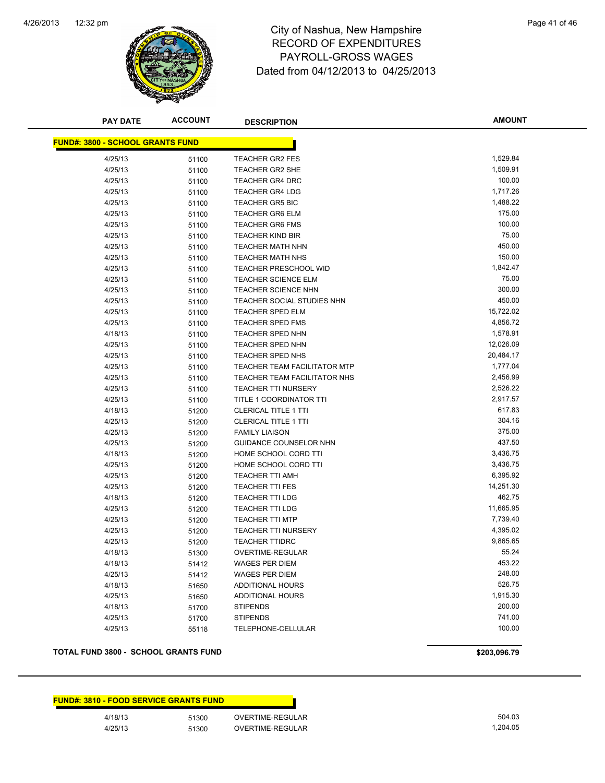

## 12:32 pm Page 41 of 46 RECORD OF EXPENDITURES PAYROLL-GROSS WAGES Dated from 04/12/2013 to 04/25/2013

| <b>PAY DATE</b>                         | <b>ACCOUNT</b> | <b>DESCRIPTION</b>                                   | <b>AMOUNT</b>        |
|-----------------------------------------|----------------|------------------------------------------------------|----------------------|
| <b>FUND#: 3800 - SCHOOL GRANTS FUND</b> |                |                                                      |                      |
| 4/25/13                                 | 51100          | <b>TEACHER GR2 FES</b>                               | 1,529.84             |
| 4/25/13                                 | 51100          | <b>TEACHER GR2 SHE</b>                               | 1,509.91             |
| 4/25/13                                 | 51100          | <b>TEACHER GR4 DRC</b>                               | 100.00               |
| 4/25/13                                 | 51100          | <b>TEACHER GR4 LDG</b>                               | 1,717.26             |
| 4/25/13                                 | 51100          | <b>TEACHER GR5 BIC</b>                               | 1,488.22             |
| 4/25/13                                 | 51100          | <b>TEACHER GR6 ELM</b>                               | 175.00               |
| 4/25/13                                 | 51100          | <b>TEACHER GR6 FMS</b>                               | 100.00               |
| 4/25/13                                 | 51100          | <b>TEACHER KIND BIR</b>                              | 75.00                |
| 4/25/13                                 | 51100          | <b>TEACHER MATH NHN</b>                              | 450.00               |
| 4/25/13                                 | 51100          | <b>TEACHER MATH NHS</b>                              | 150.00               |
| 4/25/13                                 | 51100          | <b>TEACHER PRESCHOOL WID</b>                         | 1,842.47             |
| 4/25/13                                 | 51100          | <b>TEACHER SCIENCE ELM</b>                           | 75.00                |
| 4/25/13                                 | 51100          | <b>TEACHER SCIENCE NHN</b>                           | 300.00               |
| 4/25/13                                 | 51100          | TEACHER SOCIAL STUDIES NHN                           | 450.00               |
| 4/25/13                                 | 51100          | <b>TEACHER SPED ELM</b>                              | 15,722.02            |
| 4/25/13                                 | 51100          | <b>TEACHER SPED FMS</b>                              | 4,856.72             |
| 4/18/13                                 | 51100          | <b>TEACHER SPED NHN</b>                              | 1,578.91             |
| 4/25/13                                 | 51100          | <b>TEACHER SPED NHN</b>                              | 12,026.09            |
| 4/25/13                                 | 51100          | TEACHER SPED NHS                                     | 20,484.17            |
| 4/25/13                                 | 51100          | TEACHER TEAM FACILITATOR MTP                         | 1,777.04             |
| 4/25/13                                 | 51100          | TEACHER TEAM FACILITATOR NHS                         | 2,456.99             |
| 4/25/13                                 | 51100          | <b>TEACHER TTI NURSERY</b>                           | 2,526.22             |
| 4/25/13                                 | 51100          | TITLE 1 COORDINATOR TTI                              | 2,917.57             |
| 4/18/13                                 | 51200          | <b>CLERICAL TITLE 1 TTI</b>                          | 617.83               |
| 4/25/13                                 | 51200          | <b>CLERICAL TITLE 1 TTI</b>                          | 304.16               |
| 4/25/13                                 | 51200          | <b>FAMILY LIAISON</b>                                | 375.00               |
| 4/25/13                                 | 51200          | <b>GUIDANCE COUNSELOR NHN</b>                        | 437.50               |
| 4/18/13                                 | 51200          | HOME SCHOOL CORD TTI                                 | 3,436.75             |
| 4/25/13                                 | 51200          | HOME SCHOOL CORD TTI                                 | 3,436.75             |
| 4/25/13                                 | 51200          | <b>TEACHER TTI AMH</b>                               | 6,395.92             |
| 4/25/13                                 | 51200          | <b>TEACHER TTI FES</b>                               | 14,251.30            |
| 4/18/13                                 | 51200          | <b>TEACHER TTI LDG</b>                               | 462.75               |
| 4/25/13                                 | 51200          | <b>TEACHER TTI LDG</b>                               | 11,665.95            |
| 4/25/13                                 | 51200          | <b>TEACHER TTI MTP</b><br><b>TEACHER TTI NURSERY</b> | 7,739.40<br>4,395.02 |
| 4/25/13                                 | 51200          |                                                      | 9,865.65             |
| 4/25/13<br>4/18/13                      | 51200          | <b>TEACHER TTIDRC</b><br>OVERTIME-REGULAR            | 55.24                |
|                                         | 51300          |                                                      | 453.22               |
| 4/18/13<br>4/25/13                      | 51412          | <b>WAGES PER DIEM</b><br><b>WAGES PER DIEM</b>       | 248.00               |
| 4/18/13                                 | 51412          | ADDITIONAL HOURS                                     | 526.75               |
| 4/25/13                                 | 51650          | ADDITIONAL HOURS                                     | 1,915.30             |
| 4/18/13                                 | 51650<br>51700 | <b>STIPENDS</b>                                      | 200.00               |
| 4/25/13                                 | 51700          | <b>STIPENDS</b>                                      | 741.00               |
| 4/25/13                                 | 55118          | TELEPHONE-CELLULAR                                   | 100.00               |
|                                         |                |                                                      |                      |

## **TOTAL FUND 3800 - SCHOOL GRANTS FUND \$203,096.79 \$203,096.79**

|         | <b>FUND#: 3810 - FOOD SERVICE GRANTS FUND</b> |                  |
|---------|-----------------------------------------------|------------------|
| 4/18/13 | 51300                                         | OVERTIME-REGULAR |
| 4/25/13 | 51300                                         | OVERTIME-REGULAR |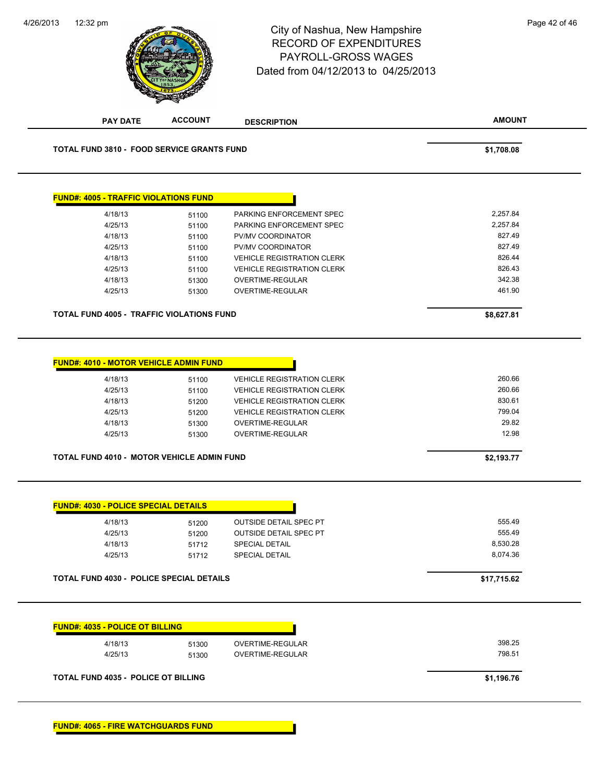|                                                                                                                                              | <b>ACCOUNT</b> | <b>DESCRIPTION</b>                | <b>AMOUNT</b> |
|----------------------------------------------------------------------------------------------------------------------------------------------|----------------|-----------------------------------|---------------|
| <b>TOTAL FUND 3810 - FOOD SERVICE GRANTS FUND</b>                                                                                            |                |                                   | \$1,708.08    |
| <b>FUND#: 4005 - TRAFFIC VIOLATIONS FUND</b>                                                                                                 |                |                                   |               |
| 4/18/13                                                                                                                                      |                | PARKING ENFORCEMENT SPEC          | 2,257.84      |
| 4/25/13                                                                                                                                      | 51100<br>51100 | PARKING ENFORCEMENT SPEC          | 2,257.84      |
| 4/18/13                                                                                                                                      | 51100          | PV/MV COORDINATOR                 | 827.49        |
| 4/25/13                                                                                                                                      | 51100          | PV/MV COORDINATOR                 | 827.49        |
| 4/18/13                                                                                                                                      | 51100          | <b>VEHICLE REGISTRATION CLERK</b> | 826.44        |
| 4/25/13                                                                                                                                      | 51100          | <b>VEHICLE REGISTRATION CLERK</b> | 826.43        |
| 4/18/13                                                                                                                                      | 51300          | OVERTIME-REGULAR                  | 342.38        |
| 4/25/13                                                                                                                                      | 51300          | OVERTIME-REGULAR                  | 461.90        |
| <b>TOTAL FUND 4005 - TRAFFIC VIOLATIONS FUND</b>                                                                                             |                |                                   | \$8,627.81    |
|                                                                                                                                              |                |                                   |               |
|                                                                                                                                              |                |                                   |               |
| <b>FUND#: 4010 - MOTOR VEHICLE ADMIN FUND</b>                                                                                                |                |                                   |               |
| 4/18/13                                                                                                                                      | 51100          | <b>VEHICLE REGISTRATION CLERK</b> | 260.66        |
| 4/25/13                                                                                                                                      | 51100          | <b>VEHICLE REGISTRATION CLERK</b> | 260.66        |
| 4/18/13                                                                                                                                      | 51200          | <b>VEHICLE REGISTRATION CLERK</b> | 830.61        |
| 4/25/13                                                                                                                                      | 51200          | <b>VEHICLE REGISTRATION CLERK</b> | 799.04        |
| 4/18/13                                                                                                                                      | 51300          | OVERTIME-REGULAR                  | 29.82         |
| 4/25/13                                                                                                                                      | 51300          | OVERTIME-REGULAR                  | 12.98         |
| TOTAL FUND 4010 - MOTOR VEHICLE ADMIN FUND                                                                                                   |                |                                   | \$2,193.77    |
|                                                                                                                                              |                |                                   |               |
|                                                                                                                                              |                |                                   |               |
|                                                                                                                                              |                |                                   |               |
| 4/18/13                                                                                                                                      | 51200          | <b>OUTSIDE DETAIL SPEC PT</b>     | 555.49        |
| 4/25/13                                                                                                                                      | 51200          | <b>OUTSIDE DETAIL SPEC PT</b>     | 555.49        |
| 4/18/13                                                                                                                                      | 51712          | <b>SPECIAL DETAIL</b>             | 8,530.28      |
| 4/25/13                                                                                                                                      | 51712          | SPECIAL DETAIL                    | 8,074.36      |
|                                                                                                                                              |                |                                   | \$17,715.62   |
|                                                                                                                                              |                |                                   |               |
|                                                                                                                                              |                |                                   |               |
| 4/18/13                                                                                                                                      | 51300          | OVERTIME-REGULAR                  | 398.25        |
| <b>FUND#: 4030 - POLICE SPECIAL DETAILS</b><br>TOTAL FUND 4030 - POLICE SPECIAL DETAILS<br><b>FUND#: 4035 - POLICE OT BILLING</b><br>4/25/13 | 51300          | OVERTIME-REGULAR                  | 798.51        |

**FUND#: 4065 - FIRE WATCHGUARDS FUND**

4/26/2013

**ACCOUNT**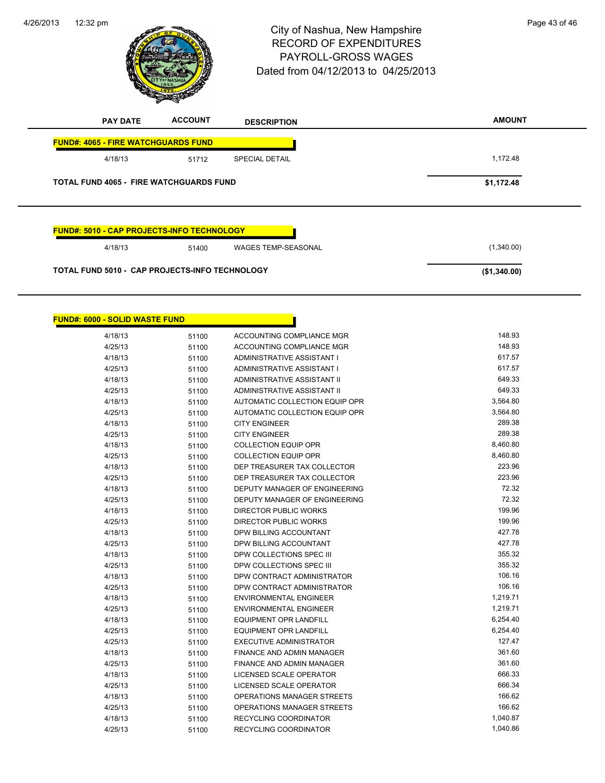4/26/2013



# 12:32 pm<br>
City of Nashua, New Hampshire<br>
City of Nashua, New Hampshire RECORD OF EXPENDITURES PAYROLL-GROSS WAGES Dated from 04/12/2013 to 04/25/2013

| <b>PAY DATE</b>                                   | <b>ACCOUNT</b>                                 | <b>DESCRIPTION</b>         | <b>AMOUNT</b> |
|---------------------------------------------------|------------------------------------------------|----------------------------|---------------|
| <b>FUND#: 4065 - FIRE WATCHGUARDS FUND</b>        |                                                |                            |               |
| 4/18/13                                           | 51712                                          | <b>SPECIAL DETAIL</b>      | 1,172.48      |
|                                                   | <b>TOTAL FUND 4065 - FIRE WATCHGUARDS FUND</b> |                            | \$1,172.48    |
|                                                   |                                                |                            |               |
|                                                   |                                                |                            |               |
|                                                   |                                                |                            |               |
|                                                   |                                                |                            |               |
| <b>FUND#: 5010 - CAP PROJECTS-INFO TECHNOLOGY</b> |                                                |                            |               |
| 4/18/13                                           | 51400                                          | <b>WAGES TEMP-SEASONAL</b> | (1,340.00)    |
|                                                   |                                                |                            |               |

| <b>FUND#: 6000 - SOLID WASTE FUND</b> |       |                                    |          |
|---------------------------------------|-------|------------------------------------|----------|
| 4/18/13                               | 51100 | ACCOUNTING COMPLIANCE MGR          | 148.93   |
| 4/25/13                               | 51100 | ACCOUNTING COMPLIANCE MGR          | 148.93   |
| 4/18/13                               | 51100 | ADMINISTRATIVE ASSISTANT I         | 617.57   |
| 4/25/13                               | 51100 | ADMINISTRATIVE ASSISTANT I         | 617.57   |
| 4/18/13                               | 51100 | <b>ADMINISTRATIVE ASSISTANT II</b> | 649.33   |
| 4/25/13                               | 51100 | <b>ADMINISTRATIVE ASSISTANT II</b> | 649.33   |
| 4/18/13                               | 51100 | AUTOMATIC COLLECTION EQUIP OPR     | 3,564.80 |
| 4/25/13                               | 51100 | AUTOMATIC COLLECTION EQUIP OPR     | 3,564.80 |
| 4/18/13                               | 51100 | <b>CITY ENGINEER</b>               | 289.38   |
| 4/25/13                               | 51100 | <b>CITY ENGINEER</b>               | 289.38   |
| 4/18/13                               | 51100 | <b>COLLECTION EQUIP OPR</b>        | 8,460.80 |
| 4/25/13                               | 51100 | <b>COLLECTION EQUIP OPR</b>        | 8,460.80 |
| 4/18/13                               | 51100 | DEP TREASURER TAX COLLECTOR        | 223.96   |
| 4/25/13                               | 51100 | DEP TREASURER TAX COLLECTOR        | 223.96   |
| 4/18/13                               | 51100 | DEPUTY MANAGER OF ENGINEERING      | 72.32    |
| 4/25/13                               | 51100 | DEPUTY MANAGER OF ENGINEERING      | 72.32    |
| 4/18/13                               | 51100 | <b>DIRECTOR PUBLIC WORKS</b>       | 199.96   |
| 4/25/13                               | 51100 | <b>DIRECTOR PUBLIC WORKS</b>       | 199.96   |
| 4/18/13                               | 51100 | DPW BILLING ACCOUNTANT             | 427.78   |
| 4/25/13                               | 51100 | DPW BILLING ACCOUNTANT             | 427.78   |
| 4/18/13                               | 51100 | DPW COLLECTIONS SPEC III           | 355.32   |
| 4/25/13                               | 51100 | DPW COLLECTIONS SPEC III           | 355.32   |
| 4/18/13                               | 51100 | DPW CONTRACT ADMINISTRATOR         | 106.16   |
| 4/25/13                               | 51100 | DPW CONTRACT ADMINISTRATOR         | 106.16   |
| 4/18/13                               | 51100 | <b>ENVIRONMENTAL ENGINEER</b>      | 1,219.71 |
| 4/25/13                               | 51100 | <b>ENVIRONMENTAL ENGINEER</b>      | 1,219.71 |
| 4/18/13                               | 51100 | <b>EQUIPMENT OPR LANDFILL</b>      | 6,254.40 |
| 4/25/13                               | 51100 | <b>EQUIPMENT OPR LANDFILL</b>      | 6,254.40 |
| 4/25/13                               | 51100 | EXECUTIVE ADMINISTRATOR            | 127.47   |
| 4/18/13                               | 51100 | <b>FINANCE AND ADMIN MANAGER</b>   | 361.60   |
| 4/25/13                               | 51100 | FINANCE AND ADMIN MANAGER          | 361.60   |
| 4/18/13                               | 51100 | LICENSED SCALE OPERATOR            | 666.33   |
| 4/25/13                               | 51100 | <b>LICENSED SCALE OPERATOR</b>     | 666.34   |
| 4/18/13                               | 51100 | OPERATIONS MANAGER STREETS         | 166.62   |
| 4/25/13                               | 51100 | OPERATIONS MANAGER STREETS         | 166.62   |
| 4/18/13                               | 51100 | <b>RECYCLING COORDINATOR</b>       | 1,040.87 |
| 4/25/13                               | 51100 | RECYCLING COORDINATOR              | 1,040.86 |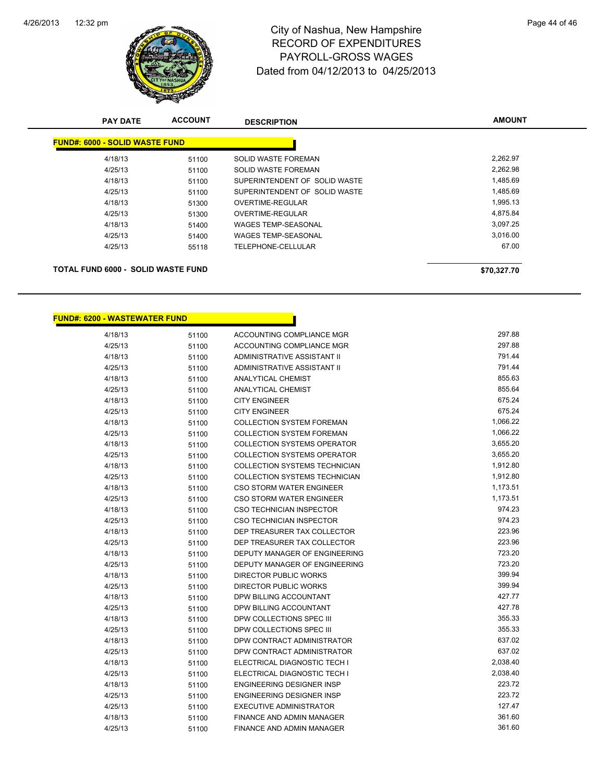

| <b>PAY DATE</b>                           | <b>ACCOUNT</b> | <b>DESCRIPTION</b>            | <b>AMOUNT</b> |
|-------------------------------------------|----------------|-------------------------------|---------------|
| <b>FUND#: 6000 - SOLID WASTE FUND</b>     |                |                               |               |
| 4/18/13                                   | 51100          | SOLID WASTE FOREMAN           | 2,262.97      |
| 4/25/13                                   | 51100          | SOLID WASTE FOREMAN           | 2,262.98      |
| 4/18/13                                   | 51100          | SUPERINTENDENT OF SOLID WASTE | 1,485.69      |
| 4/25/13                                   | 51100          | SUPERINTENDENT OF SOLID WASTE | 1,485.69      |
| 4/18/13                                   | 51300          | OVERTIME-REGULAR              | 1,995.13      |
| 4/25/13                                   | 51300          | OVERTIME-REGULAR              | 4,875.84      |
| 4/18/13                                   | 51400          | <b>WAGES TEMP-SEASONAL</b>    | 3.097.25      |
| 4/25/13                                   | 51400          | <b>WAGES TEMP-SEASONAL</b>    | 3,016.00      |
| 4/25/13                                   | 55118          | TELEPHONE-CELLULAR            | 67.00         |
|                                           |                |                               |               |
| <b>TOTAL FUND 6000 - SOLID WASTE FUND</b> |                |                               | \$70.327.70   |

| <u> FUND#: 6200 - WASTEWATER FUND</u> |       |                                      |          |
|---------------------------------------|-------|--------------------------------------|----------|
| 4/18/13                               | 51100 | ACCOUNTING COMPLIANCE MGR            | 297.88   |
| 4/25/13                               | 51100 | ACCOUNTING COMPLIANCE MGR            | 297.88   |
| 4/18/13                               | 51100 | ADMINISTRATIVE ASSISTANT II          | 791.44   |
| 4/25/13                               | 51100 | <b>ADMINISTRATIVE ASSISTANT II</b>   | 791.44   |
| 4/18/13                               | 51100 | ANALYTICAL CHEMIST                   | 855.63   |
| 4/25/13                               | 51100 | <b>ANALYTICAL CHEMIST</b>            | 855.64   |
| 4/18/13                               | 51100 | <b>CITY ENGINEER</b>                 | 675.24   |
| 4/25/13                               | 51100 | <b>CITY ENGINEER</b>                 | 675.24   |
| 4/18/13                               | 51100 | <b>COLLECTION SYSTEM FOREMAN</b>     | 1,066.22 |
| 4/25/13                               | 51100 | <b>COLLECTION SYSTEM FOREMAN</b>     | 1,066.22 |
| 4/18/13                               | 51100 | <b>COLLECTION SYSTEMS OPERATOR</b>   | 3,655.20 |
| 4/25/13                               | 51100 | <b>COLLECTION SYSTEMS OPERATOR</b>   | 3,655.20 |
| 4/18/13                               | 51100 | COLLECTION SYSTEMS TECHNICIAN        | 1,912.80 |
| 4/25/13                               | 51100 | <b>COLLECTION SYSTEMS TECHNICIAN</b> | 1,912.80 |
| 4/18/13                               | 51100 | <b>CSO STORM WATER ENGINEER</b>      | 1,173.51 |
| 4/25/13                               | 51100 | CSO STORM WATER ENGINEER             | 1,173.51 |
| 4/18/13                               | 51100 | CSO TECHNICIAN INSPECTOR             | 974.23   |
| 4/25/13                               | 51100 | <b>CSO TECHNICIAN INSPECTOR</b>      | 974.23   |
| 4/18/13                               | 51100 | DEP TREASURER TAX COLLECTOR          | 223.96   |
| 4/25/13                               | 51100 | DEP TREASURER TAX COLLECTOR          | 223.96   |
| 4/18/13                               | 51100 | DEPUTY MANAGER OF ENGINEERING        | 723.20   |
| 4/25/13                               | 51100 | DEPUTY MANAGER OF ENGINEERING        | 723.20   |
| 4/18/13                               | 51100 | DIRECTOR PUBLIC WORKS                | 399.94   |
| 4/25/13                               | 51100 | <b>DIRECTOR PUBLIC WORKS</b>         | 399.94   |
| 4/18/13                               | 51100 | DPW BILLING ACCOUNTANT               | 427.77   |
| 4/25/13                               | 51100 | DPW BILLING ACCOUNTANT               | 427.78   |
| 4/18/13                               | 51100 | DPW COLLECTIONS SPEC III             | 355.33   |
| 4/25/13                               | 51100 | DPW COLLECTIONS SPEC III             | 355.33   |
| 4/18/13                               | 51100 | DPW CONTRACT ADMINISTRATOR           | 637.02   |
| 4/25/13                               | 51100 | DPW CONTRACT ADMINISTRATOR           | 637.02   |
| 4/18/13                               | 51100 | ELECTRICAL DIAGNOSTIC TECH I         | 2,038.40 |
| 4/25/13                               | 51100 | ELECTRICAL DIAGNOSTIC TECH I         | 2,038.40 |
| 4/18/13                               | 51100 | ENGINEERING DESIGNER INSP            | 223.72   |
| 4/25/13                               | 51100 | ENGINEERING DESIGNER INSP            | 223.72   |
| 4/25/13                               | 51100 | <b>EXECUTIVE ADMINISTRATOR</b>       | 127.47   |
| 4/18/13                               | 51100 | <b>FINANCE AND ADMIN MANAGER</b>     | 361.60   |

4/25/13 51100 FINANCE AND ADMIN MANAGER 361.60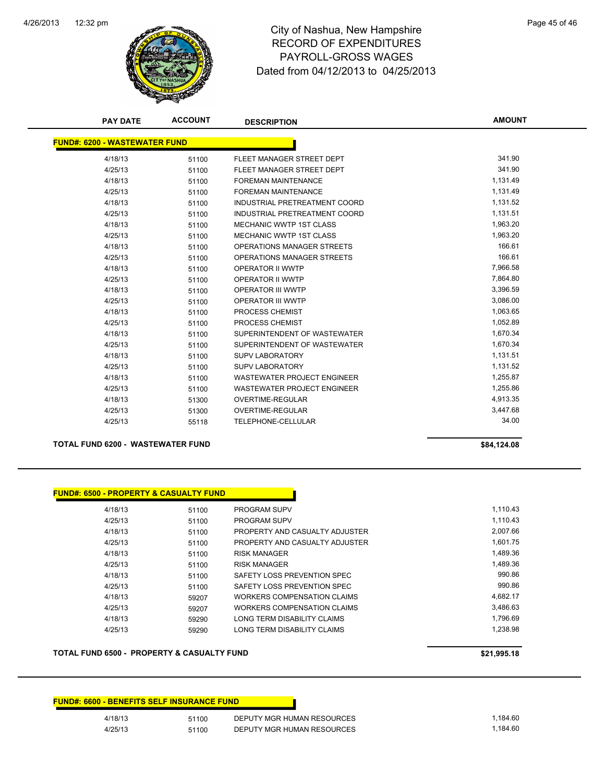

# 12:32 pm Page 45 of 46 RECORD OF EXPENDITURES PAYROLL-GROSS WAGES Dated from 04/12/2013 to 04/25/2013

| <b>PAY DATE</b>                      | <b>ACCOUNT</b> | <b>DESCRIPTION</b>                 | <b>AMOUNT</b> |
|--------------------------------------|----------------|------------------------------------|---------------|
| <b>FUND#: 6200 - WASTEWATER FUND</b> |                |                                    |               |
| 4/18/13                              | 51100          | FLEET MANAGER STREET DEPT          | 341.90        |
| 4/25/13                              | 51100          | FLEET MANAGER STREET DEPT          | 341.90        |
| 4/18/13                              | 51100          | <b>FOREMAN MAINTENANCE</b>         | 1,131.49      |
| 4/25/13                              | 51100          | <b>FOREMAN MAINTENANCE</b>         | 1,131.49      |
| 4/18/13                              | 51100          | INDUSTRIAL PRETREATMENT COORD      | 1,131.52      |
| 4/25/13                              | 51100          | INDUSTRIAL PRETREATMENT COORD      | 1,131.51      |
| 4/18/13                              | 51100          | <b>MECHANIC WWTP 1ST CLASS</b>     | 1,963.20      |
| 4/25/13                              | 51100          | <b>MECHANIC WWTP 1ST CLASS</b>     | 1,963.20      |
| 4/18/13                              | 51100          | OPERATIONS MANAGER STREETS         | 166.61        |
| 4/25/13                              | 51100          | OPERATIONS MANAGER STREETS         | 166.61        |
| 4/18/13                              | 51100          | OPERATOR II WWTP                   | 7,966.58      |
| 4/25/13                              | 51100          | OPERATOR II WWTP                   | 7,864.80      |
| 4/18/13                              | 51100          | <b>OPERATOR III WWTP</b>           | 3,396.59      |
| 4/25/13                              | 51100          | OPERATOR III WWTP                  | 3,086.00      |
| 4/18/13                              | 51100          | PROCESS CHEMIST                    | 1,063.65      |
| 4/25/13                              | 51100          | PROCESS CHEMIST                    | 1,052.89      |
| 4/18/13                              | 51100          | SUPERINTENDENT OF WASTEWATER       | 1,670.34      |
| 4/25/13                              | 51100          | SUPERINTENDENT OF WASTEWATER       | 1,670.34      |
| 4/18/13                              | 51100          | <b>SUPV LABORATORY</b>             | 1,131.51      |
| 4/25/13                              | 51100          | <b>SUPV LABORATORY</b>             | 1,131.52      |
| 4/18/13                              | 51100          | <b>WASTEWATER PROJECT ENGINEER</b> | 1,255.87      |
| 4/25/13                              | 51100          | <b>WASTEWATER PROJECT ENGINEER</b> | 1,255.86      |
| 4/18/13                              | 51300          | <b>OVERTIME-REGULAR</b>            | 4,913.35      |
| 4/25/13                              | 51300          | <b>OVERTIME-REGULAR</b>            | 3,447.68      |
| 4/25/13                              | 55118          | TELEPHONE-CELLULAR                 | 34.00         |
|                                      |                |                                    |               |

#### **TOTAL FUND 6200 - WASTEWATER FUND \$84,124.08**

|  | \$84,124.08 |
|--|-------------|
|--|-------------|

| <b>FUND#: 6500 - PROPERTY &amp; CASUALTY FUND</b> |       |                                |          |
|---------------------------------------------------|-------|--------------------------------|----------|
| 4/18/13                                           | 51100 | <b>PROGRAM SUPV</b>            | 1.110.43 |
| 4/25/13                                           | 51100 | <b>PROGRAM SUPV</b>            | 1.110.43 |
| 4/18/13                                           | 51100 | PROPERTY AND CASUALTY ADJUSTER | 2.007.66 |
| 4/25/13                                           | 51100 | PROPERTY AND CASUALTY ADJUSTER | 1.601.75 |
| 4/18/13                                           | 51100 | RISK MANAGER                   | 1.489.36 |
| 4/25/13                                           | 51100 | <b>RISK MANAGER</b>            | 1.489.36 |
| 4/18/13                                           | 51100 | SAFETY LOSS PREVENTION SPEC    | 990.86   |
| 4/25/13                                           | 51100 | SAFETY LOSS PREVENTION SPEC    | 990.86   |
| 4/18/13                                           | 59207 | WORKERS COMPENSATION CLAIMS    | 4.682.17 |
| 4/25/13                                           | 59207 | WORKERS COMPENSATION CLAIMS    | 3,486.63 |
| 4/18/13                                           | 59290 | LONG TERM DISABILITY CLAIMS    | 1,796.69 |
| 4/25/13                                           | 59290 | LONG TERM DISABILITY CLAIMS    | 1.238.98 |

### **TOTAL FUND 6500 - PROPERTY & CASUALTY FUND \$21,995.18**

## **FUND#: 6600 - BENEFITS SELF INSURANCE FUND** 4/18/13 51100 DEPUTY MGR HUMAN RESOURCES 1,184.60 4/25/13 51100 DEPUTY MGR HUMAN RESOURCES 1,184.60